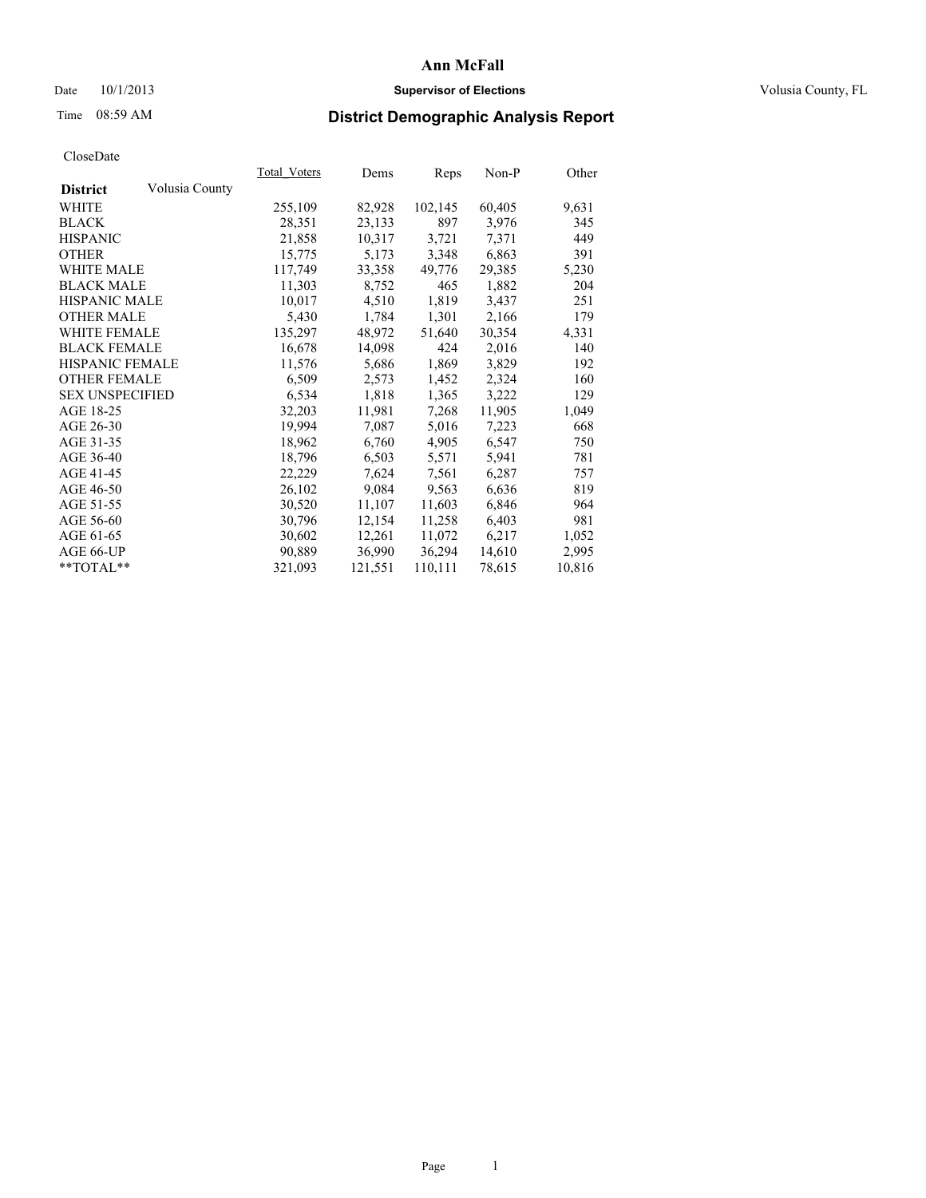## Date  $10/1/2013$  **Supervisor of Elections Supervisor of Elections** Volusia County, FL

# Time 08:59 AM **District Demographic Analysis Report**

|                        |                | Total Voters | Dems    | <b>Reps</b> | Non-P  | Other  |
|------------------------|----------------|--------------|---------|-------------|--------|--------|
| <b>District</b>        | Volusia County |              |         |             |        |        |
| WHITE                  |                | 255,109      | 82,928  | 102,145     | 60,405 | 9,631  |
| <b>BLACK</b>           |                | 28,351       | 23,133  | 897         | 3,976  | 345    |
| <b>HISPANIC</b>        |                | 21,858       | 10,317  | 3,721       | 7,371  | 449    |
| <b>OTHER</b>           |                | 15,775       | 5,173   | 3,348       | 6,863  | 391    |
| <b>WHITE MALE</b>      |                | 117,749      | 33,358  | 49,776      | 29,385 | 5,230  |
| <b>BLACK MALE</b>      |                | 11,303       | 8,752   | 465         | 1,882  | 204    |
| <b>HISPANIC MALE</b>   |                | 10,017       | 4,510   | 1,819       | 3,437  | 251    |
| <b>OTHER MALE</b>      |                | 5,430        | 1,784   | 1,301       | 2,166  | 179    |
| <b>WHITE FEMALE</b>    |                | 135,297      | 48,972  | 51,640      | 30,354 | 4,331  |
| <b>BLACK FEMALE</b>    |                | 16,678       | 14,098  | 424         | 2,016  | 140    |
| HISPANIC FEMALE        |                | 11,576       | 5,686   | 1,869       | 3,829  | 192    |
| <b>OTHER FEMALE</b>    |                | 6,509        | 2,573   | 1,452       | 2,324  | 160    |
| <b>SEX UNSPECIFIED</b> |                | 6,534        | 1,818   | 1,365       | 3,222  | 129    |
| AGE 18-25              |                | 32,203       | 11,981  | 7,268       | 11,905 | 1,049  |
| AGE 26-30              |                | 19,994       | 7,087   | 5,016       | 7,223  | 668    |
| AGE 31-35              |                | 18,962       | 6,760   | 4,905       | 6,547  | 750    |
| AGE 36-40              |                | 18,796       | 6,503   | 5,571       | 5,941  | 781    |
| AGE 41-45              |                | 22,229       | 7,624   | 7.561       | 6,287  | 757    |
| AGE 46-50              |                | 26,102       | 9,084   | 9,563       | 6,636  | 819    |
| AGE 51-55              |                | 30,520       | 11,107  | 11,603      | 6,846  | 964    |
| AGE 56-60              |                | 30,796       | 12,154  | 11,258      | 6,403  | 981    |
| AGE 61-65              |                | 30,602       | 12,261  | 11,072      | 6,217  | 1,052  |
| AGE 66-UP              |                | 90,889       | 36,990  | 36,294      | 14,610 | 2,995  |
| $*$ TOTAL $*$          |                | 321,093      | 121,551 | 110,111     | 78,615 | 10,816 |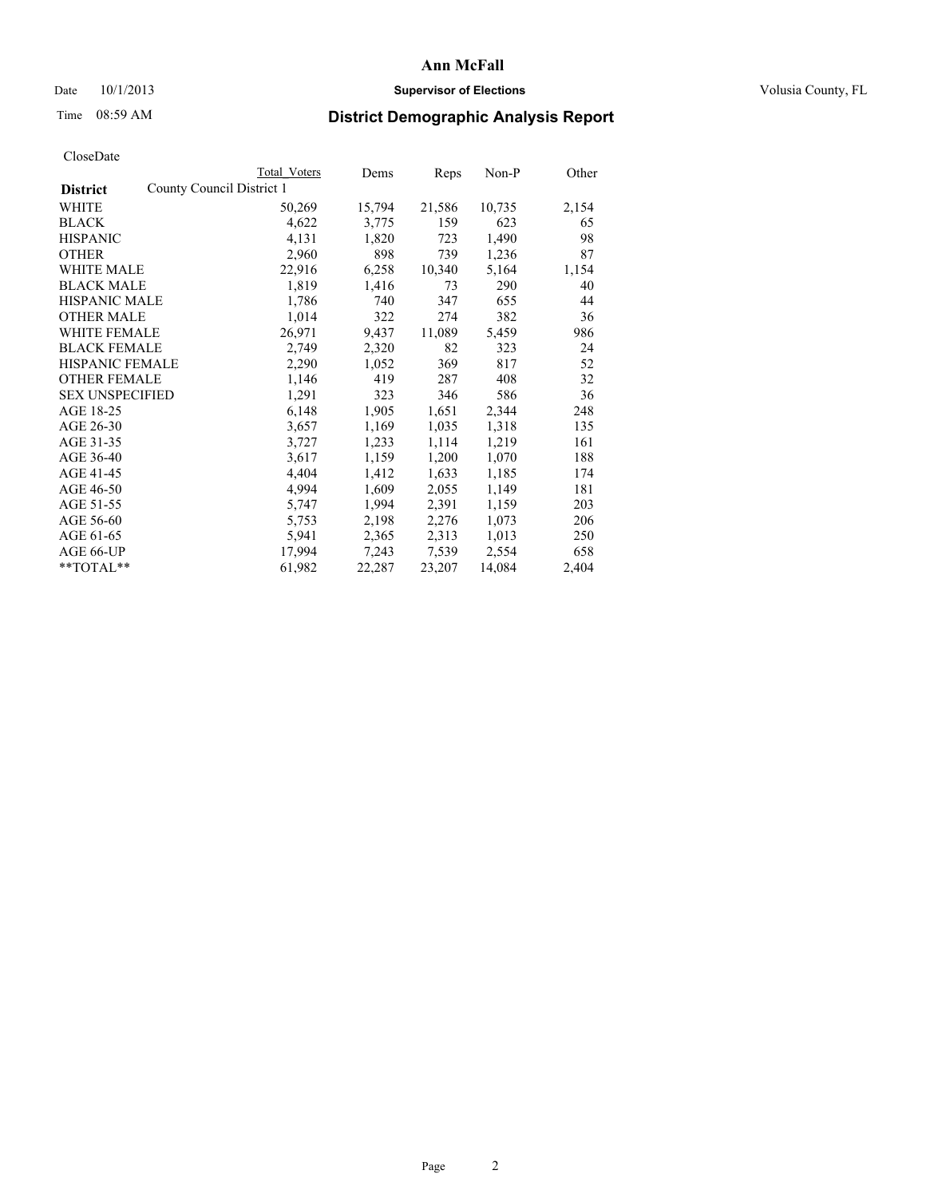## Date  $10/1/2013$  **Supervisor of Elections Supervisor of Elections** Volusia County, FL

# Time 08:59 AM **District Demographic Analysis Report**

|                        |                           | <b>Total Voters</b> | Dems   | Reps   | Non-P  | Other |
|------------------------|---------------------------|---------------------|--------|--------|--------|-------|
| <b>District</b>        | County Council District 1 |                     |        |        |        |       |
| WHITE                  |                           | 50,269              | 15,794 | 21,586 | 10,735 | 2,154 |
| <b>BLACK</b>           |                           | 4,622               | 3,775  | 159    | 623    | 65    |
| <b>HISPANIC</b>        |                           | 4,131               | 1,820  | 723    | 1,490  | 98    |
| <b>OTHER</b>           |                           | 2,960               | 898    | 739    | 1,236  | 87    |
| WHITE MALE             |                           | 22,916              | 6,258  | 10,340 | 5,164  | 1,154 |
| <b>BLACK MALE</b>      |                           | 1,819               | 1,416  | 73     | 290    | 40    |
| <b>HISPANIC MALE</b>   |                           | 1,786               | 740    | 347    | 655    | 44    |
| <b>OTHER MALE</b>      |                           | 1,014               | 322    | 274    | 382    | 36    |
| <b>WHITE FEMALE</b>    |                           | 26,971              | 9,437  | 11,089 | 5,459  | 986   |
| <b>BLACK FEMALE</b>    |                           | 2,749               | 2,320  | 82     | 323    | 24    |
| HISPANIC FEMALE        |                           | 2,290               | 1,052  | 369    | 817    | 52    |
| <b>OTHER FEMALE</b>    |                           | 1,146               | 419    | 287    | 408    | 32    |
| <b>SEX UNSPECIFIED</b> |                           | 1,291               | 323    | 346    | 586    | 36    |
| AGE 18-25              |                           | 6,148               | 1,905  | 1,651  | 2,344  | 248   |
| AGE 26-30              |                           | 3,657               | 1,169  | 1,035  | 1,318  | 135   |
| AGE 31-35              |                           | 3,727               | 1,233  | 1,114  | 1,219  | 161   |
| AGE 36-40              |                           | 3,617               | 1,159  | 1,200  | 1,070  | 188   |
| AGE 41-45              |                           | 4,404               | 1,412  | 1,633  | 1,185  | 174   |
| AGE 46-50              |                           | 4,994               | 1,609  | 2,055  | 1,149  | 181   |
| AGE 51-55              |                           | 5,747               | 1,994  | 2,391  | 1,159  | 203   |
| AGE 56-60              |                           | 5,753               | 2,198  | 2,276  | 1,073  | 206   |
| AGE 61-65              |                           | 5,941               | 2,365  | 2,313  | 1,013  | 250   |
| AGE 66-UP              |                           | 17,994              | 7,243  | 7,539  | 2,554  | 658   |
| **TOTAL**              |                           | 61,982              | 22,287 | 23,207 | 14,084 | 2,404 |
|                        |                           |                     |        |        |        |       |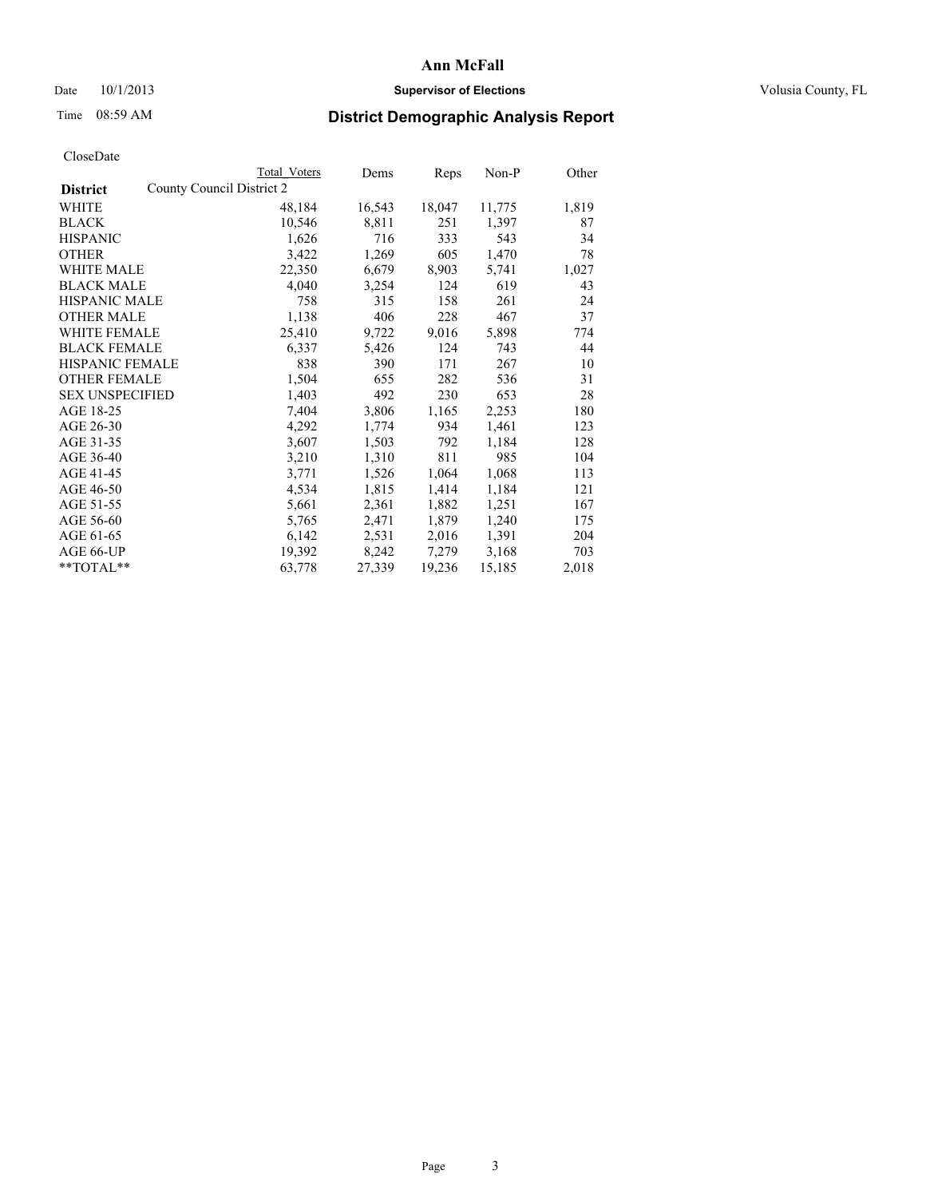## Date  $10/1/2013$  **Supervisor of Elections Supervisor of Elections** Volusia County, FL

# Time 08:59 AM **District Demographic Analysis Report**

|                                              | <b>Total Voters</b> | Dems   | <b>Reps</b> | Non-P  | Other |
|----------------------------------------------|---------------------|--------|-------------|--------|-------|
| County Council District 2<br><b>District</b> |                     |        |             |        |       |
| <b>WHITE</b>                                 | 48,184              | 16,543 | 18,047      | 11,775 | 1,819 |
| <b>BLACK</b>                                 | 10,546              | 8,811  | 251         | 1,397  | 87    |
| <b>HISPANIC</b>                              | 1,626               | 716    | 333         | 543    | 34    |
| <b>OTHER</b>                                 | 3,422               | 1,269  | 605         | 1,470  | 78    |
| <b>WHITE MALE</b>                            | 22,350              | 6,679  | 8,903       | 5,741  | 1,027 |
| <b>BLACK MALE</b>                            | 4,040               | 3,254  | 124         | 619    | 43    |
| <b>HISPANIC MALE</b>                         | 758                 | 315    | 158         | 261    | 24    |
| <b>OTHER MALE</b>                            | 1,138               | 406    | 228         | 467    | 37    |
| WHITE FEMALE                                 | 25,410              | 9,722  | 9,016       | 5,898  | 774   |
| <b>BLACK FEMALE</b>                          | 6,337               | 5,426  | 124         | 743    | 44    |
| HISPANIC FEMALE                              | 838                 | 390    | 171         | 267    | 10    |
| <b>OTHER FEMALE</b>                          | 1,504               | 655    | 282         | 536    | 31    |
| <b>SEX UNSPECIFIED</b>                       | 1,403               | 492    | 230         | 653    | 28    |
| AGE 18-25                                    | 7,404               | 3,806  | 1,165       | 2,253  | 180   |
| AGE 26-30                                    | 4,292               | 1,774  | 934         | 1,461  | 123   |
| AGE 31-35                                    | 3,607               | 1,503  | 792         | 1,184  | 128   |
| AGE 36-40                                    | 3,210               | 1,310  | 811         | 985    | 104   |
| AGE 41-45                                    | 3,771               | 1,526  | 1,064       | 1,068  | 113   |
| AGE 46-50                                    | 4,534               | 1,815  | 1,414       | 1,184  | 121   |
| AGE 51-55                                    | 5,661               | 2,361  | 1,882       | 1,251  | 167   |
| AGE 56-60                                    | 5,765               | 2,471  | 1,879       | 1,240  | 175   |
| AGE 61-65                                    | 6,142               | 2,531  | 2,016       | 1,391  | 204   |
| AGE 66-UP                                    | 19,392              | 8,242  | 7,279       | 3,168  | 703   |
| $*$ TOTAL $*$                                | 63,778              | 27,339 | 19,236      | 15,185 | 2,018 |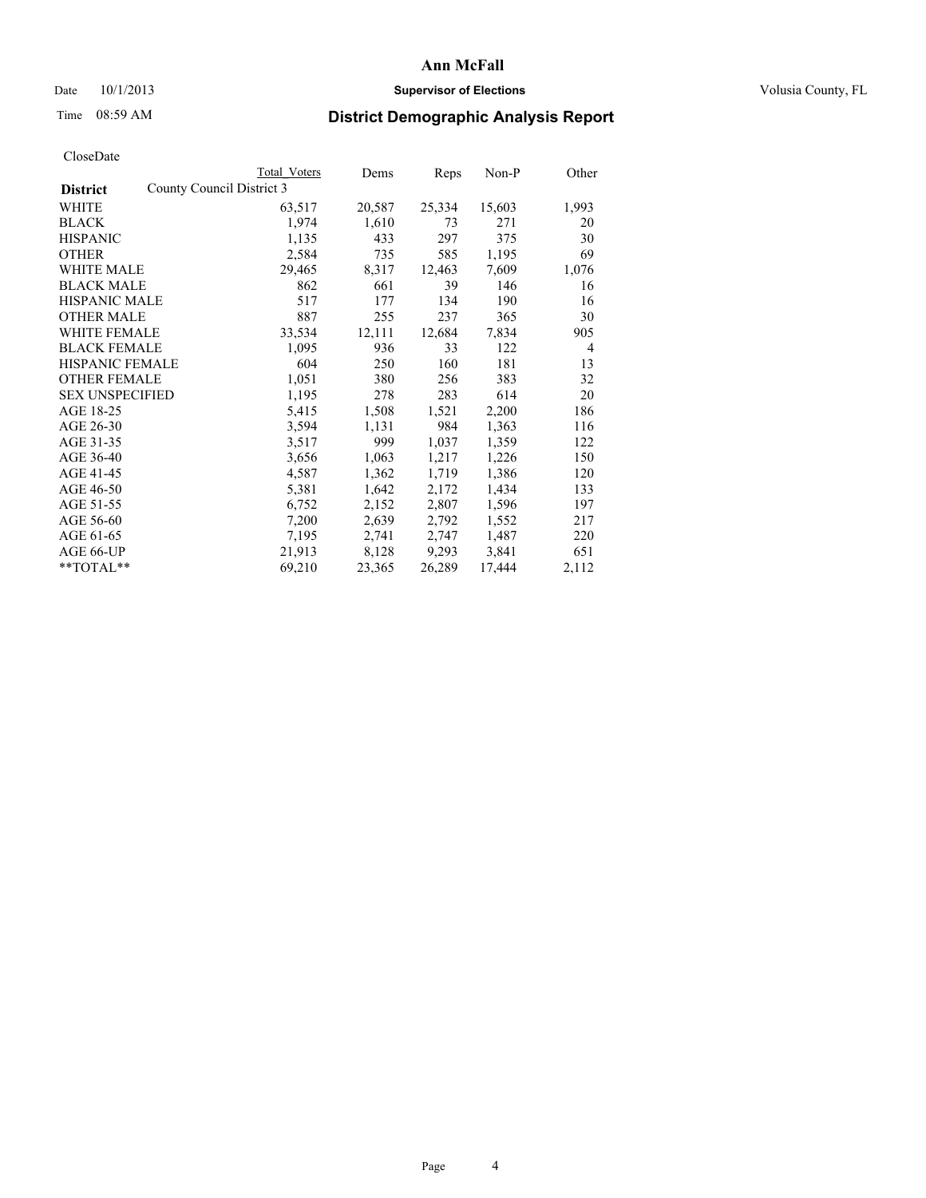## Date  $10/1/2013$  **Supervisor of Elections Supervisor of Elections** Volusia County, FL

# Time 08:59 AM **District Demographic Analysis Report**

|                                              | <b>Total Voters</b> | Dems   | Reps   | $Non-P$ | Other          |
|----------------------------------------------|---------------------|--------|--------|---------|----------------|
| County Council District 3<br><b>District</b> |                     |        |        |         |                |
| WHITE                                        | 63,517              | 20,587 | 25,334 | 15,603  | 1,993          |
| <b>BLACK</b>                                 | 1,974               | 1,610  | 73     | 271     | 20             |
| <b>HISPANIC</b>                              | 1,135               | 433    | 297    | 375     | 30             |
| <b>OTHER</b>                                 | 2,584               | 735    | 585    | 1,195   | 69             |
| WHITE MALE                                   | 29,465              | 8,317  | 12,463 | 7,609   | 1,076          |
| <b>BLACK MALE</b>                            | 862                 | 661    | 39     | 146     | 16             |
| <b>HISPANIC MALE</b>                         | 517                 | 177    | 134    | 190     | 16             |
| <b>OTHER MALE</b>                            | 887                 | 255    | 237    | 365     | 30             |
| <b>WHITE FEMALE</b>                          | 33,534              | 12,111 | 12,684 | 7,834   | 905            |
| <b>BLACK FEMALE</b>                          | 1,095               | 936    | 33     | 122     | $\overline{4}$ |
| <b>HISPANIC FEMALE</b>                       | 604                 | 250    | 160    | 181     | 13             |
| <b>OTHER FEMALE</b>                          | 1,051               | 380    | 256    | 383     | 32             |
| <b>SEX UNSPECIFIED</b>                       | 1,195               | 278    | 283    | 614     | 20             |
| AGE 18-25                                    | 5,415               | 1,508  | 1,521  | 2,200   | 186            |
| AGE 26-30                                    | 3,594               | 1,131  | 984    | 1,363   | 116            |
| AGE 31-35                                    | 3,517               | 999    | 1,037  | 1,359   | 122            |
| AGE 36-40                                    | 3,656               | 1,063  | 1,217  | 1,226   | 150            |
| AGE 41-45                                    | 4,587               | 1,362  | 1,719  | 1,386   | 120            |
| AGE 46-50                                    | 5,381               | 1,642  | 2,172  | 1,434   | 133            |
| AGE 51-55                                    | 6,752               | 2,152  | 2,807  | 1,596   | 197            |
| AGE 56-60                                    | 7,200               | 2,639  | 2,792  | 1,552   | 217            |
| AGE 61-65                                    | 7,195               | 2,741  | 2,747  | 1,487   | 220            |
| AGE 66-UP                                    | 21,913              | 8,128  | 9,293  | 3,841   | 651            |
| **TOTAL**                                    | 69,210              | 23,365 | 26,289 | 17,444  | 2,112          |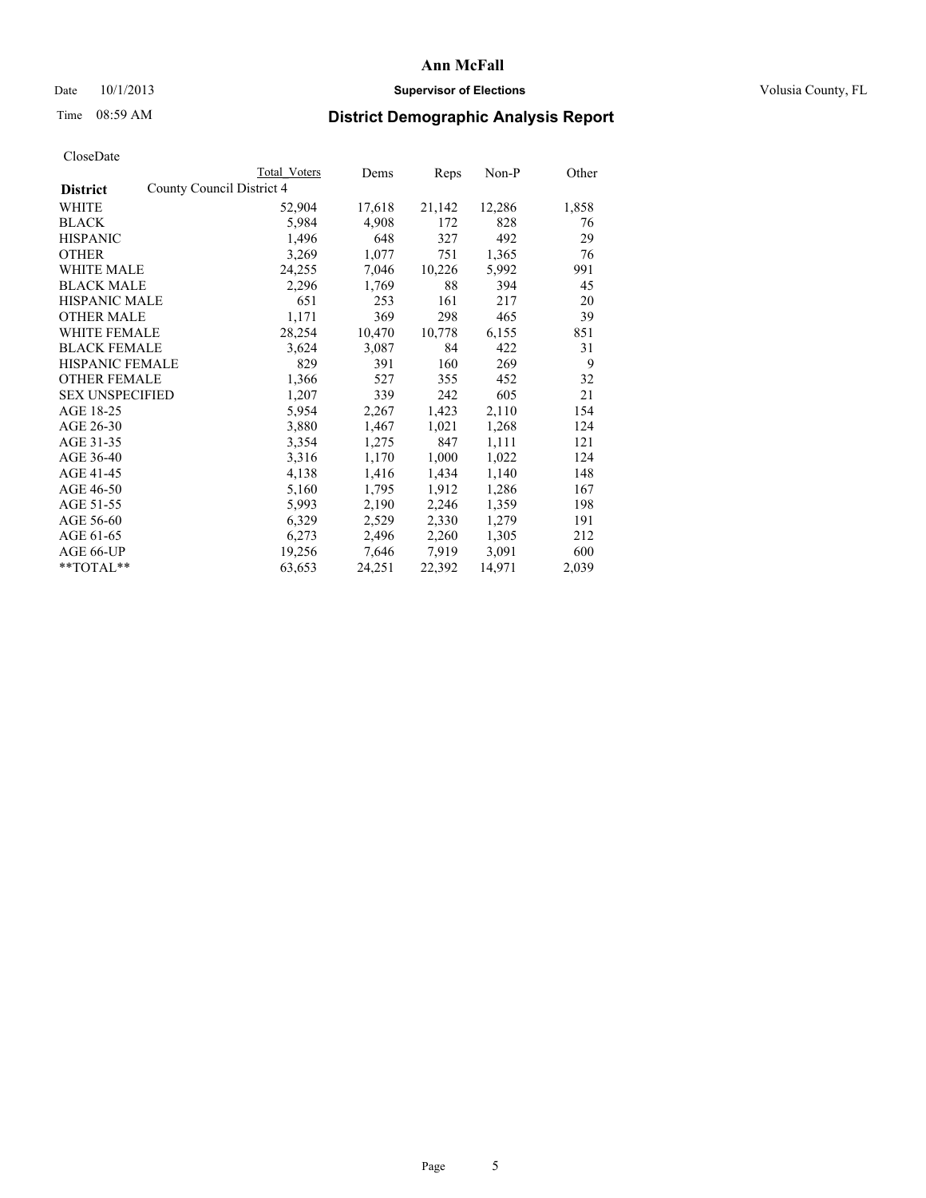## Date  $10/1/2013$  **Supervisor of Elections Supervisor of Elections** Volusia County, FL

# Time 08:59 AM **District Demographic Analysis Report**

|                        |                           | Total Voters | Dems   | Reps   | Non-P  | Other |
|------------------------|---------------------------|--------------|--------|--------|--------|-------|
| <b>District</b>        | County Council District 4 |              |        |        |        |       |
| WHITE                  |                           | 52,904       | 17,618 | 21,142 | 12,286 | 1,858 |
| <b>BLACK</b>           |                           | 5,984        | 4,908  | 172    | 828    | 76    |
| <b>HISPANIC</b>        |                           | 1,496        | 648    | 327    | 492    | 29    |
| <b>OTHER</b>           |                           | 3,269        | 1,077  | 751    | 1,365  | 76    |
| WHITE MALE             |                           | 24,255       | 7,046  | 10,226 | 5,992  | 991   |
| <b>BLACK MALE</b>      |                           | 2,296        | 1,769  | 88     | 394    | 45    |
| <b>HISPANIC MALE</b>   |                           | 651          | 253    | 161    | 217    | 20    |
| <b>OTHER MALE</b>      |                           | 1,171        | 369    | 298    | 465    | 39    |
| <b>WHITE FEMALE</b>    |                           | 28,254       | 10,470 | 10,778 | 6,155  | 851   |
| <b>BLACK FEMALE</b>    |                           | 3,624        | 3,087  | 84     | 422    | 31    |
| <b>HISPANIC FEMALE</b> |                           | 829          | 391    | 160    | 269    | 9     |
| <b>OTHER FEMALE</b>    |                           | 1,366        | 527    | 355    | 452    | 32    |
| <b>SEX UNSPECIFIED</b> |                           | 1,207        | 339    | 242    | 605    | 21    |
| AGE 18-25              |                           | 5,954        | 2,267  | 1,423  | 2,110  | 154   |
| AGE 26-30              |                           | 3,880        | 1,467  | 1,021  | 1,268  | 124   |
| AGE 31-35              |                           | 3,354        | 1,275  | 847    | 1,111  | 121   |
| AGE 36-40              |                           | 3,316        | 1,170  | 1,000  | 1,022  | 124   |
| AGE 41-45              |                           | 4,138        | 1,416  | 1,434  | 1,140  | 148   |
| AGE 46-50              |                           | 5,160        | 1,795  | 1,912  | 1,286  | 167   |
| AGE 51-55              |                           | 5,993        | 2,190  | 2,246  | 1,359  | 198   |
| AGE 56-60              |                           | 6,329        | 2,529  | 2,330  | 1,279  | 191   |
| AGE 61-65              |                           | 6,273        | 2,496  | 2,260  | 1,305  | 212   |
| AGE 66-UP              |                           | 19,256       | 7,646  | 7,919  | 3,091  | 600   |
| **TOTAL**              |                           | 63,653       | 24,251 | 22,392 | 14,971 | 2,039 |
|                        |                           |              |        |        |        |       |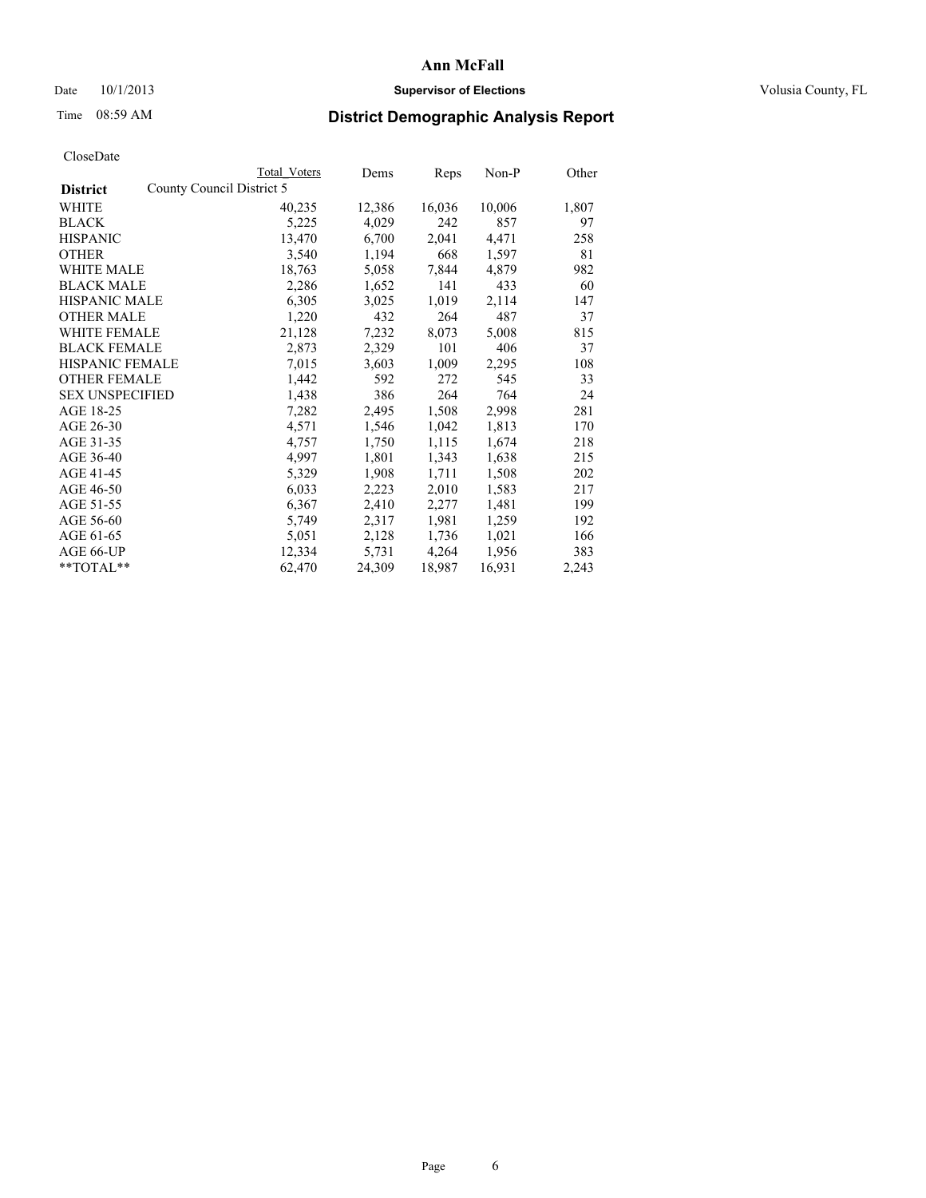## Date  $10/1/2013$  **Supervisor of Elections Supervisor of Elections** Volusia County, FL

# Time 08:59 AM **District Demographic Analysis Report**

|                                              | Total Voters | Dems   | Reps   | Non-P  | Other |
|----------------------------------------------|--------------|--------|--------|--------|-------|
| County Council District 5<br><b>District</b> |              |        |        |        |       |
| <b>WHITE</b>                                 | 40,235       | 12,386 | 16,036 | 10,006 | 1,807 |
| <b>BLACK</b>                                 | 5,225        | 4,029  | 242    | 857    | 97    |
| <b>HISPANIC</b>                              | 13,470       | 6,700  | 2,041  | 4,471  | 258   |
| <b>OTHER</b>                                 | 3,540        | 1,194  | 668    | 1,597  | 81    |
| WHITE MALE                                   | 18,763       | 5,058  | 7,844  | 4,879  | 982   |
| <b>BLACK MALE</b>                            | 2,286        | 1,652  | 141    | 433    | 60    |
| <b>HISPANIC MALE</b>                         | 6,305        | 3,025  | 1,019  | 2,114  | 147   |
| <b>OTHER MALE</b>                            | 1,220        | 432    | 264    | 487    | 37    |
| WHITE FEMALE                                 | 21,128       | 7,232  | 8,073  | 5,008  | 815   |
| <b>BLACK FEMALE</b>                          | 2,873        | 2,329  | 101    | 406    | 37    |
| HISPANIC FEMALE                              | 7,015        | 3,603  | 1,009  | 2,295  | 108   |
| <b>OTHER FEMALE</b>                          | 1,442        | 592    | 272    | 545    | 33    |
| <b>SEX UNSPECIFIED</b>                       | 1,438        | 386    | 264    | 764    | 24    |
| AGE 18-25                                    | 7,282        | 2,495  | 1,508  | 2,998  | 281   |
| AGE 26-30                                    | 4,571        | 1,546  | 1,042  | 1,813  | 170   |
| AGE 31-35                                    | 4,757        | 1,750  | 1,115  | 1,674  | 218   |
| AGE 36-40                                    | 4,997        | 1,801  | 1,343  | 1,638  | 215   |
| AGE 41-45                                    | 5,329        | 1,908  | 1,711  | 1,508  | 202   |
| AGE 46-50                                    | 6,033        | 2,223  | 2,010  | 1,583  | 217   |
| AGE 51-55                                    | 6,367        | 2,410  | 2,277  | 1,481  | 199   |
| AGE 56-60                                    | 5,749        | 2,317  | 1,981  | 1,259  | 192   |
| AGE 61-65                                    | 5,051        | 2,128  | 1,736  | 1,021  | 166   |
| AGE 66-UP                                    | 12,334       | 5,731  | 4,264  | 1,956  | 383   |
| $*$ TOTAL $*$                                | 62,470       | 24,309 | 18,987 | 16,931 | 2,243 |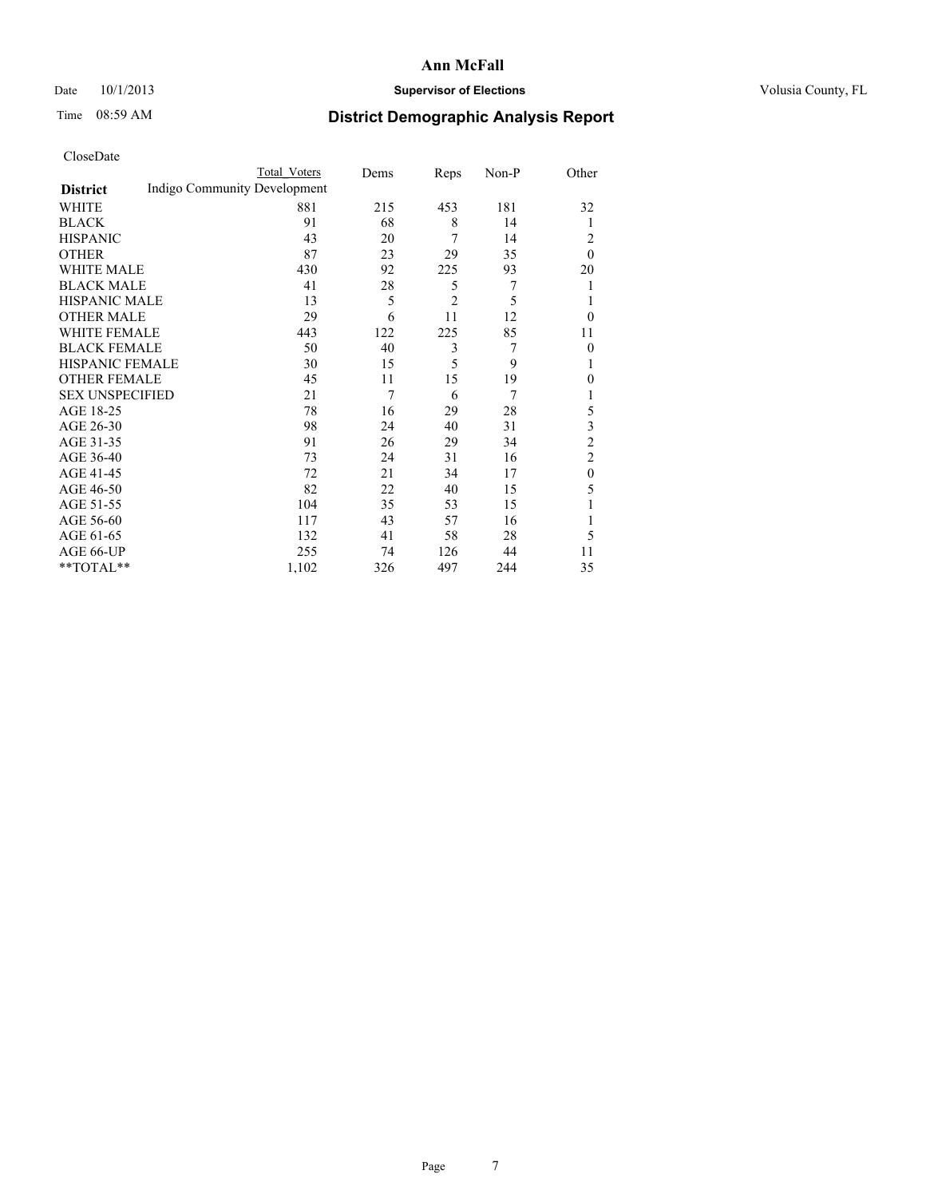## Date  $10/1/2013$  **Supervisor of Elections Supervisor of Elections** Volusia County, FL

# Time 08:59 AM **District Demographic Analysis Report**

|                        |                              | Total Voters | Dems | Reps           | Non-P | Other            |
|------------------------|------------------------------|--------------|------|----------------|-------|------------------|
| <b>District</b>        | Indigo Community Development |              |      |                |       |                  |
| WHITE                  |                              | 881          | 215  | 453            | 181   | 32               |
| <b>BLACK</b>           |                              | 91           | 68   | 8              | 14    | 1                |
| <b>HISPANIC</b>        |                              | 43           | 20   | 7              | 14    | 2                |
| <b>OTHER</b>           |                              | 87           | 23   | 29             | 35    | $\theta$         |
| WHITE MALE             |                              | 430          | 92   | 225            | 93    | 20               |
| <b>BLACK MALE</b>      |                              | 41           | 28   | 5              | 7     | 1                |
| <b>HISPANIC MALE</b>   |                              | 13           | 5    | $\overline{2}$ | 5     | 1                |
| <b>OTHER MALE</b>      |                              | 29           | 6    | 11             | 12    | $\theta$         |
| <b>WHITE FEMALE</b>    |                              | 443          | 122  | 225            | 85    | 11               |
| <b>BLACK FEMALE</b>    |                              | 50           | 40   | 3              | 7     | $\overline{0}$   |
| <b>HISPANIC FEMALE</b> |                              | 30           | 15   | 5              | 9     | 1                |
| <b>OTHER FEMALE</b>    |                              | 45           | 11   | 15             | 19    | $\theta$         |
| <b>SEX UNSPECIFIED</b> |                              | 21           | 7    | 6              | 7     | 1                |
| AGE 18-25              |                              | 78           | 16   | 29             | 28    | 5                |
| AGE 26-30              |                              | 98           | 24   | 40             | 31    | 3                |
| AGE 31-35              |                              | 91           | 26   | 29             | 34    | $\overline{c}$   |
| AGE 36-40              |                              | 73           | 24   | 31             | 16    | $\overline{2}$   |
| AGE 41-45              |                              | 72           | 21   | 34             | 17    | $\boldsymbol{0}$ |
| AGE 46-50              |                              | 82           | 22   | 40             | 15    | 5                |
| AGE 51-55              |                              | 104          | 35   | 53             | 15    | 1                |
| AGE 56-60              |                              | 117          | 43   | 57             | 16    | 1                |
| AGE 61-65              |                              | 132          | 41   | 58             | 28    | 5                |
| AGE 66-UP              |                              | 255          | 74   | 126            | 44    | 11               |
| **TOTAL**              |                              | 1,102        | 326  | 497            | 244   | 35               |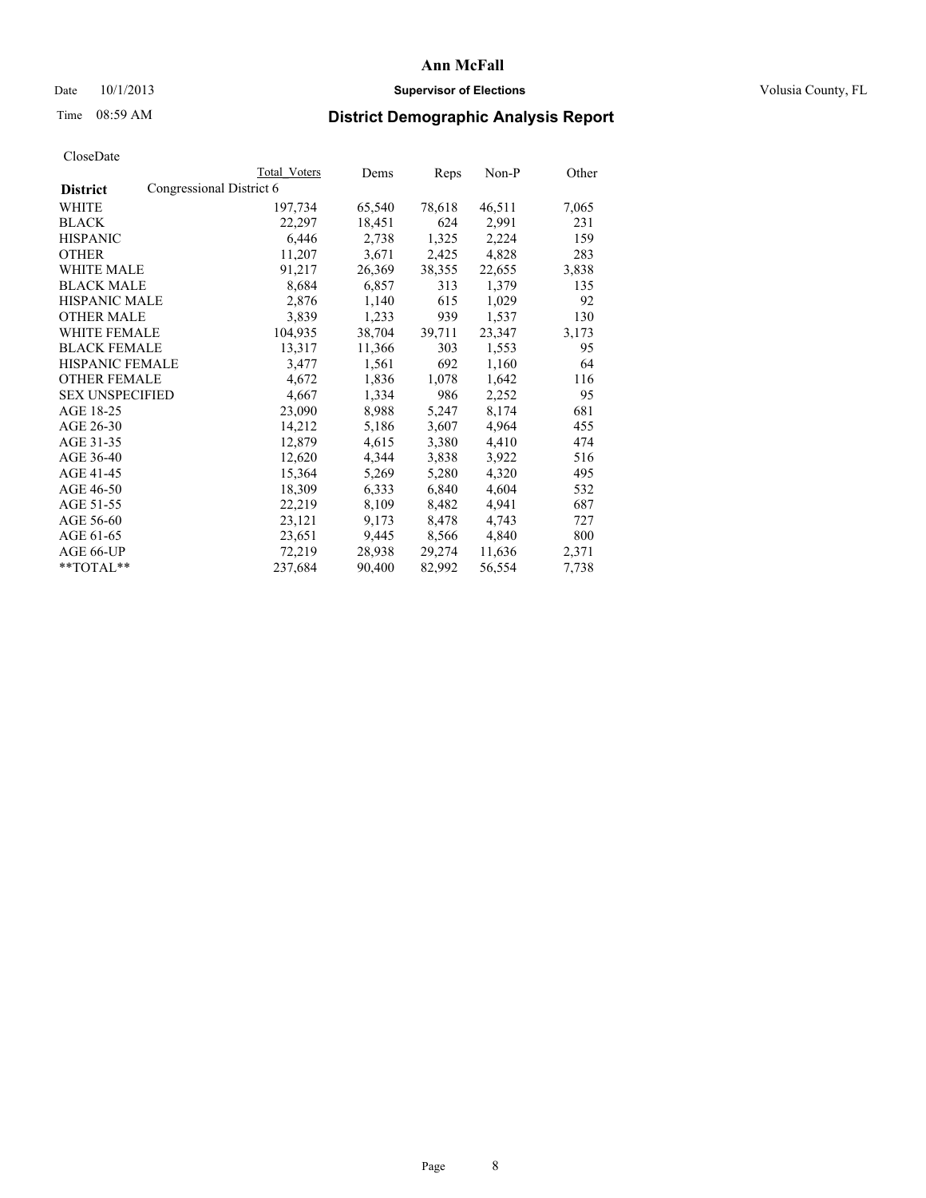## Date  $10/1/2013$  **Supervisor of Elections Supervisor of Elections** Volusia County, FL

# Time 08:59 AM **District Demographic Analysis Report**

| <b>Total Voters</b>      | Dems   | <b>Reps</b> | Non-P  | Other |
|--------------------------|--------|-------------|--------|-------|
| Congressional District 6 |        |             |        |       |
| 197,734                  | 65,540 | 78,618      | 46,511 | 7,065 |
| 22,297                   | 18,451 | 624         | 2,991  | 231   |
| 6,446                    | 2,738  | 1,325       | 2,224  | 159   |
| 11,207                   | 3,671  | 2,425       | 4,828  | 283   |
| 91,217                   | 26,369 | 38,355      | 22,655 | 3,838 |
| 8,684                    | 6,857  | 313         | 1,379  | 135   |
| 2,876                    | 1,140  | 615         | 1,029  | 92    |
| 3,839                    | 1,233  | 939         | 1,537  | 130   |
| 104,935                  | 38,704 | 39,711      | 23,347 | 3,173 |
| 13,317                   | 11,366 | 303         | 1,553  | 95    |
| 3,477                    | 1,561  | 692         | 1,160  | 64    |
| 4,672                    | 1,836  | 1,078       | 1,642  | 116   |
| 4,667                    | 1,334  | 986         | 2,252  | 95    |
| 23,090                   | 8,988  | 5,247       | 8,174  | 681   |
| 14,212                   | 5,186  | 3,607       | 4,964  | 455   |
| 12,879                   | 4,615  | 3,380       | 4,410  | 474   |
| 12,620                   | 4,344  | 3,838       | 3,922  | 516   |
| 15,364                   | 5,269  | 5,280       | 4,320  | 495   |
| 18,309                   | 6,333  | 6,840       | 4,604  | 532   |
| 22,219                   | 8,109  | 8,482       | 4,941  | 687   |
| 23,121                   | 9,173  | 8,478       | 4,743  | 727   |
| 23,651                   | 9,445  | 8,566       | 4,840  | 800   |
| 72,219                   | 28,938 | 29,274      | 11,636 | 2,371 |
| 237,684                  | 90,400 | 82,992      | 56,554 | 7,738 |
|                          |        |             |        |       |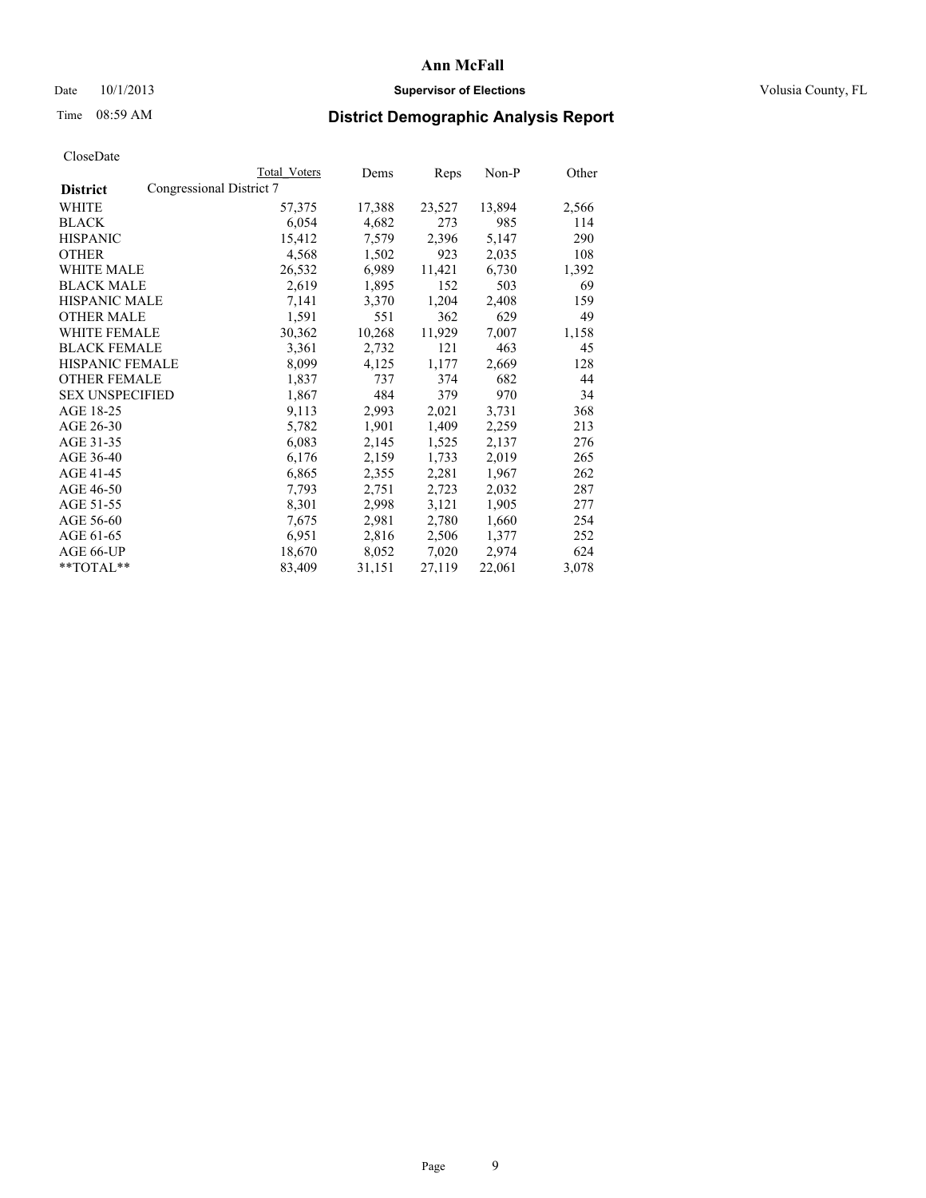## Date  $10/1/2013$  **Supervisor of Elections Supervisor of Elections** Volusia County, FL

# Time 08:59 AM **District Demographic Analysis Report**

|                                             | Total Voters | Dems   | Reps   | Non-P  | Other |
|---------------------------------------------|--------------|--------|--------|--------|-------|
| Congressional District 7<br><b>District</b> |              |        |        |        |       |
| WHITE                                       | 57,375       | 17,388 | 23,527 | 13,894 | 2,566 |
| <b>BLACK</b>                                | 6,054        | 4,682  | 273    | 985    | 114   |
| <b>HISPANIC</b>                             | 15,412       | 7,579  | 2,396  | 5,147  | 290   |
| <b>OTHER</b>                                | 4,568        | 1,502  | 923    | 2,035  | 108   |
| WHITE MALE                                  | 26,532       | 6,989  | 11,421 | 6,730  | 1,392 |
| <b>BLACK MALE</b>                           | 2,619        | 1,895  | 152    | 503    | 69    |
| <b>HISPANIC MALE</b>                        | 7,141        | 3,370  | 1,204  | 2,408  | 159   |
| <b>OTHER MALE</b>                           | 1,591        | 551    | 362    | 629    | 49    |
| WHITE FEMALE                                | 30,362       | 10,268 | 11,929 | 7,007  | 1,158 |
| <b>BLACK FEMALE</b>                         | 3,361        | 2,732  | 121    | 463    | 45    |
| <b>HISPANIC FEMALE</b>                      | 8,099        | 4,125  | 1,177  | 2,669  | 128   |
| <b>OTHER FEMALE</b>                         | 1,837        | 737    | 374    | 682    | 44    |
| <b>SEX UNSPECIFIED</b>                      | 1,867        | 484    | 379    | 970    | 34    |
| AGE 18-25                                   | 9,113        | 2,993  | 2,021  | 3,731  | 368   |
| AGE 26-30                                   | 5,782        | 1,901  | 1,409  | 2,259  | 213   |
| AGE 31-35                                   | 6,083        | 2,145  | 1,525  | 2,137  | 276   |
| AGE 36-40                                   | 6,176        | 2,159  | 1,733  | 2,019  | 265   |
| AGE 41-45                                   | 6,865        | 2,355  | 2,281  | 1,967  | 262   |
| AGE 46-50                                   | 7,793        | 2,751  | 2,723  | 2,032  | 287   |
| AGE 51-55                                   | 8,301        | 2,998  | 3,121  | 1,905  | 277   |
| AGE 56-60                                   | 7,675        | 2,981  | 2,780  | 1,660  | 254   |
| AGE 61-65                                   | 6,951        | 2,816  | 2,506  | 1,377  | 252   |
| AGE 66-UP                                   | 18,670       | 8,052  | 7,020  | 2,974  | 624   |
| **TOTAL**                                   | 83,409       | 31,151 | 27,119 | 22,061 | 3,078 |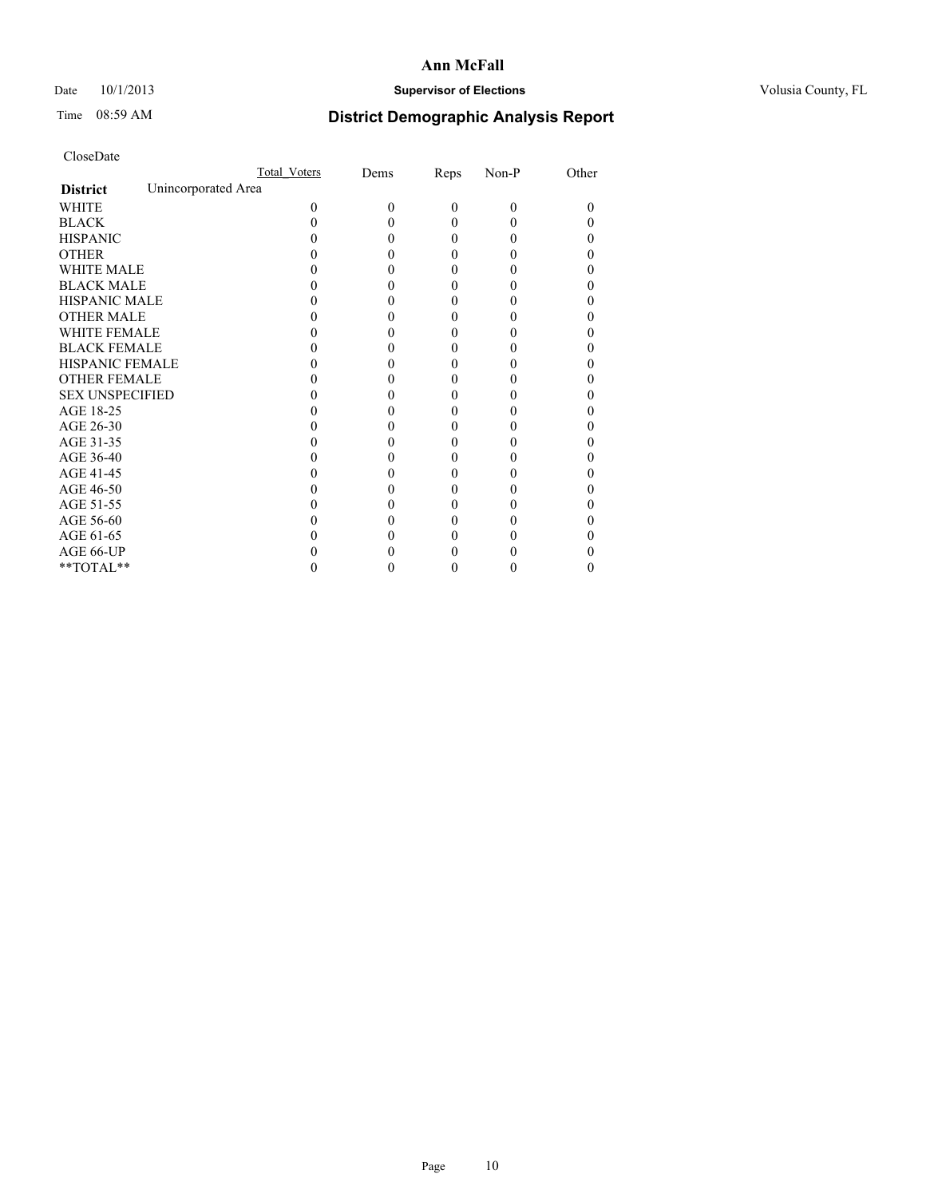# Date 10/1/2013 **Supervisor of Elections Supervisor of Elections** Volusia County, FL

# Time 08:59 AM **District Demographic Analysis Report**

|                        |                     | <b>Total Voters</b> | Dems     | Reps     | Non-P    | Other |
|------------------------|---------------------|---------------------|----------|----------|----------|-------|
| <b>District</b>        | Unincorporated Area |                     |          |          |          |       |
| <b>WHITE</b>           |                     | $\Omega$            | $\theta$ | $\theta$ | $\Omega$ | 0     |
| <b>BLACK</b>           |                     |                     |          | 0        | 0        |       |
| <b>HISPANIC</b>        |                     |                     |          | 0        | 0        |       |
| <b>OTHER</b>           |                     |                     |          |          |          |       |
| <b>WHITE MALE</b>      |                     |                     |          |          |          |       |
| <b>BLACK MALE</b>      |                     |                     |          |          |          |       |
| <b>HISPANIC MALE</b>   |                     |                     |          |          |          |       |
| <b>OTHER MALE</b>      |                     |                     |          |          |          |       |
| <b>WHITE FEMALE</b>    |                     |                     |          |          |          |       |
| <b>BLACK FEMALE</b>    |                     |                     |          | 0        |          | 0     |
| HISPANIC FEMALE        |                     |                     |          |          |          |       |
| <b>OTHER FEMALE</b>    |                     |                     |          |          |          |       |
| <b>SEX UNSPECIFIED</b> |                     |                     |          |          |          |       |
| AGE 18-25              |                     |                     |          |          |          |       |
| AGE 26-30              |                     |                     |          |          |          |       |
| AGE 31-35              |                     |                     |          |          |          |       |
| AGE 36-40              |                     |                     |          | 0        |          |       |
| AGE 41-45              |                     |                     |          |          |          |       |
| AGE 46-50              |                     |                     |          |          |          |       |
| AGE 51-55              |                     |                     |          |          |          |       |
| AGE 56-60              |                     |                     |          |          |          |       |
| AGE 61-65              |                     |                     |          |          |          |       |
| AGE 66-UP              |                     |                     |          |          |          |       |
| **TOTAL**              |                     |                     |          | 0        | 0        | 0     |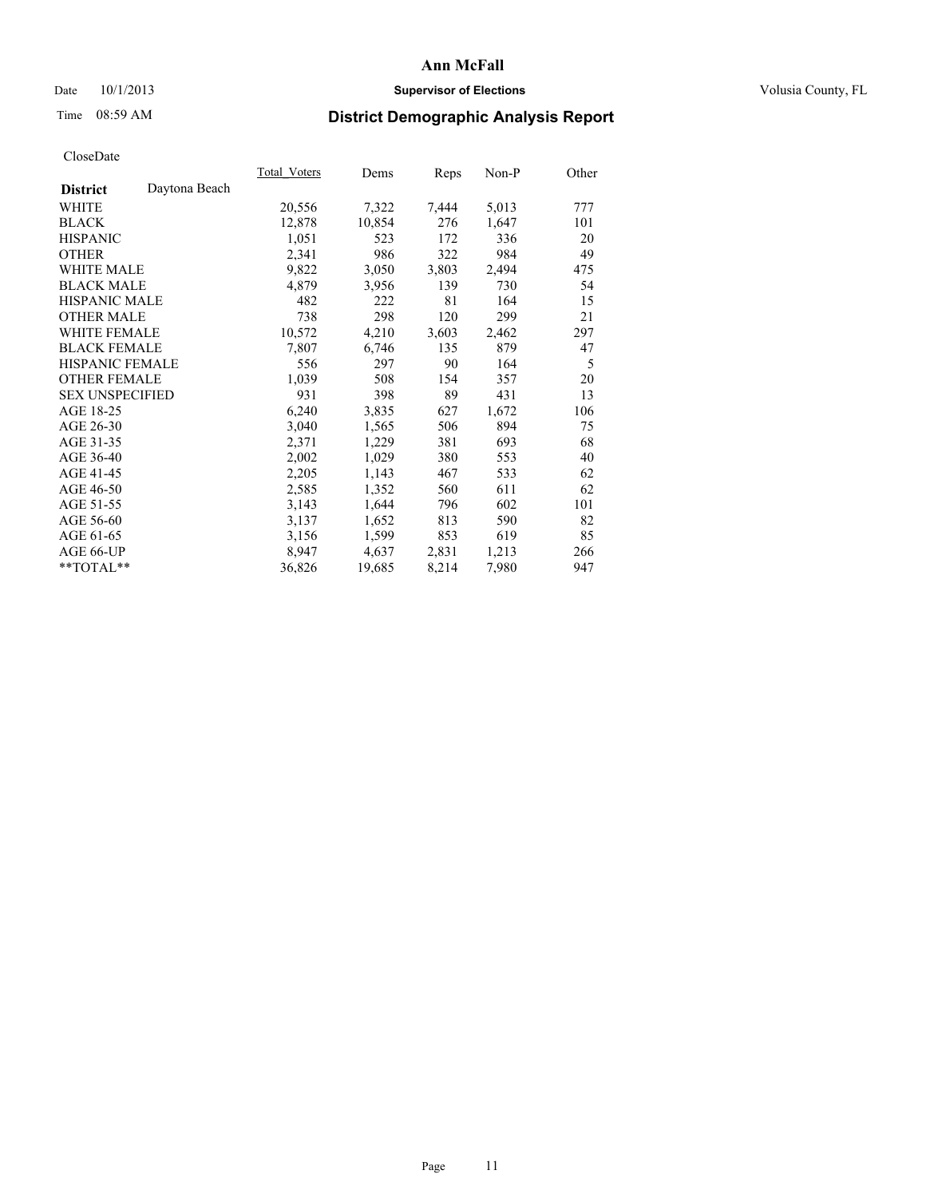## Date  $10/1/2013$  **Supervisor of Elections Supervisor of Elections** Volusia County, FL

# Time 08:59 AM **District Demographic Analysis Report**

|                        |               | Total Voters | Dems   | Reps  | Non-P | Other |
|------------------------|---------------|--------------|--------|-------|-------|-------|
| <b>District</b>        | Daytona Beach |              |        |       |       |       |
| <b>WHITE</b>           |               | 20,556       | 7,322  | 7,444 | 5,013 | 777   |
| <b>BLACK</b>           |               | 12,878       | 10,854 | 276   | 1,647 | 101   |
| <b>HISPANIC</b>        |               | 1,051        | 523    | 172   | 336   | 20    |
| <b>OTHER</b>           |               | 2,341        | 986    | 322   | 984   | 49    |
| <b>WHITE MALE</b>      |               | 9,822        | 3,050  | 3,803 | 2,494 | 475   |
| <b>BLACK MALE</b>      |               | 4,879        | 3,956  | 139   | 730   | 54    |
| <b>HISPANIC MALE</b>   |               | 482          | 222    | 81    | 164   | 15    |
| <b>OTHER MALE</b>      |               | 738          | 298    | 120   | 299   | 21    |
| <b>WHITE FEMALE</b>    |               | 10,572       | 4,210  | 3,603 | 2,462 | 297   |
| <b>BLACK FEMALE</b>    |               | 7,807        | 6,746  | 135   | 879   | 47    |
| HISPANIC FEMALE        |               | 556          | 297    | 90    | 164   | 5     |
| <b>OTHER FEMALE</b>    |               | 1,039        | 508    | 154   | 357   | 20    |
| <b>SEX UNSPECIFIED</b> |               | 931          | 398    | 89    | 431   | 13    |
| AGE 18-25              |               | 6,240        | 3,835  | 627   | 1,672 | 106   |
| AGE 26-30              |               | 3,040        | 1,565  | 506   | 894   | 75    |
| AGE 31-35              |               | 2,371        | 1,229  | 381   | 693   | 68    |
| AGE 36-40              |               | 2,002        | 1,029  | 380   | 553   | 40    |
| AGE 41-45              |               | 2,205        | 1,143  | 467   | 533   | 62    |
| AGE 46-50              |               | 2,585        | 1,352  | 560   | 611   | 62    |
| AGE 51-55              |               | 3,143        | 1,644  | 796   | 602   | 101   |
| AGE 56-60              |               | 3,137        | 1,652  | 813   | 590   | 82    |
| AGE 61-65              |               | 3,156        | 1,599  | 853   | 619   | 85    |
| AGE 66-UP              |               | 8,947        | 4,637  | 2,831 | 1,213 | 266   |
| $*$ $TOTAL**$          |               | 36,826       | 19,685 | 8,214 | 7,980 | 947   |
|                        |               |              |        |       |       |       |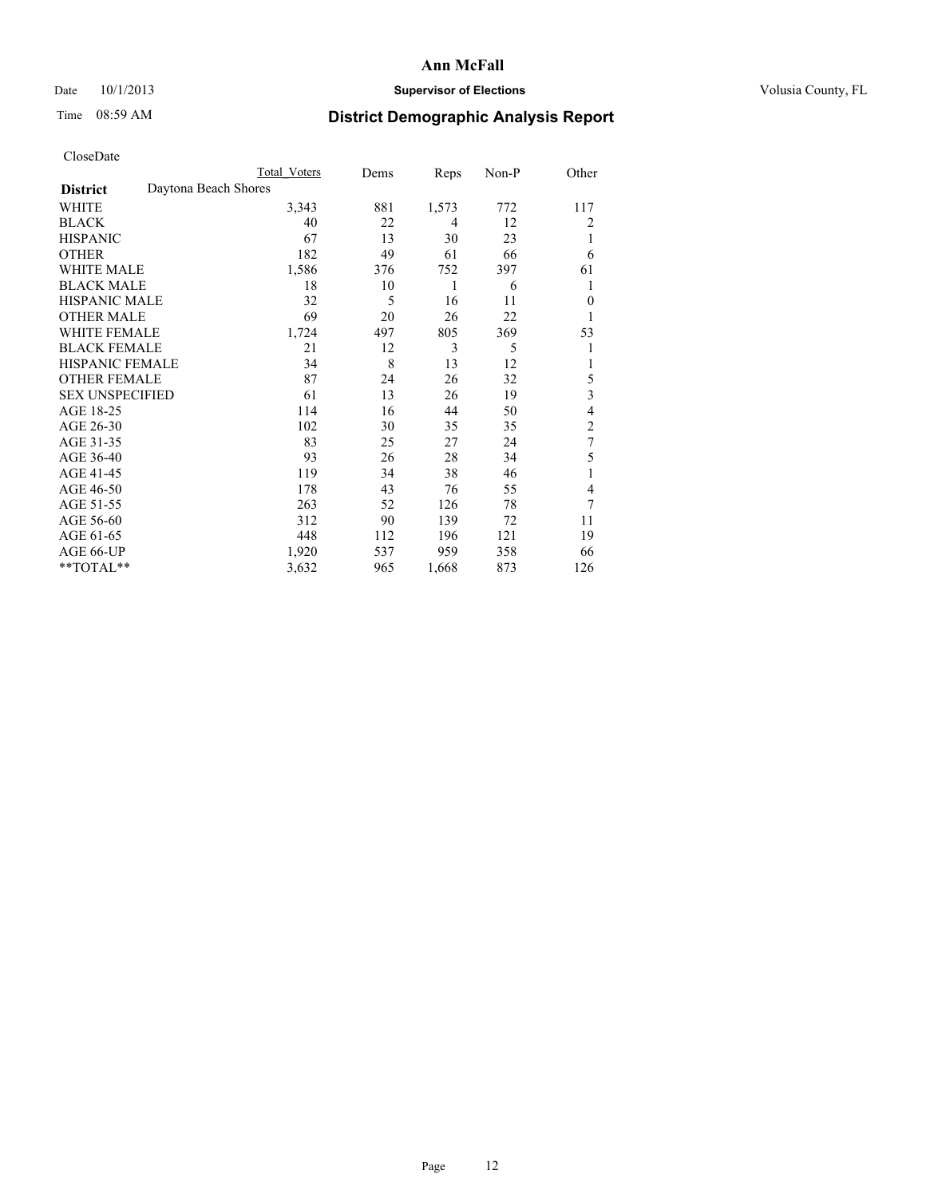# Date 10/1/2013 **Supervisor of Elections Supervisor of Elections** Volusia County, FL

# Time 08:59 AM **District Demographic Analysis Report**

|                        | <b>Total Voters</b>  | Dems | Reps  | Non-P | Other          |
|------------------------|----------------------|------|-------|-------|----------------|
| <b>District</b>        | Daytona Beach Shores |      |       |       |                |
| WHITE                  | 3,343                | 881  | 1,573 | 772   | 117            |
| <b>BLACK</b>           | 40                   | 22   | 4     | 12    | 2              |
| <b>HISPANIC</b>        | 67                   | 13   | 30    | 23    | 1              |
| <b>OTHER</b>           | 182                  | 49   | 61    | 66    | 6              |
| WHITE MALE             | 1,586                | 376  | 752   | 397   | 61             |
| <b>BLACK MALE</b>      | 18                   | 10   | 1     | 6     | 1              |
| <b>HISPANIC MALE</b>   | 32                   | 5    | 16    | 11    | $\mathbf{0}$   |
| <b>OTHER MALE</b>      | 69                   | 20   | 26    | 22    | 1              |
| WHITE FEMALE           | 1,724                | 497  | 805   | 369   | 53             |
| <b>BLACK FEMALE</b>    | 21                   | 12   | 3     | 5     | 1              |
| <b>HISPANIC FEMALE</b> | 34                   | 8    | 13    | 12    | 1              |
| <b>OTHER FEMALE</b>    | 87                   | 24   | 26    | 32    | 5              |
| <b>SEX UNSPECIFIED</b> | 61                   | 13   | 26    | 19    | 3              |
| AGE 18-25              | 114                  | 16   | 44    | 50    | 4              |
| AGE 26-30              | 102                  | 30   | 35    | 35    | $\overline{2}$ |
| AGE 31-35              | 83                   | 25   | 27    | 24    | $\overline{7}$ |
| AGE 36-40              | 93                   | 26   | 28    | 34    | 5              |
| AGE 41-45              | 119                  | 34   | 38    | 46    | 1              |
| AGE 46-50              | 178                  | 43   | 76    | 55    | 4              |
| AGE 51-55              | 263                  | 52   | 126   | 78    | 7              |
| AGE 56-60              | 312                  | 90   | 139   | 72    | 11             |
| AGE 61-65              | 448                  | 112  | 196   | 121   | 19             |
| AGE 66-UP              | 1,920                | 537  | 959   | 358   | 66             |
| **TOTAL**              | 3,632                | 965  | 1,668 | 873   | 126            |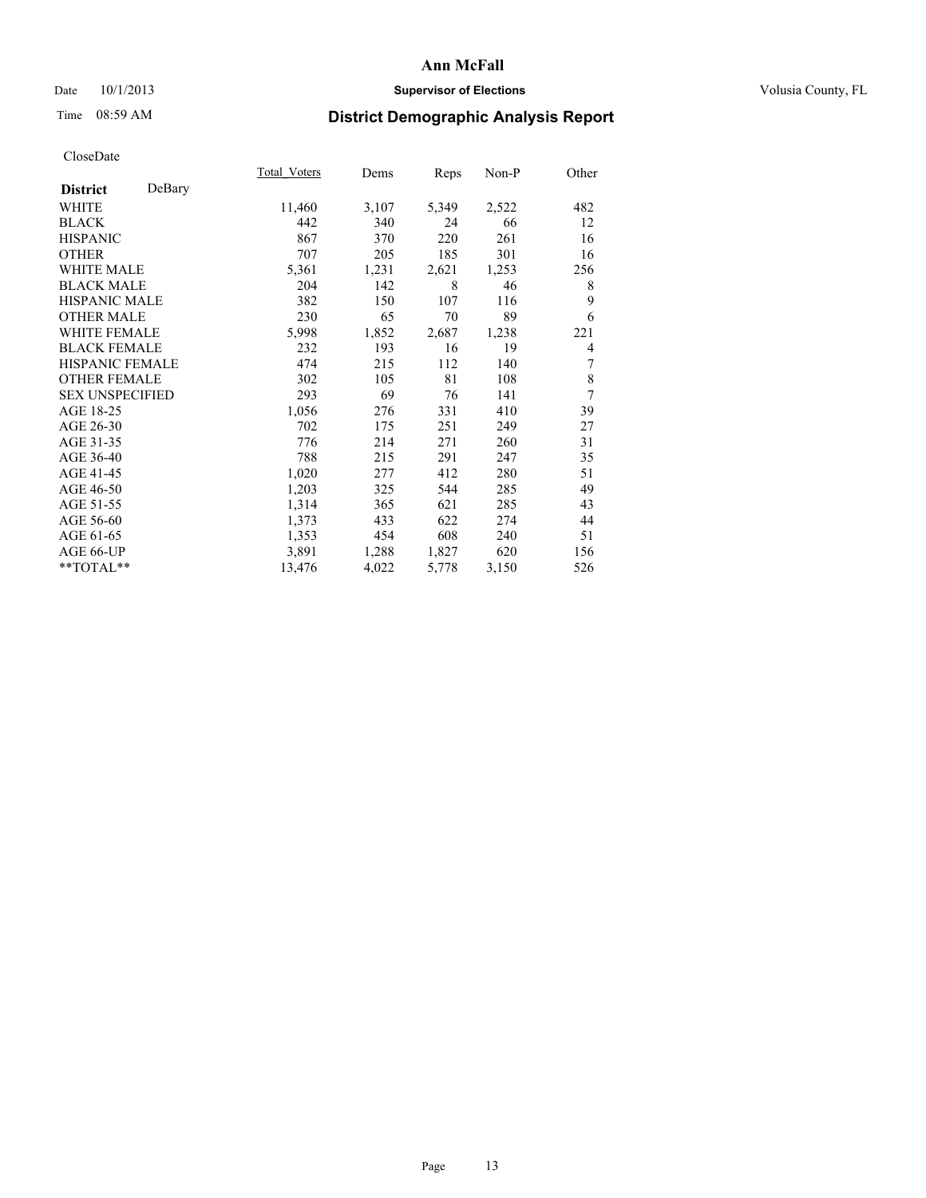# Date 10/1/2013 **Supervisor of Elections Supervisor of Elections** Volusia County, FL

# Time 08:59 AM **District Demographic Analysis Report**

|                        |        | Total Voters | Dems  | Reps  | Non-P | Other |
|------------------------|--------|--------------|-------|-------|-------|-------|
| <b>District</b>        | DeBary |              |       |       |       |       |
| WHITE                  |        | 11,460       | 3,107 | 5,349 | 2,522 | 482   |
| <b>BLACK</b>           |        | 442          | 340   | 24    | 66    | 12    |
| <b>HISPANIC</b>        |        | 867          | 370   | 220   | 261   | 16    |
| <b>OTHER</b>           |        | 707          | 205   | 185   | 301   | 16    |
| WHITE MALE             |        | 5,361        | 1,231 | 2,621 | 1,253 | 256   |
| <b>BLACK MALE</b>      |        | 204          | 142   | 8     | 46    | 8     |
| <b>HISPANIC MALE</b>   |        | 382          | 150   | 107   | 116   | 9     |
| <b>OTHER MALE</b>      |        | 230          | 65    | 70    | 89    | 6     |
| <b>WHITE FEMALE</b>    |        | 5,998        | 1,852 | 2,687 | 1,238 | 221   |
| <b>BLACK FEMALE</b>    |        | 232          | 193   | 16    | 19    | 4     |
| <b>HISPANIC FEMALE</b> |        | 474          | 215   | 112   | 140   | 7     |
| <b>OTHER FEMALE</b>    |        | 302          | 105   | 81    | 108   | 8     |
| <b>SEX UNSPECIFIED</b> |        | 293          | 69    | 76    | 141   | 7     |
| AGE 18-25              |        | 1,056        | 276   | 331   | 410   | 39    |
| AGE 26-30              |        | 702          | 175   | 251   | 249   | 27    |
| AGE 31-35              |        | 776          | 214   | 271   | 260   | 31    |
| AGE 36-40              |        | 788          | 215   | 291   | 247   | 35    |
| AGE 41-45              |        | 1,020        | 277   | 412   | 280   | 51    |
| AGE 46-50              |        | 1,203        | 325   | 544   | 285   | 49    |
| AGE 51-55              |        | 1,314        | 365   | 621   | 285   | 43    |
| AGE 56-60              |        | 1,373        | 433   | 622   | 274   | 44    |
| AGE 61-65              |        | 1,353        | 454   | 608   | 240   | 51    |
| AGE 66-UP              |        | 3,891        | 1,288 | 1,827 | 620   | 156   |
| **TOTAL**              |        | 13,476       | 4,022 | 5,778 | 3,150 | 526   |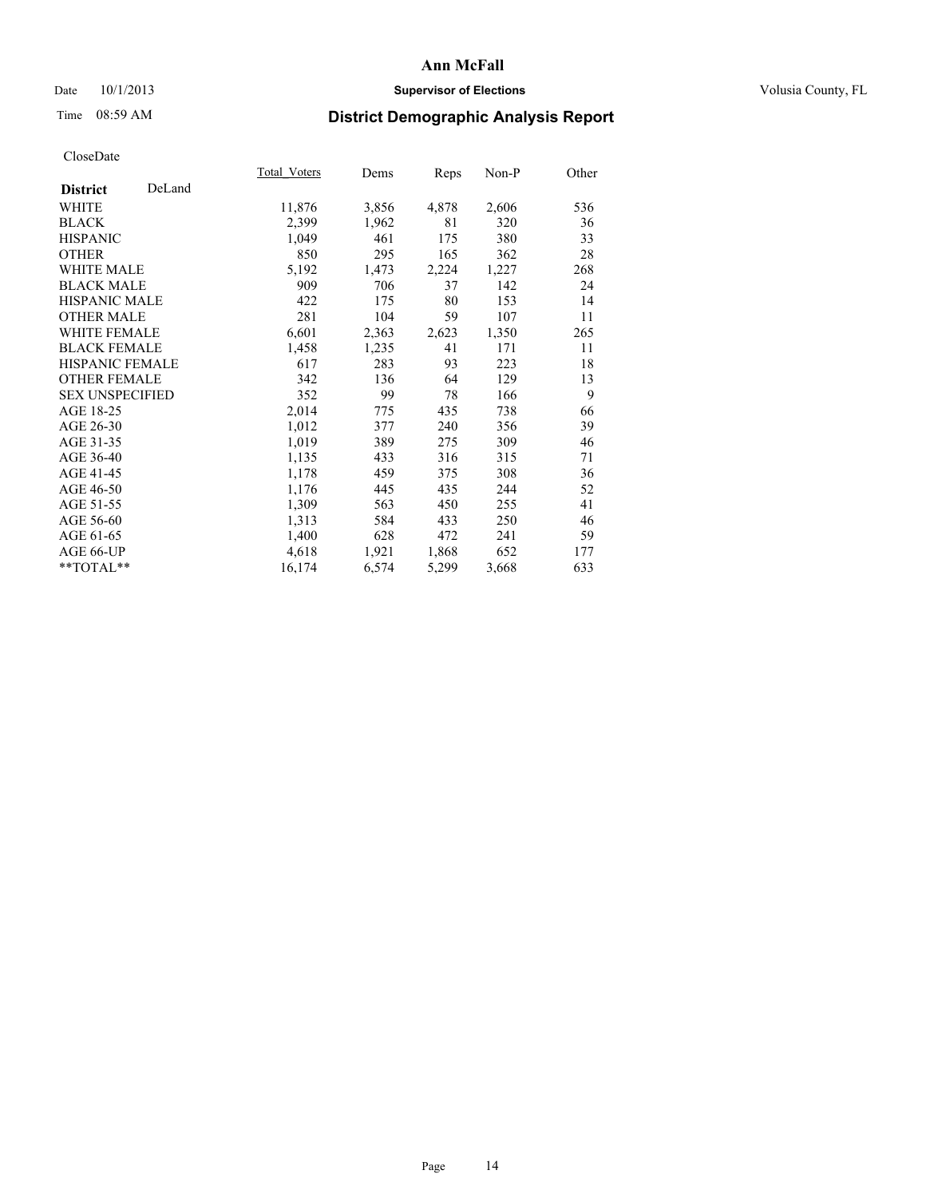# Date 10/1/2013 **Supervisor of Elections Supervisor of Elections** Volusia County, FL

# Time 08:59 AM **District Demographic Analysis Report**

|                        |        | Total Voters | Dems  | Reps  | $Non-P$ | Other |
|------------------------|--------|--------------|-------|-------|---------|-------|
| <b>District</b>        | DeLand |              |       |       |         |       |
| WHITE                  |        | 11,876       | 3,856 | 4,878 | 2,606   | 536   |
| <b>BLACK</b>           |        | 2,399        | 1,962 | 81    | 320     | 36    |
| <b>HISPANIC</b>        |        | 1,049        | 461   | 175   | 380     | 33    |
| <b>OTHER</b>           |        | 850          | 295   | 165   | 362     | 28    |
| <b>WHITE MALE</b>      |        | 5,192        | 1,473 | 2,224 | 1,227   | 268   |
| <b>BLACK MALE</b>      |        | 909          | 706   | 37    | 142     | 24    |
| <b>HISPANIC MALE</b>   |        | 422          | 175   | 80    | 153     | 14    |
| <b>OTHER MALE</b>      |        | 281          | 104   | 59    | 107     | 11    |
| <b>WHITE FEMALE</b>    |        | 6,601        | 2,363 | 2,623 | 1,350   | 265   |
| <b>BLACK FEMALE</b>    |        | 1,458        | 1,235 | 41    | 171     | 11    |
| <b>HISPANIC FEMALE</b> |        | 617          | 283   | 93    | 223     | 18    |
| <b>OTHER FEMALE</b>    |        | 342          | 136   | 64    | 129     | 13    |
| <b>SEX UNSPECIFIED</b> |        | 352          | 99    | 78    | 166     | 9     |
| AGE 18-25              |        | 2,014        | 775   | 435   | 738     | 66    |
| AGE 26-30              |        | 1,012        | 377   | 240   | 356     | 39    |
| AGE 31-35              |        | 1,019        | 389   | 275   | 309     | 46    |
| AGE 36-40              |        | 1,135        | 433   | 316   | 315     | 71    |
| AGE 41-45              |        | 1,178        | 459   | 375   | 308     | 36    |
| AGE 46-50              |        | 1,176        | 445   | 435   | 244     | 52    |
| AGE 51-55              |        | 1,309        | 563   | 450   | 255     | 41    |
| AGE 56-60              |        | 1,313        | 584   | 433   | 250     | 46    |
| AGE 61-65              |        | 1,400        | 628   | 472   | 241     | 59    |
| AGE 66-UP              |        | 4,618        | 1,921 | 1,868 | 652     | 177   |
| **TOTAL**              |        | 16,174       | 6,574 | 5,299 | 3,668   | 633   |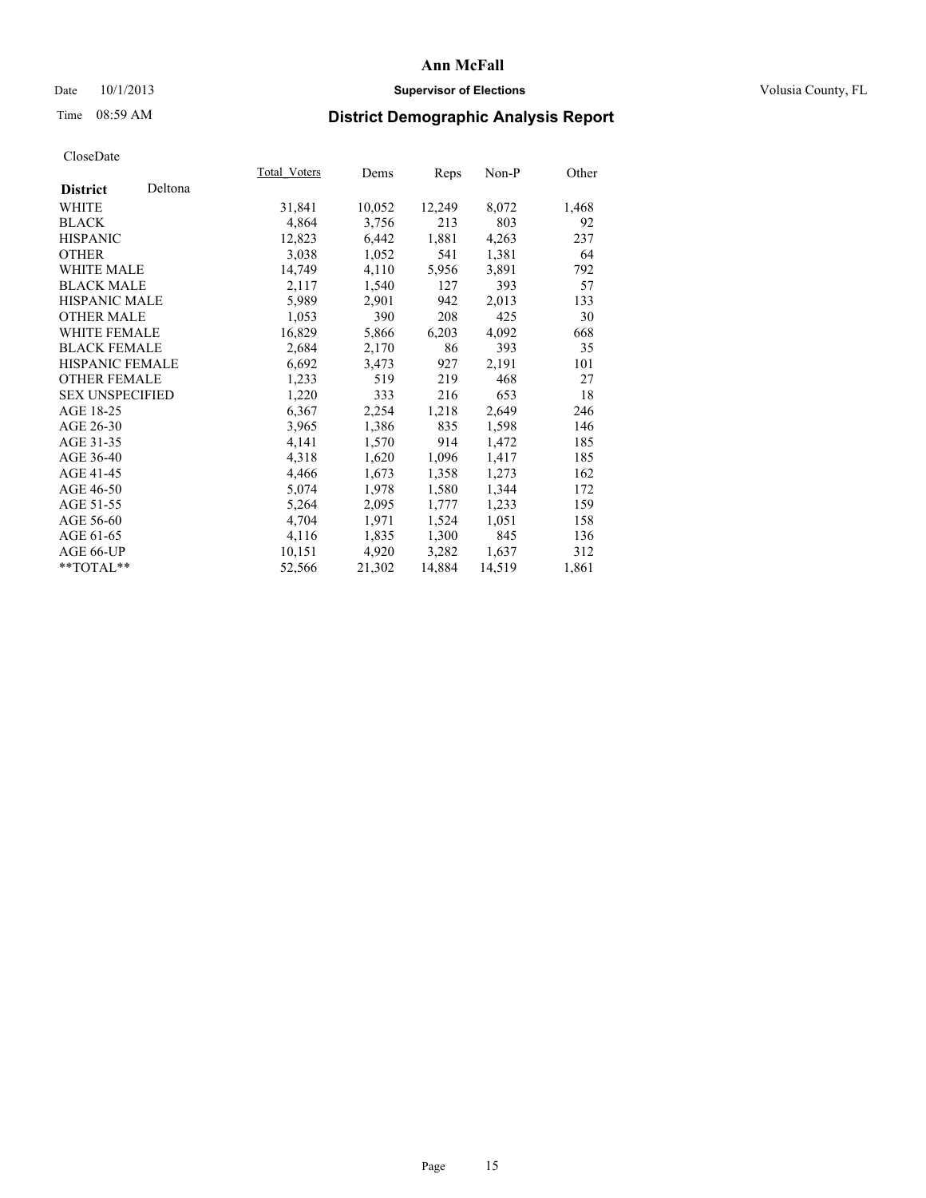# Date 10/1/2013 **Supervisor of Elections Supervisor of Elections** Volusia County, FL

# Time 08:59 AM **District Demographic Analysis Report**

|                        |         | <b>Total Voters</b> | Dems   | <b>Reps</b> | Non-P  | Other |
|------------------------|---------|---------------------|--------|-------------|--------|-------|
| <b>District</b>        | Deltona |                     |        |             |        |       |
| WHITE                  |         | 31,841              | 10,052 | 12,249      | 8,072  | 1,468 |
| <b>BLACK</b>           |         | 4,864               | 3,756  | 213         | 803    | 92    |
| <b>HISPANIC</b>        |         | 12,823              | 6,442  | 1,881       | 4,263  | 237   |
| <b>OTHER</b>           |         | 3,038               | 1,052  | 541         | 1,381  | 64    |
| WHITE MALE             |         | 14,749              | 4,110  | 5,956       | 3,891  | 792   |
| <b>BLACK MALE</b>      |         | 2,117               | 1,540  | 127         | 393    | 57    |
| <b>HISPANIC MALE</b>   |         | 5,989               | 2,901  | 942         | 2,013  | 133   |
| <b>OTHER MALE</b>      |         | 1,053               | 390    | 208         | 425    | 30    |
| WHITE FEMALE           |         | 16,829              | 5,866  | 6,203       | 4,092  | 668   |
| <b>BLACK FEMALE</b>    |         | 2,684               | 2,170  | 86          | 393    | 35    |
| <b>HISPANIC FEMALE</b> |         | 6,692               | 3,473  | 927         | 2,191  | 101   |
| <b>OTHER FEMALE</b>    |         | 1,233               | 519    | 219         | 468    | 27    |
| <b>SEX UNSPECIFIED</b> |         | 1,220               | 333    | 216         | 653    | 18    |
| AGE 18-25              |         | 6,367               | 2,254  | 1,218       | 2,649  | 246   |
| AGE 26-30              |         | 3,965               | 1,386  | 835         | 1,598  | 146   |
| AGE 31-35              |         | 4,141               | 1,570  | 914         | 1,472  | 185   |
| AGE 36-40              |         | 4,318               | 1,620  | 1,096       | 1,417  | 185   |
| AGE 41-45              |         | 4,466               | 1,673  | 1,358       | 1,273  | 162   |
| AGE 46-50              |         | 5,074               | 1,978  | 1,580       | 1,344  | 172   |
| AGE 51-55              |         | 5,264               | 2,095  | 1,777       | 1,233  | 159   |
| AGE 56-60              |         | 4,704               | 1,971  | 1,524       | 1,051  | 158   |
| AGE 61-65              |         | 4,116               | 1,835  | 1,300       | 845    | 136   |
| AGE 66-UP              |         | 10,151              | 4,920  | 3,282       | 1,637  | 312   |
| $*$ TOTAL $*$          |         | 52,566              | 21,302 | 14,884      | 14,519 | 1,861 |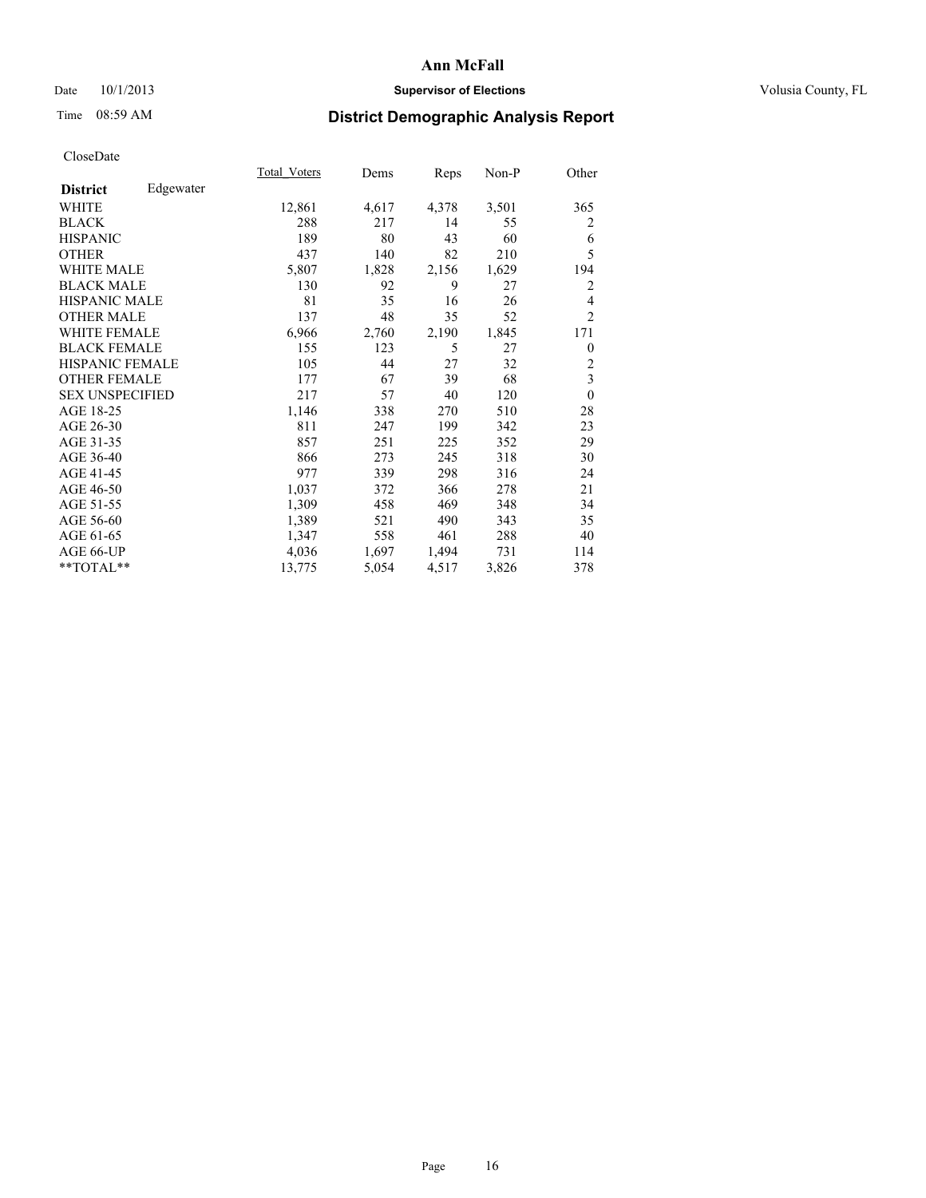# Date 10/1/2013 **Supervisor of Elections Supervisor of Elections** Volusia County, FL

# Time 08:59 AM **District Demographic Analysis Report**

|                        |           | Total Voters | Dems  | Reps  | Non-P | Other          |
|------------------------|-----------|--------------|-------|-------|-------|----------------|
| <b>District</b>        | Edgewater |              |       |       |       |                |
| WHITE                  |           | 12,861       | 4,617 | 4,378 | 3,501 | 365            |
| <b>BLACK</b>           |           | 288          | 217   | 14    | 55    | 2              |
| <b>HISPANIC</b>        |           | 189          | 80    | 43    | 60    | 6              |
| <b>OTHER</b>           |           | 437          | 140   | 82    | 210   | 5              |
| WHITE MALE             |           | 5,807        | 1,828 | 2,156 | 1,629 | 194            |
| <b>BLACK MALE</b>      |           | 130          | 92    | 9     | 27    | $\overline{2}$ |
| <b>HISPANIC MALE</b>   |           | 81           | 35    | 16    | 26    | 4              |
| <b>OTHER MALE</b>      |           | 137          | 48    | 35    | 52    | $\overline{2}$ |
| WHITE FEMALE           |           | 6,966        | 2,760 | 2,190 | 1,845 | 171            |
| <b>BLACK FEMALE</b>    |           | 155          | 123   | 5     | 27    | $\theta$       |
| <b>HISPANIC FEMALE</b> |           | 105          | 44    | 27    | 32    | $\overline{c}$ |
| <b>OTHER FEMALE</b>    |           | 177          | 67    | 39    | 68    | 3              |
| <b>SEX UNSPECIFIED</b> |           | 217          | 57    | 40    | 120   | $\theta$       |
| AGE 18-25              |           | 1,146        | 338   | 270   | 510   | 28             |
| AGE 26-30              |           | 811          | 247   | 199   | 342   | 23             |
| AGE 31-35              |           | 857          | 251   | 225   | 352   | 29             |
| AGE 36-40              |           | 866          | 273   | 245   | 318   | 30             |
| AGE 41-45              |           | 977          | 339   | 298   | 316   | 24             |
| AGE 46-50              |           | 1,037        | 372   | 366   | 278   | 21             |
| AGE 51-55              |           | 1,309        | 458   | 469   | 348   | 34             |
| AGE 56-60              |           | 1,389        | 521   | 490   | 343   | 35             |
| AGE 61-65              |           | 1,347        | 558   | 461   | 288   | 40             |
| AGE 66-UP              |           | 4,036        | 1,697 | 1,494 | 731   | 114            |
| **TOTAL**              |           | 13,775       | 5,054 | 4,517 | 3,826 | 378            |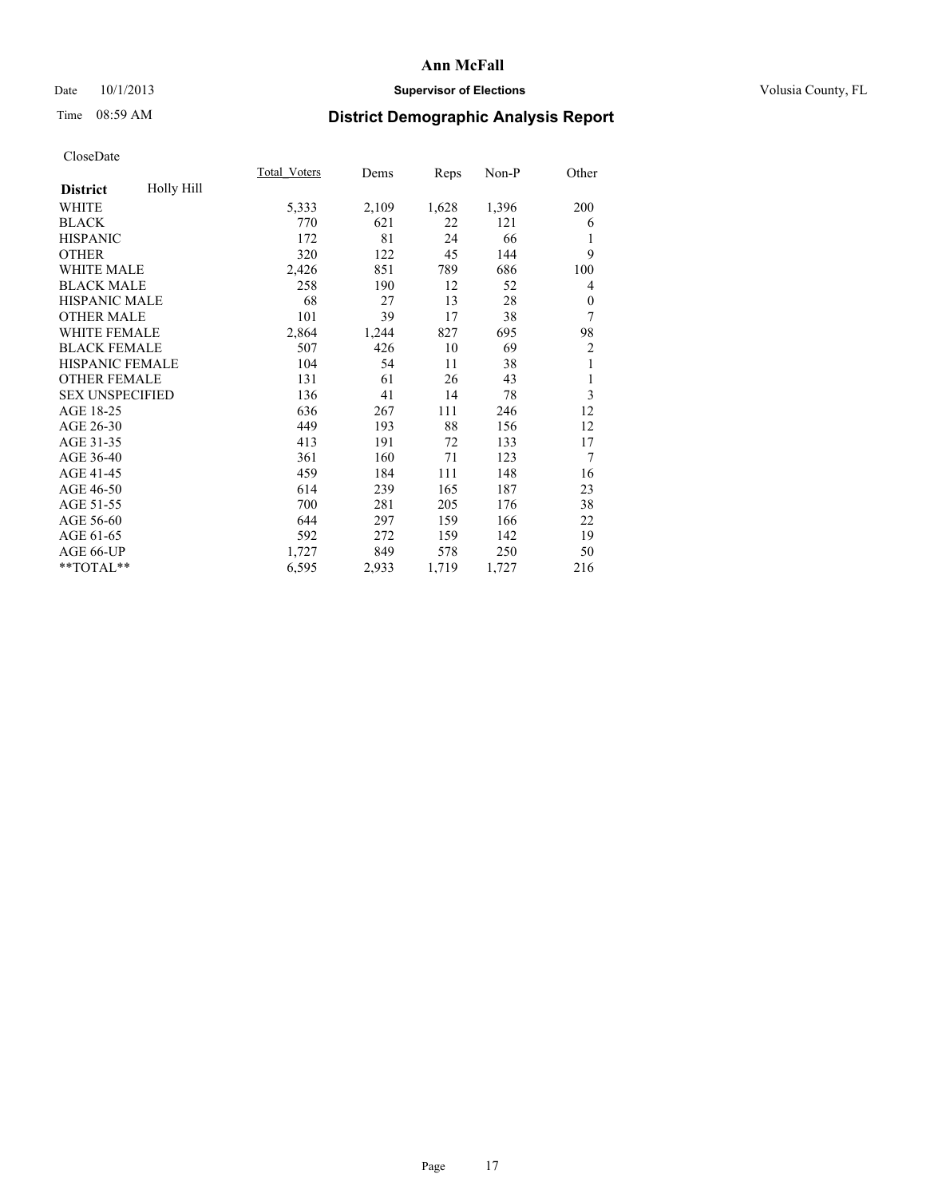# Date 10/1/2013 **Supervisor of Elections Supervisor of Elections** Volusia County, FL

# Time 08:59 AM **District Demographic Analysis Report**

|                        |            | Total Voters | Dems  | Reps  | Non-P | Other            |
|------------------------|------------|--------------|-------|-------|-------|------------------|
| <b>District</b>        | Holly Hill |              |       |       |       |                  |
| WHITE                  |            | 5,333        | 2,109 | 1,628 | 1,396 | 200              |
| <b>BLACK</b>           |            | 770          | 621   | 22    | 121   | 6                |
| <b>HISPANIC</b>        |            | 172          | 81    | 24    | 66    | 1                |
| <b>OTHER</b>           |            | 320          | 122   | 45    | 144   | 9                |
| <b>WHITE MALE</b>      |            | 2,426        | 851   | 789   | 686   | 100              |
| <b>BLACK MALE</b>      |            | 258          | 190   | 12    | 52    | 4                |
| HISPANIC MALE          |            | 68           | 27    | 13    | 28    | $\boldsymbol{0}$ |
| <b>OTHER MALE</b>      |            | 101          | 39    | 17    | 38    | 7                |
| <b>WHITE FEMALE</b>    |            | 2,864        | 1,244 | 827   | 695   | 98               |
| <b>BLACK FEMALE</b>    |            | 507          | 426   | 10    | 69    | $\overline{c}$   |
| <b>HISPANIC FEMALE</b> |            | 104          | 54    | 11    | 38    | 1                |
| <b>OTHER FEMALE</b>    |            | 131          | 61    | 26    | 43    | 1                |
| <b>SEX UNSPECIFIED</b> |            | 136          | 41    | 14    | 78    | 3                |
| AGE 18-25              |            | 636          | 267   | 111   | 246   | 12               |
| AGE 26-30              |            | 449          | 193   | 88    | 156   | 12               |
| AGE 31-35              |            | 413          | 191   | 72    | 133   | 17               |
| AGE 36-40              |            | 361          | 160   | 71    | 123   | 7                |
| AGE 41-45              |            | 459          | 184   | 111   | 148   | 16               |
| AGE 46-50              |            | 614          | 239   | 165   | 187   | 23               |
| AGE 51-55              |            | 700          | 281   | 205   | 176   | 38               |
| AGE 56-60              |            | 644          | 297   | 159   | 166   | 22               |
| AGE 61-65              |            | 592          | 272   | 159   | 142   | 19               |
| AGE 66-UP              |            | 1,727        | 849   | 578   | 250   | 50               |
| **TOTAL**              |            | 6,595        | 2,933 | 1,719 | 1,727 | 216              |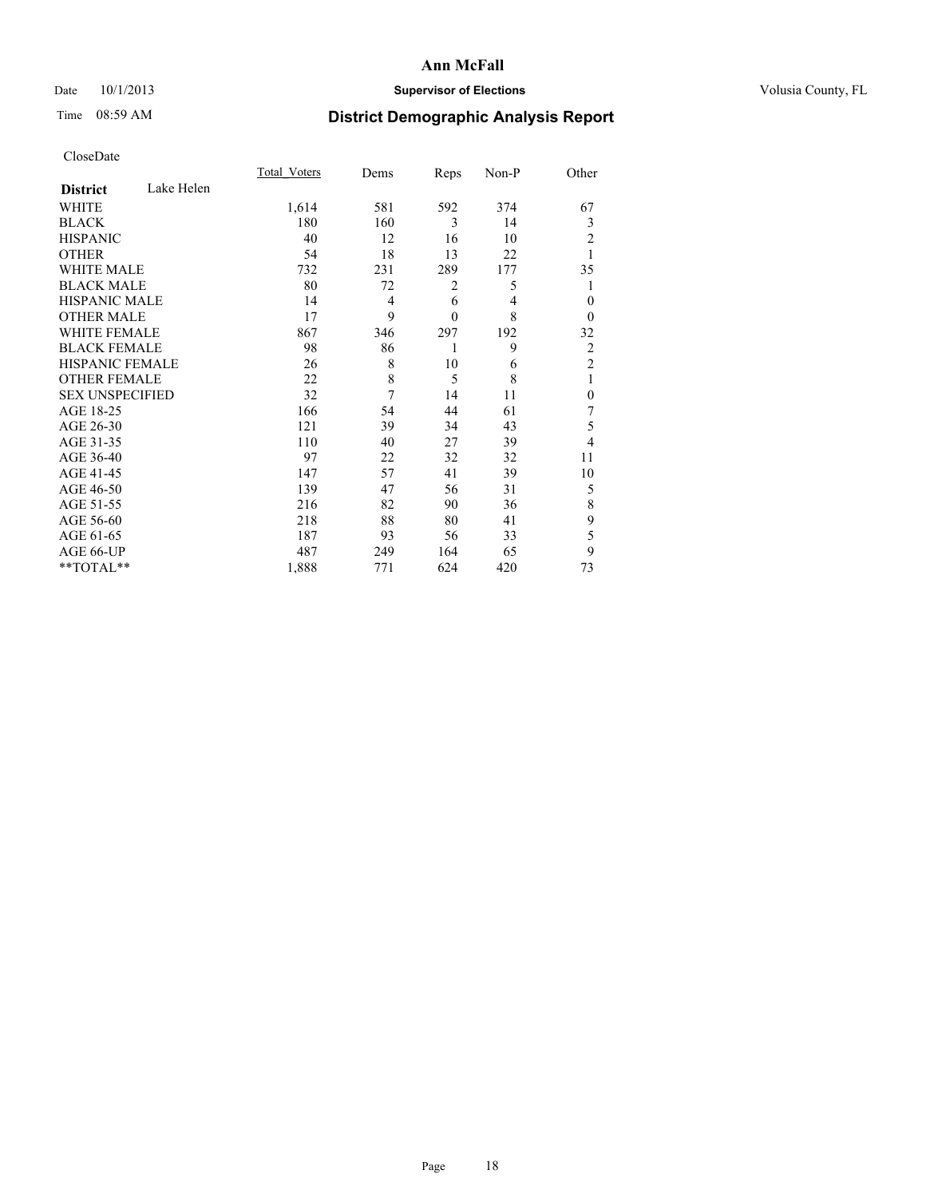# Date 10/1/2013 **Supervisor of Elections Supervisor of Elections** Volusia County, FL

# Time 08:59 AM **District Demographic Analysis Report**

|                        |            | Total Voters | Dems           | Reps         | Non-P          | Other          |
|------------------------|------------|--------------|----------------|--------------|----------------|----------------|
| <b>District</b>        | Lake Helen |              |                |              |                |                |
| <b>WHITE</b>           |            | 1,614        | 581            | 592          | 374            | 67             |
| <b>BLACK</b>           |            | 180          | 160            | 3            | 14             | 3              |
| <b>HISPANIC</b>        |            | 40           | 12             | 16           | 10             | 2              |
| <b>OTHER</b>           |            | 54           | 18             | 13           | 22             |                |
| WHITE MALE             |            | 732          | 231            | 289          | 177            | 35             |
| <b>BLACK MALE</b>      |            | 80           | 72             | 2            | 5              |                |
| <b>HISPANIC MALE</b>   |            | 14           | $\overline{4}$ | 6            | $\overline{4}$ | $\mathbf{0}$   |
| <b>OTHER MALE</b>      |            | 17           | 9              | $\mathbf{0}$ | 8              | $\theta$       |
| <b>WHITE FEMALE</b>    |            | 867          | 346            | 297          | 192            | 32             |
| <b>BLACK FEMALE</b>    |            | 98           | 86             | 1            | 9              | $\overline{c}$ |
| HISPANIC FEMALE        |            | 26           | 8              | 10           | 6              | $\overline{2}$ |
| <b>OTHER FEMALE</b>    |            | 22           | 8              | 5            | 8              | 1              |
| <b>SEX UNSPECIFIED</b> |            | 32           | 7              | 14           | 11             | $\mathbf{0}$   |
| AGE 18-25              |            | 166          | 54             | 44           | 61             | 7              |
| AGE 26-30              |            | 121          | 39             | 34           | 43             | 5              |
| AGE 31-35              |            | 110          | 40             | 27           | 39             | 4              |
| AGE 36-40              |            | 97           | 22             | 32           | 32             | 11             |
| AGE 41-45              |            | 147          | 57             | 41           | 39             | 10             |
| AGE 46-50              |            | 139          | 47             | 56           | 31             | 5              |
| AGE 51-55              |            | 216          | 82             | 90           | 36             | 8              |
| AGE 56-60              |            | 218          | 88             | 80           | 41             | 9              |
| AGE 61-65              |            | 187          | 93             | 56           | 33             | 5              |
| AGE 66-UP              |            | 487          | 249            | 164          | 65             | 9              |
| **TOTAL**              |            | 1,888        | 771            | 624          | 420            | 73             |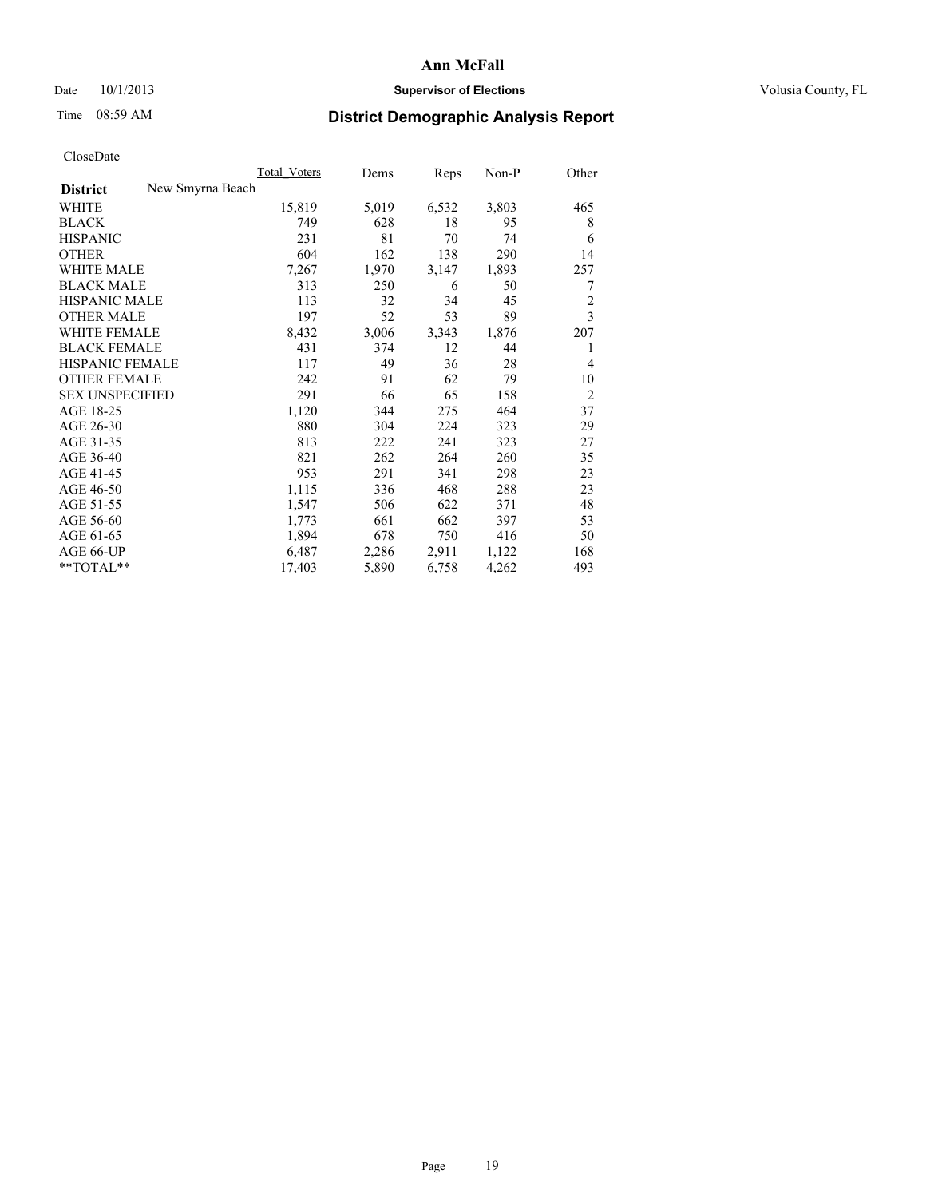## Date  $10/1/2013$  **Supervisor of Elections Supervisor of Elections** Volusia County, FL

# Time 08:59 AM **District Demographic Analysis Report**

|                                     | <b>Total Voters</b> | Dems  | Reps  | Non-P | Other          |
|-------------------------------------|---------------------|-------|-------|-------|----------------|
| New Smyrna Beach<br><b>District</b> |                     |       |       |       |                |
| WHITE                               | 15,819              | 5,019 | 6,532 | 3,803 | 465            |
| <b>BLACK</b>                        | 749                 | 628   | 18    | 95    | 8              |
| <b>HISPANIC</b>                     | 231                 | 81    | 70    | 74    | 6              |
| <b>OTHER</b>                        | 604                 | 162   | 138   | 290   | 14             |
| <b>WHITE MALE</b>                   | 7,267               | 1,970 | 3,147 | 1,893 | 257            |
| <b>BLACK MALE</b>                   | 313                 | 250   | 6     | 50    | 7              |
| <b>HISPANIC MALE</b>                | 113                 | 32    | 34    | 45    | $\overline{c}$ |
| <b>OTHER MALE</b>                   | 197                 | 52    | 53    | 89    | 3              |
| <b>WHITE FEMALE</b>                 | 8,432               | 3,006 | 3,343 | 1,876 | 207            |
| <b>BLACK FEMALE</b>                 | 431                 | 374   | 12    | 44    | 1              |
| HISPANIC FEMALE                     | 117                 | 49    | 36    | 28    | $\overline{4}$ |
| <b>OTHER FEMALE</b>                 | 242                 | 91    | 62    | 79    | 10             |
| <b>SEX UNSPECIFIED</b>              | 291                 | 66    | 65    | 158   | $\overline{2}$ |
| AGE 18-25                           | 1,120               | 344   | 275   | 464   | 37             |
| AGE 26-30                           | 880                 | 304   | 224   | 323   | 29             |
| AGE 31-35                           | 813                 | 222   | 241   | 323   | 27             |
| AGE 36-40                           | 821                 | 262   | 264   | 260   | 35             |
| AGE 41-45                           | 953                 | 291   | 341   | 298   | 23             |
| AGE 46-50                           | 1,115               | 336   | 468   | 288   | 23             |
| AGE 51-55                           | 1,547               | 506   | 622   | 371   | 48             |
| AGE 56-60                           | 1,773               | 661   | 662   | 397   | 53             |
| AGE 61-65                           | 1,894               | 678   | 750   | 416   | 50             |
| AGE 66-UP                           | 6,487               | 2,286 | 2,911 | 1,122 | 168            |
| $*$ $TOTAL**$                       | 17,403              | 5,890 | 6,758 | 4,262 | 493            |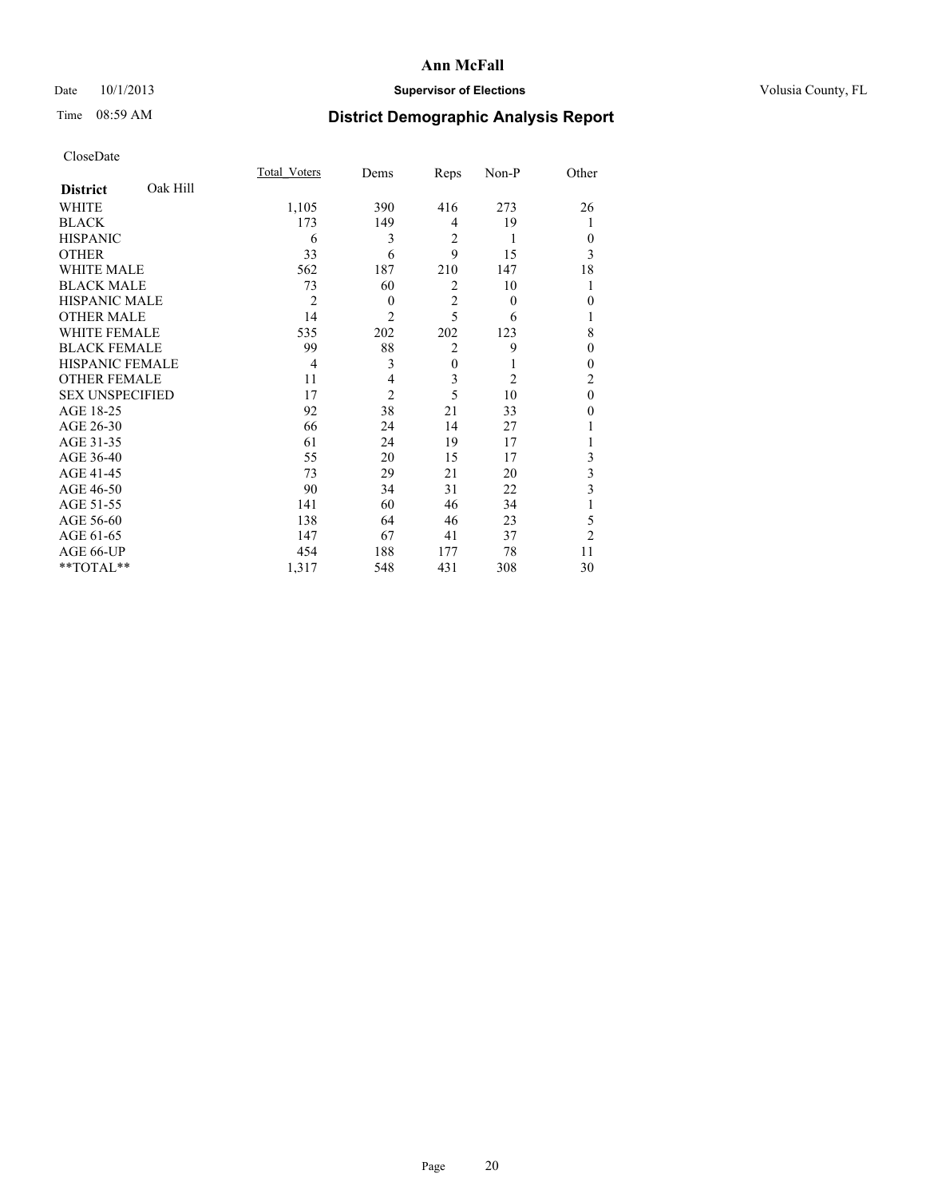# Date 10/1/2013 **Supervisor of Elections Supervisor of Elections** Volusia County, FL

# Time 08:59 AM **District Demographic Analysis Report**

|                        |          | <b>Total Voters</b> | Dems           | Reps           | Non-P          | Other          |
|------------------------|----------|---------------------|----------------|----------------|----------------|----------------|
| <b>District</b>        | Oak Hill |                     |                |                |                |                |
| WHITE                  |          | 1,105               | 390            | 416            | 273            | 26             |
| <b>BLACK</b>           |          | 173                 | 149            | 4              | 19             | 1              |
| <b>HISPANIC</b>        |          | 6                   | 3              | 2              | 1              | $\Omega$       |
| <b>OTHER</b>           |          | 33                  | 6              | 9              | 15             | 3              |
| WHITE MALE             |          | 562                 | 187            | 210            | 147            | 18             |
| <b>BLACK MALE</b>      |          | 73                  | 60             | 2              | 10             | 1              |
| <b>HISPANIC MALE</b>   |          | $\overline{2}$      | $\theta$       | $\overline{2}$ | $\theta$       | $\theta$       |
| <b>OTHER MALE</b>      |          | 14                  | $\overline{c}$ | 5              | 6              | 1              |
| <b>WHITE FEMALE</b>    |          | 535                 | 202            | 202            | 123            | 8              |
| <b>BLACK FEMALE</b>    |          | 99                  | 88             | $\overline{2}$ | 9              | $\theta$       |
| <b>HISPANIC FEMALE</b> |          | $\overline{4}$      | 3              | $\mathbf{0}$   | 1              | $\Omega$       |
| <b>OTHER FEMALE</b>    |          | 11                  | 4              | 3              | $\overline{2}$ | $\overline{c}$ |
| <b>SEX UNSPECIFIED</b> |          | 17                  | $\overline{c}$ | 5              | 10             | $\theta$       |
| AGE 18-25              |          | 92                  | 38             | 21             | 33             | $\theta$       |
| AGE 26-30              |          | 66                  | 24             | 14             | 27             |                |
| AGE 31-35              |          | 61                  | 24             | 19             | 17             |                |
| AGE 36-40              |          | 55                  | 20             | 15             | 17             | 3              |
| AGE 41-45              |          | 73                  | 29             | 21             | 20             | 3              |
| AGE 46-50              |          | 90                  | 34             | 31             | 22             | 3              |
| AGE 51-55              |          | 141                 | 60             | 46             | 34             |                |
| AGE 56-60              |          | 138                 | 64             | 46             | 23             | 5              |
| AGE 61-65              |          | 147                 | 67             | 41             | 37             | $\overline{2}$ |
| AGE 66-UP              |          | 454                 | 188            | 177            | 78             | 11             |
| **TOTAL**              |          | 1,317               | 548            | 431            | 308            | 30             |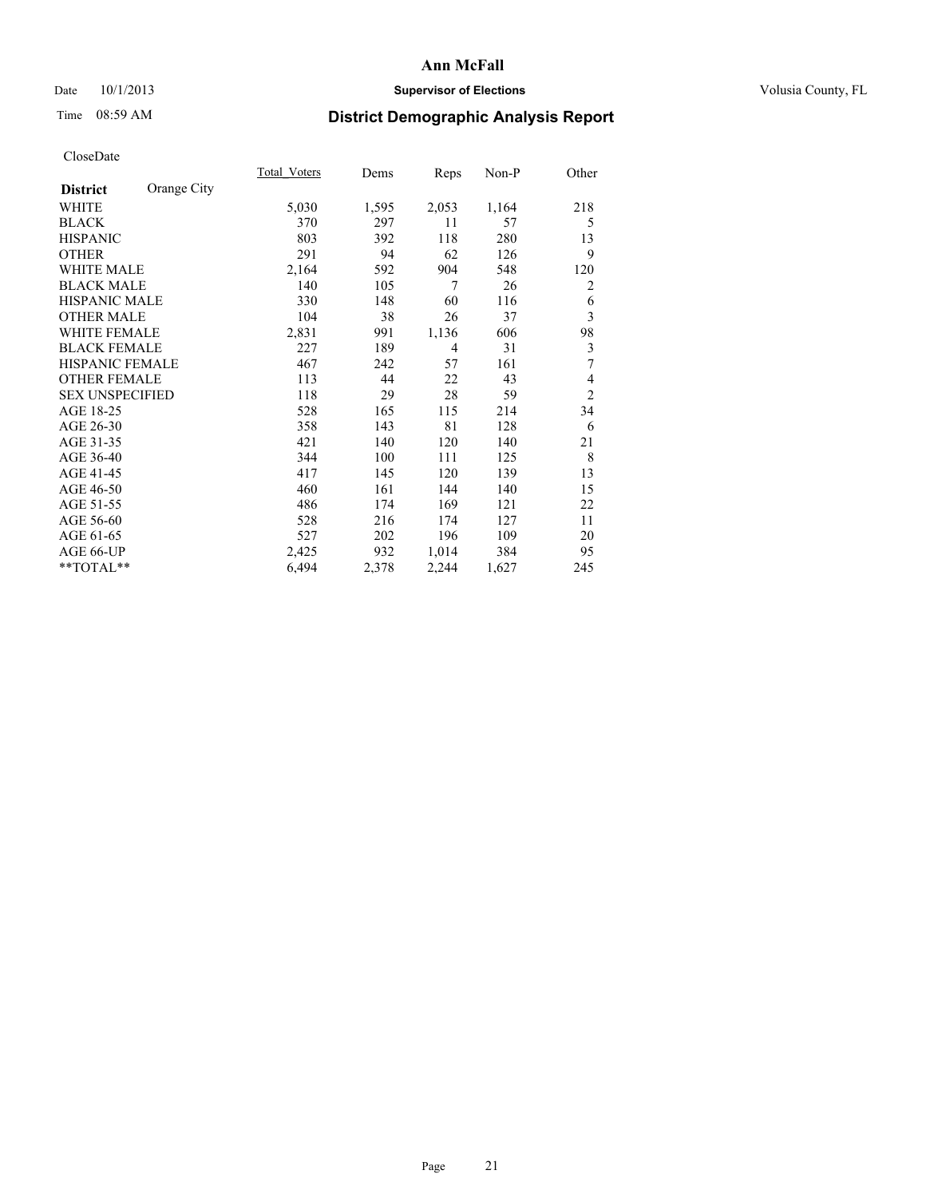# Date 10/1/2013 **Supervisor of Elections Supervisor of Elections** Volusia County, FL

# Time 08:59 AM **District Demographic Analysis Report**

|                        |             | Total Voters | Dems  | Reps  | $Non-P$ | Other          |
|------------------------|-------------|--------------|-------|-------|---------|----------------|
| <b>District</b>        | Orange City |              |       |       |         |                |
| WHITE                  |             | 5,030        | 1,595 | 2,053 | 1,164   | 218            |
| <b>BLACK</b>           |             | 370          | 297   | 11    | 57      | 5              |
| <b>HISPANIC</b>        |             | 803          | 392   | 118   | 280     | 13             |
| <b>OTHER</b>           |             | 291          | 94    | 62    | 126     | 9              |
| <b>WHITE MALE</b>      |             | 2,164        | 592   | 904   | 548     | 120            |
| <b>BLACK MALE</b>      |             | 140          | 105   | 7     | 26      | 2              |
| <b>HISPANIC MALE</b>   |             | 330          | 148   | 60    | 116     | 6              |
| <b>OTHER MALE</b>      |             | 104          | 38    | 26    | 37      | 3              |
| <b>WHITE FEMALE</b>    |             | 2,831        | 991   | 1,136 | 606     | 98             |
| <b>BLACK FEMALE</b>    |             | 227          | 189   | 4     | 31      | 3              |
| <b>HISPANIC FEMALE</b> |             | 467          | 242   | 57    | 161     | 7              |
| <b>OTHER FEMALE</b>    |             | 113          | 44    | 22    | 43      | 4              |
| <b>SEX UNSPECIFIED</b> |             | 118          | 29    | 28    | 59      | $\overline{2}$ |
| AGE 18-25              |             | 528          | 165   | 115   | 214     | 34             |
| AGE 26-30              |             | 358          | 143   | 81    | 128     | 6              |
| AGE 31-35              |             | 421          | 140   | 120   | 140     | 21             |
| AGE 36-40              |             | 344          | 100   | 111   | 125     | 8              |
| AGE 41-45              |             | 417          | 145   | 120   | 139     | 13             |
| AGE 46-50              |             | 460          | 161   | 144   | 140     | 15             |
| AGE 51-55              |             | 486          | 174   | 169   | 121     | 22             |
| AGE 56-60              |             | 528          | 216   | 174   | 127     | 11             |
| AGE 61-65              |             | 527          | 202   | 196   | 109     | 20             |
| AGE 66-UP              |             | 2,425        | 932   | 1,014 | 384     | 95             |
| **TOTAL**              |             | 6,494        | 2,378 | 2,244 | 1,627   | 245            |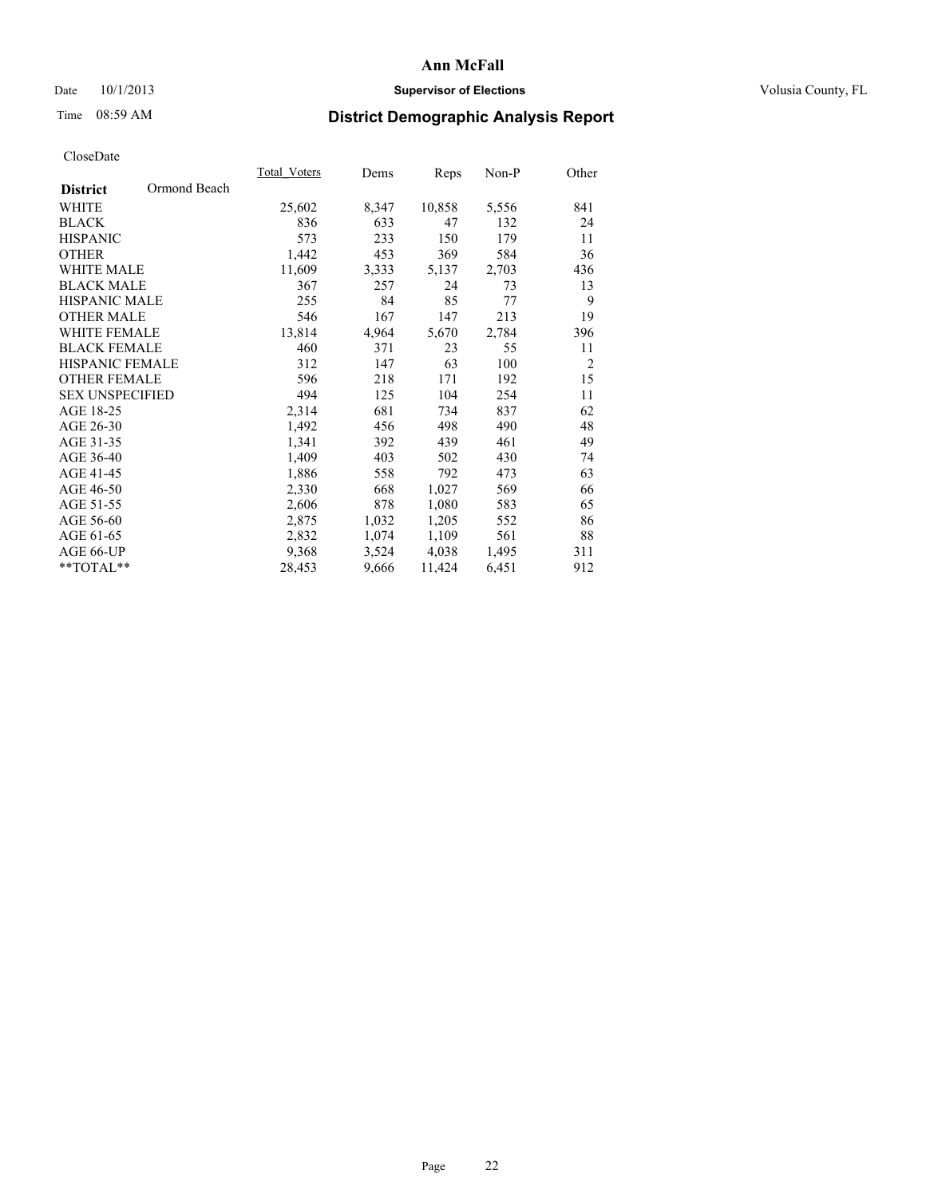# Date 10/1/2013 **Supervisor of Elections Supervisor of Elections** Volusia County, FL

# Time 08:59 AM **District Demographic Analysis Report**

|                        |              | <b>Total Voters</b> | Dems  | <b>Reps</b> | Non-P | Other          |
|------------------------|--------------|---------------------|-------|-------------|-------|----------------|
| <b>District</b>        | Ormond Beach |                     |       |             |       |                |
| WHITE                  |              | 25,602              | 8,347 | 10,858      | 5,556 | 841            |
| <b>BLACK</b>           |              | 836                 | 633   | 47          | 132   | 24             |
| <b>HISPANIC</b>        |              | 573                 | 233   | 150         | 179   | 11             |
| <b>OTHER</b>           |              | 1,442               | 453   | 369         | 584   | 36             |
| <b>WHITE MALE</b>      |              | 11,609              | 3,333 | 5,137       | 2,703 | 436            |
| <b>BLACK MALE</b>      |              | 367                 | 257   | 24          | 73    | 13             |
| <b>HISPANIC MALE</b>   |              | 255                 | 84    | 85          | 77    | 9              |
| <b>OTHER MALE</b>      |              | 546                 | 167   | 147         | 213   | 19             |
| <b>WHITE FEMALE</b>    |              | 13,814              | 4,964 | 5,670       | 2,784 | 396            |
| <b>BLACK FEMALE</b>    |              | 460                 | 371   | 23          | 55    | 11             |
| HISPANIC FEMALE        |              | 312                 | 147   | 63          | 100   | $\overline{2}$ |
| <b>OTHER FEMALE</b>    |              | 596                 | 218   | 171         | 192   | 15             |
| <b>SEX UNSPECIFIED</b> |              | 494                 | 125   | 104         | 254   | 11             |
| AGE 18-25              |              | 2,314               | 681   | 734         | 837   | 62             |
| AGE 26-30              |              | 1,492               | 456   | 498         | 490   | 48             |
| AGE 31-35              |              | 1,341               | 392   | 439         | 461   | 49             |
| AGE 36-40              |              | 1,409               | 403   | 502         | 430   | 74             |
| AGE 41-45              |              | 1,886               | 558   | 792         | 473   | 63             |
| AGE 46-50              |              | 2,330               | 668   | 1,027       | 569   | 66             |
| AGE 51-55              |              | 2,606               | 878   | 1,080       | 583   | 65             |
| AGE 56-60              |              | 2,875               | 1,032 | 1,205       | 552   | 86             |
| AGE 61-65              |              | 2,832               | 1,074 | 1,109       | 561   | 88             |
| AGE 66-UP              |              | 9,368               | 3,524 | 4,038       | 1,495 | 311            |
| $*$ $TOTAL**$          |              | 28,453              | 9,666 | 11,424      | 6,451 | 912            |
|                        |              |                     |       |             |       |                |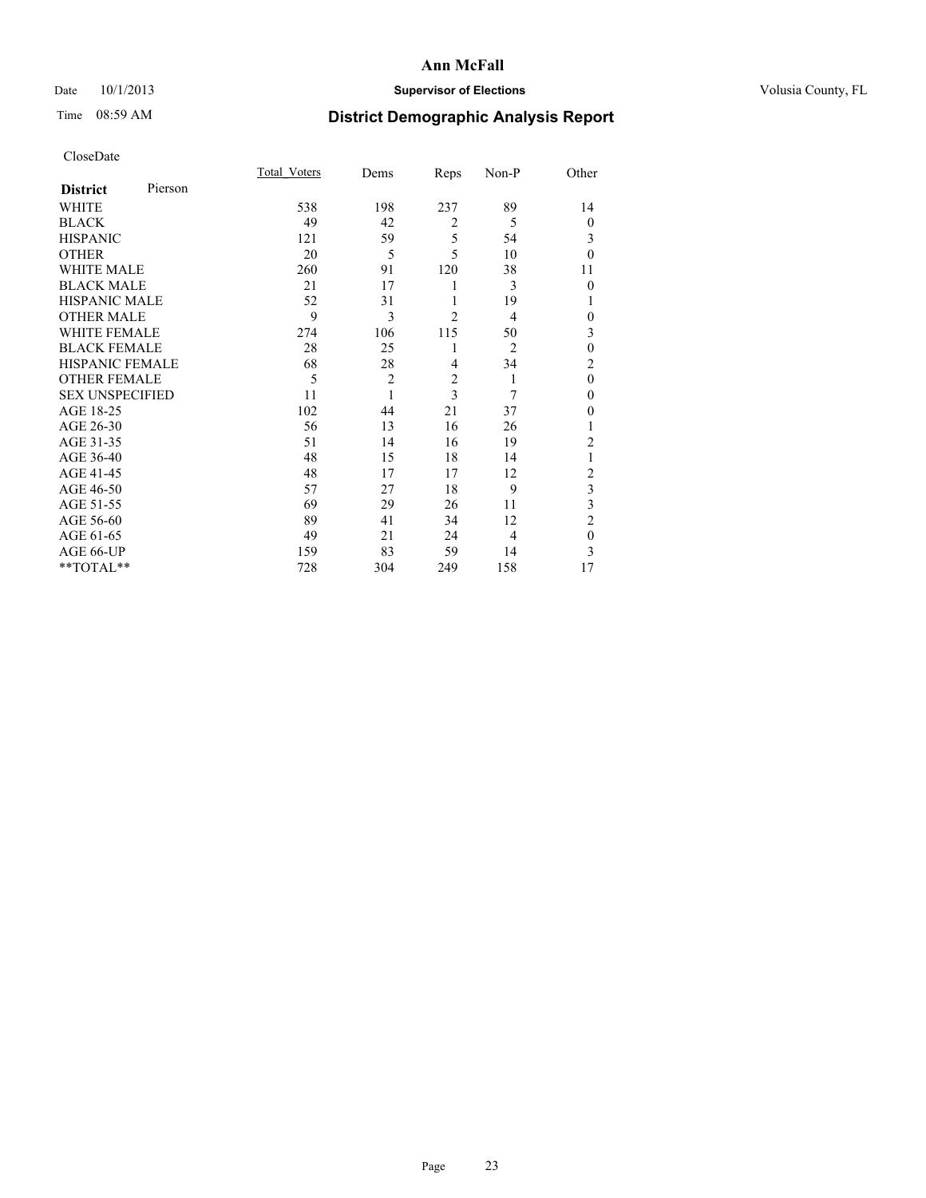# Date 10/1/2013 **Supervisor of Elections Supervisor of Elections** Volusia County, FL

# Time 08:59 AM **District Demographic Analysis Report**

|                        |         | Total Voters | Dems           | Reps           | Non-P          | Other          |
|------------------------|---------|--------------|----------------|----------------|----------------|----------------|
| <b>District</b>        | Pierson |              |                |                |                |                |
| WHITE                  |         | 538          | 198            | 237            | 89             | 14             |
| <b>BLACK</b>           |         | 49           | 42             | $\overline{2}$ | 5              | $\theta$       |
| <b>HISPANIC</b>        |         | 121          | 59             | 5              | 54             | 3              |
| <b>OTHER</b>           |         | 20           | 5              | 5              | 10             | $\theta$       |
| WHITE MALE             |         | 260          | 91             | 120            | 38             | 11             |
| <b>BLACK MALE</b>      |         | 21           | 17             | 1              | 3              | $\theta$       |
| <b>HISPANIC MALE</b>   |         | 52           | 31             | 1              | 19             | 1              |
| <b>OTHER MALE</b>      |         | 9            | 3              | $\overline{2}$ | 4              | 0              |
| WHITE FEMALE           |         | 274          | 106            | 115            | 50             | 3              |
| <b>BLACK FEMALE</b>    |         | 28           | 25             | 1              | $\overline{2}$ | $\mathbf{0}$   |
| <b>HISPANIC FEMALE</b> |         | 68           | 28             | $\overline{4}$ | 34             | $\overline{c}$ |
| <b>OTHER FEMALE</b>    |         | 5            | $\overline{c}$ | $\overline{2}$ | 1              | $\theta$       |
| <b>SEX UNSPECIFIED</b> |         | 11           | 1              | 3              | 7              | $\mathbf{0}$   |
| AGE 18-25              |         | 102          | 44             | 21             | 37             | $\theta$       |
| AGE 26-30              |         | 56           | 13             | 16             | 26             | 1              |
| AGE 31-35              |         | 51           | 14             | 16             | 19             | $\overline{c}$ |
| AGE 36-40              |         | 48           | 15             | 18             | 14             | 1              |
| AGE 41-45              |         | 48           | 17             | 17             | 12             | $\overline{c}$ |
| AGE 46-50              |         | 57           | 27             | 18             | 9              | 3              |
| AGE 51-55              |         | 69           | 29             | 26             | 11             | 3              |
| AGE 56-60              |         | 89           | 41             | 34             | 12             | $\overline{c}$ |
| AGE 61-65              |         | 49           | 21             | 24             | $\overline{4}$ | $\mathbf{0}$   |
| AGE 66-UP              |         | 159          | 83             | 59             | 14             | 3              |
| **TOTAL**              |         | 728          | 304            | 249            | 158            | 17             |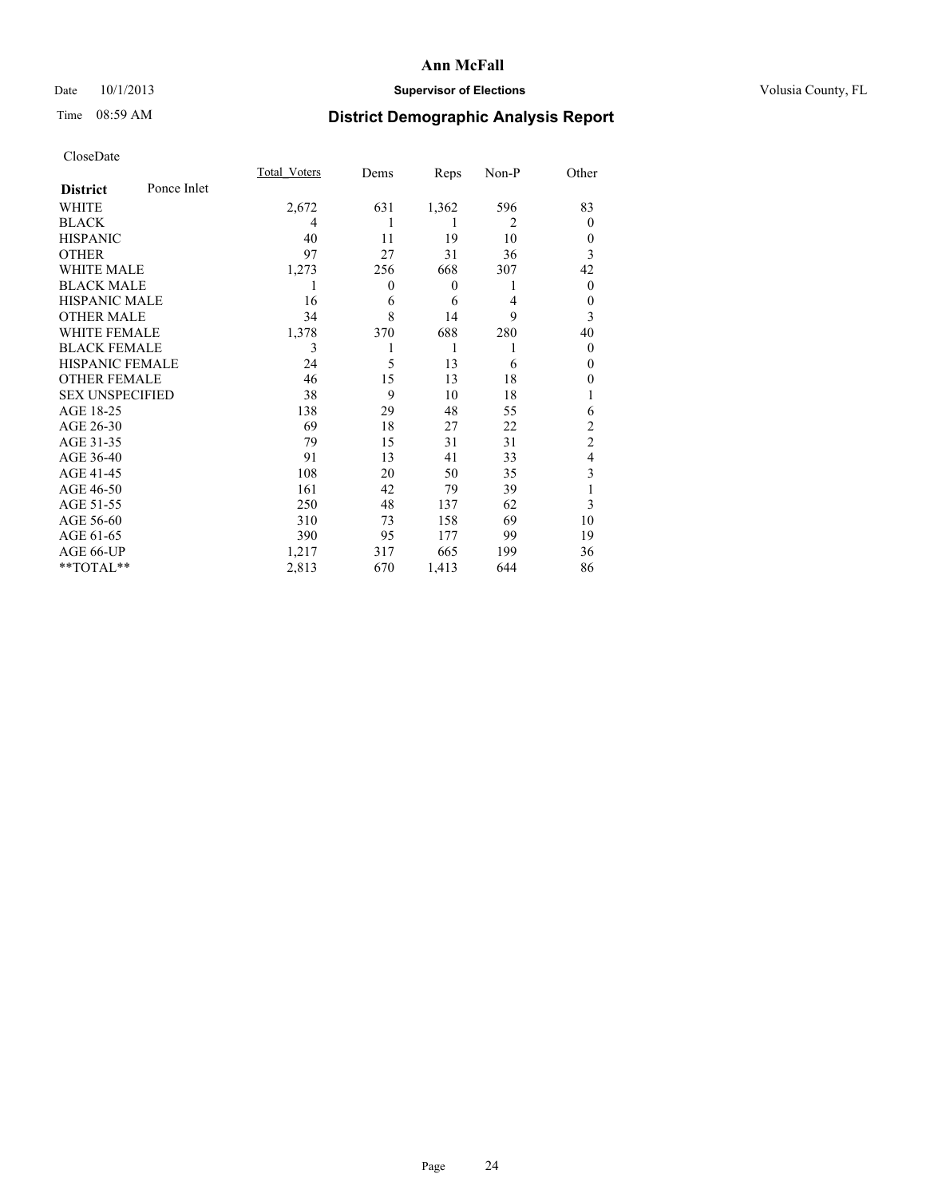# Date 10/1/2013 **Supervisor of Elections Supervisor of Elections** Volusia County, FL

# Time 08:59 AM **District Demographic Analysis Report**

|                        |             | Total Voters | Dems             | Reps             | Non-P          | Other          |
|------------------------|-------------|--------------|------------------|------------------|----------------|----------------|
| <b>District</b>        | Ponce Inlet |              |                  |                  |                |                |
| WHITE                  |             | 2,672        | 631              | 1,362            | 596            | 83             |
| <b>BLACK</b>           |             | 4            | 1                | 1                | $\overline{2}$ | $\theta$       |
| <b>HISPANIC</b>        |             | 40           | 11               | 19               | 10             | $\theta$       |
| <b>OTHER</b>           |             | 97           | 27               | 31               | 36             | 3              |
| WHITE MALE             |             | 1,273        | 256              | 668              | 307            | 42             |
| <b>BLACK MALE</b>      |             | 1            | $\boldsymbol{0}$ | $\boldsymbol{0}$ | 1              | $\overline{0}$ |
| <b>HISPANIC MALE</b>   |             | 16           | 6                | 6                | 4              | $\theta$       |
| <b>OTHER MALE</b>      |             | 34           | 8                | 14               | 9              | 3              |
| <b>WHITE FEMALE</b>    |             | 1,378        | 370              | 688              | 280            | 40             |
| <b>BLACK FEMALE</b>    |             | 3            |                  | 1                | 1              | $\theta$       |
| <b>HISPANIC FEMALE</b> |             | 24           | 5                | 13               | 6              | $\theta$       |
| <b>OTHER FEMALE</b>    |             | 46           | 15               | 13               | 18             | 0              |
| <b>SEX UNSPECIFIED</b> |             | 38           | 9                | 10               | 18             |                |
| AGE 18-25              |             | 138          | 29               | 48               | 55             | 6              |
| AGE 26-30              |             | 69           | 18               | 27               | 22             | $\overline{c}$ |
| AGE 31-35              |             | 79           | 15               | 31               | 31             | $\overline{c}$ |
| AGE 36-40              |             | 91           | 13               | 41               | 33             | 4              |
| AGE 41-45              |             | 108          | 20               | 50               | 35             | 3              |
| AGE 46-50              |             | 161          | 42               | 79               | 39             |                |
| AGE 51-55              |             | 250          | 48               | 137              | 62             | 3              |
| AGE 56-60              |             | 310          | 73               | 158              | 69             | 10             |
| AGE 61-65              |             | 390          | 95               | 177              | 99             | 19             |
| AGE 66-UP              |             | 1,217        | 317              | 665              | 199            | 36             |
| **TOTAL**              |             | 2,813        | 670              | 1,413            | 644            | 86             |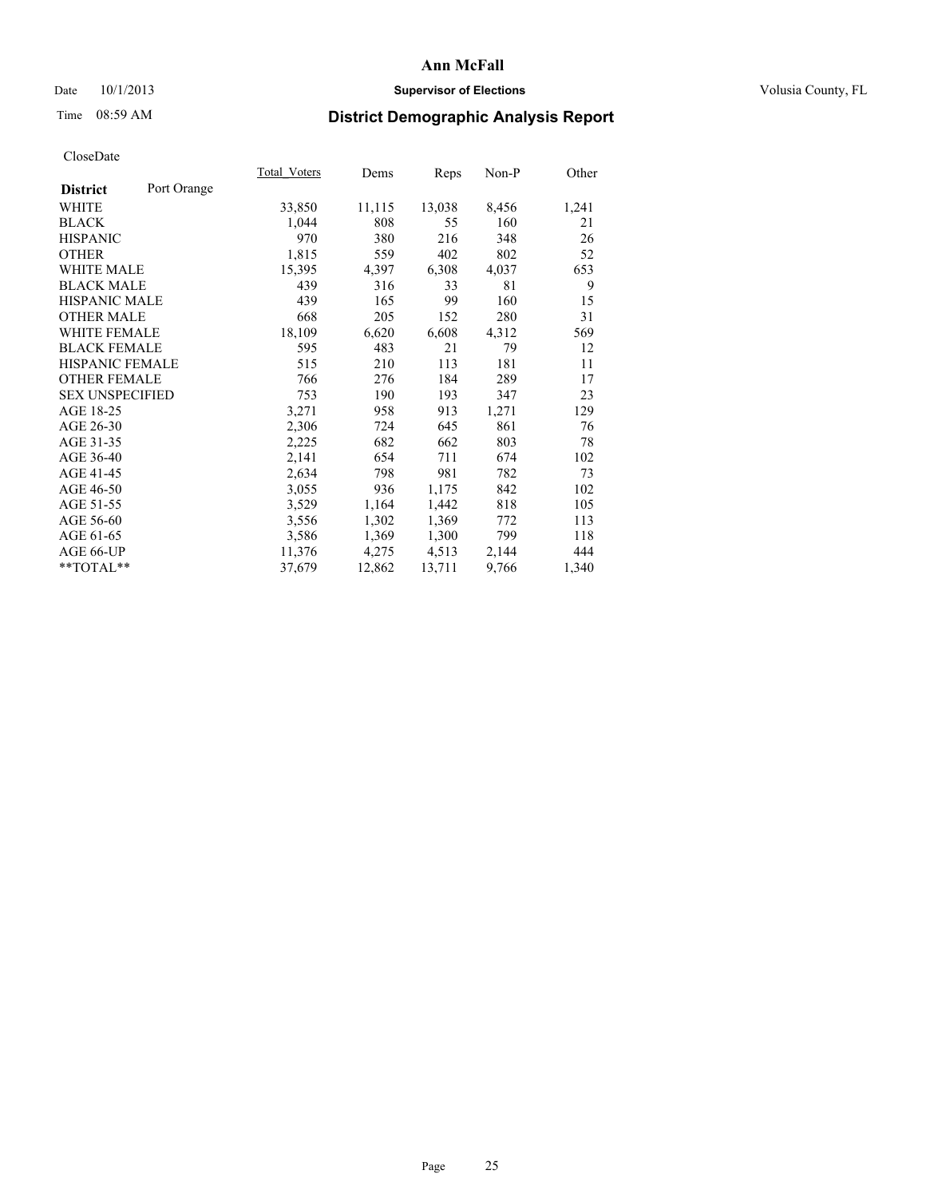# Date 10/1/2013 **Supervisor of Elections Supervisor of Elections** Volusia County, FL

# Time 08:59 AM **District Demographic Analysis Report**

|                        |             | Total Voters | Dems   | <b>Reps</b> | Non-P | Other |
|------------------------|-------------|--------------|--------|-------------|-------|-------|
| <b>District</b>        | Port Orange |              |        |             |       |       |
| WHITE                  |             | 33,850       | 11,115 | 13,038      | 8,456 | 1,241 |
| <b>BLACK</b>           |             | 1,044        | 808    | 55          | 160   | 21    |
| <b>HISPANIC</b>        |             | 970          | 380    | 216         | 348   | 26    |
| OTHER                  |             | 1,815        | 559    | 402         | 802   | 52    |
| <b>WHITE MALE</b>      |             | 15,395       | 4,397  | 6,308       | 4,037 | 653   |
| <b>BLACK MALE</b>      |             | 439          | 316    | 33          | 81    | 9     |
| <b>HISPANIC MALE</b>   |             | 439          | 165    | 99          | 160   | 15    |
| <b>OTHER MALE</b>      |             | 668          | 205    | 152         | 280   | 31    |
| WHITE FEMALE           |             | 18,109       | 6,620  | 6,608       | 4,312 | 569   |
| <b>BLACK FEMALE</b>    |             | 595          | 483    | 21          | 79    | 12    |
| HISPANIC FEMALE        |             | 515          | 210    | 113         | 181   | 11    |
| <b>OTHER FEMALE</b>    |             | 766          | 276    | 184         | 289   | 17    |
| <b>SEX UNSPECIFIED</b> |             | 753          | 190    | 193         | 347   | 23    |
| AGE 18-25              |             | 3,271        | 958    | 913         | 1,271 | 129   |
| AGE 26-30              |             | 2,306        | 724    | 645         | 861   | 76    |
| AGE 31-35              |             | 2,225        | 682    | 662         | 803   | 78    |
| AGE 36-40              |             | 2,141        | 654    | 711         | 674   | 102   |
| AGE 41-45              |             | 2,634        | 798    | 981         | 782   | 73    |
| AGE 46-50              |             | 3,055        | 936    | 1,175       | 842   | 102   |
| AGE 51-55              |             | 3,529        | 1,164  | 1,442       | 818   | 105   |
| AGE 56-60              |             | 3,556        | 1,302  | 1,369       | 772   | 113   |
| AGE 61-65              |             | 3,586        | 1,369  | 1,300       | 799   | 118   |
| AGE 66-UP              |             | 11,376       | 4,275  | 4,513       | 2,144 | 444   |
| **TOTAL**              |             | 37,679       | 12,862 | 13,711      | 9,766 | 1,340 |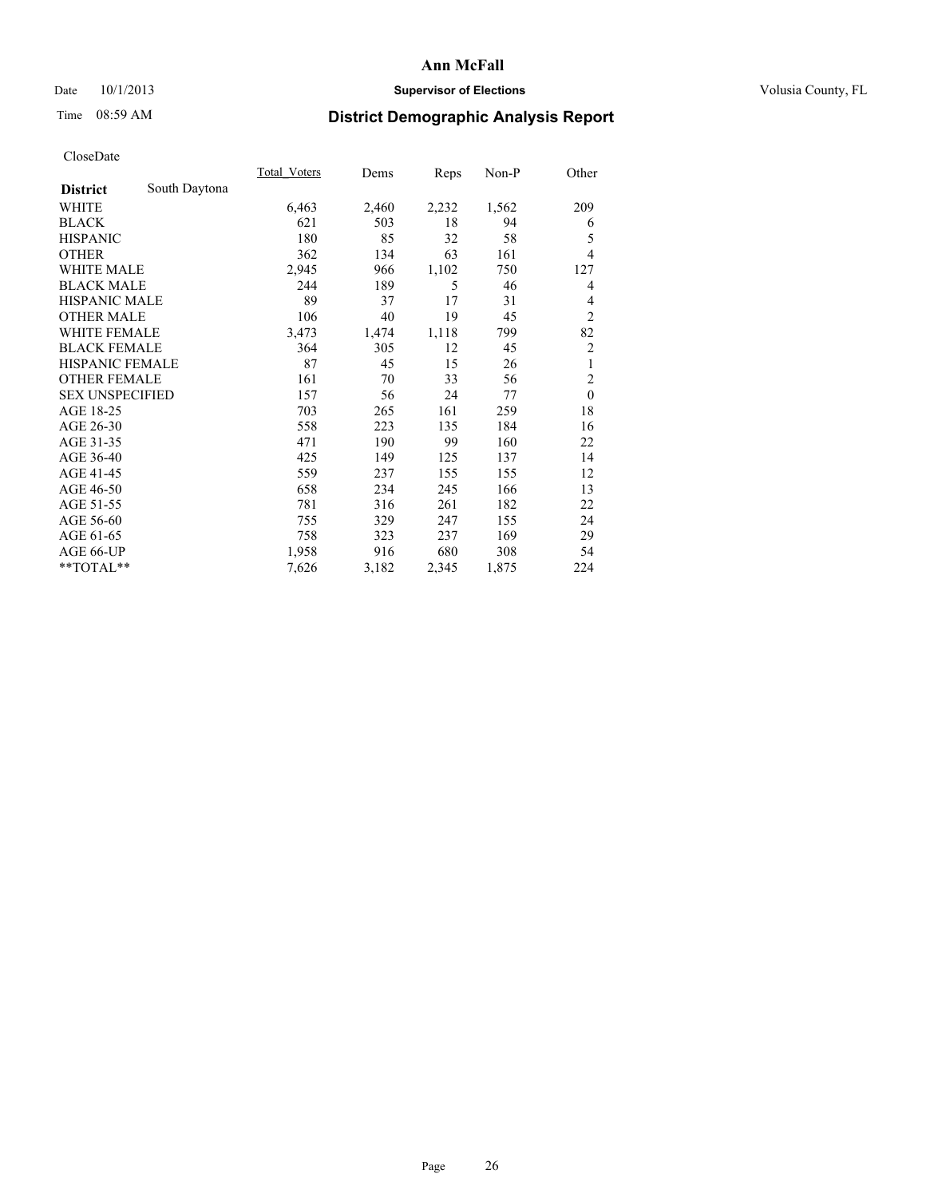# Date 10/1/2013 **Supervisor of Elections Supervisor of Elections** Volusia County, FL

# Time 08:59 AM **District Demographic Analysis Report**

|                        |               | Total Voters | Dems  | Reps  | $Non-P$ | Other          |
|------------------------|---------------|--------------|-------|-------|---------|----------------|
| <b>District</b>        | South Daytona |              |       |       |         |                |
| WHITE                  |               | 6,463        | 2,460 | 2,232 | 1,562   | 209            |
| <b>BLACK</b>           |               | 621          | 503   | 18    | 94      | 6              |
| <b>HISPANIC</b>        |               | 180          | 85    | 32    | 58      | 5              |
| <b>OTHER</b>           |               | 362          | 134   | 63    | 161     | 4              |
| WHITE MALE             |               | 2,945        | 966   | 1,102 | 750     | 127            |
| <b>BLACK MALE</b>      |               | 244          | 189   | 5     | 46      | 4              |
| <b>HISPANIC MALE</b>   |               | 89           | 37    | 17    | 31      | 4              |
| <b>OTHER MALE</b>      |               | 106          | 40    | 19    | 45      | $\overline{2}$ |
| WHITE FEMALE           |               | 3,473        | 1,474 | 1,118 | 799     | 82             |
| <b>BLACK FEMALE</b>    |               | 364          | 305   | 12    | 45      | $\overline{c}$ |
| <b>HISPANIC FEMALE</b> |               | 87           | 45    | 15    | 26      | 1              |
| <b>OTHER FEMALE</b>    |               | 161          | 70    | 33    | 56      | $\overline{c}$ |
| <b>SEX UNSPECIFIED</b> |               | 157          | 56    | 24    | 77      | $\mathbf{0}$   |
| AGE 18-25              |               | 703          | 265   | 161   | 259     | 18             |
| AGE 26-30              |               | 558          | 223   | 135   | 184     | 16             |
| AGE 31-35              |               | 471          | 190   | 99    | 160     | 22             |
| AGE 36-40              |               | 425          | 149   | 125   | 137     | 14             |
| AGE 41-45              |               | 559          | 237   | 155   | 155     | 12             |
| AGE 46-50              |               | 658          | 234   | 245   | 166     | 13             |
| AGE 51-55              |               | 781          | 316   | 261   | 182     | 22             |
| AGE 56-60              |               | 755          | 329   | 247   | 155     | 24             |
| AGE 61-65              |               | 758          | 323   | 237   | 169     | 29             |
| AGE 66-UP              |               | 1,958        | 916   | 680   | 308     | 54             |
| **TOTAL**              |               | 7,626        | 3,182 | 2,345 | 1,875   | 224            |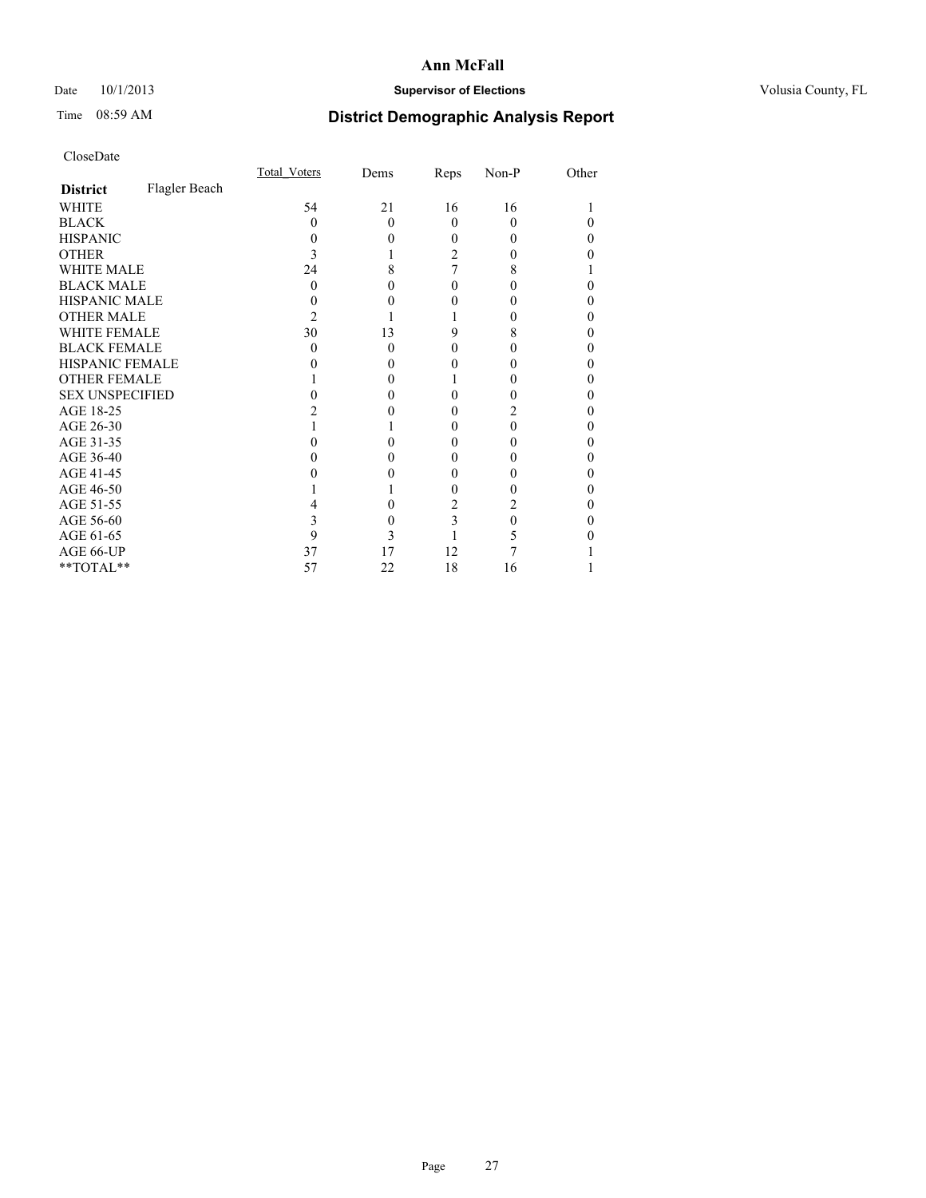# Date 10/1/2013 **Supervisor of Elections Supervisor of Elections** Volusia County, FL

# Time 08:59 AM **District Demographic Analysis Report**

|                        |               | Total Voters | Dems     | Reps | Non-P | Other |
|------------------------|---------------|--------------|----------|------|-------|-------|
| <b>District</b>        | Flagler Beach |              |          |      |       |       |
| <b>WHITE</b>           |               | 54           | 21       | 16   | 16    |       |
| <b>BLACK</b>           |               | 0            | $\Omega$ | 0    | 0     | 0     |
| <b>HISPANIC</b>        |               |              | 0        | 0    | 0     | 0     |
| <b>OTHER</b>           |               |              |          | 2    |       | 0     |
| <b>WHITE MALE</b>      |               | 24           | 8        | 7    | 8     |       |
| <b>BLACK MALE</b>      |               | 0            |          |      |       | 0     |
| <b>HISPANIC MALE</b>   |               |              |          |      |       | 0     |
| <b>OTHER MALE</b>      |               | 2            |          |      |       | 0     |
| <b>WHITE FEMALE</b>    |               | 30           | 13       | 9    | 8     | 0     |
| <b>BLACK FEMALE</b>    |               | 0            | $\Omega$ | 0    | 0     | 0     |
| HISPANIC FEMALE        |               |              | 0        |      |       | 0     |
| <b>OTHER FEMALE</b>    |               |              | 0        |      |       | 0     |
| <b>SEX UNSPECIFIED</b> |               |              | 0        |      |       | 0     |
| AGE 18-25              |               |              |          |      | 2     | 0     |
| AGE 26-30              |               |              |          | 0    | 0     | 0     |
| AGE 31-35              |               |              |          |      |       | 0     |
| AGE 36-40              |               |              | 0        | 0    |       | 0     |
| AGE 41-45              |               |              |          |      |       | 0     |
| AGE 46-50              |               |              |          | 0    |       | 0     |
| AGE 51-55              |               |              | 0        | 2    |       | 0     |
| AGE 56-60              |               |              | 0        | 3    | 0     | 0     |
| AGE 61-65              |               | 9            | 3        |      | 5     | 0     |
| AGE 66-UP              |               | 37           | 17       | 12   |       |       |
| **TOTAL**              |               | 57           | 22       | 18   | 16    |       |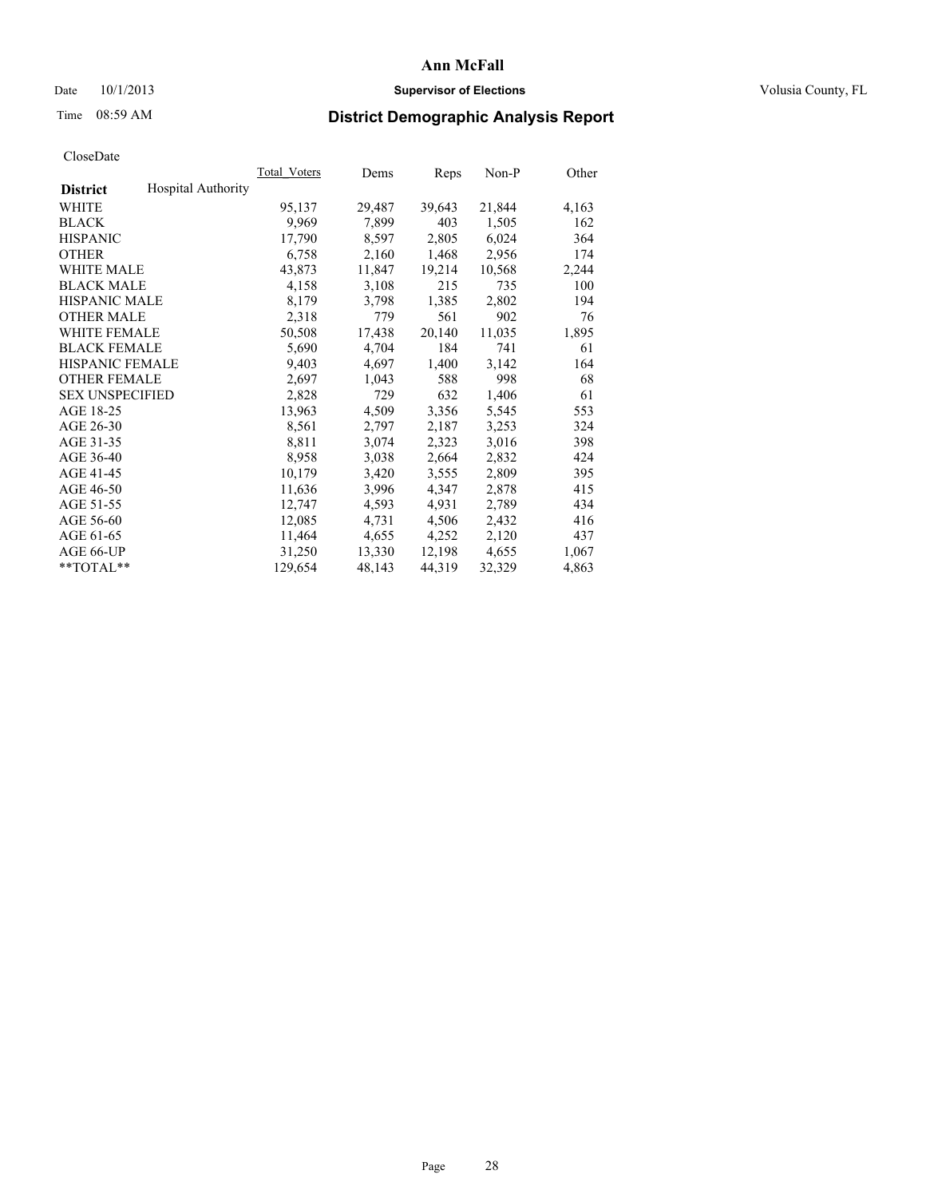## Date  $10/1/2013$  **Supervisor of Elections Supervisor of Elections** Volusia County, FL

# Time 08:59 AM **District Demographic Analysis Report**

| Total Voters | Dems   | Reps   | Non-P  | Other |
|--------------|--------|--------|--------|-------|
|              |        |        |        |       |
| 95,137       | 29,487 | 39,643 | 21,844 | 4,163 |
| 9,969        | 7,899  | 403    | 1,505  | 162   |
| 17,790       | 8,597  | 2,805  | 6,024  | 364   |
| 6,758        | 2,160  | 1,468  | 2,956  | 174   |
| 43,873       | 11,847 | 19,214 | 10,568 | 2,244 |
| 4,158        | 3,108  | 215    | 735    | 100   |
| 8,179        | 3,798  | 1,385  | 2,802  | 194   |
| 2,318        | 779    | 561    | 902    | 76    |
| 50,508       | 17,438 | 20,140 | 11,035 | 1,895 |
| 5,690        | 4,704  | 184    | 741    | 61    |
| 9,403        | 4,697  | 1,400  | 3,142  | 164   |
| 2,697        | 1,043  | 588    | 998    | 68    |
| 2,828        | 729    | 632    | 1,406  | 61    |
| 13,963       | 4,509  | 3,356  | 5,545  | 553   |
| 8,561        | 2,797  | 2,187  | 3,253  | 324   |
| 8,811        | 3,074  | 2,323  | 3,016  | 398   |
| 8,958        | 3,038  | 2,664  | 2,832  | 424   |
| 10,179       | 3,420  | 3,555  | 2,809  | 395   |
| 11,636       | 3,996  | 4,347  | 2,878  | 415   |
| 12,747       | 4,593  | 4,931  | 2,789  | 434   |
| 12,085       | 4,731  | 4,506  | 2,432  | 416   |
| 11,464       | 4,655  | 4,252  | 2,120  | 437   |
| 31,250       | 13,330 | 12,198 | 4,655  | 1,067 |
| 129,654      | 48,143 | 44,319 | 32,329 | 4,863 |
|              |        |        |        |       |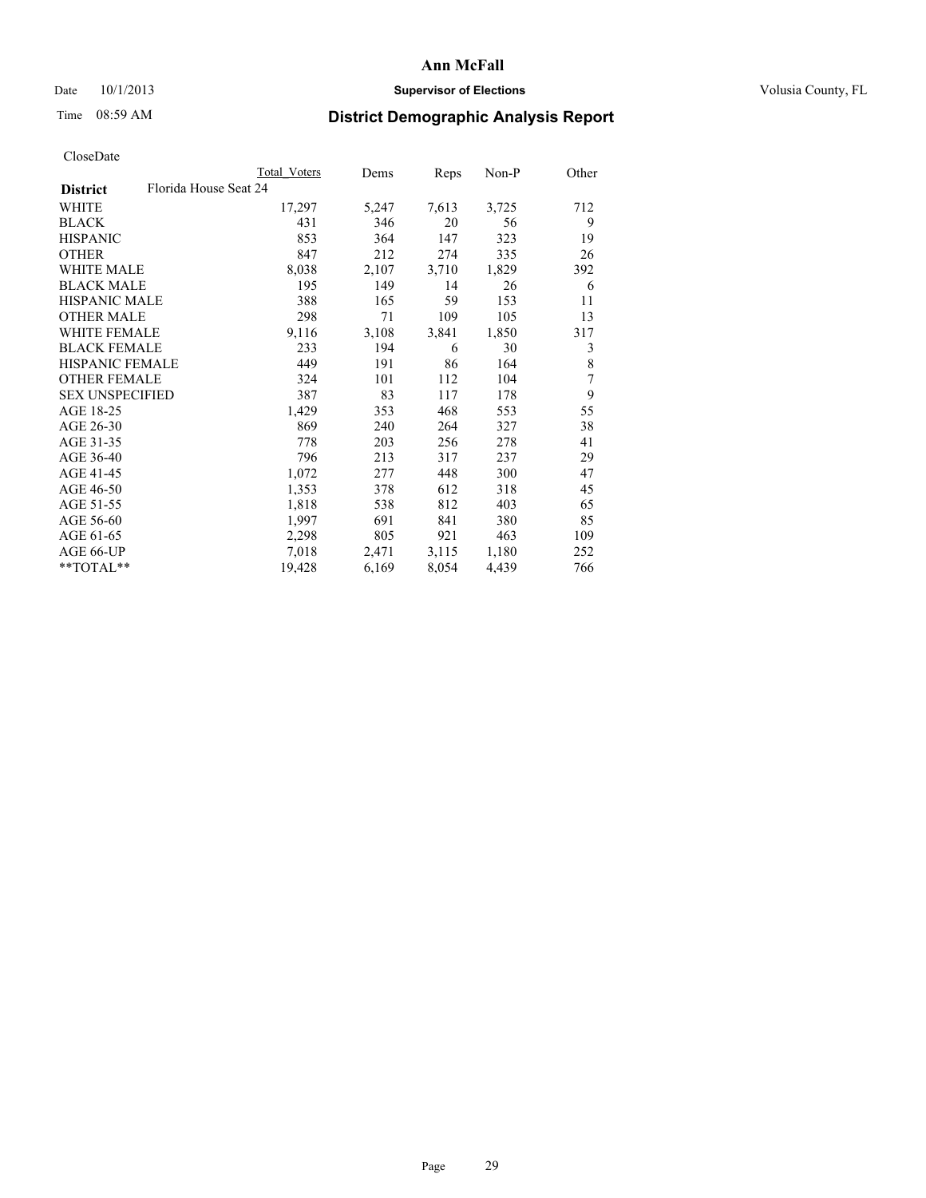## Date  $10/1/2013$  **Supervisor of Elections Supervisor of Elections** Volusia County, FL

# Time 08:59 AM **District Demographic Analysis Report**

|                                          | Total Voters | Dems  | <b>Reps</b> | Non-P | Other |
|------------------------------------------|--------------|-------|-------------|-------|-------|
| Florida House Seat 24<br><b>District</b> |              |       |             |       |       |
| WHITE                                    | 17,297       | 5,247 | 7,613       | 3,725 | 712   |
| <b>BLACK</b>                             | 431          | 346   | 20          | 56    | 9     |
| <b>HISPANIC</b>                          | 853          | 364   | 147         | 323   | 19    |
| <b>OTHER</b>                             | 847          | 212   | 274         | 335   | 26    |
| WHITE MALE                               | 8,038        | 2,107 | 3,710       | 1,829 | 392   |
| <b>BLACK MALE</b>                        | 195          | 149   | 14          | 26    | 6     |
| <b>HISPANIC MALE</b>                     | 388          | 165   | 59          | 153   | 11    |
| <b>OTHER MALE</b>                        | 298          | 71    | 109         | 105   | 13    |
| <b>WHITE FEMALE</b>                      | 9,116        | 3,108 | 3,841       | 1,850 | 317   |
| <b>BLACK FEMALE</b>                      | 233          | 194   | 6           | 30    | 3     |
| <b>HISPANIC FEMALE</b>                   | 449          | 191   | 86          | 164   | 8     |
| <b>OTHER FEMALE</b>                      | 324          | 101   | 112         | 104   | 7     |
| <b>SEX UNSPECIFIED</b>                   | 387          | 83    | 117         | 178   | 9     |
| AGE 18-25                                | 1,429        | 353   | 468         | 553   | 55    |
| AGE 26-30                                | 869          | 240   | 264         | 327   | 38    |
| AGE 31-35                                | 778          | 203   | 256         | 278   | 41    |
| AGE 36-40                                | 796          | 213   | 317         | 237   | 29    |
| AGE 41-45                                | 1,072        | 277   | 448         | 300   | 47    |
| AGE 46-50                                | 1,353        | 378   | 612         | 318   | 45    |
| AGE 51-55                                | 1,818        | 538   | 812         | 403   | 65    |
| AGE 56-60                                | 1,997        | 691   | 841         | 380   | 85    |
| AGE 61-65                                | 2,298        | 805   | 921         | 463   | 109   |
| AGE 66-UP                                | 7,018        | 2,471 | 3,115       | 1,180 | 252   |
| $*$ TOTAL $*$                            | 19,428       | 6,169 | 8,054       | 4,439 | 766   |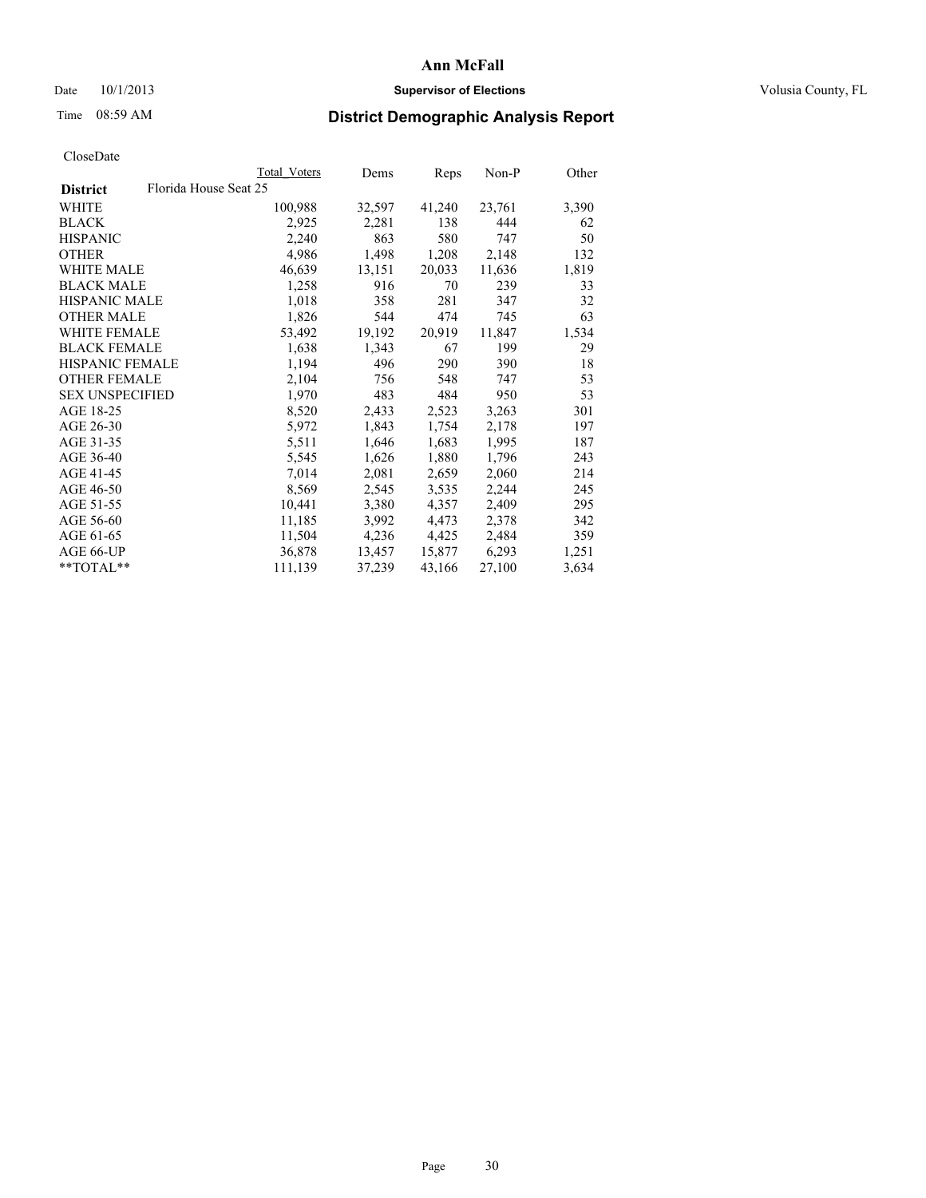## Date  $10/1/2013$  **Supervisor of Elections Supervisor of Elections** Volusia County, FL

# Time 08:59 AM **District Demographic Analysis Report**

|                                          | Total Voters | Dems   | Reps   | Non-P  | Other |
|------------------------------------------|--------------|--------|--------|--------|-------|
| Florida House Seat 25<br><b>District</b> |              |        |        |        |       |
| WHITE                                    | 100,988      | 32,597 | 41,240 | 23,761 | 3,390 |
| <b>BLACK</b>                             | 2,925        | 2,281  | 138    | 444    | 62    |
| <b>HISPANIC</b>                          | 2,240        | 863    | 580    | 747    | 50    |
| <b>OTHER</b>                             | 4,986        | 1,498  | 1,208  | 2,148  | 132   |
| <b>WHITE MALE</b>                        | 46,639       | 13,151 | 20,033 | 11,636 | 1,819 |
| <b>BLACK MALE</b>                        | 1,258        | 916    | 70     | 239    | 33    |
| <b>HISPANIC MALE</b>                     | 1,018        | 358    | 281    | 347    | 32    |
| <b>OTHER MALE</b>                        | 1,826        | 544    | 474    | 745    | 63    |
| WHITE FEMALE                             | 53,492       | 19,192 | 20,919 | 11,847 | 1,534 |
| <b>BLACK FEMALE</b>                      | 1,638        | 1,343  | 67     | 199    | 29    |
| <b>HISPANIC FEMALE</b>                   | 1,194        | 496    | 290    | 390    | 18    |
| <b>OTHER FEMALE</b>                      | 2,104        | 756    | 548    | 747    | 53    |
| <b>SEX UNSPECIFIED</b>                   | 1,970        | 483    | 484    | 950    | 53    |
| AGE 18-25                                | 8,520        | 2,433  | 2,523  | 3,263  | 301   |
| AGE 26-30                                | 5,972        | 1,843  | 1,754  | 2,178  | 197   |
| AGE 31-35                                | 5,511        | 1,646  | 1,683  | 1,995  | 187   |
| AGE 36-40                                | 5,545        | 1,626  | 1,880  | 1,796  | 243   |
| AGE 41-45                                | 7,014        | 2,081  | 2,659  | 2,060  | 214   |
| AGE 46-50                                | 8,569        | 2,545  | 3,535  | 2,244  | 245   |
| AGE 51-55                                | 10,441       | 3,380  | 4,357  | 2,409  | 295   |
| AGE 56-60                                | 11,185       | 3,992  | 4,473  | 2,378  | 342   |
| AGE 61-65                                | 11,504       | 4,236  | 4,425  | 2,484  | 359   |
| AGE 66-UP                                | 36,878       | 13,457 | 15,877 | 6,293  | 1,251 |
| $*$ TOTAL $*$                            | 111,139      | 37,239 | 43,166 | 27,100 | 3,634 |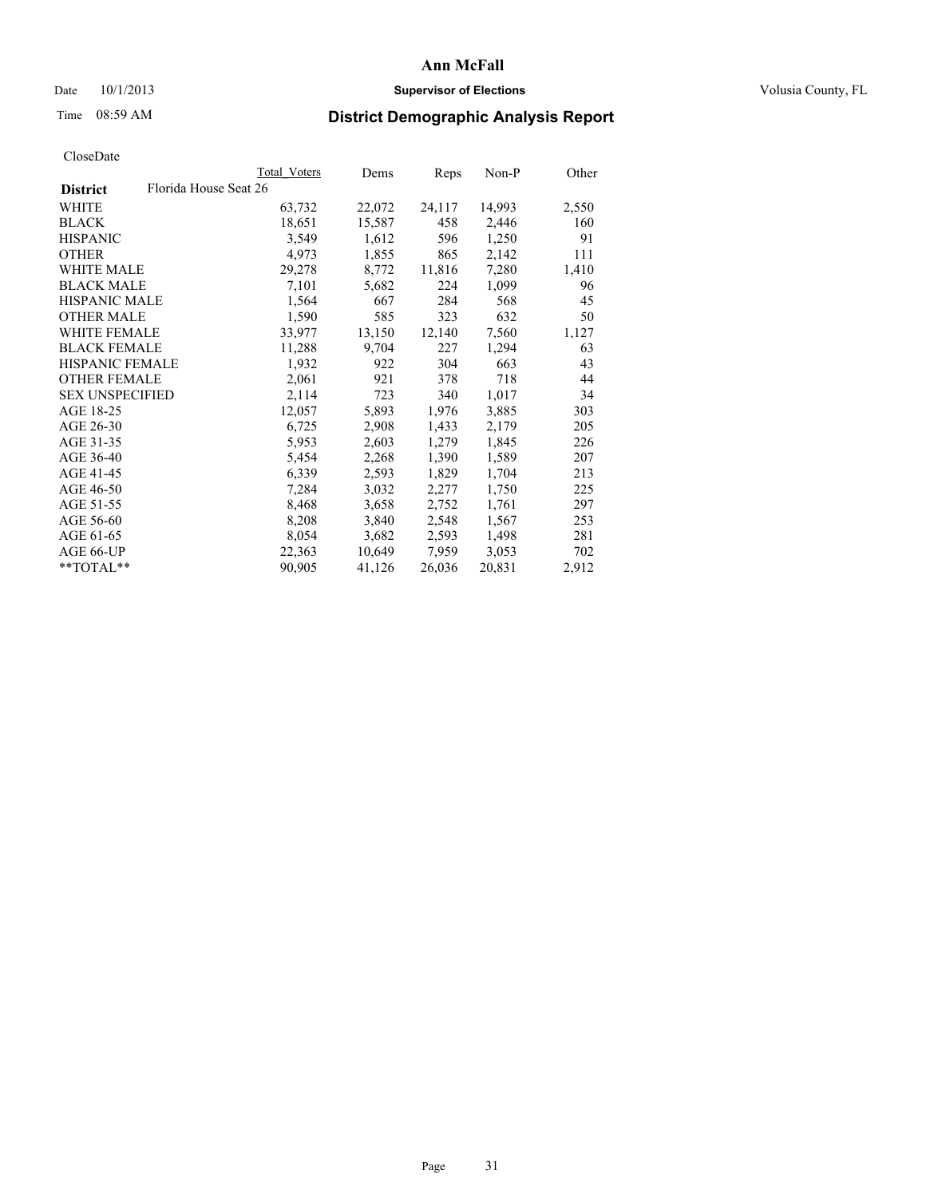## Date  $10/1/2013$  **Supervisor of Elections Supervisor of Elections** Volusia County, FL

# Time 08:59 AM **District Demographic Analysis Report**

|                        | Total Voters          | Dems   | Reps   | Non-P  | Other |
|------------------------|-----------------------|--------|--------|--------|-------|
| <b>District</b>        | Florida House Seat 26 |        |        |        |       |
| <b>WHITE</b>           | 63,732                | 22,072 | 24,117 | 14,993 | 2,550 |
| <b>BLACK</b>           | 18,651                | 15,587 | 458    | 2,446  | 160   |
| <b>HISPANIC</b>        | 3,549                 | 1,612  | 596    | 1,250  | 91    |
| <b>OTHER</b>           | 4,973                 | 1,855  | 865    | 2,142  | 111   |
| <b>WHITE MALE</b>      | 29,278                | 8,772  | 11,816 | 7,280  | 1,410 |
| <b>BLACK MALE</b>      | 7,101                 | 5,682  | 224    | 1,099  | 96    |
| <b>HISPANIC MALE</b>   | 1,564                 | 667    | 284    | 568    | 45    |
| <b>OTHER MALE</b>      | 1,590                 | 585    | 323    | 632    | 50    |
| WHITE FEMALE           | 33,977                | 13,150 | 12,140 | 7,560  | 1,127 |
| <b>BLACK FEMALE</b>    | 11,288                | 9,704  | 227    | 1,294  | 63    |
| HISPANIC FEMALE        | 1,932                 | 922    | 304    | 663    | 43    |
| <b>OTHER FEMALE</b>    | 2,061                 | 921    | 378    | 718    | 44    |
| <b>SEX UNSPECIFIED</b> | 2,114                 | 723    | 340    | 1,017  | 34    |
| AGE 18-25              | 12,057                | 5,893  | 1,976  | 3,885  | 303   |
| AGE 26-30              | 6,725                 | 2,908  | 1,433  | 2,179  | 205   |
| AGE 31-35              | 5,953                 | 2,603  | 1,279  | 1,845  | 226   |
| AGE 36-40              | 5,454                 | 2,268  | 1,390  | 1,589  | 207   |
| AGE 41-45              | 6,339                 | 2,593  | 1,829  | 1,704  | 213   |
| AGE 46-50              | 7,284                 | 3,032  | 2,277  | 1,750  | 225   |
| AGE 51-55              | 8,468                 | 3,658  | 2,752  | 1,761  | 297   |
| AGE 56-60              | 8,208                 | 3,840  | 2,548  | 1,567  | 253   |
| AGE 61-65              | 8,054                 | 3,682  | 2,593  | 1,498  | 281   |
| AGE 66-UP              | 22,363                | 10,649 | 7,959  | 3,053  | 702   |
| **TOTAL**              | 90,905                | 41,126 | 26,036 | 20,831 | 2,912 |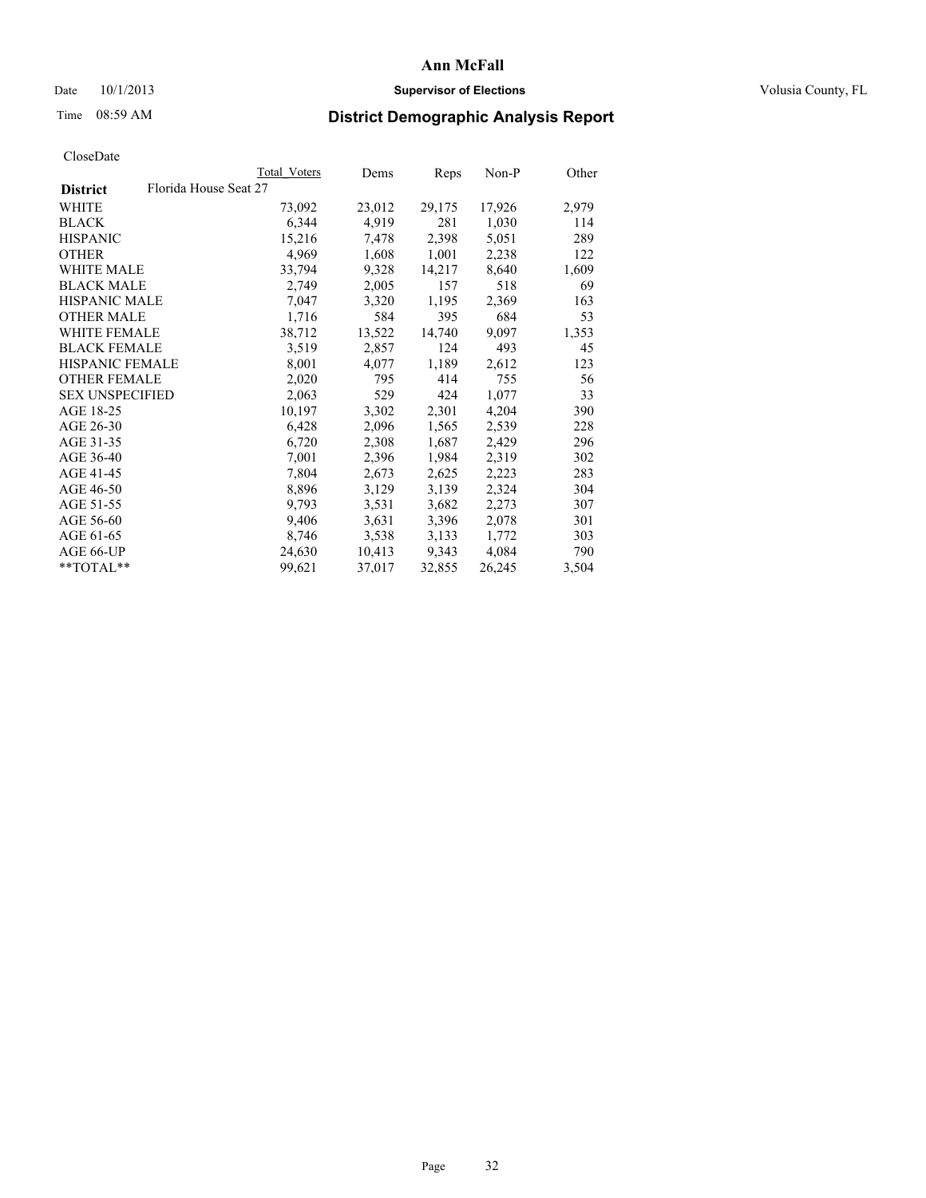## Date  $10/1/2013$  **Supervisor of Elections Supervisor of Elections** Volusia County, FL

# Time 08:59 AM **District Demographic Analysis Report**

|                                          | <b>Total Voters</b> | Dems   | Reps   | Non-P  | Other |
|------------------------------------------|---------------------|--------|--------|--------|-------|
| Florida House Seat 27<br><b>District</b> |                     |        |        |        |       |
| WHITE                                    | 73,092              | 23,012 | 29,175 | 17,926 | 2,979 |
| <b>BLACK</b>                             | 6,344               | 4,919  | 281    | 1,030  | 114   |
| <b>HISPANIC</b>                          | 15,216              | 7,478  | 2,398  | 5,051  | 289   |
| <b>OTHER</b>                             | 4,969               | 1,608  | 1,001  | 2,238  | 122   |
| WHITE MALE                               | 33,794              | 9,328  | 14,217 | 8,640  | 1,609 |
| <b>BLACK MALE</b>                        | 2,749               | 2,005  | 157    | 518    | 69    |
| <b>HISPANIC MALE</b>                     | 7,047               | 3,320  | 1,195  | 2,369  | 163   |
| <b>OTHER MALE</b>                        | 1,716               | 584    | 395    | 684    | 53    |
| <b>WHITE FEMALE</b>                      | 38,712              | 13,522 | 14,740 | 9,097  | 1,353 |
| <b>BLACK FEMALE</b>                      | 3,519               | 2,857  | 124    | 493    | 45    |
| <b>HISPANIC FEMALE</b>                   | 8,001               | 4,077  | 1,189  | 2,612  | 123   |
| <b>OTHER FEMALE</b>                      | 2,020               | 795    | 414    | 755    | 56    |
| <b>SEX UNSPECIFIED</b>                   | 2,063               | 529    | 424    | 1,077  | 33    |
| AGE 18-25                                | 10,197              | 3,302  | 2,301  | 4,204  | 390   |
| AGE 26-30                                | 6,428               | 2,096  | 1,565  | 2,539  | 228   |
| AGE 31-35                                | 6,720               | 2,308  | 1,687  | 2,429  | 296   |
| AGE 36-40                                | 7,001               | 2,396  | 1,984  | 2,319  | 302   |
| AGE 41-45                                | 7,804               | 2,673  | 2,625  | 2,223  | 283   |
| AGE 46-50                                | 8,896               | 3,129  | 3,139  | 2,324  | 304   |
| AGE 51-55                                | 9,793               | 3,531  | 3,682  | 2,273  | 307   |
| AGE 56-60                                | 9,406               | 3,631  | 3,396  | 2,078  | 301   |
| AGE 61-65                                | 8,746               | 3,538  | 3,133  | 1,772  | 303   |
| AGE 66-UP                                | 24,630              | 10,413 | 9,343  | 4,084  | 790   |
| **TOTAL**                                | 99,621              | 37,017 | 32,855 | 26,245 | 3,504 |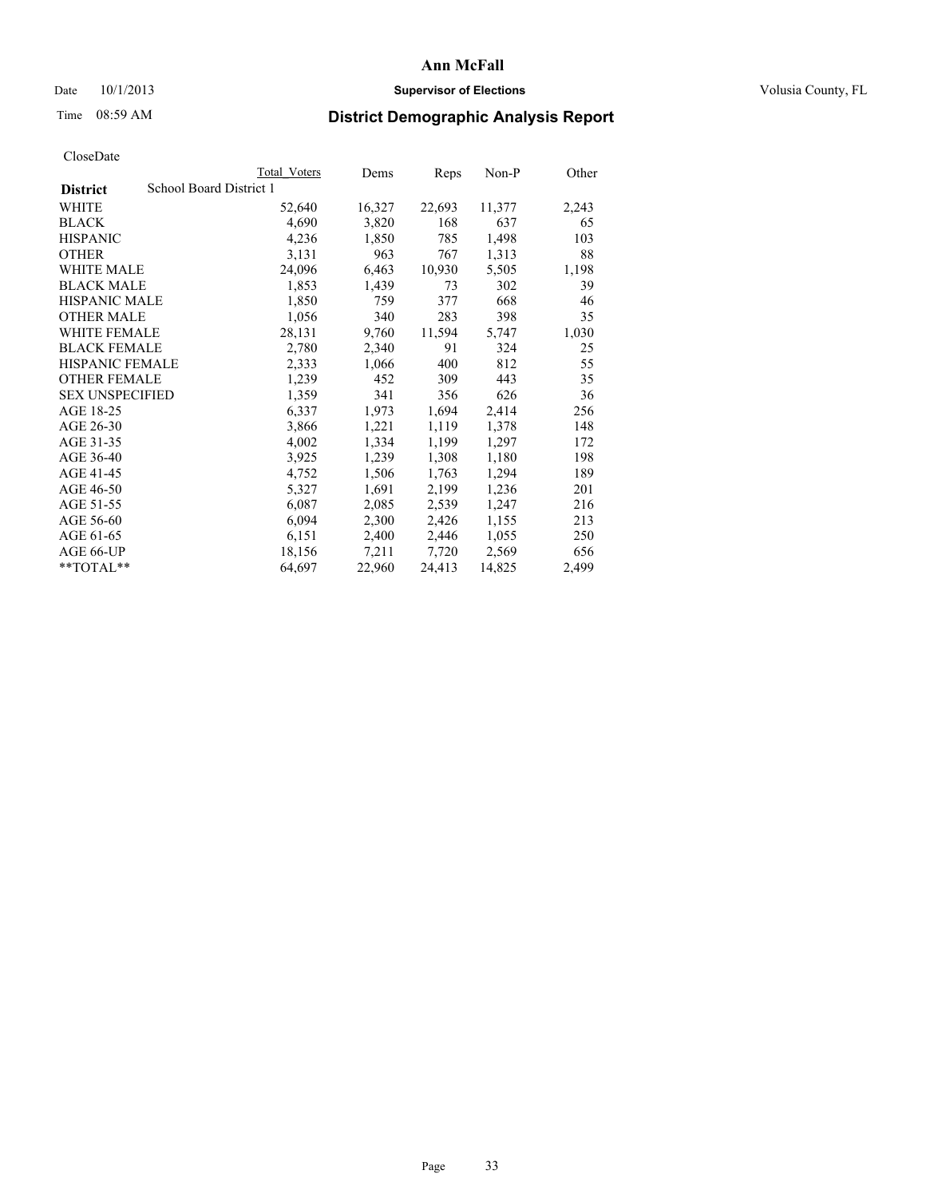## Date  $10/1/2013$  **Supervisor of Elections Supervisor of Elections** Volusia County, FL

# Time 08:59 AM **District Demographic Analysis Report**

| <b>Total Voters</b>     | Dems   | Reps   | Non-P  | Other |
|-------------------------|--------|--------|--------|-------|
| School Board District 1 |        |        |        |       |
| 52,640                  | 16,327 | 22,693 | 11,377 | 2,243 |
| 4,690                   | 3,820  | 168    | 637    | 65    |
| 4,236                   | 1,850  | 785    | 1,498  | 103   |
| 3,131                   | 963    | 767    | 1,313  | 88    |
| 24,096                  | 6,463  | 10,930 | 5,505  | 1,198 |
| 1,853                   | 1,439  | 73     | 302    | 39    |
| 1,850                   | 759    | 377    | 668    | 46    |
| 1,056                   | 340    | 283    | 398    | 35    |
| 28,131                  | 9,760  | 11,594 | 5,747  | 1,030 |
| 2,780                   | 2,340  | 91     | 324    | 25    |
| 2,333                   | 1,066  | 400    | 812    | 55    |
| 1,239                   | 452    | 309    | 443    | 35    |
| 1,359                   | 341    | 356    | 626    | 36    |
| 6,337                   | 1,973  | 1,694  | 2,414  | 256   |
| 3,866                   | 1,221  | 1,119  | 1,378  | 148   |
| 4,002                   | 1,334  | 1,199  | 1,297  | 172   |
| 3,925                   | 1,239  | 1,308  | 1,180  | 198   |
| 4,752                   | 1,506  | 1,763  | 1,294  | 189   |
| 5,327                   | 1,691  | 2,199  | 1,236  | 201   |
| 6,087                   | 2,085  | 2,539  | 1,247  | 216   |
| 6,094                   | 2,300  | 2,426  | 1,155  | 213   |
| 6,151                   | 2,400  | 2,446  | 1,055  | 250   |
| 18,156                  | 7,211  | 7,720  | 2,569  | 656   |
| 64,697                  | 22,960 | 24,413 | 14,825 | 2,499 |
|                         |        |        |        |       |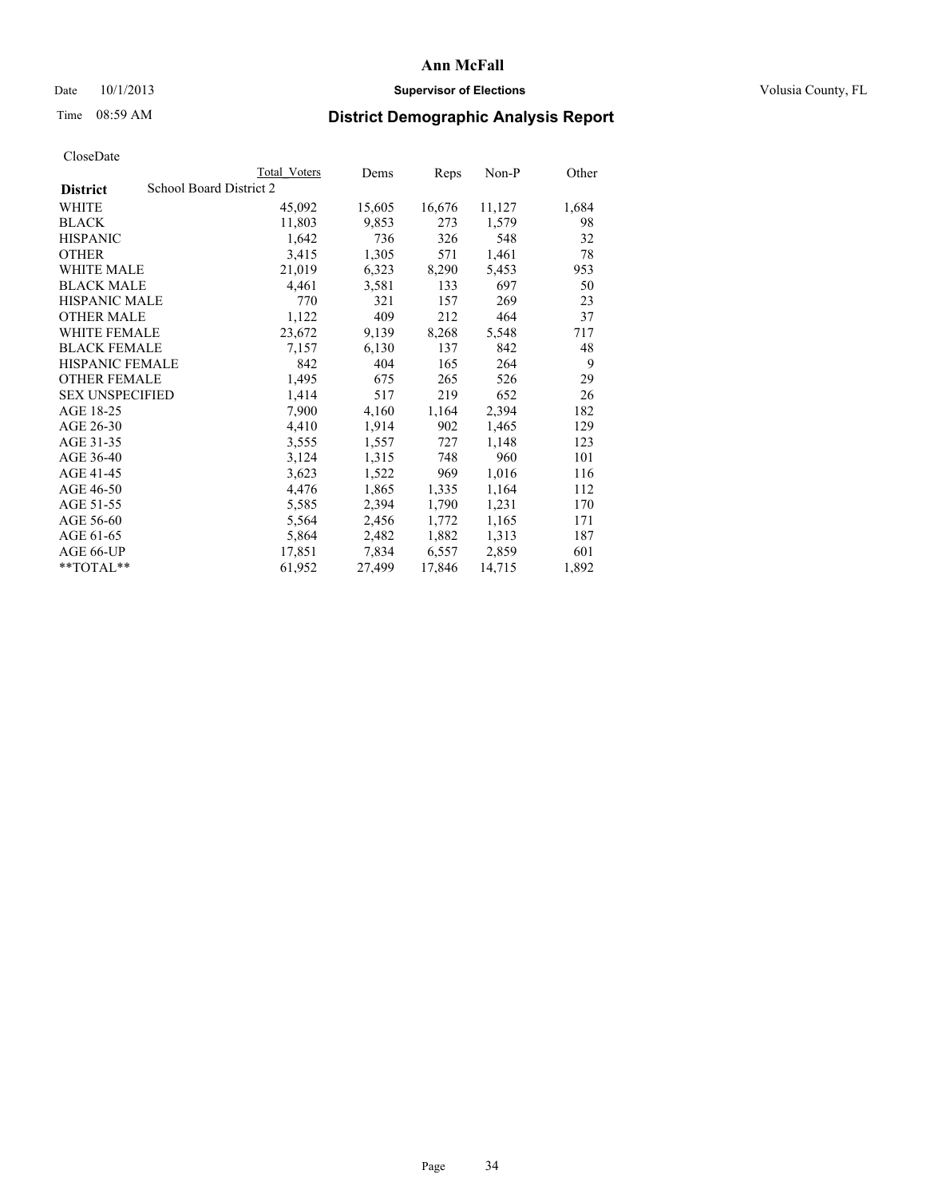# Date 10/1/2013 **Supervisor of Elections Supervisor of Elections** Volusia County, FL

# Time 08:59 AM **District Demographic Analysis Report**

|                                            | Total Voters | Dems   | Reps   | Non-P  | Other |
|--------------------------------------------|--------------|--------|--------|--------|-------|
| School Board District 2<br><b>District</b> |              |        |        |        |       |
| WHITE                                      | 45,092       | 15,605 | 16,676 | 11,127 | 1,684 |
| <b>BLACK</b>                               | 11,803       | 9,853  | 273    | 1,579  | 98    |
| <b>HISPANIC</b>                            | 1,642        | 736    | 326    | 548    | 32    |
| <b>OTHER</b>                               | 3,415        | 1,305  | 571    | 1,461  | 78    |
| WHITE MALE                                 | 21,019       | 6,323  | 8,290  | 5,453  | 953   |
| <b>BLACK MALE</b>                          | 4,461        | 3,581  | 133    | 697    | 50    |
| <b>HISPANIC MALE</b>                       | 770          | 321    | 157    | 269    | 23    |
| <b>OTHER MALE</b>                          | 1,122        | 409    | 212    | 464    | 37    |
| WHITE FEMALE                               | 23,672       | 9,139  | 8,268  | 5,548  | 717   |
| <b>BLACK FEMALE</b>                        | 7,157        | 6,130  | 137    | 842    | 48    |
| <b>HISPANIC FEMALE</b>                     | 842          | 404    | 165    | 264    | 9     |
| <b>OTHER FEMALE</b>                        | 1,495        | 675    | 265    | 526    | 29    |
| <b>SEX UNSPECIFIED</b>                     | 1,414        | 517    | 219    | 652    | 26    |
| AGE 18-25                                  | 7,900        | 4,160  | 1,164  | 2,394  | 182   |
| AGE 26-30                                  | 4,410        | 1,914  | 902    | 1,465  | 129   |
| AGE 31-35                                  | 3,555        | 1,557  | 727    | 1,148  | 123   |
| AGE 36-40                                  | 3,124        | 1,315  | 748    | 960    | 101   |
| AGE 41-45                                  | 3,623        | 1,522  | 969    | 1,016  | 116   |
| AGE 46-50                                  | 4,476        | 1,865  | 1,335  | 1,164  | 112   |
| AGE 51-55                                  | 5,585        | 2,394  | 1,790  | 1,231  | 170   |
| AGE 56-60                                  | 5,564        | 2,456  | 1,772  | 1,165  | 171   |
| AGE 61-65                                  | 5,864        | 2,482  | 1,882  | 1,313  | 187   |
| AGE 66-UP                                  | 17,851       | 7,834  | 6,557  | 2,859  | 601   |
| **TOTAL**                                  | 61,952       | 27,499 | 17,846 | 14,715 | 1,892 |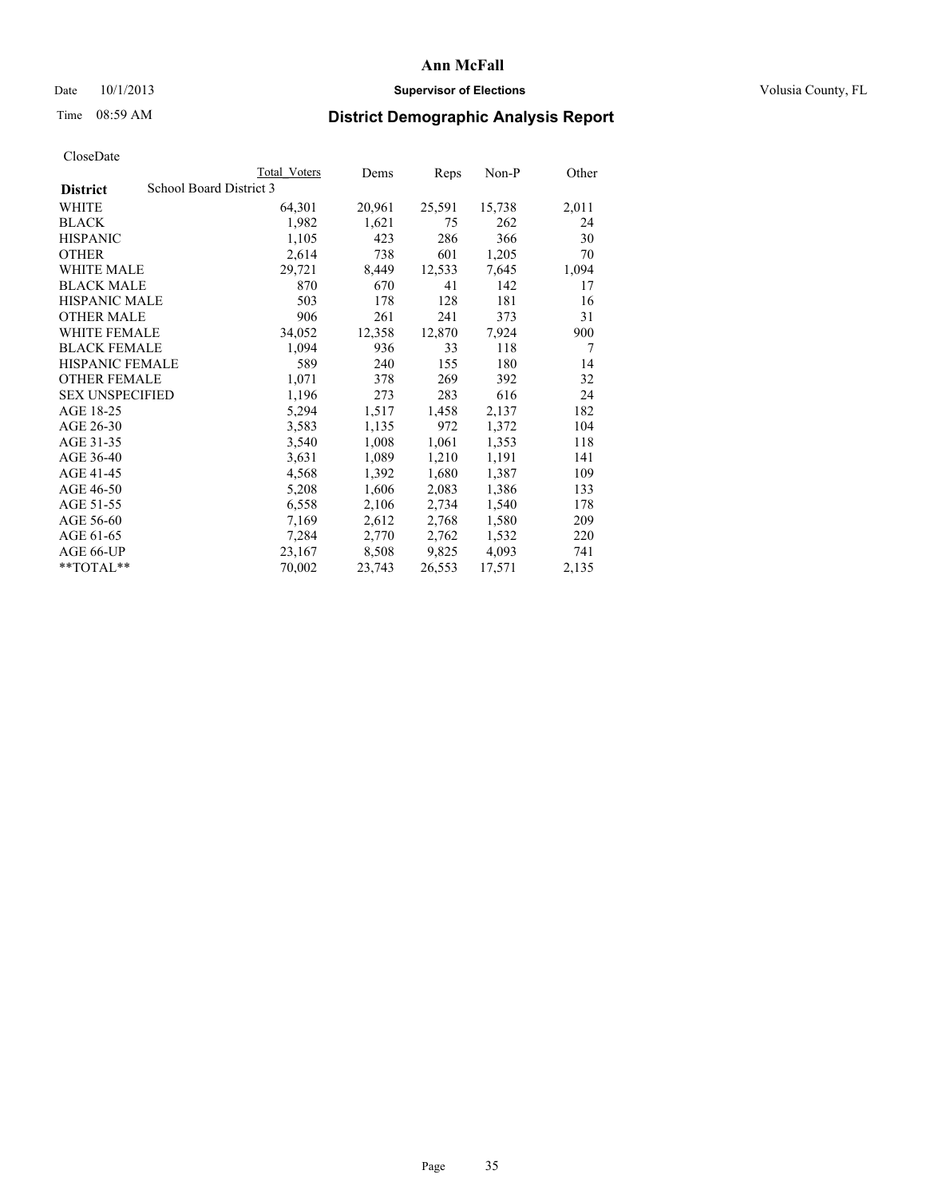# Date 10/1/2013 **Supervisor of Elections Supervisor of Elections** Volusia County, FL

# Time 08:59 AM **District Demographic Analysis Report**

|                        |                         | <b>Total Voters</b> | Dems   | Reps   | Non-P  | Other |
|------------------------|-------------------------|---------------------|--------|--------|--------|-------|
| <b>District</b>        | School Board District 3 |                     |        |        |        |       |
| WHITE                  |                         | 64,301              | 20,961 | 25,591 | 15,738 | 2,011 |
| <b>BLACK</b>           |                         | 1,982               | 1,621  | 75     | 262    | 24    |
| <b>HISPANIC</b>        |                         | 1,105               | 423    | 286    | 366    | 30    |
| <b>OTHER</b>           |                         | 2,614               | 738    | 601    | 1,205  | 70    |
| <b>WHITE MALE</b>      |                         | 29,721              | 8,449  | 12,533 | 7,645  | 1,094 |
| <b>BLACK MALE</b>      |                         | 870                 | 670    | 41     | 142    | 17    |
| <b>HISPANIC MALE</b>   |                         | 503                 | 178    | 128    | 181    | 16    |
| <b>OTHER MALE</b>      |                         | 906                 | 261    | 241    | 373    | 31    |
| WHITE FEMALE           |                         | 34,052              | 12,358 | 12,870 | 7.924  | 900   |
| <b>BLACK FEMALE</b>    |                         | 1,094               | 936    | 33     | 118    | 7     |
| <b>HISPANIC FEMALE</b> |                         | 589                 | 240    | 155    | 180    | 14    |
| <b>OTHER FEMALE</b>    |                         | 1,071               | 378    | 269    | 392    | 32    |
| <b>SEX UNSPECIFIED</b> |                         | 1,196               | 273    | 283    | 616    | 24    |
| AGE 18-25              |                         | 5,294               | 1,517  | 1,458  | 2,137  | 182   |
| AGE 26-30              |                         | 3,583               | 1,135  | 972    | 1,372  | 104   |
| AGE 31-35              |                         | 3,540               | 1,008  | 1,061  | 1,353  | 118   |
| AGE 36-40              |                         | 3,631               | 1,089  | 1,210  | 1,191  | 141   |
| AGE 41-45              |                         | 4,568               | 1,392  | 1,680  | 1,387  | 109   |
| AGE 46-50              |                         | 5,208               | 1,606  | 2,083  | 1,386  | 133   |
| AGE 51-55              |                         | 6,558               | 2,106  | 2,734  | 1,540  | 178   |
| AGE 56-60              |                         | 7,169               | 2,612  | 2,768  | 1,580  | 209   |
| AGE 61-65              |                         | 7,284               | 2,770  | 2,762  | 1,532  | 220   |
| AGE 66-UP              |                         | 23,167              | 8,508  | 9,825  | 4,093  | 741   |
| $*$ TOTAL $*$          |                         | 70,002              | 23,743 | 26,553 | 17,571 | 2,135 |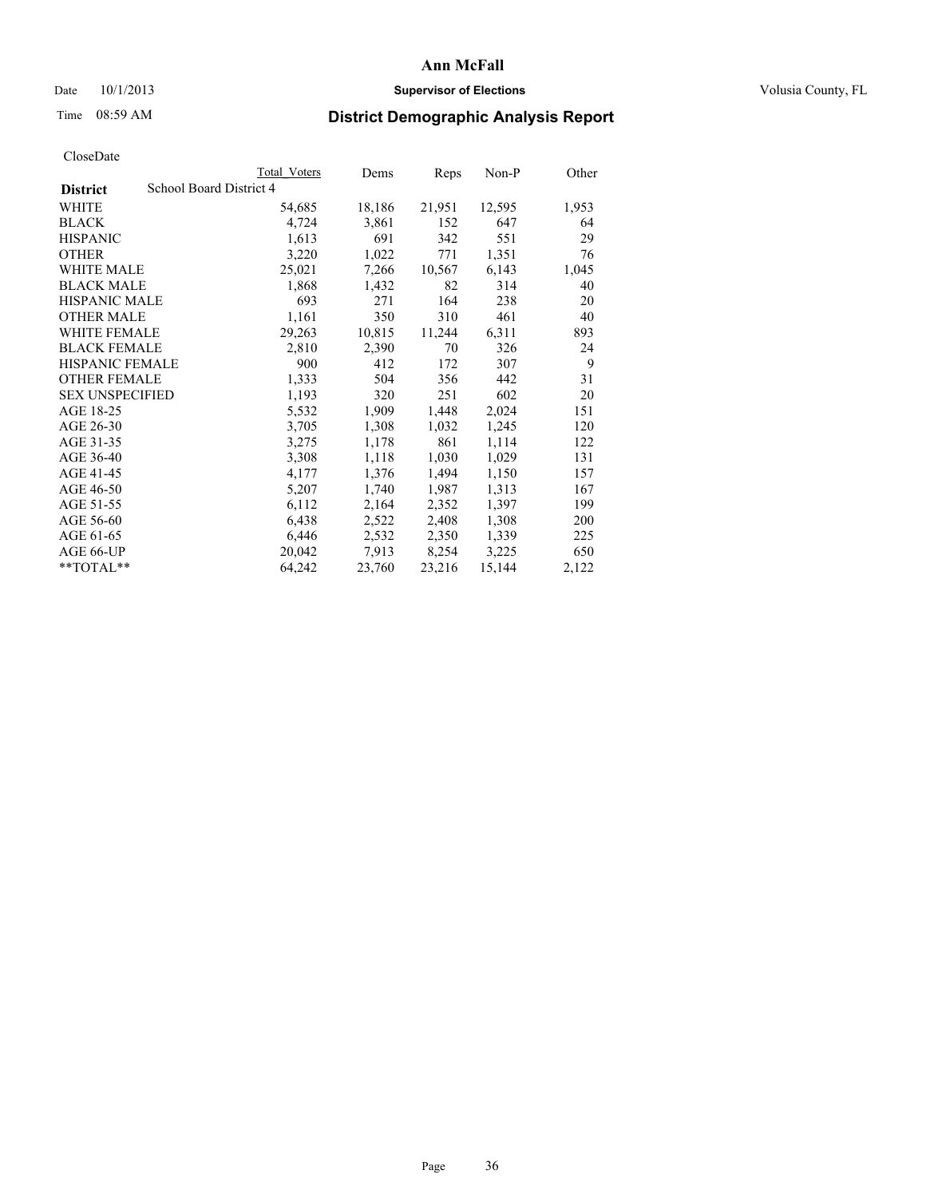## Date  $10/1/2013$  **Supervisor of Elections Supervisor of Elections** Volusia County, FL

# Time 08:59 AM **District Demographic Analysis Report**

|                        |                         | Total Voters | Dems   | <b>Reps</b> | Non-P  | Other |
|------------------------|-------------------------|--------------|--------|-------------|--------|-------|
| <b>District</b>        | School Board District 4 |              |        |             |        |       |
| <b>WHITE</b>           |                         | 54,685       | 18,186 | 21,951      | 12,595 | 1,953 |
| <b>BLACK</b>           |                         | 4,724        | 3,861  | 152         | 647    | 64    |
| <b>HISPANIC</b>        |                         | 1,613        | 691    | 342         | 551    | 29    |
| <b>OTHER</b>           |                         | 3,220        | 1,022  | 771         | 1,351  | 76    |
| <b>WHITE MALE</b>      |                         | 25,021       | 7,266  | 10,567      | 6,143  | 1,045 |
| <b>BLACK MALE</b>      |                         | 1,868        | 1,432  | 82          | 314    | 40    |
| <b>HISPANIC MALE</b>   |                         | 693          | 271    | 164         | 238    | 20    |
| <b>OTHER MALE</b>      |                         | 1,161        | 350    | 310         | 461    | 40    |
| WHITE FEMALE           |                         | 29,263       | 10,815 | 11,244      | 6,311  | 893   |
| <b>BLACK FEMALE</b>    |                         | 2,810        | 2,390  | 70          | 326    | 24    |
| HISPANIC FEMALE        |                         | 900          | 412    | 172         | 307    | 9     |
| <b>OTHER FEMALE</b>    |                         | 1,333        | 504    | 356         | 442    | 31    |
| <b>SEX UNSPECIFIED</b> |                         | 1,193        | 320    | 251         | 602    | 20    |
| AGE 18-25              |                         | 5,532        | 1,909  | 1,448       | 2,024  | 151   |
| AGE 26-30              |                         | 3,705        | 1,308  | 1,032       | 1,245  | 120   |
| AGE 31-35              |                         | 3,275        | 1,178  | 861         | 1,114  | 122   |
| AGE 36-40              |                         | 3,308        | 1,118  | 1,030       | 1,029  | 131   |
| AGE 41-45              |                         | 4,177        | 1,376  | 1,494       | 1,150  | 157   |
| AGE 46-50              |                         | 5,207        | 1,740  | 1,987       | 1,313  | 167   |
| AGE 51-55              |                         | 6,112        | 2,164  | 2,352       | 1,397  | 199   |
| AGE 56-60              |                         | 6,438        | 2,522  | 2,408       | 1,308  | 200   |
| AGE 61-65              |                         | 6,446        | 2,532  | 2,350       | 1,339  | 225   |
| AGE 66-UP              |                         | 20,042       | 7.913  | 8,254       | 3,225  | 650   |
| $*$ TOTAL $*$          |                         | 64,242       | 23,760 | 23,216      | 15,144 | 2,122 |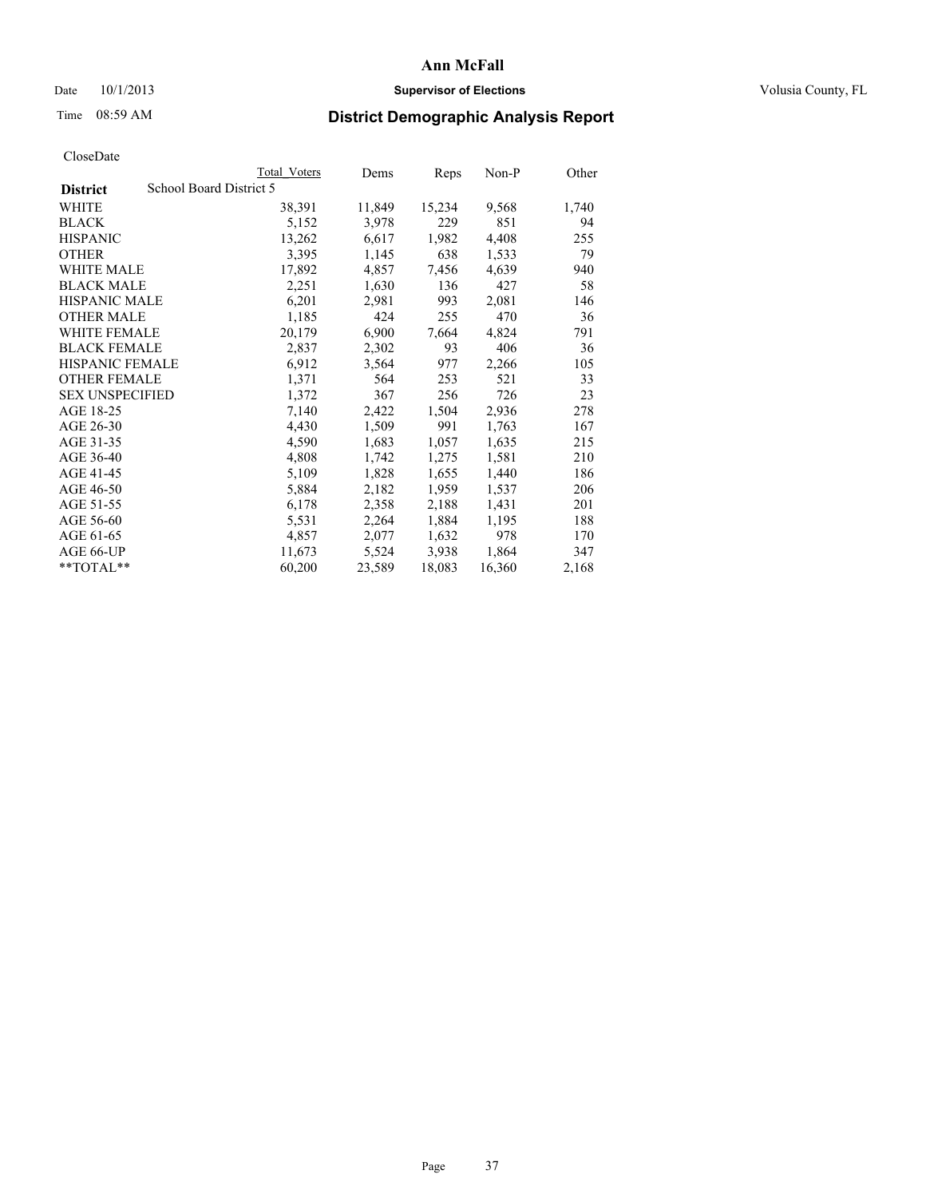### Date  $10/1/2013$  **Supervisor of Elections Supervisor of Elections** Volusia County, FL

# Time 08:59 AM **District Demographic Analysis Report**

|                        | <b>Total Voters</b>     | Dems   | Reps   | Non-P  | Other |
|------------------------|-------------------------|--------|--------|--------|-------|
| <b>District</b>        | School Board District 5 |        |        |        |       |
| <b>WHITE</b>           | 38,391                  | 11,849 | 15,234 | 9,568  | 1,740 |
| <b>BLACK</b>           | 5,152                   | 3,978  | 229    | 851    | 94    |
| <b>HISPANIC</b>        | 13,262                  | 6,617  | 1,982  | 4,408  | 255   |
| <b>OTHER</b>           | 3,395                   | 1,145  | 638    | 1,533  | 79    |
| <b>WHITE MALE</b>      | 17,892                  | 4,857  | 7.456  | 4,639  | 940   |
| <b>BLACK MALE</b>      | 2,251                   | 1,630  | 136    | 427    | 58    |
| <b>HISPANIC MALE</b>   | 6,201                   | 2,981  | 993    | 2,081  | 146   |
| <b>OTHER MALE</b>      | 1,185                   | 424    | 255    | 470    | 36    |
| WHITE FEMALE           | 20,179                  | 6,900  | 7,664  | 4,824  | 791   |
| <b>BLACK FEMALE</b>    | 2,837                   | 2,302  | 93     | 406    | 36    |
| HISPANIC FEMALE        | 6,912                   | 3,564  | 977    | 2,266  | 105   |
| <b>OTHER FEMALE</b>    | 1,371                   | 564    | 253    | 521    | 33    |
| <b>SEX UNSPECIFIED</b> | 1,372                   | 367    | 256    | 726    | 23    |
| AGE 18-25              | 7,140                   | 2,422  | 1,504  | 2,936  | 278   |
| AGE 26-30              | 4,430                   | 1,509  | 991    | 1,763  | 167   |
| AGE 31-35              | 4,590                   | 1,683  | 1,057  | 1,635  | 215   |
| AGE 36-40              | 4,808                   | 1,742  | 1,275  | 1,581  | 210   |
| AGE 41-45              | 5,109                   | 1,828  | 1,655  | 1,440  | 186   |
| AGE 46-50              | 5,884                   | 2,182  | 1,959  | 1,537  | 206   |
| AGE 51-55              | 6,178                   | 2,358  | 2,188  | 1,431  | 201   |
| AGE 56-60              | 5,531                   | 2,264  | 1,884  | 1,195  | 188   |
| AGE 61-65              | 4,857                   | 2,077  | 1,632  | 978    | 170   |
| AGE 66-UP              | 11,673                  | 5,524  | 3.938  | 1,864  | 347   |
| **TOTAL**              | 60,200                  | 23,589 | 18,083 | 16,360 | 2,168 |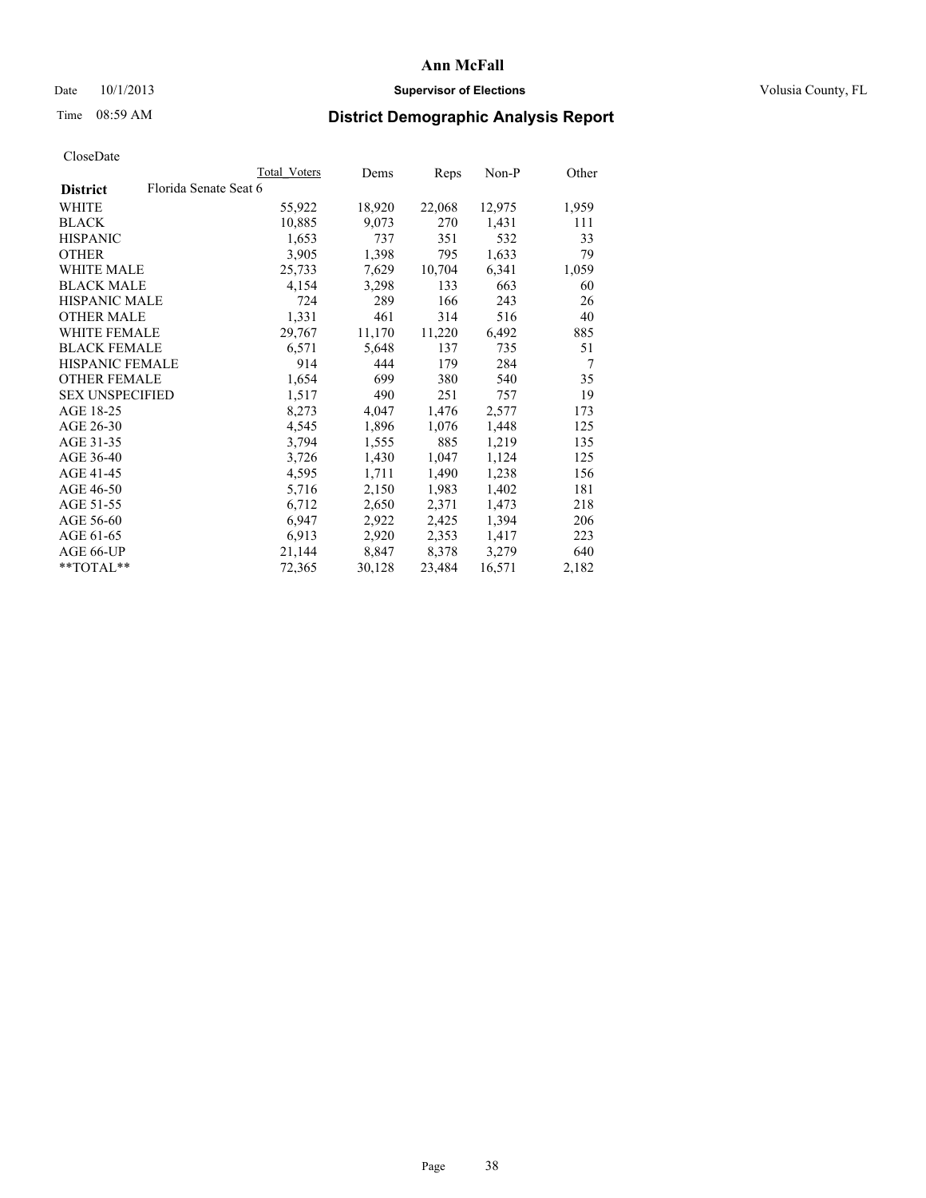### Date  $10/1/2013$  **Supervisor of Elections Supervisor of Elections** Volusia County, FL

# Time 08:59 AM **District Demographic Analysis Report**

|                                          | Total Voters | Dems   | Reps   | Non-P  | Other          |
|------------------------------------------|--------------|--------|--------|--------|----------------|
| Florida Senate Seat 6<br><b>District</b> |              |        |        |        |                |
| WHITE                                    | 55,922       | 18,920 | 22,068 | 12,975 | 1,959          |
| <b>BLACK</b>                             | 10,885       | 9,073  | 270    | 1,431  | 111            |
| <b>HISPANIC</b>                          | 1,653        | 737    | 351    | 532    | 33             |
| <b>OTHER</b>                             | 3,905        | 1,398  | 795    | 1,633  | 79             |
| WHITE MALE                               | 25,733       | 7,629  | 10,704 | 6,341  | 1,059          |
| <b>BLACK MALE</b>                        | 4,154        | 3,298  | 133    | 663    | 60             |
| <b>HISPANIC MALE</b>                     | 724          | 289    | 166    | 243    | 26             |
| <b>OTHER MALE</b>                        | 1,331        | 461    | 314    | 516    | 40             |
| WHITE FEMALE                             | 29,767       | 11,170 | 11,220 | 6,492  | 885            |
| <b>BLACK FEMALE</b>                      | 6,571        | 5,648  | 137    | 735    | 51             |
| <b>HISPANIC FEMALE</b>                   | 914          | 444    | 179    | 284    | $\overline{7}$ |
| <b>OTHER FEMALE</b>                      | 1,654        | 699    | 380    | 540    | 35             |
| <b>SEX UNSPECIFIED</b>                   | 1,517        | 490    | 251    | 757    | 19             |
| AGE 18-25                                | 8,273        | 4,047  | 1,476  | 2,577  | 173            |
| AGE 26-30                                | 4,545        | 1,896  | 1,076  | 1,448  | 125            |
| AGE 31-35                                | 3,794        | 1,555  | 885    | 1,219  | 135            |
| AGE 36-40                                | 3,726        | 1,430  | 1,047  | 1,124  | 125            |
| AGE 41-45                                | 4,595        | 1,711  | 1,490  | 1,238  | 156            |
| AGE 46-50                                | 5,716        | 2,150  | 1,983  | 1,402  | 181            |
| AGE 51-55                                | 6,712        | 2,650  | 2,371  | 1,473  | 218            |
| AGE 56-60                                | 6,947        | 2,922  | 2,425  | 1,394  | 206            |
| AGE 61-65                                | 6,913        | 2,920  | 2,353  | 1,417  | 223            |
| AGE 66-UP                                | 21,144       | 8,847  | 8,378  | 3,279  | 640            |
| **TOTAL**                                | 72,365       | 30,128 | 23,484 | 16,571 | 2,182          |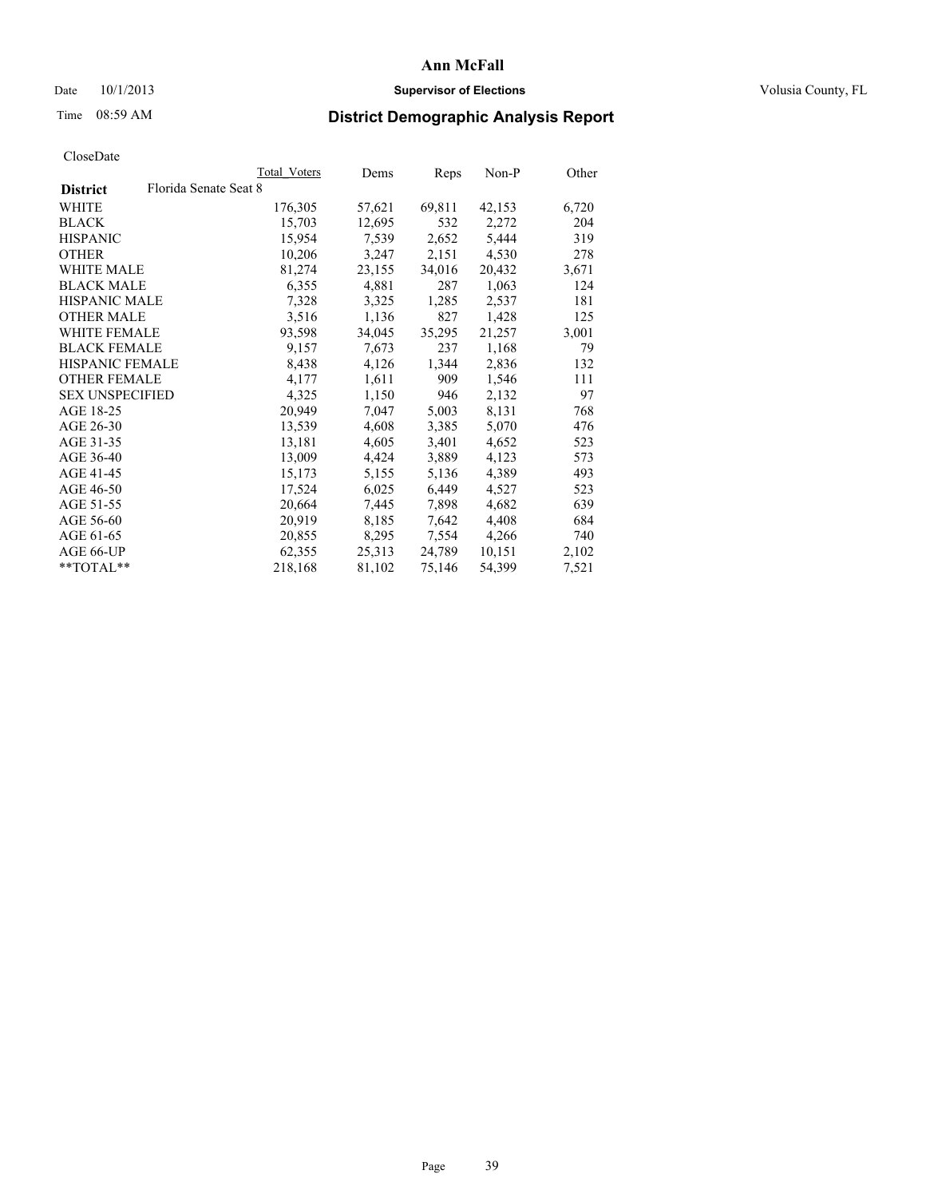### Date  $10/1/2013$  **Supervisor of Elections Supervisor of Elections** Volusia County, FL

# Time 08:59 AM **District Demographic Analysis Report**

|                                          | Total Voters | Dems   | <b>Reps</b> | Non-P  | Other |
|------------------------------------------|--------------|--------|-------------|--------|-------|
| Florida Senate Seat 8<br><b>District</b> |              |        |             |        |       |
| WHITE                                    | 176,305      | 57,621 | 69,811      | 42,153 | 6,720 |
| <b>BLACK</b>                             | 15,703       | 12,695 | 532         | 2,272  | 204   |
| <b>HISPANIC</b>                          | 15,954       | 7,539  | 2,652       | 5,444  | 319   |
| <b>OTHER</b>                             | 10,206       | 3,247  | 2,151       | 4,530  | 278   |
| <b>WHITE MALE</b>                        | 81,274       | 23,155 | 34,016      | 20,432 | 3,671 |
| <b>BLACK MALE</b>                        | 6,355        | 4,881  | 287         | 1,063  | 124   |
| <b>HISPANIC MALE</b>                     | 7,328        | 3,325  | 1,285       | 2,537  | 181   |
| <b>OTHER MALE</b>                        | 3,516        | 1,136  | 827         | 1,428  | 125   |
| WHITE FEMALE                             | 93,598       | 34,045 | 35,295      | 21,257 | 3,001 |
| <b>BLACK FEMALE</b>                      | 9,157        | 7,673  | 237         | 1,168  | 79    |
| <b>HISPANIC FEMALE</b>                   | 8,438        | 4,126  | 1,344       | 2,836  | 132   |
| <b>OTHER FEMALE</b>                      | 4,177        | 1,611  | 909         | 1,546  | 111   |
| <b>SEX UNSPECIFIED</b>                   | 4,325        | 1,150  | 946         | 2,132  | 97    |
| AGE 18-25                                | 20,949       | 7,047  | 5,003       | 8,131  | 768   |
| AGE 26-30                                | 13,539       | 4,608  | 3,385       | 5,070  | 476   |
| AGE 31-35                                | 13,181       | 4,605  | 3,401       | 4,652  | 523   |
| AGE 36-40                                | 13,009       | 4,424  | 3,889       | 4,123  | 573   |
| AGE 41-45                                | 15,173       | 5,155  | 5,136       | 4,389  | 493   |
| AGE 46-50                                | 17,524       | 6,025  | 6,449       | 4,527  | 523   |
| AGE 51-55                                | 20,664       | 7,445  | 7,898       | 4,682  | 639   |
| AGE 56-60                                | 20,919       | 8,185  | 7,642       | 4,408  | 684   |
| AGE 61-65                                | 20,855       | 8,295  | 7,554       | 4,266  | 740   |
| AGE 66-UP                                | 62,355       | 25,313 | 24,789      | 10,151 | 2,102 |
| $*$ TOTAL $*$                            | 218,168      | 81,102 | 75,146      | 54,399 | 7,521 |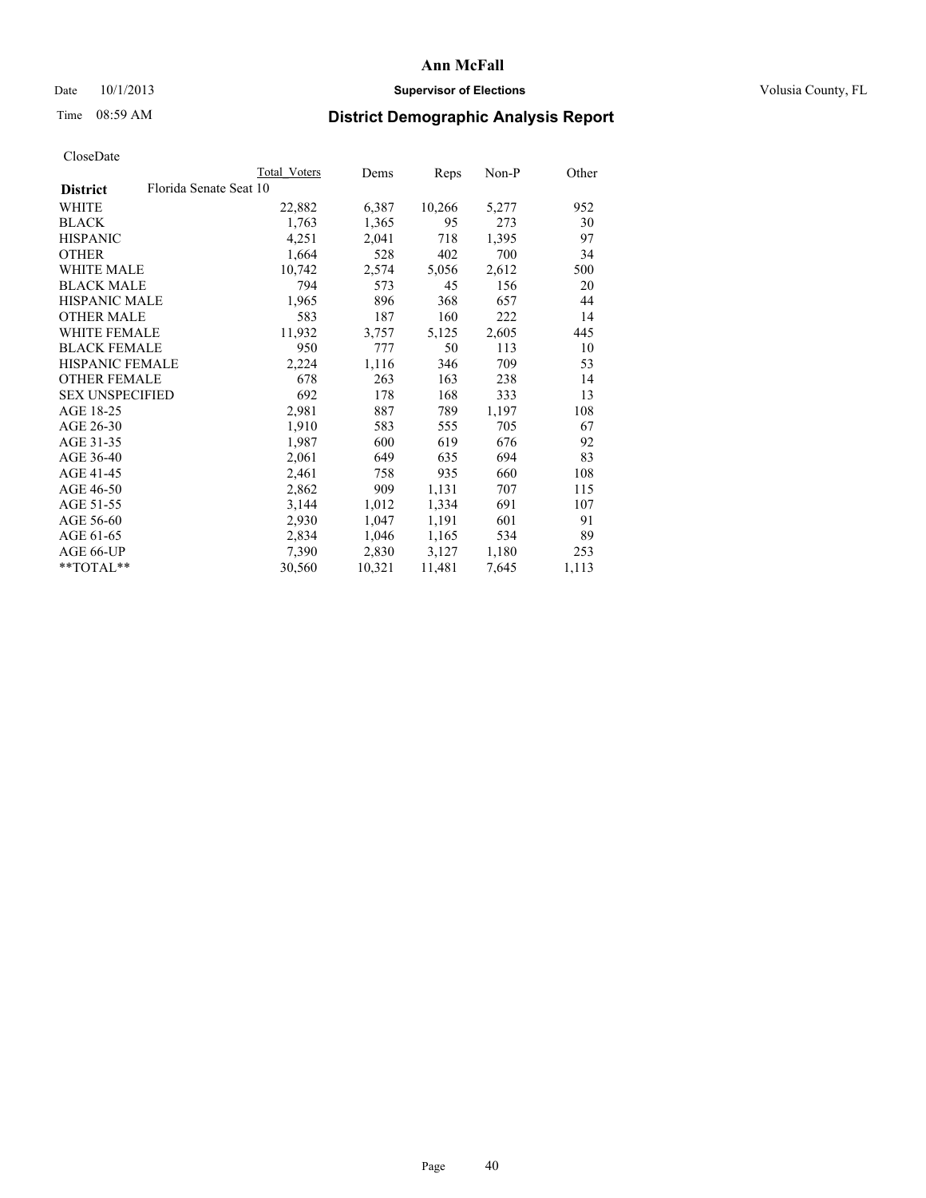### Date  $10/1/2013$  **Supervisor of Elections Supervisor of Elections** Volusia County, FL

# Time 08:59 AM **District Demographic Analysis Report**

|                        | Total Voters           | Dems   | Reps   | Non-P | Other |
|------------------------|------------------------|--------|--------|-------|-------|
| <b>District</b>        | Florida Senate Seat 10 |        |        |       |       |
| WHITE                  | 22,882                 | 6,387  | 10,266 | 5,277 | 952   |
| <b>BLACK</b>           | 1,763                  | 1,365  | 95     | 273   | 30    |
| <b>HISPANIC</b>        | 4,251                  | 2,041  | 718    | 1,395 | 97    |
| <b>OTHER</b>           | 1,664                  | 528    | 402    | 700   | 34    |
| <b>WHITE MALE</b>      | 10,742                 | 2,574  | 5,056  | 2,612 | 500   |
| <b>BLACK MALE</b>      | 794                    | 573    | 45     | 156   | 20    |
| <b>HISPANIC MALE</b>   | 1,965                  | 896    | 368    | 657   | 44    |
| <b>OTHER MALE</b>      | 583                    | 187    | 160    | 222   | 14    |
| WHITE FEMALE           | 11,932                 | 3,757  | 5,125  | 2,605 | 445   |
| <b>BLACK FEMALE</b>    | 950                    | 777    | 50     | 113   | 10    |
| <b>HISPANIC FEMALE</b> | 2,224                  | 1,116  | 346    | 709   | 53    |
| <b>OTHER FEMALE</b>    | 678                    | 263    | 163    | 238   | 14    |
| <b>SEX UNSPECIFIED</b> | 692                    | 178    | 168    | 333   | 13    |
| AGE 18-25              | 2,981                  | 887    | 789    | 1,197 | 108   |
| AGE 26-30              | 1,910                  | 583    | 555    | 705   | 67    |
| AGE 31-35              | 1,987                  | 600    | 619    | 676   | 92    |
| AGE 36-40              | 2,061                  | 649    | 635    | 694   | 83    |
| AGE 41-45              | 2,461                  | 758    | 935    | 660   | 108   |
| AGE 46-50              | 2,862                  | 909    | 1,131  | 707   | 115   |
| AGE 51-55              | 3,144                  | 1,012  | 1,334  | 691   | 107   |
| AGE 56-60              | 2,930                  | 1,047  | 1,191  | 601   | 91    |
| AGE 61-65              | 2,834                  | 1,046  | 1,165  | 534   | 89    |
| AGE 66-UP              | 7,390                  | 2,830  | 3,127  | 1,180 | 253   |
| **TOTAL**              | 30,560                 | 10,321 | 11,481 | 7,645 | 1,113 |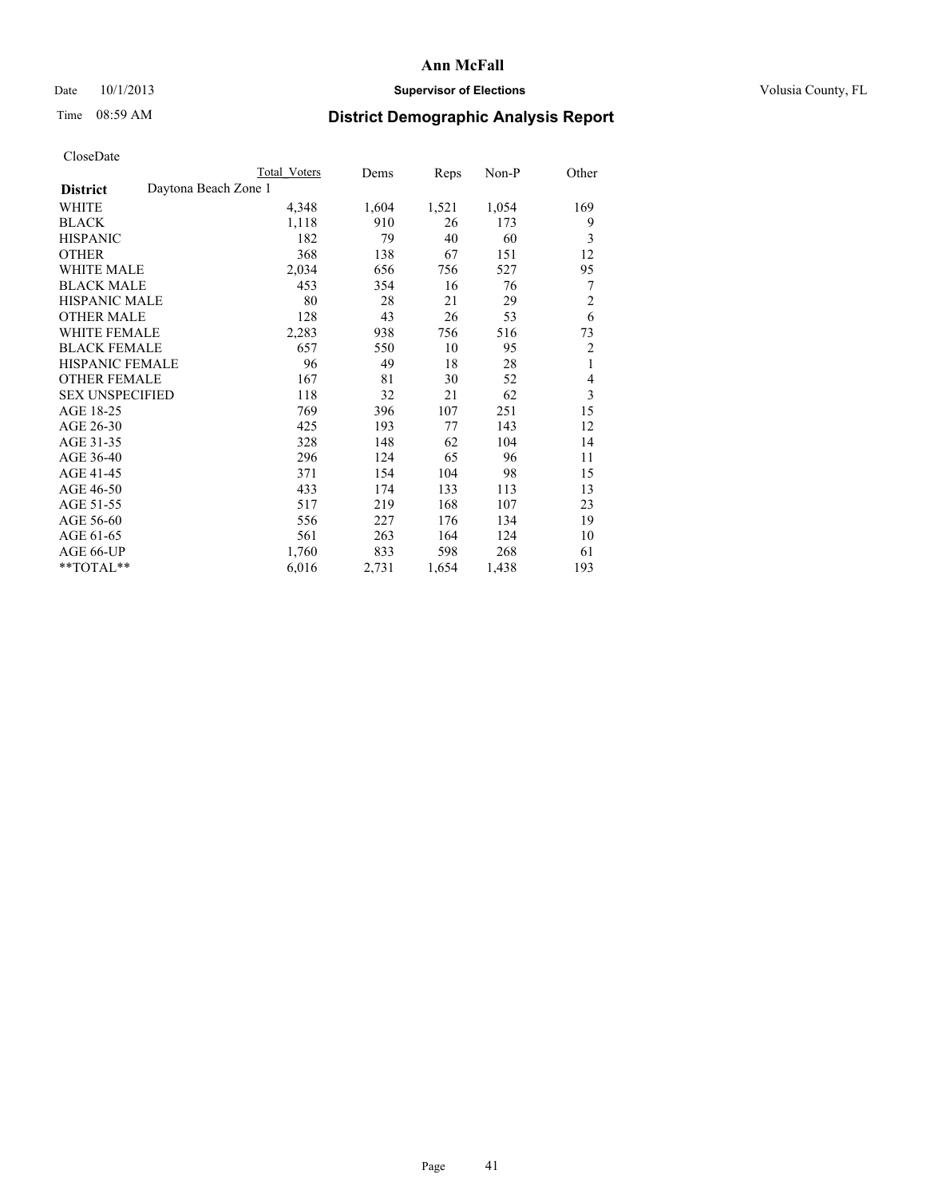### Date 10/1/2013 **Supervisor of Elections Supervisor of Elections** Volusia County, FL

# Time 08:59 AM **District Demographic Analysis Report**

|                                         | <b>Total Voters</b> | Dems  | Reps  | Non-P | Other          |
|-----------------------------------------|---------------------|-------|-------|-------|----------------|
| Daytona Beach Zone 1<br><b>District</b> |                     |       |       |       |                |
| WHITE                                   | 4,348               | 1,604 | 1,521 | 1,054 | 169            |
| <b>BLACK</b>                            | 1,118               | 910   | 26    | 173   | 9              |
| <b>HISPANIC</b>                         | 182                 | 79    | 40    | 60    | 3              |
| <b>OTHER</b>                            | 368                 | 138   | 67    | 151   | 12             |
| <b>WHITE MALE</b>                       | 2,034               | 656   | 756   | 527   | 95             |
| <b>BLACK MALE</b>                       | 453                 | 354   | 16    | 76    | 7              |
| HISPANIC MALE                           | 80                  | 28    | 21    | 29    | $\overline{c}$ |
| <b>OTHER MALE</b>                       | 128                 | 43    | 26    | 53    | 6              |
| <b>WHITE FEMALE</b>                     | 2,283               | 938   | 756   | 516   | 73             |
| <b>BLACK FEMALE</b>                     | 657                 | 550   | 10    | 95    | $\overline{c}$ |
| <b>HISPANIC FEMALE</b>                  | 96                  | 49    | 18    | 28    | 1              |
| <b>OTHER FEMALE</b>                     | 167                 | 81    | 30    | 52    | 4              |
| <b>SEX UNSPECIFIED</b>                  | 118                 | 32    | 21    | 62    | 3              |
| AGE 18-25                               | 769                 | 396   | 107   | 251   | 15             |
| AGE 26-30                               | 425                 | 193   | 77    | 143   | 12             |
| AGE 31-35                               | 328                 | 148   | 62    | 104   | 14             |
| AGE 36-40                               | 296                 | 124   | 65    | 96    | 11             |
| AGE 41-45                               | 371                 | 154   | 104   | 98    | 15             |
| AGE 46-50                               | 433                 | 174   | 133   | 113   | 13             |
| AGE 51-55                               | 517                 | 219   | 168   | 107   | 23             |
| AGE 56-60                               | 556                 | 227   | 176   | 134   | 19             |
| AGE 61-65                               | 561                 | 263   | 164   | 124   | 10             |
| AGE 66-UP                               | 1,760               | 833   | 598   | 268   | 61             |
| **TOTAL**                               | 6,016               | 2,731 | 1,654 | 1,438 | 193            |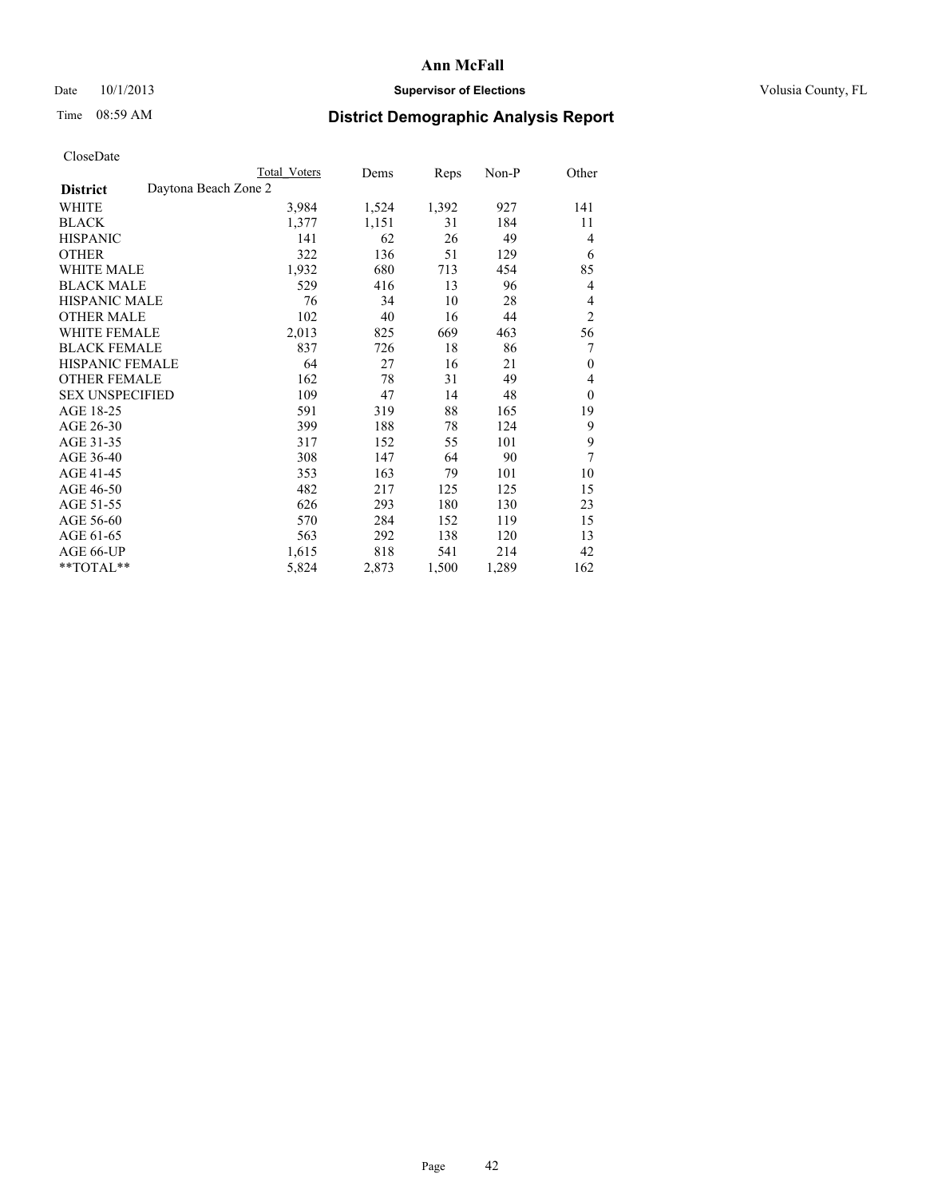### Date 10/1/2013 **Supervisor of Elections Supervisor of Elections** Volusia County, FL

## Time 08:59 AM **District Demographic Analysis Report**

|                                         | <b>Total Voters</b> | Dems  | Reps  | Non-P | Other          |
|-----------------------------------------|---------------------|-------|-------|-------|----------------|
| Daytona Beach Zone 2<br><b>District</b> |                     |       |       |       |                |
| <b>WHITE</b>                            | 3,984               | 1,524 | 1,392 | 927   | 141            |
| <b>BLACK</b>                            | 1,377               | 1,151 | 31    | 184   | 11             |
| <b>HISPANIC</b>                         | 141                 | 62    | 26    | 49    | 4              |
| <b>OTHER</b>                            | 322                 | 136   | 51    | 129   | 6              |
| WHITE MALE                              | 1,932               | 680   | 713   | 454   | 85             |
| <b>BLACK MALE</b>                       | 529                 | 416   | 13    | 96    | 4              |
| HISPANIC MALE                           | 76                  | 34    | 10    | 28    | 4              |
| <b>OTHER MALE</b>                       | 102                 | 40    | 16    | 44    | $\overline{2}$ |
| WHITE FEMALE                            | 2,013               | 825   | 669   | 463   | 56             |
| <b>BLACK FEMALE</b>                     | 837                 | 726   | 18    | 86    | 7              |
| <b>HISPANIC FEMALE</b>                  | 64                  | 27    | 16    | 21    | $\mathbf{0}$   |
| <b>OTHER FEMALE</b>                     | 162                 | 78    | 31    | 49    | 4              |
| <b>SEX UNSPECIFIED</b>                  | 109                 | 47    | 14    | 48    | $\mathbf{0}$   |
| AGE 18-25                               | 591                 | 319   | 88    | 165   | 19             |
| AGE 26-30                               | 399                 | 188   | 78    | 124   | 9              |
| AGE 31-35                               | 317                 | 152   | 55    | 101   | 9              |
| AGE 36-40                               | 308                 | 147   | 64    | 90    | 7              |
| AGE 41-45                               | 353                 | 163   | 79    | 101   | 10             |
| AGE 46-50                               | 482                 | 217   | 125   | 125   | 15             |
| AGE 51-55                               | 626                 | 293   | 180   | 130   | 23             |
| AGE 56-60                               | 570                 | 284   | 152   | 119   | 15             |
| AGE 61-65                               | 563                 | 292   | 138   | 120   | 13             |
| AGE 66-UP                               | 1,615               | 818   | 541   | 214   | 42             |
| **TOTAL**                               | 5,824               | 2,873 | 1,500 | 1,289 | 162            |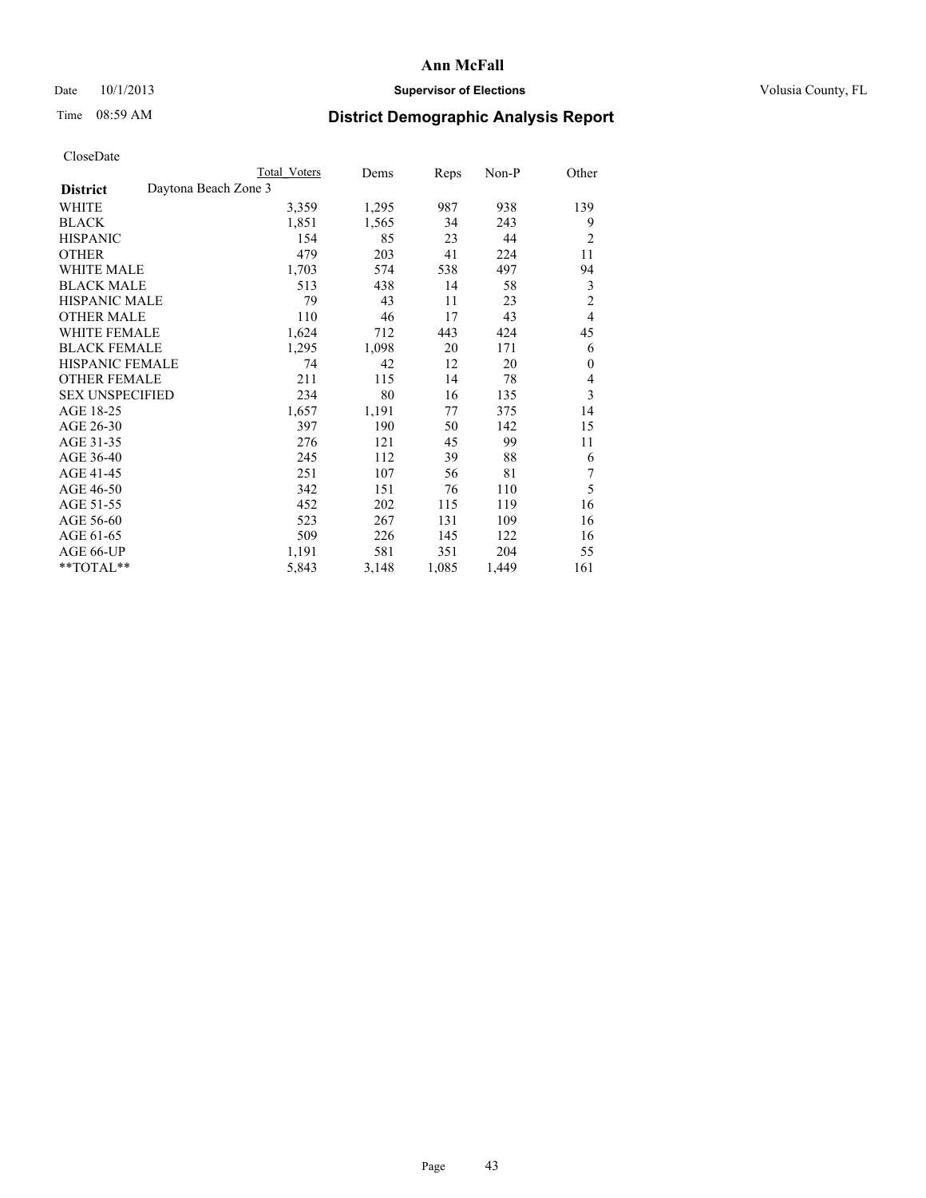### Date  $10/1/2013$  **Supervisor of Elections Supervisor of Elections** Volusia County, FL

# Time 08:59 AM **District Demographic Analysis Report**

|                        |                      | <b>Total Voters</b> | Dems  | Reps  | Non-P | Other          |
|------------------------|----------------------|---------------------|-------|-------|-------|----------------|
| <b>District</b>        | Daytona Beach Zone 3 |                     |       |       |       |                |
| WHITE                  |                      | 3,359               | 1,295 | 987   | 938   | 139            |
| <b>BLACK</b>           |                      | 1,851               | 1,565 | 34    | 243   | 9              |
| <b>HISPANIC</b>        |                      | 154                 | 85    | 23    | 44    | $\overline{2}$ |
| <b>OTHER</b>           |                      | 479                 | 203   | 41    | 224   | 11             |
| WHITE MALE             |                      | 1,703               | 574   | 538   | 497   | 94             |
| <b>BLACK MALE</b>      |                      | 513                 | 438   | 14    | 58    | 3              |
| <b>HISPANIC MALE</b>   |                      | 79                  | 43    | 11    | 23    | $\overline{c}$ |
| <b>OTHER MALE</b>      |                      | 110                 | 46    | 17    | 43    | $\overline{4}$ |
| <b>WHITE FEMALE</b>    |                      | 1,624               | 712   | 443   | 424   | 45             |
| <b>BLACK FEMALE</b>    |                      | 1,295               | 1,098 | 20    | 171   | 6              |
| HISPANIC FEMALE        |                      | 74                  | 42    | 12    | 20    | $\mathbf{0}$   |
| <b>OTHER FEMALE</b>    |                      | 211                 | 115   | 14    | 78    | 4              |
| <b>SEX UNSPECIFIED</b> |                      | 234                 | 80    | 16    | 135   | 3              |
| AGE 18-25              |                      | 1,657               | 1,191 | 77    | 375   | 14             |
| AGE 26-30              |                      | 397                 | 190   | 50    | 142   | 15             |
| AGE 31-35              |                      | 276                 | 121   | 45    | 99    | 11             |
| AGE 36-40              |                      | 245                 | 112   | 39    | 88    | 6              |
| AGE 41-45              |                      | 251                 | 107   | 56    | 81    | 7              |
| AGE 46-50              |                      | 342                 | 151   | 76    | 110   | 5              |
| AGE 51-55              |                      | 452                 | 202   | 115   | 119   | 16             |
| AGE 56-60              |                      | 523                 | 267   | 131   | 109   | 16             |
| AGE 61-65              |                      | 509                 | 226   | 145   | 122   | 16             |
| AGE 66-UP              |                      | 1,191               | 581   | 351   | 204   | 55             |
| **TOTAL**              |                      | 5,843               | 3,148 | 1,085 | 1,449 | 161            |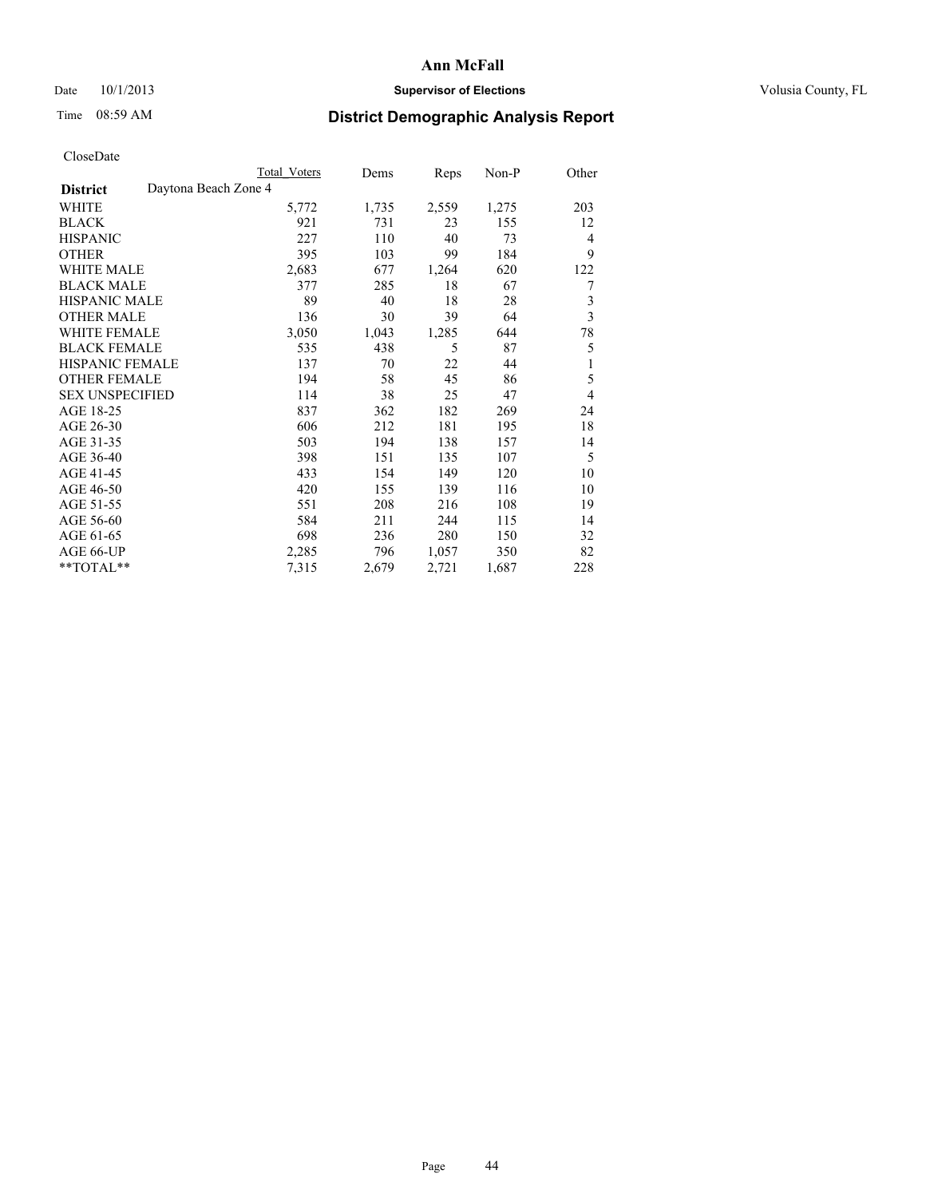### Date 10/1/2013 **Supervisor of Elections Supervisor of Elections** Volusia County, FL

## Time 08:59 AM **District Demographic Analysis Report**

|                                         | <b>Total Voters</b> | Dems  | Reps  | Non-P | Other          |
|-----------------------------------------|---------------------|-------|-------|-------|----------------|
| Daytona Beach Zone 4<br><b>District</b> |                     |       |       |       |                |
| WHITE                                   | 5,772               | 1,735 | 2,559 | 1,275 | 203            |
| <b>BLACK</b>                            | 921                 | 731   | 23    | 155   | 12             |
| <b>HISPANIC</b>                         | 227                 | 110   | 40    | 73    | $\overline{4}$ |
| <b>OTHER</b>                            | 395                 | 103   | 99    | 184   | 9              |
| WHITE MALE                              | 2,683               | 677   | 1,264 | 620   | 122            |
| <b>BLACK MALE</b>                       | 377                 | 285   | 18    | 67    | 7              |
| HISPANIC MALE                           | 89                  | 40    | 18    | 28    | 3              |
| <b>OTHER MALE</b>                       | 136                 | 30    | 39    | 64    | $\mathfrak{Z}$ |
| <b>WHITE FEMALE</b>                     | 3,050               | 1,043 | 1,285 | 644   | 78             |
| <b>BLACK FEMALE</b>                     | 535                 | 438   | 5     | 87    | 5              |
| <b>HISPANIC FEMALE</b>                  | 137                 | 70    | 22    | 44    | 1              |
| <b>OTHER FEMALE</b>                     | 194                 | 58    | 45    | 86    | 5              |
| <b>SEX UNSPECIFIED</b>                  | 114                 | 38    | 25    | 47    | $\overline{4}$ |
| AGE 18-25                               | 837                 | 362   | 182   | 269   | 24             |
| AGE 26-30                               | 606                 | 212   | 181   | 195   | 18             |
| AGE 31-35                               | 503                 | 194   | 138   | 157   | 14             |
| AGE 36-40                               | 398                 | 151   | 135   | 107   | 5              |
| AGE 41-45                               | 433                 | 154   | 149   | 120   | 10             |
| AGE 46-50                               | 420                 | 155   | 139   | 116   | 10             |
| AGE 51-55                               | 551                 | 208   | 216   | 108   | 19             |
| AGE 56-60                               | 584                 | 211   | 244   | 115   | 14             |
| AGE 61-65                               | 698                 | 236   | 280   | 150   | 32             |
| AGE 66-UP                               | 2,285               | 796   | 1,057 | 350   | 82             |
| **TOTAL**                               | 7,315               | 2,679 | 2,721 | 1,687 | 228            |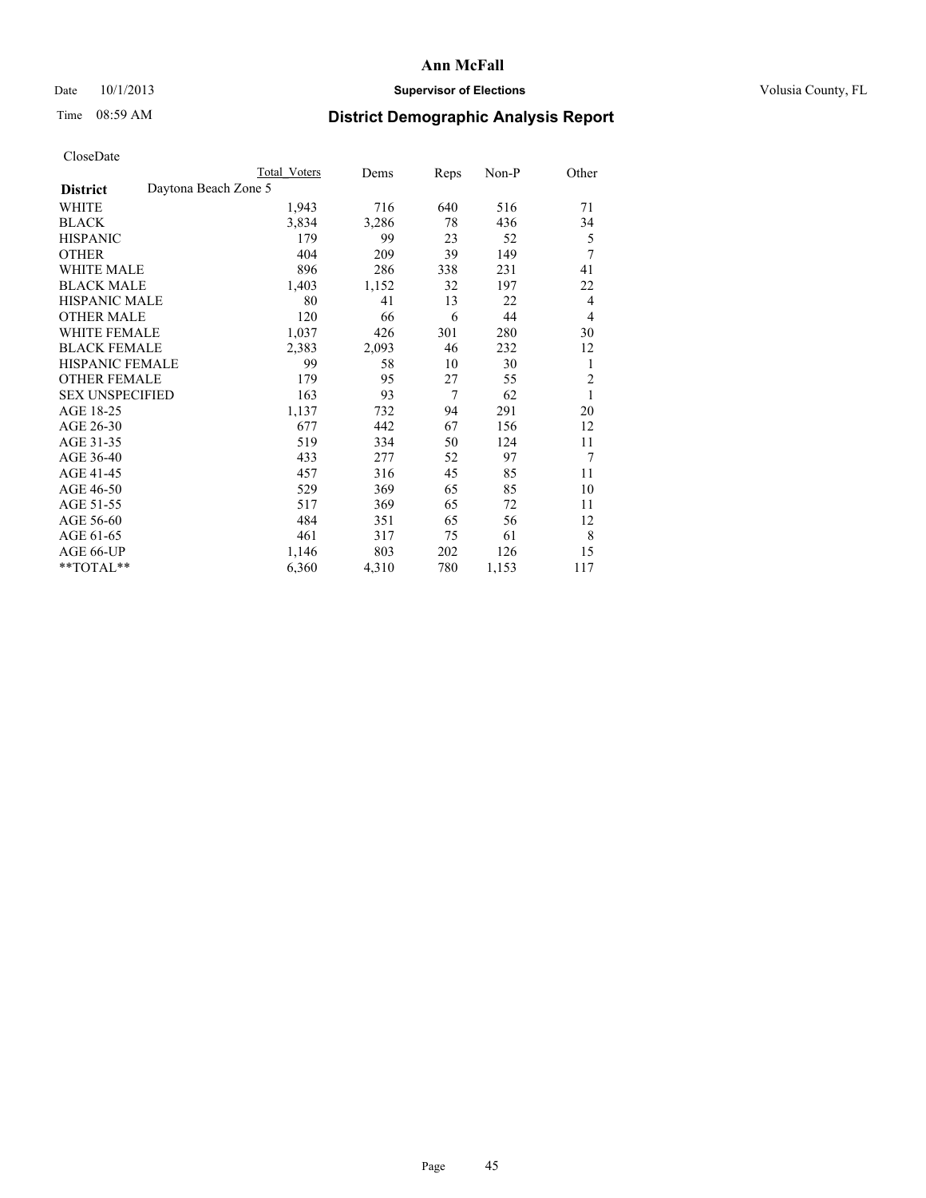### Date 10/1/2013 **Supervisor of Elections Supervisor of Elections** Volusia County, FL

# Time 08:59 AM **District Demographic Analysis Report**

|                                         | Total Voters | Dems  | <b>Reps</b> | Non-P | Other          |
|-----------------------------------------|--------------|-------|-------------|-------|----------------|
| Daytona Beach Zone 5<br><b>District</b> |              |       |             |       |                |
| WHITE                                   | 1,943        | 716   | 640         | 516   | 71             |
| <b>BLACK</b>                            | 3,834        | 3,286 | 78          | 436   | 34             |
| <b>HISPANIC</b>                         | 179          | 99    | 23          | 52    | 5              |
| <b>OTHER</b>                            | 404          | 209   | 39          | 149   | 7              |
| <b>WHITE MALE</b>                       | 896          | 286   | 338         | 231   | 41             |
| <b>BLACK MALE</b>                       | 1,403        | 1,152 | 32          | 197   | 22             |
| <b>HISPANIC MALE</b>                    | 80           | 41    | 13          | 22    | 4              |
| <b>OTHER MALE</b>                       | 120          | 66    | 6           | 44    | 4              |
| <b>WHITE FEMALE</b>                     | 1,037        | 426   | 301         | 280   | 30             |
| <b>BLACK FEMALE</b>                     | 2,383        | 2,093 | 46          | 232   | 12             |
| <b>HISPANIC FEMALE</b>                  | 99           | 58    | 10          | 30    | 1              |
| <b>OTHER FEMALE</b>                     | 179          | 95    | 27          | 55    | $\overline{2}$ |
| <b>SEX UNSPECIFIED</b>                  | 163          | 93    | 7           | 62    | 1              |
| AGE 18-25                               | 1,137        | 732   | 94          | 291   | 20             |
| AGE 26-30                               | 677          | 442   | 67          | 156   | 12             |
| AGE 31-35                               | 519          | 334   | 50          | 124   | 11             |
| AGE 36-40                               | 433          | 277   | 52          | 97    | 7              |
| AGE 41-45                               | 457          | 316   | 45          | 85    | 11             |
| AGE 46-50                               | 529          | 369   | 65          | 85    | 10             |
| AGE 51-55                               | 517          | 369   | 65          | 72    | 11             |
| AGE 56-60                               | 484          | 351   | 65          | 56    | 12             |
| AGE 61-65                               | 461          | 317   | 75          | 61    | 8              |
| AGE 66-UP                               | 1,146        | 803   | 202         | 126   | 15             |
| **TOTAL**                               | 6,360        | 4,310 | 780         | 1,153 | 117            |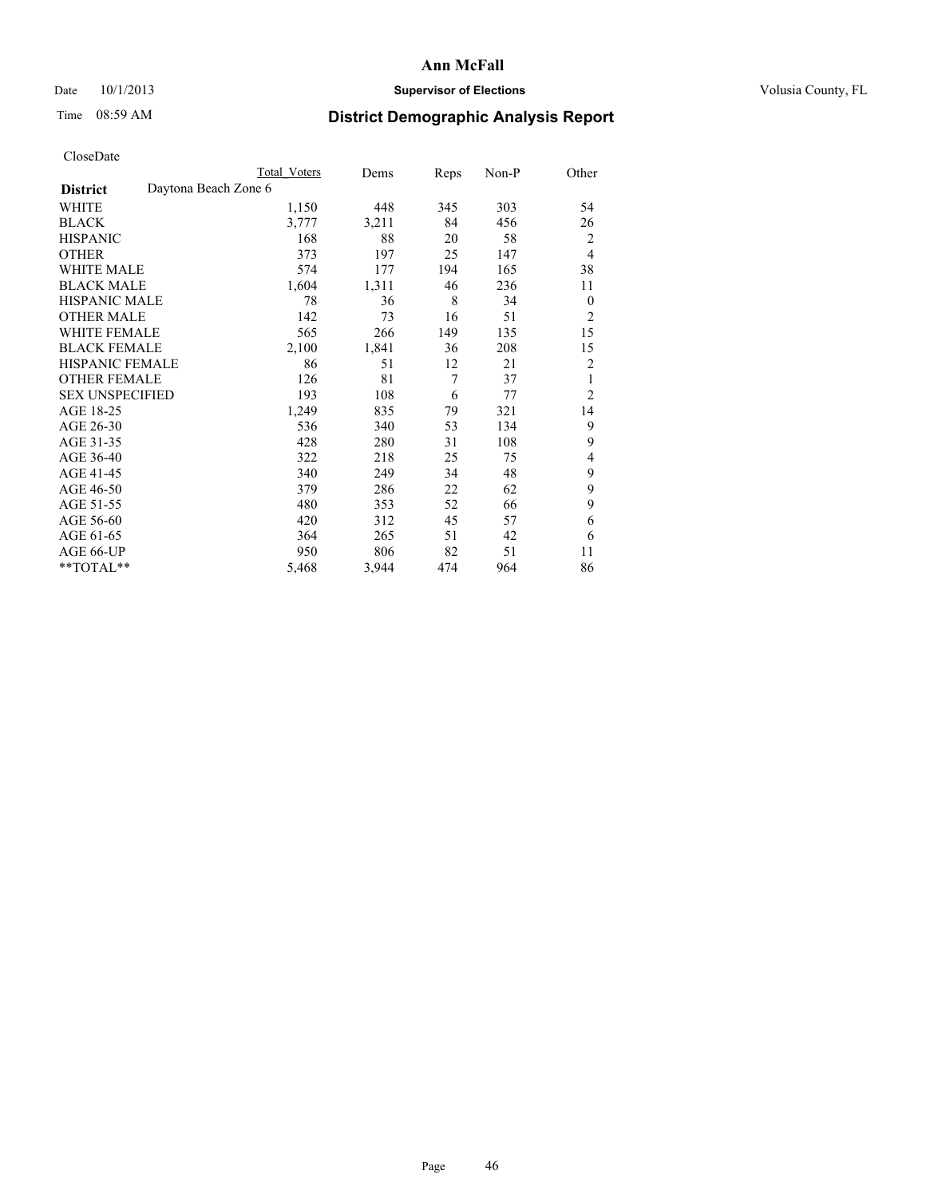### Date 10/1/2013 **Supervisor of Elections Supervisor of Elections** Volusia County, FL

# Time 08:59 AM **District Demographic Analysis Report**

|                        |                      | Total Voters | Dems  | Reps | Non-P | Other          |
|------------------------|----------------------|--------------|-------|------|-------|----------------|
| <b>District</b>        | Daytona Beach Zone 6 |              |       |      |       |                |
| WHITE                  |                      | 1,150        | 448   | 345  | 303   | 54             |
| <b>BLACK</b>           |                      | 3,777        | 3,211 | 84   | 456   | 26             |
| <b>HISPANIC</b>        |                      | 168          | 88    | 20   | 58    | 2              |
| <b>OTHER</b>           |                      | 373          | 197   | 25   | 147   | $\overline{4}$ |
| <b>WHITE MALE</b>      |                      | 574          | 177   | 194  | 165   | 38             |
| <b>BLACK MALE</b>      |                      | 1,604        | 1,311 | 46   | 236   | 11             |
| <b>HISPANIC MALE</b>   |                      | 78           | 36    | 8    | 34    | $\theta$       |
| <b>OTHER MALE</b>      |                      | 142          | 73    | 16   | 51    | 2              |
| <b>WHITE FEMALE</b>    |                      | 565          | 266   | 149  | 135   | 15             |
| <b>BLACK FEMALE</b>    |                      | 2,100        | 1,841 | 36   | 208   | 15             |
| <b>HISPANIC FEMALE</b> |                      | 86           | 51    | 12   | 21    | $\overline{2}$ |
| <b>OTHER FEMALE</b>    |                      | 126          | 81    | 7    | 37    | 1              |
| <b>SEX UNSPECIFIED</b> |                      | 193          | 108   | 6    | 77    | $\overline{2}$ |
| AGE 18-25              |                      | 1,249        | 835   | 79   | 321   | 14             |
| AGE 26-30              |                      | 536          | 340   | 53   | 134   | 9              |
| AGE 31-35              |                      | 428          | 280   | 31   | 108   | 9              |
| AGE 36-40              |                      | 322          | 218   | 25   | 75    | 4              |
| AGE 41-45              |                      | 340          | 249   | 34   | 48    | 9              |
| AGE 46-50              |                      | 379          | 286   | 22   | 62    | 9              |
| AGE 51-55              |                      | 480          | 353   | 52   | 66    | 9              |
| AGE 56-60              |                      | 420          | 312   | 45   | 57    | 6              |
| AGE 61-65              |                      | 364          | 265   | 51   | 42    | 6              |
| AGE 66-UP              |                      | 950          | 806   | 82   | 51    | 11             |
| **TOTAL**              |                      | 5,468        | 3,944 | 474  | 964   | 86             |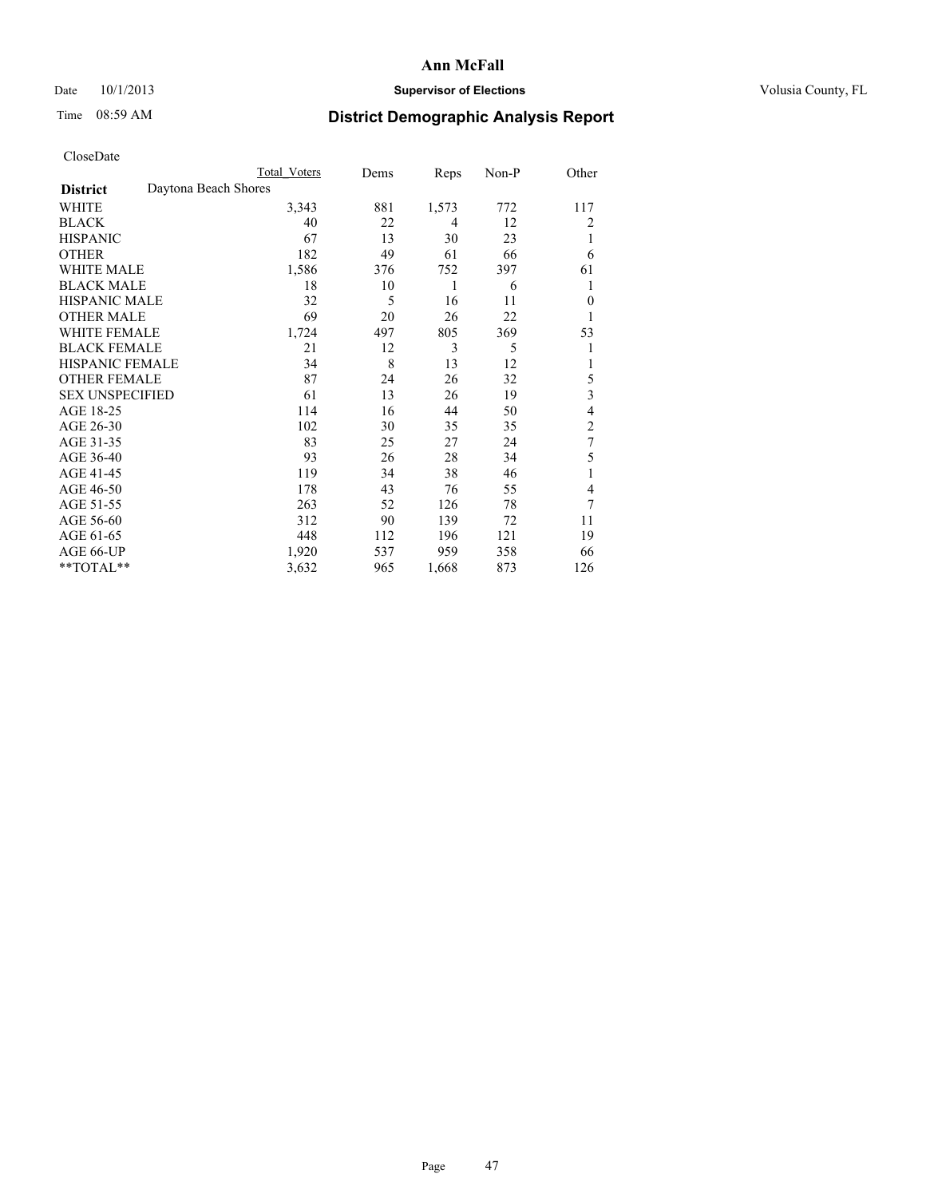### Date 10/1/2013 **Supervisor of Elections Supervisor of Elections** Volusia County, FL

## Time 08:59 AM **District Demographic Analysis Report**

|                        | <b>Total Voters</b>  | Dems | Reps  | Non-P | Other          |
|------------------------|----------------------|------|-------|-------|----------------|
| <b>District</b>        | Daytona Beach Shores |      |       |       |                |
| WHITE                  | 3,343                | 881  | 1,573 | 772   | 117            |
| <b>BLACK</b>           | 40                   | 22   | 4     | 12    | 2              |
| <b>HISPANIC</b>        | 67                   | 13   | 30    | 23    | 1              |
| <b>OTHER</b>           | 182                  | 49   | 61    | 66    | 6              |
| <b>WHITE MALE</b>      | 1,586                | 376  | 752   | 397   | 61             |
| <b>BLACK MALE</b>      | 18                   | 10   | 1     | 6     | 1              |
| <b>HISPANIC MALE</b>   | 32                   | 5    | 16    | 11    | $\theta$       |
| <b>OTHER MALE</b>      | 69                   | 20   | 26    | 22    | 1              |
| <b>WHITE FEMALE</b>    | 1,724                | 497  | 805   | 369   | 53             |
| <b>BLACK FEMALE</b>    | 21                   | 12   | 3     | 5     | 1              |
| <b>HISPANIC FEMALE</b> | 34                   | 8    | 13    | 12    | 1              |
| <b>OTHER FEMALE</b>    | 87                   | 24   | 26    | 32    | 5              |
| <b>SEX UNSPECIFIED</b> | 61                   | 13   | 26    | 19    | 3              |
| AGE 18-25              | 114                  | 16   | 44    | 50    | 4              |
| AGE 26-30              | 102                  | 30   | 35    | 35    | $\overline{c}$ |
| AGE 31-35              | 83                   | 25   | 27    | 24    | $\overline{7}$ |
| AGE 36-40              | 93                   | 26   | 28    | 34    | 5              |
| AGE 41-45              | 119                  | 34   | 38    | 46    |                |
| AGE 46-50              | 178                  | 43   | 76    | 55    | 4              |
| AGE 51-55              | 263                  | 52   | 126   | 78    | 7              |
| AGE 56-60              | 312                  | 90   | 139   | 72    | 11             |
| AGE 61-65              | 448                  | 112  | 196   | 121   | 19             |
| AGE 66-UP              | 1,920                | 537  | 959   | 358   | 66             |
| **TOTAL**              | 3,632                | 965  | 1,668 | 873   | 126            |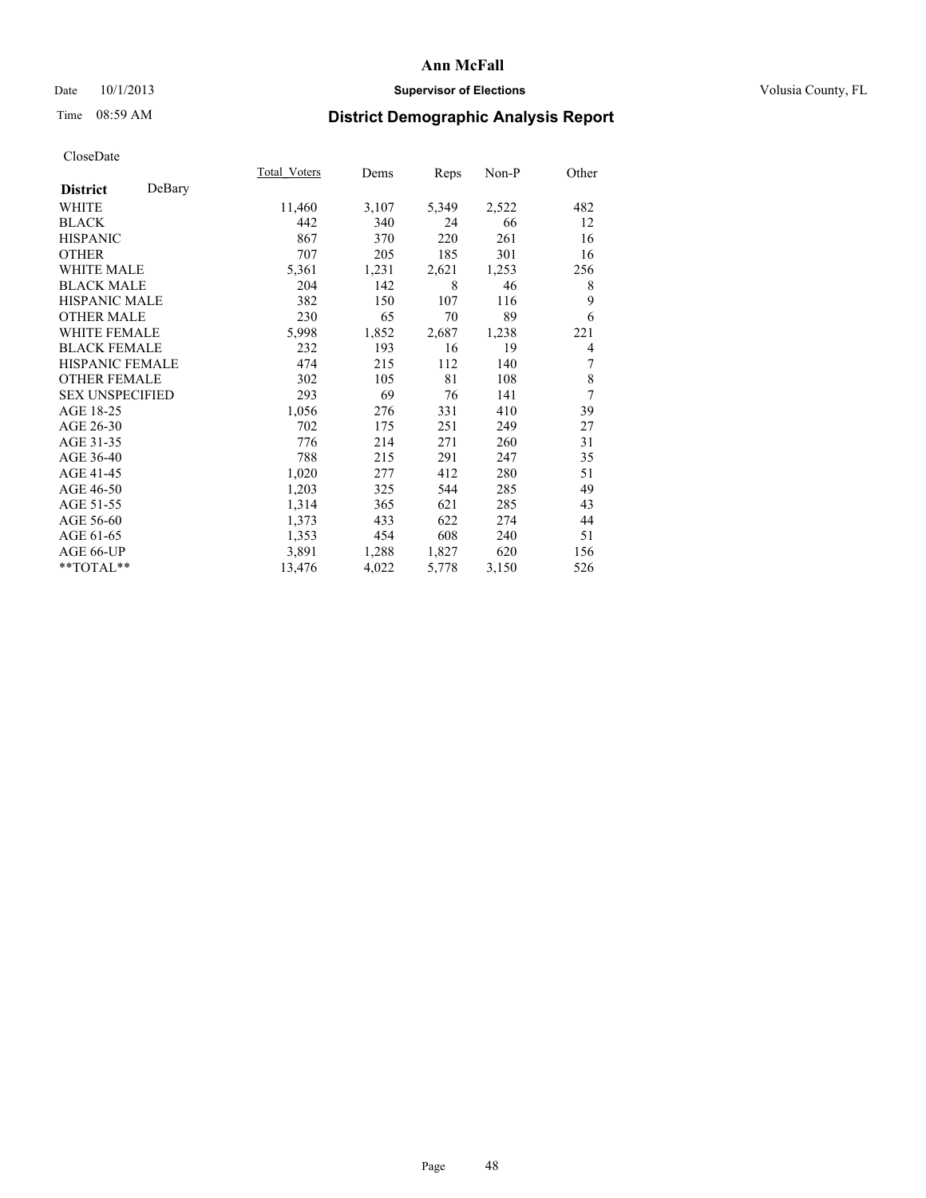### Date  $10/1/2013$  **Supervisor of Elections Supervisor of Elections** Volusia County, FL

## Time 08:59 AM **District Demographic Analysis Report**

|                           | Total Voters | Dems  | Reps  | Non-P | Other |
|---------------------------|--------------|-------|-------|-------|-------|
| DeBary<br><b>District</b> |              |       |       |       |       |
| <b>WHITE</b>              | 11,460       | 3,107 | 5,349 | 2,522 | 482   |
| <b>BLACK</b>              | 442          | 340   | 24    | 66    | 12    |
| <b>HISPANIC</b>           | 867          | 370   | 220   | 261   | 16    |
| <b>OTHER</b>              | 707          | 205   | 185   | 301   | 16    |
| <b>WHITE MALE</b>         | 5,361        | 1,231 | 2,621 | 1,253 | 256   |
| <b>BLACK MALE</b>         | 204          | 142   | 8     | 46    | 8     |
| HISPANIC MALE             | 382          | 150   | 107   | 116   | 9     |
| <b>OTHER MALE</b>         | 230          | 65    | 70    | 89    | 6     |
| <b>WHITE FEMALE</b>       | 5,998        | 1,852 | 2,687 | 1,238 | 221   |
| <b>BLACK FEMALE</b>       | 232          | 193   | 16    | 19    | 4     |
| <b>HISPANIC FEMALE</b>    | 474          | 215   | 112   | 140   | 7     |
| <b>OTHER FEMALE</b>       | 302          | 105   | 81    | 108   | 8     |
| <b>SEX UNSPECIFIED</b>    | 293          | 69    | 76    | 141   | 7     |
| AGE 18-25                 | 1,056        | 276   | 331   | 410   | 39    |
| AGE 26-30                 | 702          | 175   | 251   | 249   | 27    |
| AGE 31-35                 | 776          | 214   | 271   | 260   | 31    |
| AGE 36-40                 | 788          | 215   | 291   | 247   | 35    |
| AGE 41-45                 | 1,020        | 277   | 412   | 280   | 51    |
| AGE 46-50                 | 1,203        | 325   | 544   | 285   | 49    |
| AGE 51-55                 | 1,314        | 365   | 621   | 285   | 43    |
| AGE 56-60                 | 1,373        | 433   | 622   | 274   | 44    |
| AGE 61-65                 | 1,353        | 454   | 608   | 240   | 51    |
| AGE 66-UP                 | 3,891        | 1,288 | 1,827 | 620   | 156   |
| **TOTAL**                 | 13,476       | 4,022 | 5,778 | 3,150 | 526   |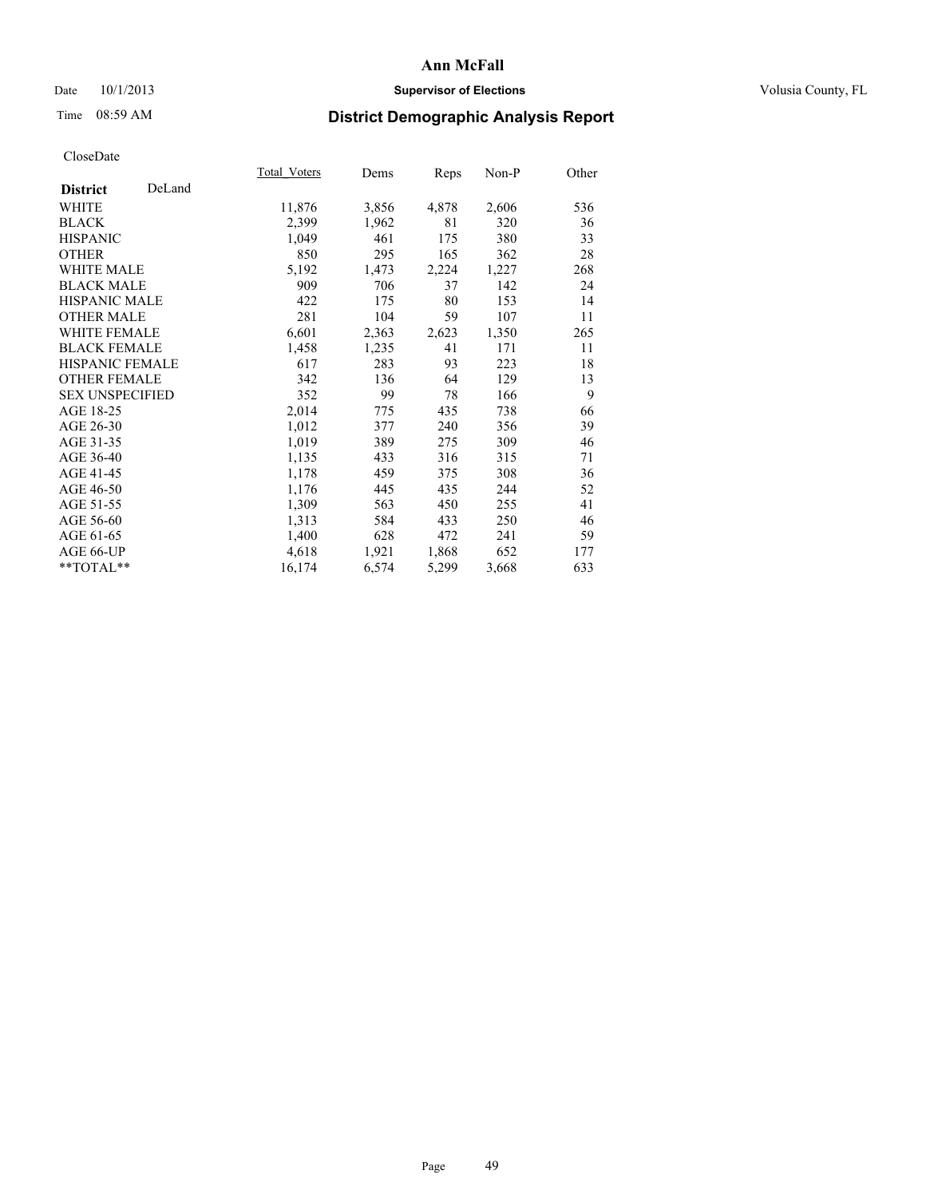### Date  $10/1/2013$  **Supervisor of Elections Supervisor of Elections** Volusia County, FL

# Time 08:59 AM **District Demographic Analysis Report**

|                        |        | Total Voters | Dems  | Reps  | Non-P | Other |
|------------------------|--------|--------------|-------|-------|-------|-------|
| <b>District</b>        | DeLand |              |       |       |       |       |
| WHITE                  |        | 11,876       | 3,856 | 4,878 | 2,606 | 536   |
| <b>BLACK</b>           |        | 2,399        | 1,962 | 81    | 320   | 36    |
| <b>HISPANIC</b>        |        | 1,049        | 461   | 175   | 380   | 33    |
| <b>OTHER</b>           |        | 850          | 295   | 165   | 362   | 28    |
| WHITE MALE             |        | 5,192        | 1,473 | 2,224 | 1,227 | 268   |
| <b>BLACK MALE</b>      |        | 909          | 706   | 37    | 142   | 24    |
| <b>HISPANIC MALE</b>   |        | 422          | 175   | 80    | 153   | 14    |
| <b>OTHER MALE</b>      |        | 281          | 104   | 59    | 107   | 11    |
| <b>WHITE FEMALE</b>    |        | 6,601        | 2,363 | 2,623 | 1,350 | 265   |
| <b>BLACK FEMALE</b>    |        | 1,458        | 1,235 | 41    | 171   | 11    |
| HISPANIC FEMALE        |        | 617          | 283   | 93    | 223   | 18    |
| <b>OTHER FEMALE</b>    |        | 342          | 136   | 64    | 129   | 13    |
| <b>SEX UNSPECIFIED</b> |        | 352          | 99    | 78    | 166   | 9     |
| AGE 18-25              |        | 2,014        | 775   | 435   | 738   | 66    |
| AGE 26-30              |        | 1,012        | 377   | 240   | 356   | 39    |
| AGE 31-35              |        | 1,019        | 389   | 275   | 309   | 46    |
| AGE 36-40              |        | 1,135        | 433   | 316   | 315   | 71    |
| AGE 41-45              |        | 1,178        | 459   | 375   | 308   | 36    |
| AGE 46-50              |        | 1,176        | 445   | 435   | 244   | 52    |
| AGE 51-55              |        | 1,309        | 563   | 450   | 255   | 41    |
| AGE 56-60              |        | 1,313        | 584   | 433   | 250   | 46    |
| AGE 61-65              |        | 1,400        | 628   | 472   | 241   | 59    |
| AGE 66-UP              |        | 4,618        | 1,921 | 1,868 | 652   | 177   |
| $*$ TOTAL $*$          |        | 16,174       | 6,574 | 5,299 | 3,668 | 633   |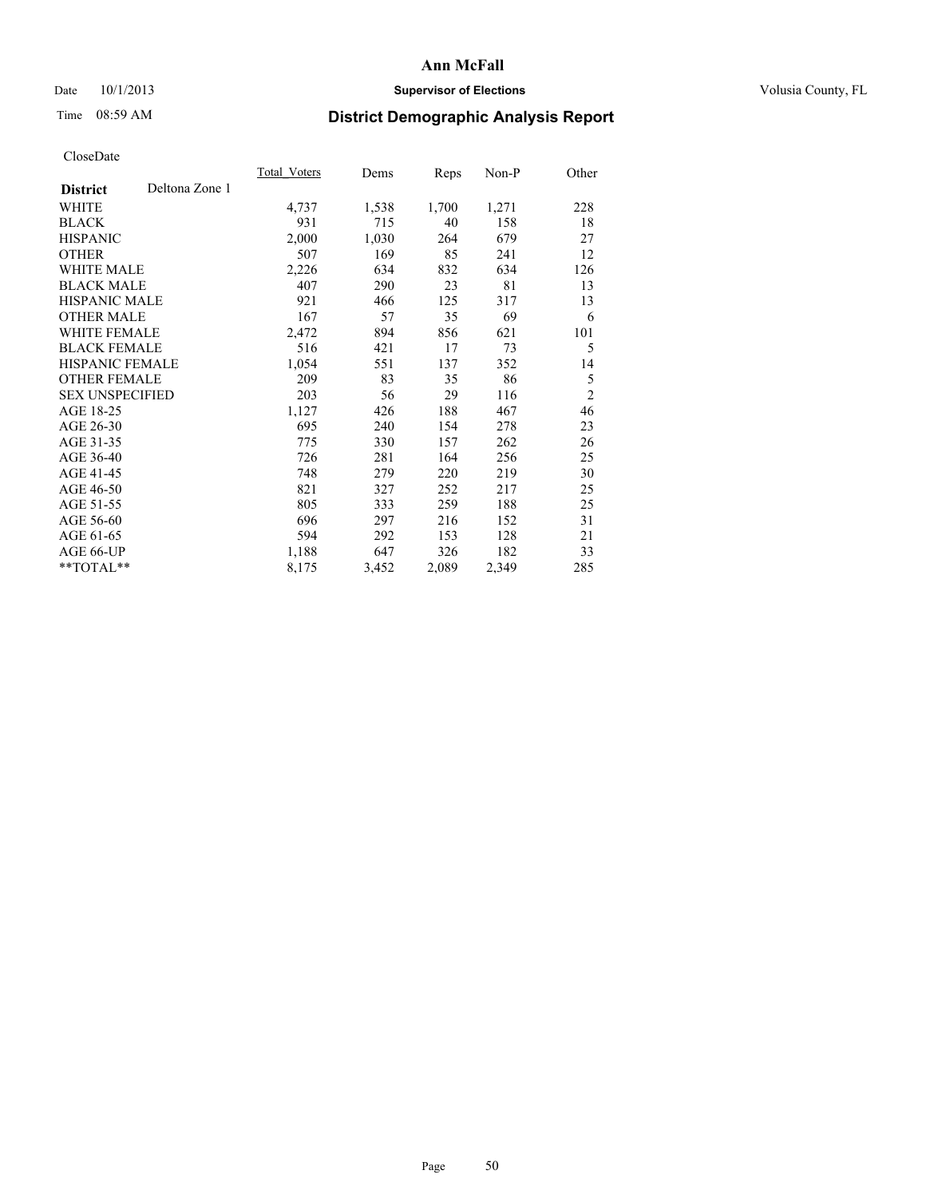### Date 10/1/2013 **Supervisor of Elections Supervisor of Elections** Volusia County, FL

# Time 08:59 AM **District Demographic Analysis Report**

|                                   | Total Voters | Dems  | <b>Reps</b> | Non-P | Other          |
|-----------------------------------|--------------|-------|-------------|-------|----------------|
| Deltona Zone 1<br><b>District</b> |              |       |             |       |                |
| WHITE                             | 4,737        | 1,538 | 1,700       | 1,271 | 228            |
| <b>BLACK</b>                      | 931          | 715   | 40          | 158   | 18             |
| <b>HISPANIC</b>                   | 2,000        | 1,030 | 264         | 679   | 27             |
| <b>OTHER</b>                      | 507          | 169   | 85          | 241   | 12             |
| <b>WHITE MALE</b>                 | 2,226        | 634   | 832         | 634   | 126            |
| <b>BLACK MALE</b>                 | 407          | 290   | 23          | 81    | 13             |
| <b>HISPANIC MALE</b>              | 921          | 466   | 125         | 317   | 13             |
| <b>OTHER MALE</b>                 | 167          | 57    | 35          | 69    | 6              |
| <b>WHITE FEMALE</b>               | 2,472        | 894   | 856         | 621   | 101            |
| <b>BLACK FEMALE</b>               | 516          | 421   | 17          | 73    | 5              |
| HISPANIC FEMALE                   | 1,054        | 551   | 137         | 352   | 14             |
| <b>OTHER FEMALE</b>               | 209          | 83    | 35          | 86    | 5              |
| <b>SEX UNSPECIFIED</b>            | 203          | 56    | 29          | 116   | $\overline{2}$ |
| AGE 18-25                         | 1,127        | 426   | 188         | 467   | 46             |
| AGE 26-30                         | 695          | 240   | 154         | 278   | 23             |
| AGE 31-35                         | 775          | 330   | 157         | 262   | 26             |
| AGE 36-40                         | 726          | 281   | 164         | 256   | 25             |
| AGE 41-45                         | 748          | 279   | 220         | 219   | 30             |
| AGE 46-50                         | 821          | 327   | 252         | 217   | 25             |
| AGE 51-55                         | 805          | 333   | 259         | 188   | 25             |
| AGE 56-60                         | 696          | 297   | 216         | 152   | 31             |
| AGE 61-65                         | 594          | 292   | 153         | 128   | 21             |
| AGE 66-UP                         | 1,188        | 647   | 326         | 182   | 33             |
| **TOTAL**                         | 8,175        | 3,452 | 2,089       | 2,349 | 285            |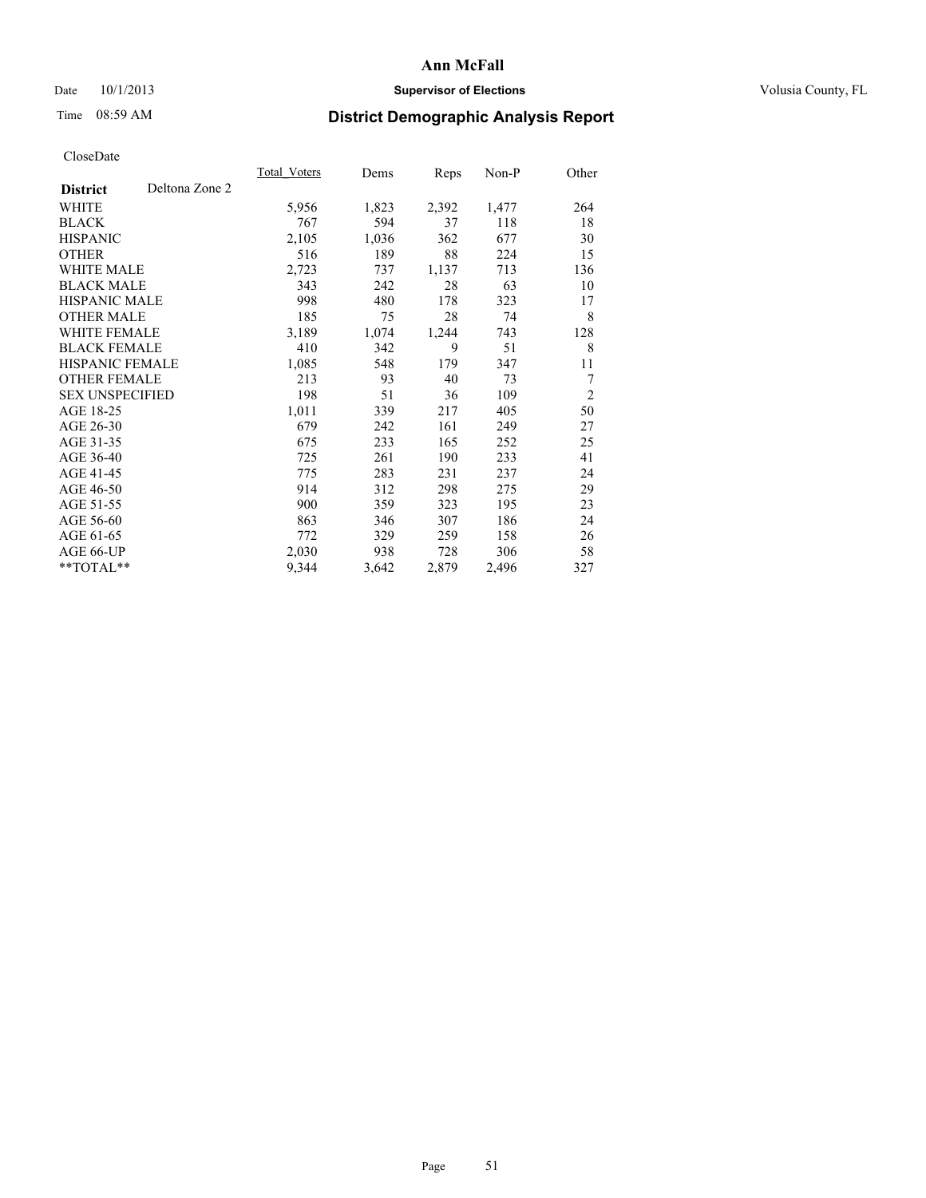### Date 10/1/2013 **Supervisor of Elections Supervisor of Elections** Volusia County, FL

# Time 08:59 AM **District Demographic Analysis Report**

|                                   | Total Voters | Dems  | <b>Reps</b> | Non-P | Other          |
|-----------------------------------|--------------|-------|-------------|-------|----------------|
| Deltona Zone 2<br><b>District</b> |              |       |             |       |                |
| WHITE                             | 5,956        | 1,823 | 2,392       | 1,477 | 264            |
| <b>BLACK</b>                      | 767          | 594   | 37          | 118   | 18             |
| <b>HISPANIC</b>                   | 2,105        | 1,036 | 362         | 677   | 30             |
| <b>OTHER</b>                      | 516          | 189   | 88          | 224   | 15             |
| <b>WHITE MALE</b>                 | 2,723        | 737   | 1,137       | 713   | 136            |
| <b>BLACK MALE</b>                 | 343          | 242   | 28          | 63    | 10             |
| <b>HISPANIC MALE</b>              | 998          | 480   | 178         | 323   | 17             |
| <b>OTHER MALE</b>                 | 185          | 75    | 28          | 74    | 8              |
| <b>WHITE FEMALE</b>               | 3,189        | 1,074 | 1,244       | 743   | 128            |
| <b>BLACK FEMALE</b>               | 410          | 342   | 9           | 51    | 8              |
| <b>HISPANIC FEMALE</b>            | 1,085        | 548   | 179         | 347   | 11             |
| <b>OTHER FEMALE</b>               | 213          | 93    | 40          | 73    | 7              |
| <b>SEX UNSPECIFIED</b>            | 198          | 51    | 36          | 109   | $\overline{2}$ |
| AGE 18-25                         | 1,011        | 339   | 217         | 405   | 50             |
| AGE 26-30                         | 679          | 242   | 161         | 249   | 27             |
| AGE 31-35                         | 675          | 233   | 165         | 252   | 25             |
| AGE 36-40                         | 725          | 261   | 190         | 233   | 41             |
| AGE 41-45                         | 775          | 283   | 231         | 237   | 24             |
| AGE 46-50                         | 914          | 312   | 298         | 275   | 29             |
| AGE 51-55                         | 900          | 359   | 323         | 195   | 23             |
| AGE 56-60                         | 863          | 346   | 307         | 186   | 24             |
| AGE 61-65                         | 772          | 329   | 259         | 158   | 26             |
| AGE 66-UP                         | 2,030        | 938   | 728         | 306   | 58             |
| **TOTAL**                         | 9,344        | 3,642 | 2,879       | 2,496 | 327            |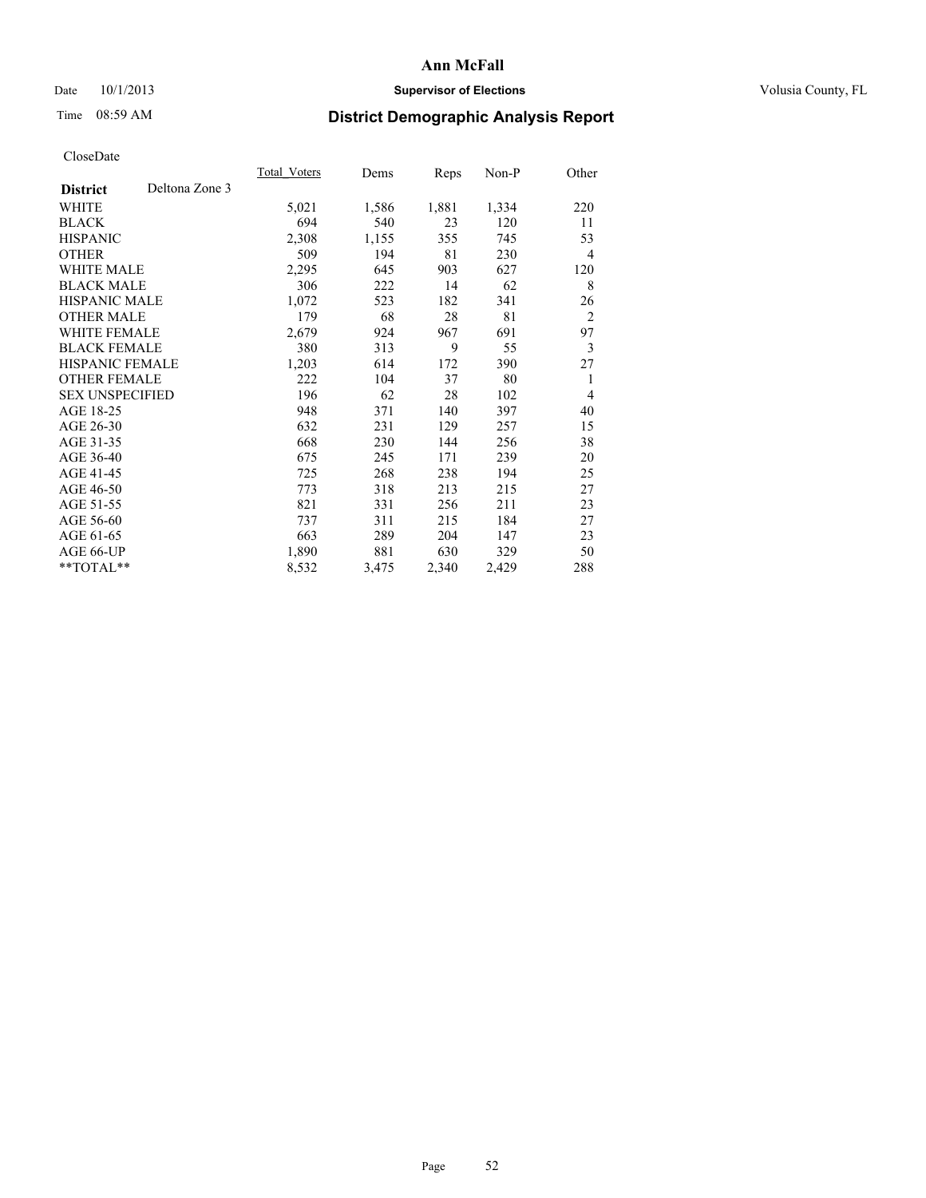### Date 10/1/2013 **Supervisor of Elections Supervisor of Elections** Volusia County, FL

# Time 08:59 AM **District Demographic Analysis Report**

|                                   | Total Voters | Dems  | <b>Reps</b> | Non-P | Other          |
|-----------------------------------|--------------|-------|-------------|-------|----------------|
| Deltona Zone 3<br><b>District</b> |              |       |             |       |                |
| WHITE                             | 5,021        | 1,586 | 1,881       | 1,334 | 220            |
| <b>BLACK</b>                      | 694          | 540   | 23          | 120   | 11             |
| <b>HISPANIC</b>                   | 2,308        | 1,155 | 355         | 745   | 53             |
| <b>OTHER</b>                      | 509          | 194   | 81          | 230   | 4              |
| <b>WHITE MALE</b>                 | 2,295        | 645   | 903         | 627   | 120            |
| <b>BLACK MALE</b>                 | 306          | 222   | 14          | 62    | 8              |
| <b>HISPANIC MALE</b>              | 1,072        | 523   | 182         | 341   | 26             |
| <b>OTHER MALE</b>                 | 179          | 68    | 28          | 81    | $\overline{2}$ |
| <b>WHITE FEMALE</b>               | 2,679        | 924   | 967         | 691   | 97             |
| <b>BLACK FEMALE</b>               | 380          | 313   | 9           | 55    | 3              |
| <b>HISPANIC FEMALE</b>            | 1,203        | 614   | 172         | 390   | 27             |
| <b>OTHER FEMALE</b>               | 222          | 104   | 37          | 80    | 1              |
| <b>SEX UNSPECIFIED</b>            | 196          | 62    | 28          | 102   | $\overline{4}$ |
| AGE 18-25                         | 948          | 371   | 140         | 397   | 40             |
| AGE 26-30                         | 632          | 231   | 129         | 257   | 15             |
| AGE 31-35                         | 668          | 230   | 144         | 256   | 38             |
| AGE 36-40                         | 675          | 245   | 171         | 239   | 20             |
| AGE 41-45                         | 725          | 268   | 238         | 194   | 25             |
| AGE 46-50                         | 773          | 318   | 213         | 215   | 27             |
| AGE 51-55                         | 821          | 331   | 256         | 211   | 23             |
| AGE 56-60                         | 737          | 311   | 215         | 184   | 27             |
| AGE 61-65                         | 663          | 289   | 204         | 147   | 23             |
| AGE 66-UP                         | 1,890        | 881   | 630         | 329   | 50             |
| **TOTAL**                         | 8,532        | 3,475 | 2,340       | 2,429 | 288            |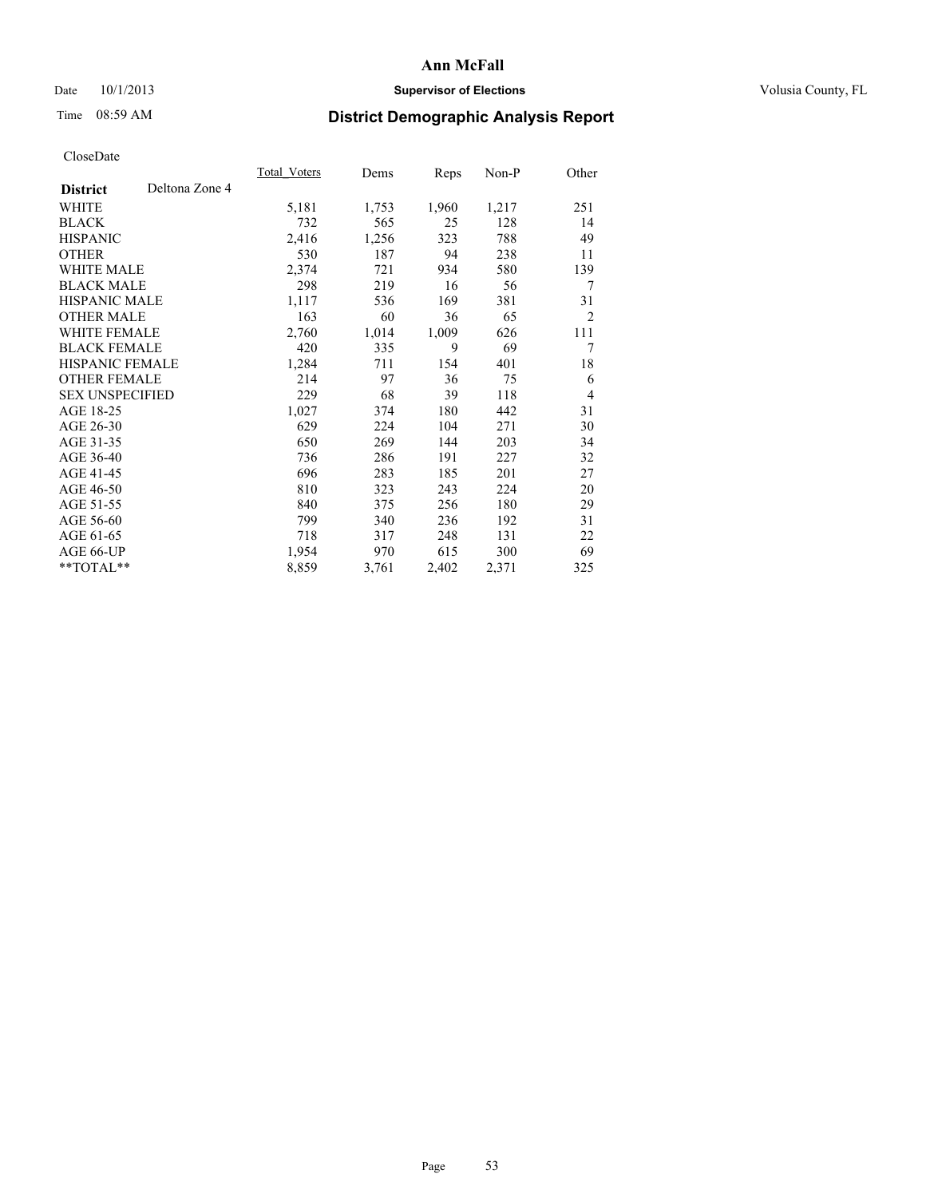### Date  $10/1/2013$  **Supervisor of Elections Supervisor of Elections** Volusia County, FL

# Time 08:59 AM **District Demographic Analysis Report**

|                        |                | Total Voters | Dems  | <b>Reps</b> | Non-P | Other          |
|------------------------|----------------|--------------|-------|-------------|-------|----------------|
| <b>District</b>        | Deltona Zone 4 |              |       |             |       |                |
| WHITE                  |                | 5,181        | 1,753 | 1,960       | 1,217 | 251            |
| <b>BLACK</b>           |                | 732          | 565   | 25          | 128   | 14             |
| <b>HISPANIC</b>        |                | 2,416        | 1,256 | 323         | 788   | 49             |
| <b>OTHER</b>           |                | 530          | 187   | 94          | 238   | 11             |
| WHITE MALE             |                | 2,374        | 721   | 934         | 580   | 139            |
| <b>BLACK MALE</b>      |                | 298          | 219   | 16          | 56    | 7              |
| <b>HISPANIC MALE</b>   |                | 1,117        | 536   | 169         | 381   | 31             |
| <b>OTHER MALE</b>      |                | 163          | 60    | 36          | 65    | $\overline{c}$ |
| <b>WHITE FEMALE</b>    |                | 2,760        | 1,014 | 1,009       | 626   | 111            |
| <b>BLACK FEMALE</b>    |                | 420          | 335   | 9           | 69    | 7              |
| <b>HISPANIC FEMALE</b> |                | 1,284        | 711   | 154         | 401   | 18             |
| <b>OTHER FEMALE</b>    |                | 214          | 97    | 36          | 75    | 6              |
| <b>SEX UNSPECIFIED</b> |                | 229          | 68    | 39          | 118   | $\overline{4}$ |
| AGE 18-25              |                | 1,027        | 374   | 180         | 442   | 31             |
| AGE 26-30              |                | 629          | 224   | 104         | 271   | 30             |
| AGE 31-35              |                | 650          | 269   | 144         | 203   | 34             |
| AGE 36-40              |                | 736          | 286   | 191         | 227   | 32             |
| AGE 41-45              |                | 696          | 283   | 185         | 201   | 27             |
| AGE 46-50              |                | 810          | 323   | 243         | 224   | 20             |
| AGE 51-55              |                | 840          | 375   | 256         | 180   | 29             |
| AGE 56-60              |                | 799          | 340   | 236         | 192   | 31             |
| AGE 61-65              |                | 718          | 317   | 248         | 131   | 22             |
| AGE 66-UP              |                | 1,954        | 970   | 615         | 300   | 69             |
| **TOTAL**              |                | 8,859        | 3,761 | 2,402       | 2,371 | 325            |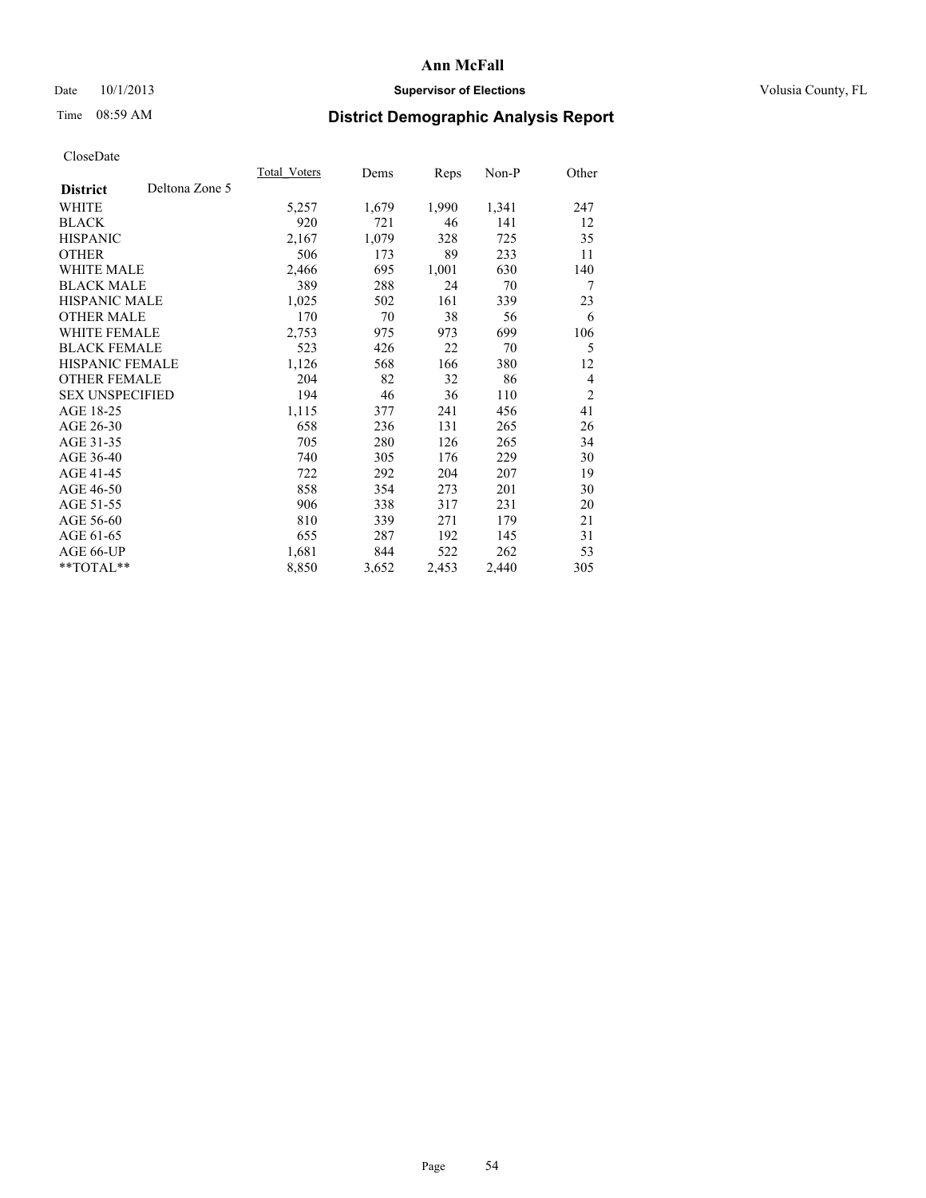### Date 10/1/2013 **Supervisor of Elections Supervisor of Elections** Volusia County, FL

# Time 08:59 AM **District Demographic Analysis Report**

|                        |                | Total Voters | Dems  | <b>Reps</b> | Non-P | Other          |
|------------------------|----------------|--------------|-------|-------------|-------|----------------|
| <b>District</b>        | Deltona Zone 5 |              |       |             |       |                |
| WHITE                  |                | 5,257        | 1,679 | 1,990       | 1,341 | 247            |
| <b>BLACK</b>           |                | 920          | 721   | 46          | 141   | 12             |
| <b>HISPANIC</b>        |                | 2,167        | 1,079 | 328         | 725   | 35             |
| <b>OTHER</b>           |                | 506          | 173   | 89          | 233   | 11             |
| WHITE MALE             |                | 2,466        | 695   | 1,001       | 630   | 140            |
| <b>BLACK MALE</b>      |                | 389          | 288   | 24          | 70    | 7              |
| <b>HISPANIC MALE</b>   |                | 1,025        | 502   | 161         | 339   | 23             |
| <b>OTHER MALE</b>      |                | 170          | 70    | 38          | 56    | 6              |
| <b>WHITE FEMALE</b>    |                | 2,753        | 975   | 973         | 699   | 106            |
| <b>BLACK FEMALE</b>    |                | 523          | 426   | 22          | 70    | 5              |
| <b>HISPANIC FEMALE</b> |                | 1,126        | 568   | 166         | 380   | 12             |
| <b>OTHER FEMALE</b>    |                | 204          | 82    | 32          | 86    | $\overline{4}$ |
| <b>SEX UNSPECIFIED</b> |                | 194          | 46    | 36          | 110   | $\overline{2}$ |
| AGE 18-25              |                | 1,115        | 377   | 241         | 456   | 41             |
| AGE 26-30              |                | 658          | 236   | 131         | 265   | 26             |
| AGE 31-35              |                | 705          | 280   | 126         | 265   | 34             |
| AGE 36-40              |                | 740          | 305   | 176         | 229   | 30             |
| AGE 41-45              |                | 722          | 292   | 204         | 207   | 19             |
| AGE 46-50              |                | 858          | 354   | 273         | 201   | 30             |
| AGE 51-55              |                | 906          | 338   | 317         | 231   | 20             |
| AGE 56-60              |                | 810          | 339   | 271         | 179   | 21             |
| AGE 61-65              |                | 655          | 287   | 192         | 145   | 31             |
| AGE 66-UP              |                | 1,681        | 844   | 522         | 262   | 53             |
| $*$ TOTAL $*$          |                | 8,850        | 3,652 | 2,453       | 2,440 | 305            |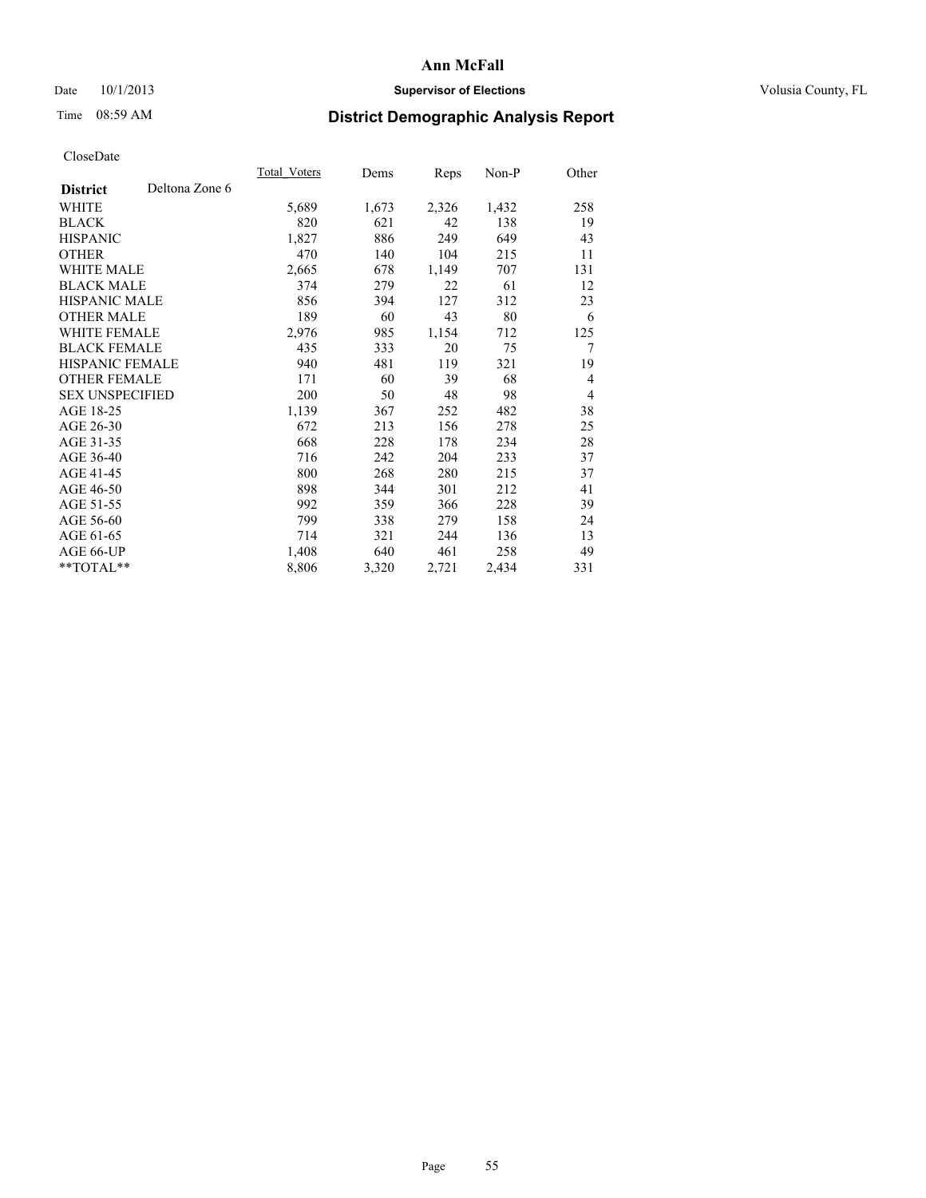### Date 10/1/2013 **Supervisor of Elections Supervisor of Elections** Volusia County, FL

# Time 08:59 AM **District Demographic Analysis Report**

|                        |                | Total Voters | Dems  | <b>Reps</b> | Non-P | Other          |
|------------------------|----------------|--------------|-------|-------------|-------|----------------|
| <b>District</b>        | Deltona Zone 6 |              |       |             |       |                |
| WHITE                  |                | 5,689        | 1,673 | 2,326       | 1,432 | 258            |
| <b>BLACK</b>           |                | 820          | 621   | 42          | 138   | 19             |
| <b>HISPANIC</b>        |                | 1,827        | 886   | 249         | 649   | 43             |
| <b>OTHER</b>           |                | 470          | 140   | 104         | 215   | 11             |
| <b>WHITE MALE</b>      |                | 2,665        | 678   | 1,149       | 707   | 131            |
| <b>BLACK MALE</b>      |                | 374          | 279   | 22          | 61    | 12             |
| <b>HISPANIC MALE</b>   |                | 856          | 394   | 127         | 312   | 23             |
| <b>OTHER MALE</b>      |                | 189          | 60    | 43          | 80    | 6              |
| <b>WHITE FEMALE</b>    |                | 2,976        | 985   | 1,154       | 712   | 125            |
| <b>BLACK FEMALE</b>    |                | 435          | 333   | 20          | 75    | 7              |
| HISPANIC FEMALE        |                | 940          | 481   | 119         | 321   | 19             |
| <b>OTHER FEMALE</b>    |                | 171          | 60    | 39          | 68    | $\overline{4}$ |
| <b>SEX UNSPECIFIED</b> |                | 200          | 50    | 48          | 98    | $\overline{4}$ |
| AGE 18-25              |                | 1,139        | 367   | 252         | 482   | 38             |
| AGE 26-30              |                | 672          | 213   | 156         | 278   | 25             |
| AGE 31-35              |                | 668          | 228   | 178         | 234   | 28             |
| AGE 36-40              |                | 716          | 242   | 204         | 233   | 37             |
| AGE 41-45              |                | 800          | 268   | 280         | 215   | 37             |
| AGE 46-50              |                | 898          | 344   | 301         | 212   | 41             |
| AGE 51-55              |                | 992          | 359   | 366         | 228   | 39             |
| AGE 56-60              |                | 799          | 338   | 279         | 158   | 24             |
| AGE 61-65              |                | 714          | 321   | 244         | 136   | 13             |
| AGE 66-UP              |                | 1,408        | 640   | 461         | 258   | 49             |
| **TOTAL**              |                | 8,806        | 3,320 | 2,721       | 2,434 | 331            |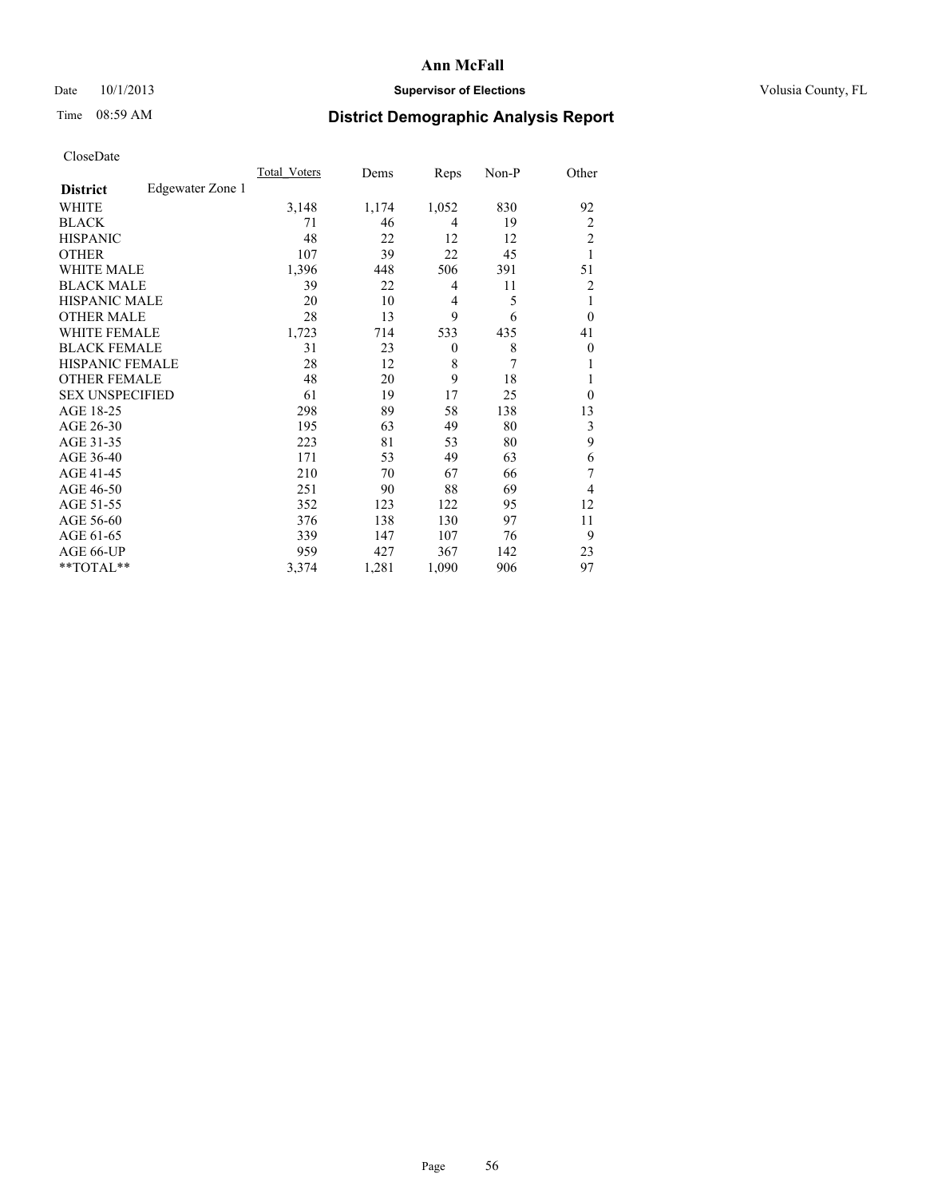### Date 10/1/2013 **Supervisor of Elections Supervisor of Elections** Volusia County, FL

## Time 08:59 AM **District Demographic Analysis Report**

|                        |                  | <b>Total Voters</b> | Dems  | Reps         | Non-P | Other          |
|------------------------|------------------|---------------------|-------|--------------|-------|----------------|
| <b>District</b>        | Edgewater Zone 1 |                     |       |              |       |                |
| WHITE                  |                  | 3,148               | 1,174 | 1,052        | 830   | 92             |
| <b>BLACK</b>           |                  | 71                  | 46    | 4            | 19    | $\overline{2}$ |
| <b>HISPANIC</b>        |                  | 48                  | 22    | 12           | 12    | $\overline{c}$ |
| <b>OTHER</b>           |                  | 107                 | 39    | 22           | 45    | 1              |
| WHITE MALE             |                  | 1,396               | 448   | 506          | 391   | 51             |
| <b>BLACK MALE</b>      |                  | 39                  | 22    | 4            | 11    | 2              |
| <b>HISPANIC MALE</b>   |                  | 20                  | 10    | 4            | 5     | 1              |
| <b>OTHER MALE</b>      |                  | 28                  | 13    | 9            | 6     | $\overline{0}$ |
| WHITE FEMALE           |                  | 1,723               | 714   | 533          | 435   | 41             |
| <b>BLACK FEMALE</b>    |                  | 31                  | 23    | $\mathbf{0}$ | 8     | $\overline{0}$ |
| <b>HISPANIC FEMALE</b> |                  | 28                  | 12    | 8            | 7     | 1              |
| <b>OTHER FEMALE</b>    |                  | 48                  | 20    | 9            | 18    | 1              |
| <b>SEX UNSPECIFIED</b> |                  | 61                  | 19    | 17           | 25    | $\theta$       |
| AGE 18-25              |                  | 298                 | 89    | 58           | 138   | 13             |
| AGE 26-30              |                  | 195                 | 63    | 49           | 80    | 3              |
| AGE 31-35              |                  | 223                 | 81    | 53           | 80    | 9              |
| AGE 36-40              |                  | 171                 | 53    | 49           | 63    | 6              |
| AGE 41-45              |                  | 210                 | 70    | 67           | 66    | 7              |
| AGE 46-50              |                  | 251                 | 90    | 88           | 69    | 4              |
| AGE 51-55              |                  | 352                 | 123   | 122          | 95    | 12             |
| AGE 56-60              |                  | 376                 | 138   | 130          | 97    | 11             |
| AGE 61-65              |                  | 339                 | 147   | 107          | 76    | 9              |
| AGE 66-UP              |                  | 959                 | 427   | 367          | 142   | 23             |
| **TOTAL**              |                  | 3,374               | 1,281 | 1,090        | 906   | 97             |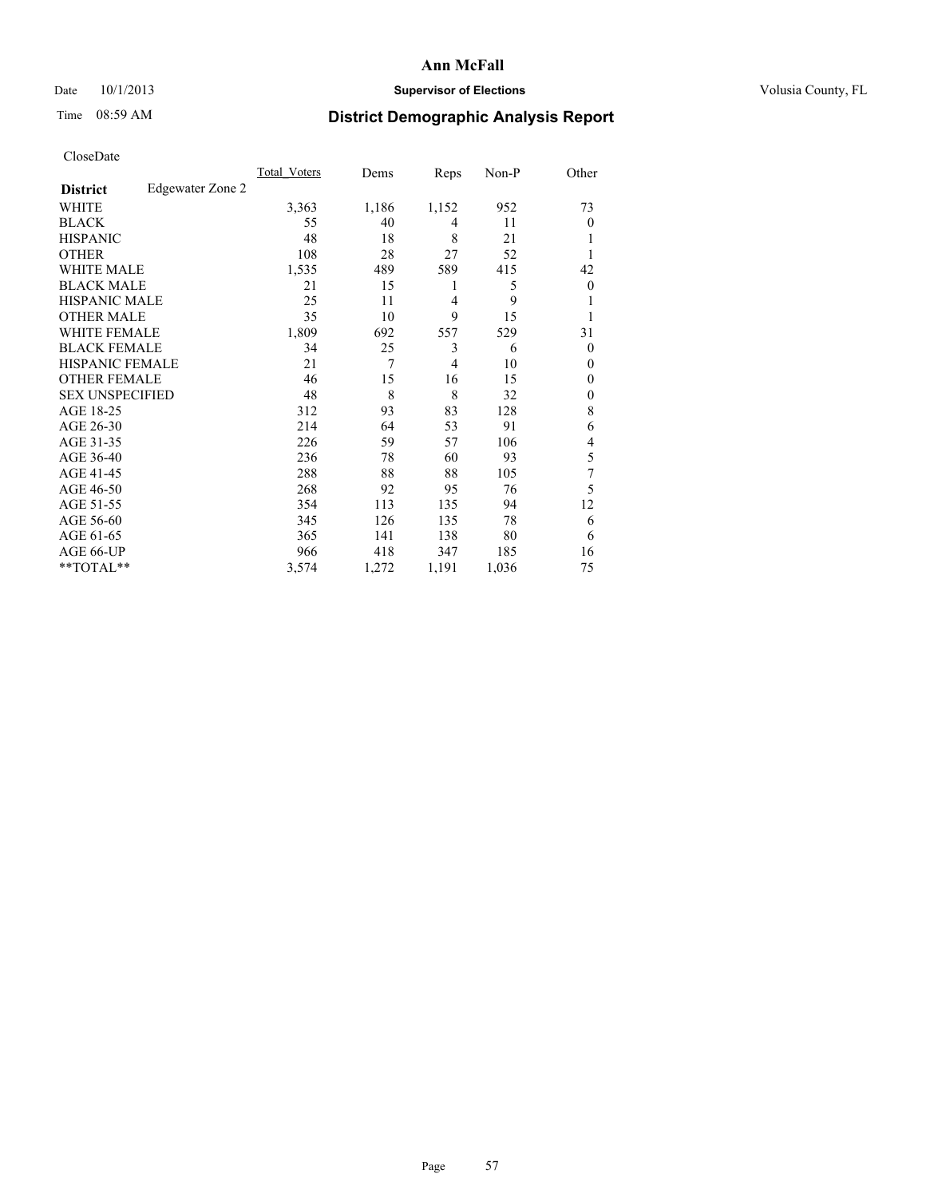### Date 10/1/2013 **Supervisor of Elections Supervisor of Elections** Volusia County, FL

## Time 08:59 AM **District Demographic Analysis Report**

| Cioscivate             |                  |                     |       |                |       |                |
|------------------------|------------------|---------------------|-------|----------------|-------|----------------|
|                        |                  | <b>Total Voters</b> | Dems  | Reps           | Non-P | Other          |
| <b>District</b>        | Edgewater Zone 2 |                     |       |                |       |                |
| <b>WHITE</b>           |                  | 3,363               | 1,186 | 1,152          | 952   | 73             |
| <b>BLACK</b>           |                  | 55                  | 40    | 4              | 11    | $\overline{0}$ |
| <b>HISPANIC</b>        |                  | 48                  | 18    | 8              | 21    |                |
| <b>OTHER</b>           |                  | 108                 | 28    | 27             | 52    |                |
| WHITE MALE             |                  | 1,535               | 489   | 589            | 415   | 42             |
| <b>BLACK MALE</b>      |                  | 21                  | 15    | 1              | 5     | $\theta$       |
| <b>HISPANIC MALE</b>   |                  | 25                  | 11    | 4              | 9     |                |
| <b>OTHER MALE</b>      |                  | 35                  | 10    | 9              | 15    |                |
| WHITE FEMALE           |                  | 1,809               | 692   | 557            | 529   | 31             |
| <b>BLACK FEMALE</b>    |                  | 34                  | 25    | 3              | 6     | $\Omega$       |
| <b>HISPANIC FEMALE</b> |                  | 21                  | 7     | $\overline{4}$ | 10    | $\Omega$       |
| <b>OTHER FEMALE</b>    |                  | 46                  | 15    | 16             | 15    | $\overline{0}$ |
| <b>SEX UNSPECIFIED</b> |                  | 48                  | 8     | 8              | 32    | $\Omega$       |
| AGE 18-25              |                  | 312                 | 93    | 83             | 128   | 8              |
| AGE 26-30              |                  | 214                 | 64    | 53             | 91    | 6              |
| AGE 31-35              |                  | 226                 | 59    | 57             | 106   | $\overline{4}$ |
| AGE 36-40              |                  | 236                 | 78    | 60             | 93    | 5              |
| AGE 41-45              |                  | 288                 | 88    | 88             | 105   | 7              |
| AGE 46-50              |                  | 268                 | 92    | 95             | 76    | 5              |
| AGE 51-55              |                  | 354                 | 113   | 135            | 94    | 12             |
| AGE 56-60              |                  | 345                 | 126   | 135            | 78    | 6              |
| AGE 61-65              |                  | 365                 | 141   | 138            | 80    | 6              |
| AGE 66-UP              |                  | 966                 | 418   | 347            | 185   | 16             |
| **TOTAL**              |                  | 3,574               | 1,272 | 1,191          | 1,036 | 75             |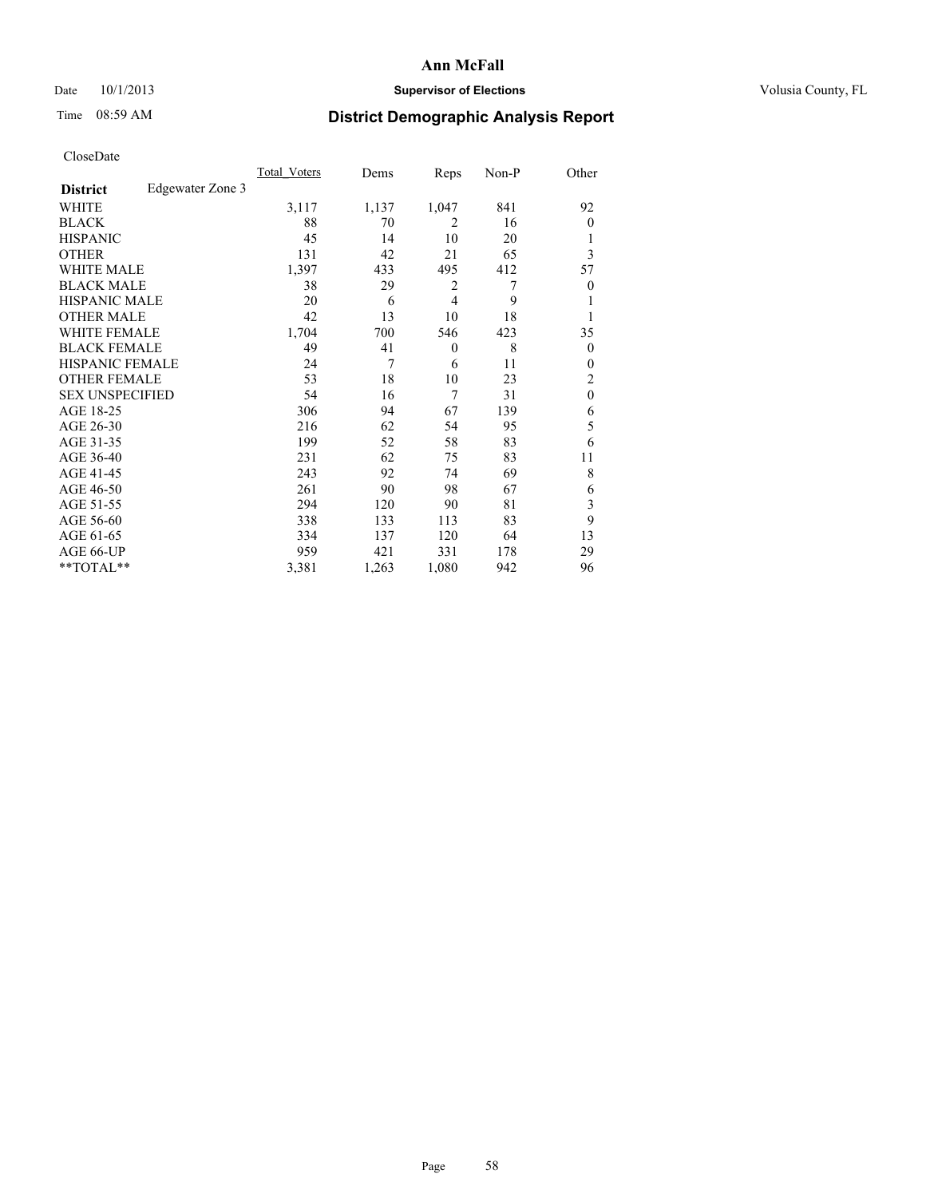### Date 10/1/2013 **Supervisor of Elections Supervisor of Elections** Volusia County, FL

## Time 08:59 AM **District Demographic Analysis Report**

|                        |                  | <b>Total Voters</b> | Dems  | Reps         | Non-P | Other            |
|------------------------|------------------|---------------------|-------|--------------|-------|------------------|
| <b>District</b>        | Edgewater Zone 3 |                     |       |              |       |                  |
| WHITE                  |                  | 3,117               | 1,137 | 1,047        | 841   | 92               |
| <b>BLACK</b>           |                  | 88                  | 70    | 2            | 16    | $\theta$         |
| <b>HISPANIC</b>        |                  | 45                  | 14    | 10           | 20    | 1                |
| <b>OTHER</b>           |                  | 131                 | 42    | 21           | 65    | 3                |
| WHITE MALE             |                  | 1,397               | 433   | 495          | 412   | 57               |
| <b>BLACK MALE</b>      |                  | 38                  | 29    | 2            | 7     | $\boldsymbol{0}$ |
| <b>HISPANIC MALE</b>   |                  | 20                  | 6     | 4            | 9     | 1                |
| <b>OTHER MALE</b>      |                  | 42                  | 13    | 10           | 18    | 1                |
| <b>WHITE FEMALE</b>    |                  | 1,704               | 700   | 546          | 423   | 35               |
| <b>BLACK FEMALE</b>    |                  | 49                  | 41    | $\mathbf{0}$ | 8     | $\overline{0}$   |
| <b>HISPANIC FEMALE</b> |                  | 24                  | 7     | 6            | 11    | $\theta$         |
| <b>OTHER FEMALE</b>    |                  | 53                  | 18    | 10           | 23    | 2                |
| <b>SEX UNSPECIFIED</b> |                  | 54                  | 16    | 7            | 31    | $\mathbf{0}$     |
| AGE 18-25              |                  | 306                 | 94    | 67           | 139   | 6                |
| AGE 26-30              |                  | 216                 | 62    | 54           | 95    | 5                |
| AGE 31-35              |                  | 199                 | 52    | 58           | 83    | 6                |
| AGE 36-40              |                  | 231                 | 62    | 75           | 83    | 11               |
| AGE 41-45              |                  | 243                 | 92    | 74           | 69    | 8                |
| AGE 46-50              |                  | 261                 | 90    | 98           | 67    | 6                |
| AGE 51-55              |                  | 294                 | 120   | 90           | 81    | 3                |
| AGE 56-60              |                  | 338                 | 133   | 113          | 83    | 9                |
| AGE 61-65              |                  | 334                 | 137   | 120          | 64    | 13               |
| AGE 66-UP              |                  | 959                 | 421   | 331          | 178   | 29               |
| **TOTAL**              |                  | 3,381               | 1,263 | 1,080        | 942   | 96               |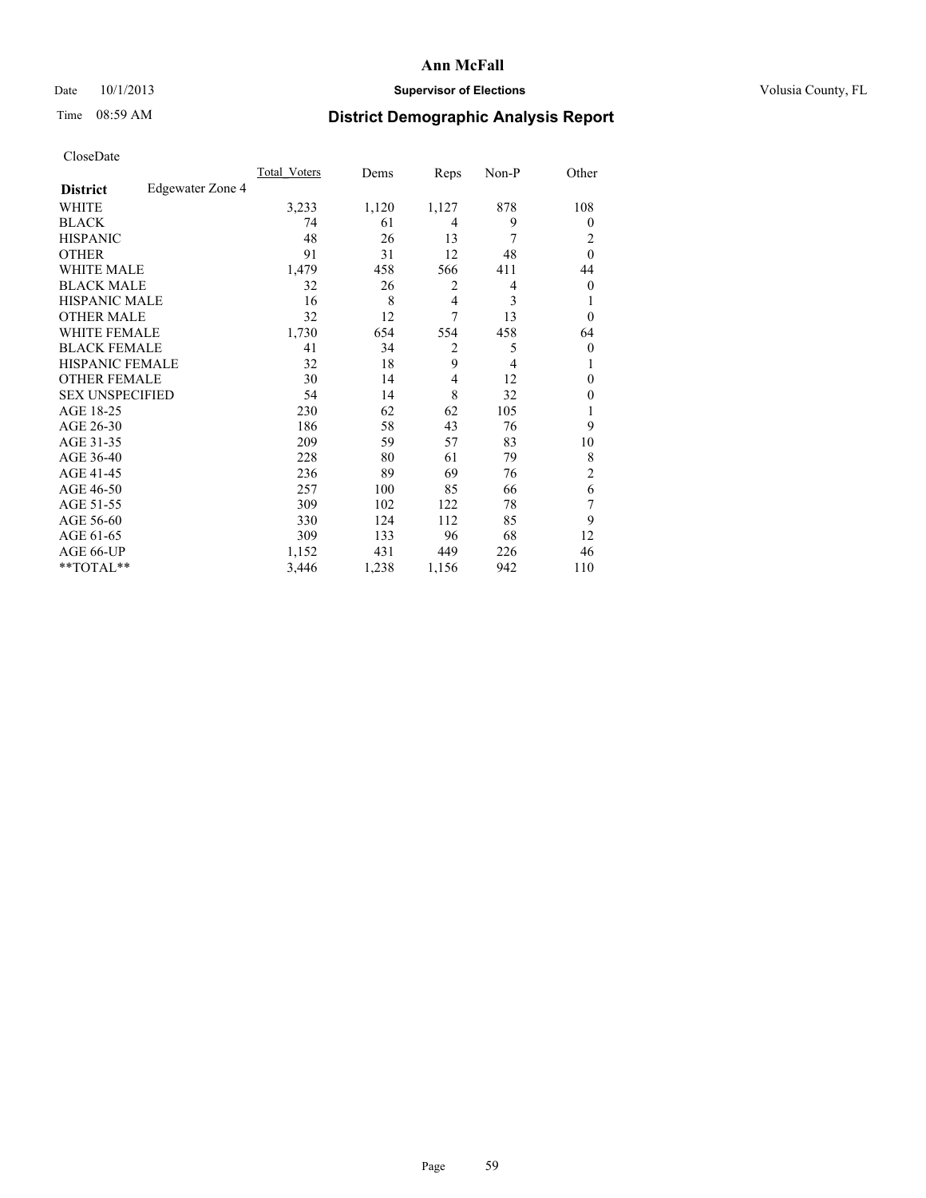### Date 10/1/2013 **Supervisor of Elections Supervisor of Elections** Volusia County, FL

## Time 08:59 AM **District Demographic Analysis Report**

|                        |                  | <b>Total Voters</b> | Dems  | Reps           | Non-P          | Other            |
|------------------------|------------------|---------------------|-------|----------------|----------------|------------------|
| <b>District</b>        | Edgewater Zone 4 |                     |       |                |                |                  |
| WHITE                  |                  | 3,233               | 1,120 | 1,127          | 878            | 108              |
| <b>BLACK</b>           |                  | 74                  | 61    | 4              | 9              | $\theta$         |
| <b>HISPANIC</b>        |                  | 48                  | 26    | 13             | 7              | 2                |
| <b>OTHER</b>           |                  | 91                  | 31    | 12             | 48             | $\theta$         |
| WHITE MALE             |                  | 1,479               | 458   | 566            | 411            | 44               |
| <b>BLACK MALE</b>      |                  | 32                  | 26    | 2              | 4              | $\boldsymbol{0}$ |
| <b>HISPANIC MALE</b>   |                  | 16                  | 8     | 4              | 3              | 1                |
| <b>OTHER MALE</b>      |                  | 32                  | 12    | $\tau$         | 13             | $\theta$         |
| <b>WHITE FEMALE</b>    |                  | 1,730               | 654   | 554            | 458            | 64               |
| <b>BLACK FEMALE</b>    |                  | 41                  | 34    | $\overline{2}$ | 5              | $\overline{0}$   |
| <b>HISPANIC FEMALE</b> |                  | 32                  | 18    | 9              | $\overline{4}$ | 1                |
| <b>OTHER FEMALE</b>    |                  | 30                  | 14    | 4              | 12             | $\theta$         |
| <b>SEX UNSPECIFIED</b> |                  | 54                  | 14    | 8              | 32             | $\mathbf{0}$     |
| AGE 18-25              |                  | 230                 | 62    | 62             | 105            |                  |
| AGE 26-30              |                  | 186                 | 58    | 43             | 76             | 9                |
| AGE 31-35              |                  | 209                 | 59    | 57             | 83             | 10               |
| AGE 36-40              |                  | 228                 | 80    | 61             | 79             | 8                |
| AGE 41-45              |                  | 236                 | 89    | 69             | 76             | $\overline{2}$   |
| AGE 46-50              |                  | 257                 | 100   | 85             | 66             | 6                |
| AGE 51-55              |                  | 309                 | 102   | 122            | 78             | 7                |
| AGE 56-60              |                  | 330                 | 124   | 112            | 85             | 9                |
| AGE 61-65              |                  | 309                 | 133   | 96             | 68             | 12               |
| AGE 66-UP              |                  | 1,152               | 431   | 449            | 226            | 46               |
| **TOTAL**              |                  | 3,446               | 1,238 | 1,156          | 942            | 110              |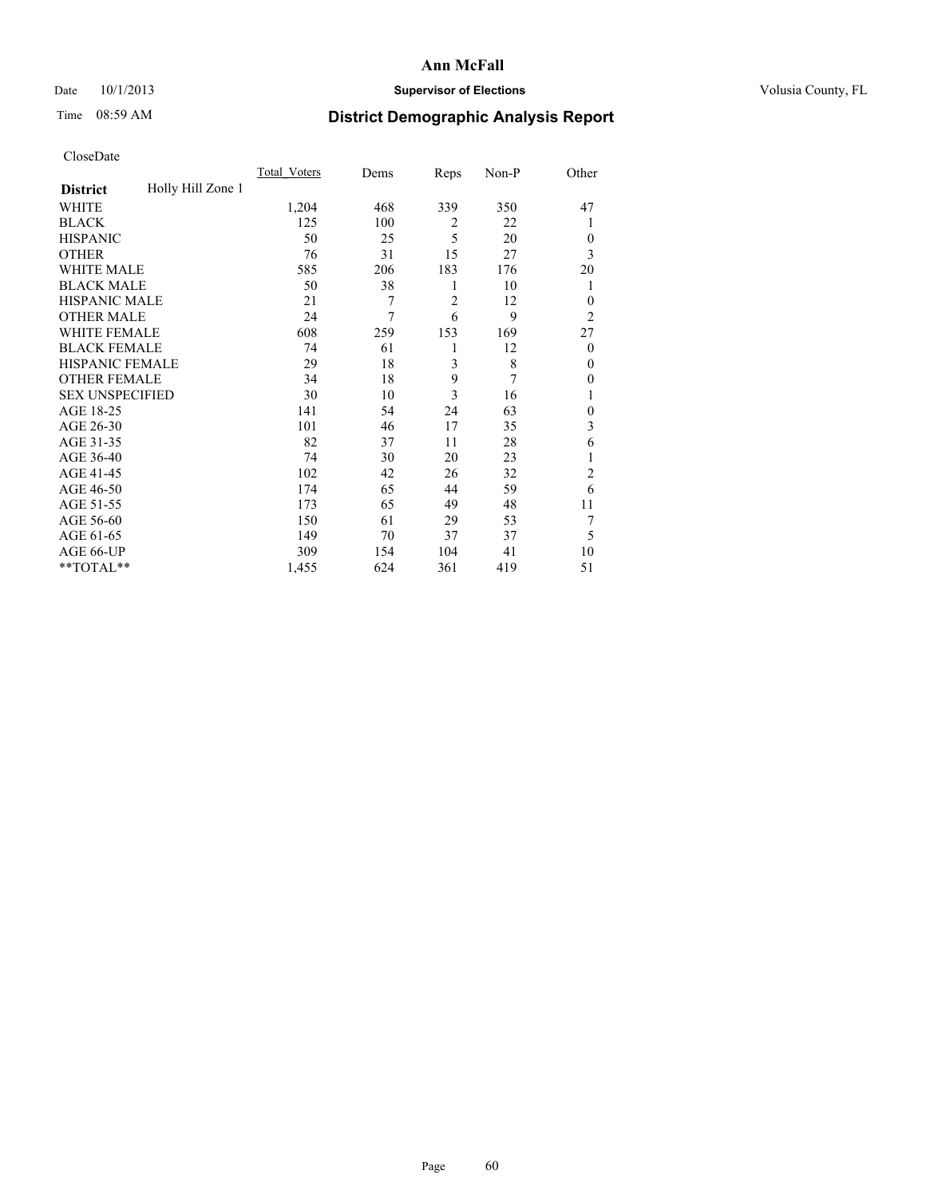### Date 10/1/2013 **Supervisor of Elections Supervisor of Elections** Volusia County, FL

## Time 08:59 AM **District Demographic Analysis Report**

|                        |                   | <b>Total Voters</b> | Dems | Reps           | Non-P | Other          |
|------------------------|-------------------|---------------------|------|----------------|-------|----------------|
| <b>District</b>        | Holly Hill Zone 1 |                     |      |                |       |                |
| WHITE                  |                   | 1,204               | 468  | 339            | 350   | 47             |
| <b>BLACK</b>           |                   | 125                 | 100  | 2              | 22    | 1              |
| <b>HISPANIC</b>        |                   | 50                  | 25   | 5              | 20    | $\Omega$       |
| <b>OTHER</b>           |                   | 76                  | 31   | 15             | 27    | 3              |
| WHITE MALE             |                   | 585                 | 206  | 183            | 176   | 20             |
| <b>BLACK MALE</b>      |                   | 50                  | 38   | 1              | 10    | 1              |
| <b>HISPANIC MALE</b>   |                   | 21                  | 7    | $\overline{2}$ | 12    | $\overline{0}$ |
| <b>OTHER MALE</b>      |                   | 24                  | 7    | 6              | 9     | $\overline{2}$ |
| WHITE FEMALE           |                   | 608                 | 259  | 153            | 169   | 27             |
| <b>BLACK FEMALE</b>    |                   | 74                  | 61   | 1              | 12    | $\overline{0}$ |
| <b>HISPANIC FEMALE</b> |                   | 29                  | 18   | 3              | 8     | $\Omega$       |
| <b>OTHER FEMALE</b>    |                   | 34                  | 18   | 9              | 7     | $\Omega$       |
| <b>SEX UNSPECIFIED</b> |                   | 30                  | 10   | 3              | 16    | 1              |
| AGE 18-25              |                   | 141                 | 54   | 24             | 63    | $\theta$       |
| AGE 26-30              |                   | 101                 | 46   | 17             | 35    | 3              |
| AGE 31-35              |                   | 82                  | 37   | 11             | 28    | 6              |
| AGE 36-40              |                   | 74                  | 30   | 20             | 23    | 1              |
| AGE 41-45              |                   | 102                 | 42   | 26             | 32    | $\overline{c}$ |
| AGE 46-50              |                   | 174                 | 65   | 44             | 59    | 6              |
| AGE 51-55              |                   | 173                 | 65   | 49             | 48    | 11             |
| AGE 56-60              |                   | 150                 | 61   | 29             | 53    | 7              |
| AGE 61-65              |                   | 149                 | 70   | 37             | 37    | 5              |
| AGE 66-UP              |                   | 309                 | 154  | 104            | 41    | 10             |
| **TOTAL**              |                   | 1,455               | 624  | 361            | 419   | 51             |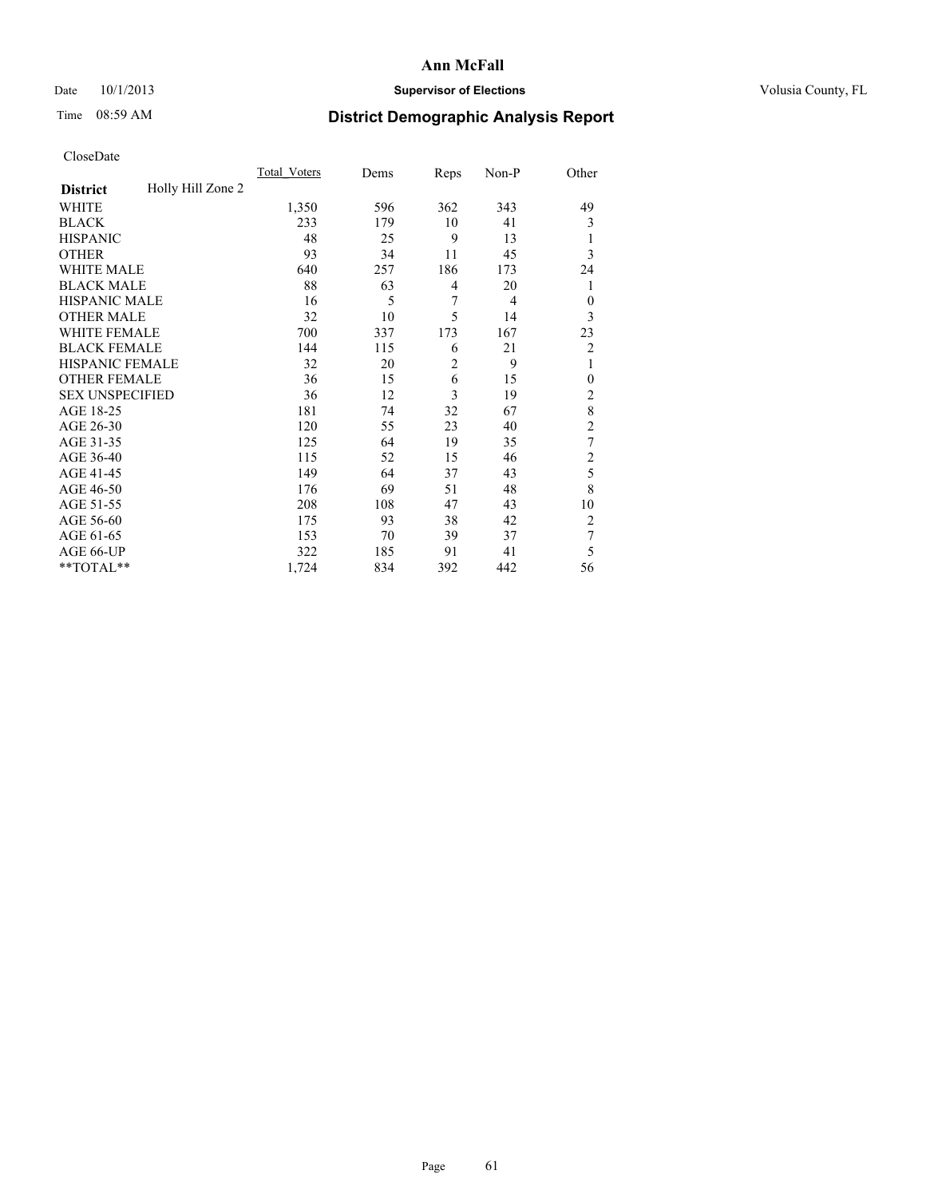### Date 10/1/2013 **Supervisor of Elections Supervisor of Elections** Volusia County, FL

## Time 08:59 AM **District Demographic Analysis Report**

| Cioscivate             |                   |              |      |                |       |                |
|------------------------|-------------------|--------------|------|----------------|-------|----------------|
|                        |                   | Total Voters | Dems | Reps           | Non-P | Other          |
| <b>District</b>        | Holly Hill Zone 2 |              |      |                |       |                |
| WHITE                  |                   | 1,350        | 596  | 362            | 343   | 49             |
| <b>BLACK</b>           |                   | 233          | 179  | 10             | 41    | 3              |
| <b>HISPANIC</b>        |                   | 48           | 25   | 9              | 13    | 1              |
| <b>OTHER</b>           |                   | 93           | 34   | 11             | 45    | 3              |
| WHITE MALE             |                   | 640          | 257  | 186            | 173   | 24             |
| <b>BLACK MALE</b>      |                   | 88           | 63   | 4              | 20    | 1              |
| <b>HISPANIC MALE</b>   |                   | 16           | 5    | 7              | 4     | $\theta$       |
| <b>OTHER MALE</b>      |                   | 32           | 10   | 5              | 14    | 3              |
| WHITE FEMALE           |                   | 700          | 337  | 173            | 167   | 23             |
| <b>BLACK FEMALE</b>    |                   | 144          | 115  | 6              | 21    | $\overline{2}$ |
| HISPANIC FEMALE        |                   | 32           | 20   | $\overline{2}$ | 9     | 1              |
| <b>OTHER FEMALE</b>    |                   | 36           | 15   | 6              | 15    | $\mathbf{0}$   |
| <b>SEX UNSPECIFIED</b> |                   | 36           | 12   | $\overline{3}$ | 19    | $\overline{c}$ |
| AGE 18-25              |                   | 181          | 74   | 32             | 67    | 8              |
| AGE 26-30              |                   | 120          | 55   | 23             | 40    | $\overline{c}$ |
| AGE 31-35              |                   | 125          | 64   | 19             | 35    | 7              |
| AGE 36-40              |                   | 115          | 52   | 15             | 46    | $\overline{c}$ |
| AGE 41-45              |                   | 149          | 64   | 37             | 43    | 5              |
| AGE 46-50              |                   | 176          | 69   | 51             | 48    | 8              |
| AGE 51-55              |                   | 208          | 108  | 47             | 43    | 10             |
| AGE 56-60              |                   | 175          | 93   | 38             | 42    | 2              |
| AGE 61-65              |                   | 153          | 70   | 39             | 37    | 7              |
| AGE 66-UP              |                   | 322          | 185  | 91             | 41    | 5              |
| **TOTAL**              |                   | 1,724        | 834  | 392            | 442   | 56             |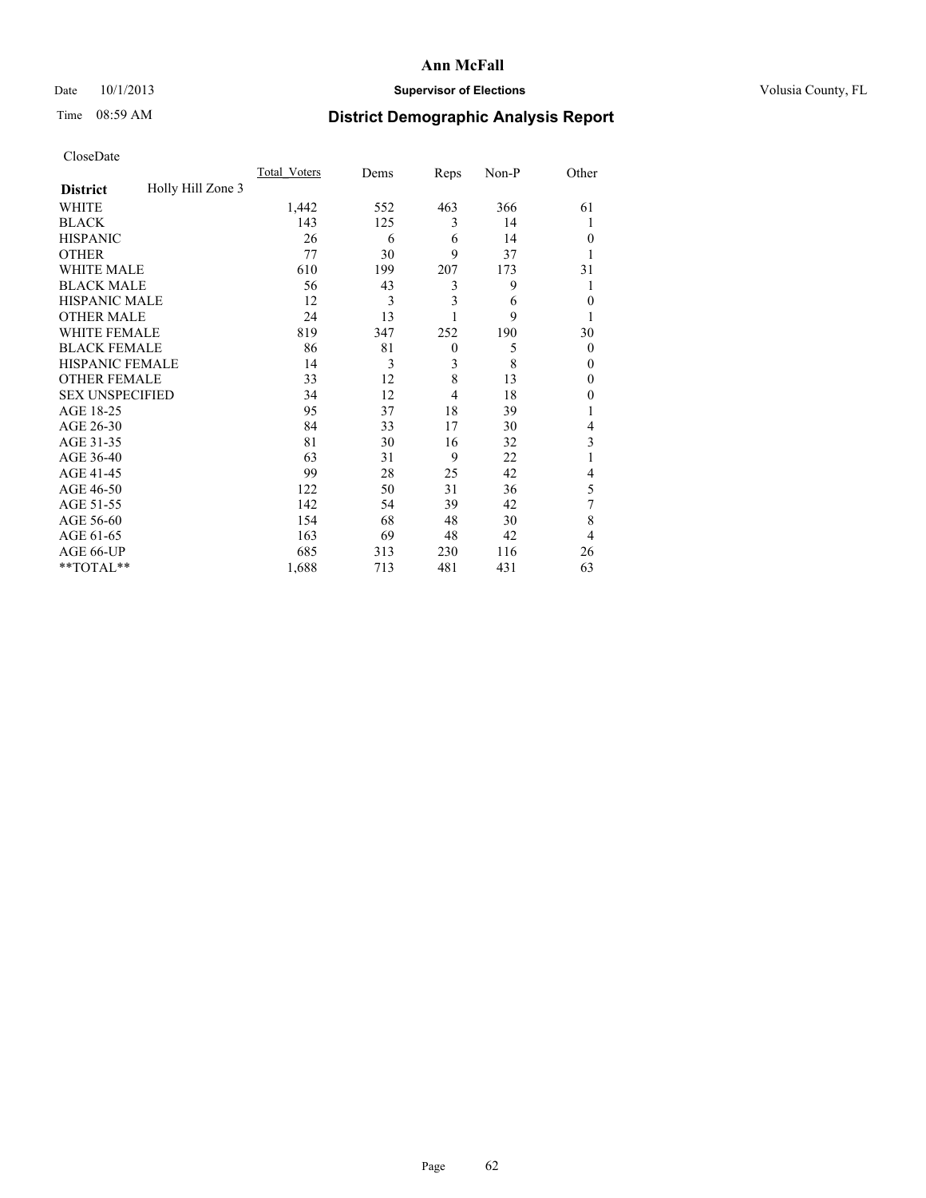### Date 10/1/2013 **Supervisor of Elections Supervisor of Elections** Volusia County, FL

## Time 08:59 AM **District Demographic Analysis Report**

|                        |                   | <b>Total Voters</b> | Dems | Reps         | Non-P | Other          |
|------------------------|-------------------|---------------------|------|--------------|-------|----------------|
| <b>District</b>        | Holly Hill Zone 3 |                     |      |              |       |                |
| WHITE                  |                   | 1,442               | 552  | 463          | 366   | 61             |
| <b>BLACK</b>           |                   | 143                 | 125  | 3            | 14    |                |
| <b>HISPANIC</b>        |                   | 26                  | 6    | 6            | 14    | $\Omega$       |
| <b>OTHER</b>           |                   | 77                  | 30   | 9            | 37    |                |
| WHITE MALE             |                   | 610                 | 199  | 207          | 173   | 31             |
| <b>BLACK MALE</b>      |                   | 56                  | 43   | 3            | 9     | 1              |
| <b>HISPANIC MALE</b>   |                   | 12                  | 3    | 3            | 6     | $\overline{0}$ |
| <b>OTHER MALE</b>      |                   | 24                  | 13   | 1            | 9     |                |
| WHITE FEMALE           |                   | 819                 | 347  | 252          | 190   | 30             |
| <b>BLACK FEMALE</b>    |                   | 86                  | 81   | $\mathbf{0}$ | 5     | $\overline{0}$ |
| <b>HISPANIC FEMALE</b> |                   | 14                  | 3    | 3            | 8     | $\Omega$       |
| <b>OTHER FEMALE</b>    |                   | 33                  | 12   | 8            | 13    | $\Omega$       |
| <b>SEX UNSPECIFIED</b> |                   | 34                  | 12   | 4            | 18    | $\Omega$       |
| AGE 18-25              |                   | 95                  | 37   | 18           | 39    |                |
| AGE 26-30              |                   | 84                  | 33   | 17           | 30    | 4              |
| AGE 31-35              |                   | 81                  | 30   | 16           | 32    | 3              |
| AGE 36-40              |                   | 63                  | 31   | 9            | 22    |                |
| AGE 41-45              |                   | 99                  | 28   | 25           | 42    | 4              |
| AGE 46-50              |                   | 122                 | 50   | 31           | 36    | 5              |
| AGE 51-55              |                   | 142                 | 54   | 39           | 42    | 7              |
| AGE 56-60              |                   | 154                 | 68   | 48           | 30    | 8              |
| AGE 61-65              |                   | 163                 | 69   | 48           | 42    | $\overline{4}$ |
| AGE 66-UP              |                   | 685                 | 313  | 230          | 116   | 26             |
| **TOTAL**              |                   | 1,688               | 713  | 481          | 431   | 63             |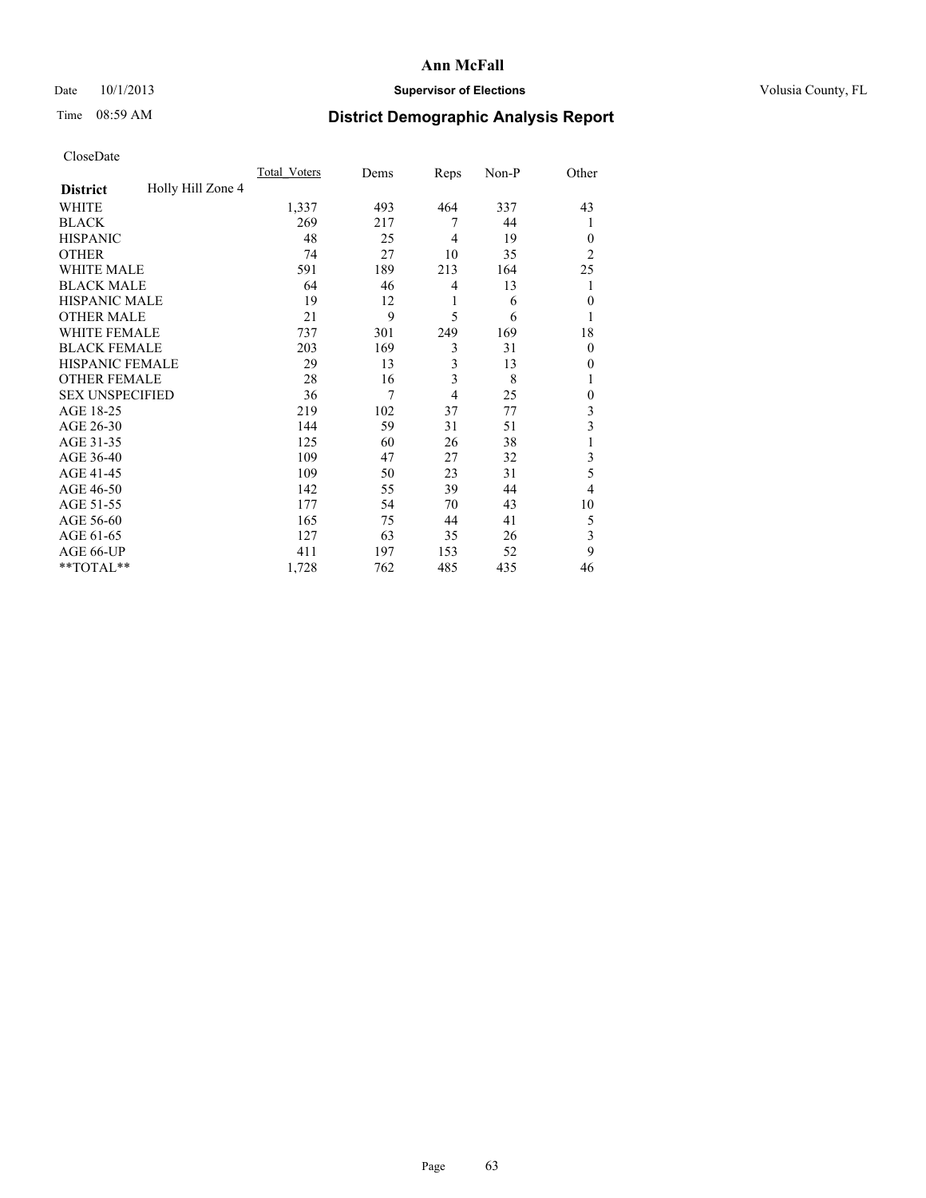### Date 10/1/2013 **Supervisor of Elections Supervisor of Elections** Volusia County, FL

## Time 08:59 AM **District Demographic Analysis Report**

|                        |                   | Total Voters | Dems | Reps           | Non-P | Other          |
|------------------------|-------------------|--------------|------|----------------|-------|----------------|
| <b>District</b>        | Holly Hill Zone 4 |              |      |                |       |                |
| WHITE                  |                   | 1,337        | 493  | 464            | 337   | 43             |
| <b>BLACK</b>           |                   | 269          | 217  | 7              | 44    | 1              |
| <b>HISPANIC</b>        |                   | 48           | 25   | $\overline{4}$ | 19    | $\theta$       |
| <b>OTHER</b>           |                   | 74           | 27   | 10             | 35    | $\overline{2}$ |
| WHITE MALE             |                   | 591          | 189  | 213            | 164   | 25             |
| <b>BLACK MALE</b>      |                   | 64           | 46   | 4              | 13    | 1              |
| <b>HISPANIC MALE</b>   |                   | 19           | 12   | 1              | 6     | $\mathbf{0}$   |
| <b>OTHER MALE</b>      |                   | 21           | 9    | 5              | 6     | 1              |
| WHITE FEMALE           |                   | 737          | 301  | 249            | 169   | 18             |
| <b>BLACK FEMALE</b>    |                   | 203          | 169  | 3              | 31    | $\theta$       |
| <b>HISPANIC FEMALE</b> |                   | 29           | 13   | 3              | 13    | 0              |
| <b>OTHER FEMALE</b>    |                   | 28           | 16   | 3              | 8     |                |
| <b>SEX UNSPECIFIED</b> |                   | 36           | 7    | 4              | 25    | $\mathbf{0}$   |
| AGE 18-25              |                   | 219          | 102  | 37             | 77    | 3              |
| AGE 26-30              |                   | 144          | 59   | 31             | 51    | 3              |
| AGE 31-35              |                   | 125          | 60   | 26             | 38    |                |
| AGE 36-40              |                   | 109          | 47   | 27             | 32    | 3              |
| AGE 41-45              |                   | 109          | 50   | 23             | 31    | 5              |
| AGE 46-50              |                   | 142          | 55   | 39             | 44    | 4              |
| AGE 51-55              |                   | 177          | 54   | 70             | 43    | 10             |
| AGE 56-60              |                   | 165          | 75   | 44             | 41    | 5              |
| AGE 61-65              |                   | 127          | 63   | 35             | 26    | 3              |
| AGE 66-UP              |                   | 411          | 197  | 153            | 52    | 9              |
| **TOTAL**              |                   | 1,728        | 762  | 485            | 435   | 46             |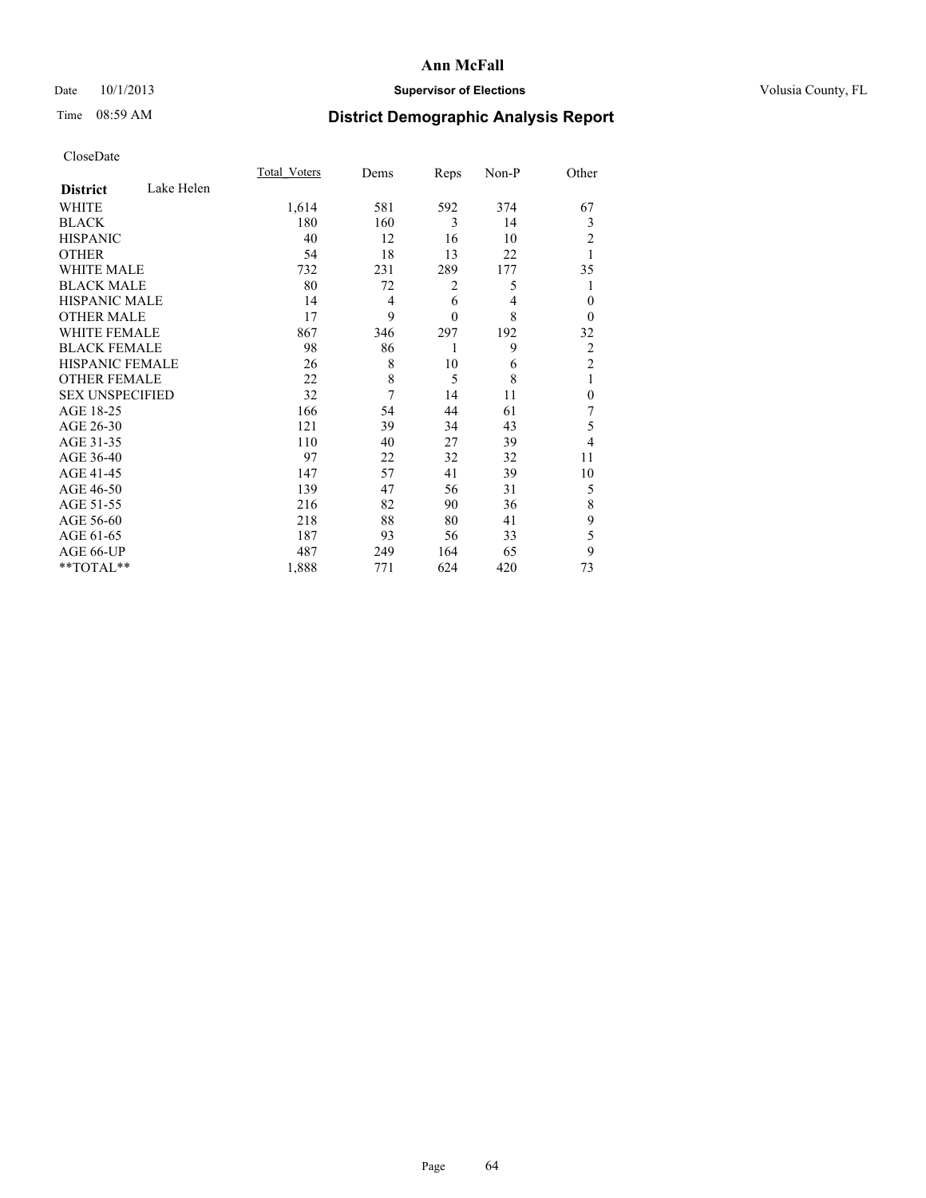### Date 10/1/2013 **Supervisor of Elections Supervisor of Elections** Volusia County, FL

## Time 08:59 AM **District Demographic Analysis Report**

|                        |            | Total Voters | Dems           | Reps         | Non-P          | Other          |
|------------------------|------------|--------------|----------------|--------------|----------------|----------------|
| <b>District</b>        | Lake Helen |              |                |              |                |                |
| <b>WHITE</b>           |            | 1,614        | 581            | 592          | 374            | 67             |
| <b>BLACK</b>           |            | 180          | 160            | 3            | 14             | 3              |
| <b>HISPANIC</b>        |            | 40           | 12             | 16           | 10             | 2              |
| <b>OTHER</b>           |            | 54           | 18             | 13           | 22             |                |
| WHITE MALE             |            | 732          | 231            | 289          | 177            | 35             |
| <b>BLACK MALE</b>      |            | 80           | 72             | 2            | 5              |                |
| <b>HISPANIC MALE</b>   |            | 14           | $\overline{4}$ | 6            | $\overline{4}$ | $\mathbf{0}$   |
| <b>OTHER MALE</b>      |            | 17           | 9              | $\mathbf{0}$ | 8              | $\theta$       |
| <b>WHITE FEMALE</b>    |            | 867          | 346            | 297          | 192            | 32             |
| <b>BLACK FEMALE</b>    |            | 98           | 86             | 1            | 9              | $\overline{c}$ |
| HISPANIC FEMALE        |            | 26           | 8              | 10           | 6              | $\overline{2}$ |
| <b>OTHER FEMALE</b>    |            | 22           | 8              | 5            | 8              | 1              |
| <b>SEX UNSPECIFIED</b> |            | 32           | 7              | 14           | 11             | $\mathbf{0}$   |
| AGE 18-25              |            | 166          | 54             | 44           | 61             | 7              |
| AGE 26-30              |            | 121          | 39             | 34           | 43             | 5              |
| AGE 31-35              |            | 110          | 40             | 27           | 39             | 4              |
| AGE 36-40              |            | 97           | 22             | 32           | 32             | 11             |
| AGE 41-45              |            | 147          | 57             | 41           | 39             | 10             |
| AGE 46-50              |            | 139          | 47             | 56           | 31             | 5              |
| AGE 51-55              |            | 216          | 82             | 90           | 36             | 8              |
| AGE 56-60              |            | 218          | 88             | 80           | 41             | 9              |
| AGE 61-65              |            | 187          | 93             | 56           | 33             | 5              |
| AGE 66-UP              |            | 487          | 249            | 164          | 65             | 9              |
| **TOTAL**              |            | 1,888        | 771            | 624          | 420            | 73             |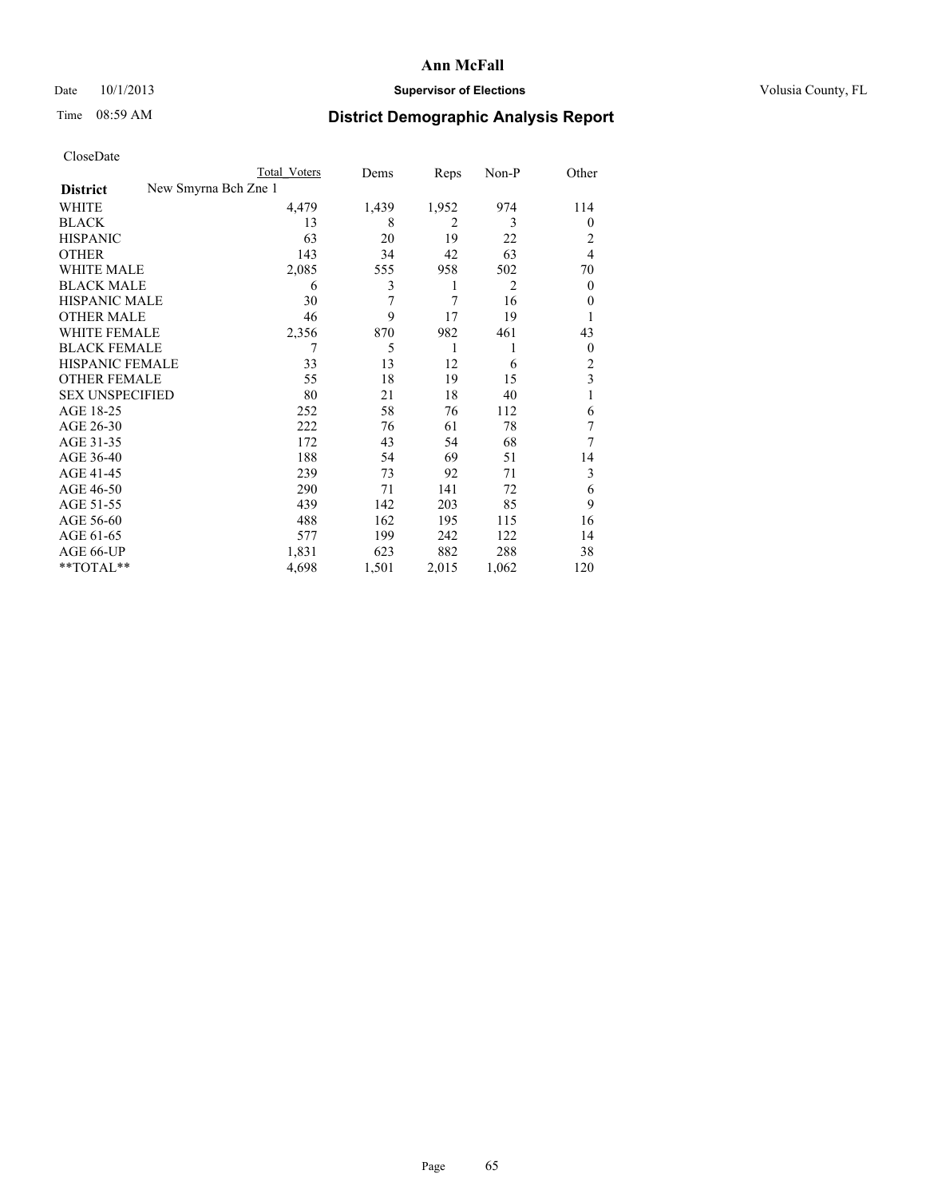### Date 10/1/2013 **Supervisor of Elections Supervisor of Elections** Volusia County, FL

# Time 08:59 AM **District Demographic Analysis Report**

|  | CloseDate |
|--|-----------|
|  |           |

|                        |                      | Total Voters | Dems  | Reps  | Non-P          | Other            |
|------------------------|----------------------|--------------|-------|-------|----------------|------------------|
| <b>District</b>        | New Smyrna Bch Zne 1 |              |       |       |                |                  |
| WHITE                  |                      | 4,479        | 1,439 | 1,952 | 974            | 114              |
| <b>BLACK</b>           |                      | 13           | 8     | 2     | 3              | $\overline{0}$   |
| <b>HISPANIC</b>        |                      | 63           | 20    | 19    | 22             | 2                |
| <b>OTHER</b>           |                      | 143          | 34    | 42    | 63             | $\overline{4}$   |
| WHITE MALE             |                      | 2,085        | 555   | 958   | 502            | 70               |
| <b>BLACK MALE</b>      |                      | 6            | 3     | 1     | $\overline{2}$ | $\boldsymbol{0}$ |
| <b>HISPANIC MALE</b>   |                      | 30           | 7     | 7     | 16             | $\theta$         |
| <b>OTHER MALE</b>      |                      | 46           | 9     | 17    | 19             |                  |
| <b>WHITE FEMALE</b>    |                      | 2,356        | 870   | 982   | 461            | 43               |
| <b>BLACK FEMALE</b>    |                      |              | 5     | 1     | 1              | $\overline{0}$   |
| HISPANIC FEMALE        |                      | 33           | 13    | 12    | 6              | 2                |
| <b>OTHER FEMALE</b>    |                      | 55           | 18    | 19    | 15             | 3                |
| <b>SEX UNSPECIFIED</b> |                      | 80           | 21    | 18    | 40             | 1                |
| AGE 18-25              |                      | 252          | 58    | 76    | 112            | 6                |
| AGE 26-30              |                      | 222          | 76    | 61    | 78             | 7                |
| AGE 31-35              |                      | 172          | 43    | 54    | 68             | 7                |
| AGE 36-40              |                      | 188          | 54    | 69    | 51             | 14               |
| AGE 41-45              |                      | 239          | 73    | 92    | 71             | 3                |
| AGE 46-50              |                      | 290          | 71    | 141   | 72             | 6                |
| AGE 51-55              |                      | 439          | 142   | 203   | 85             | 9                |
| AGE 56-60              |                      | 488          | 162   | 195   | 115            | 16               |
| AGE 61-65              |                      | 577          | 199   | 242   | 122            | 14               |
| AGE 66-UP              |                      | 1,831        | 623   | 882   | 288            | 38               |
| **TOTAL**              |                      | 4,698        | 1,501 | 2,015 | 1,062          | 120              |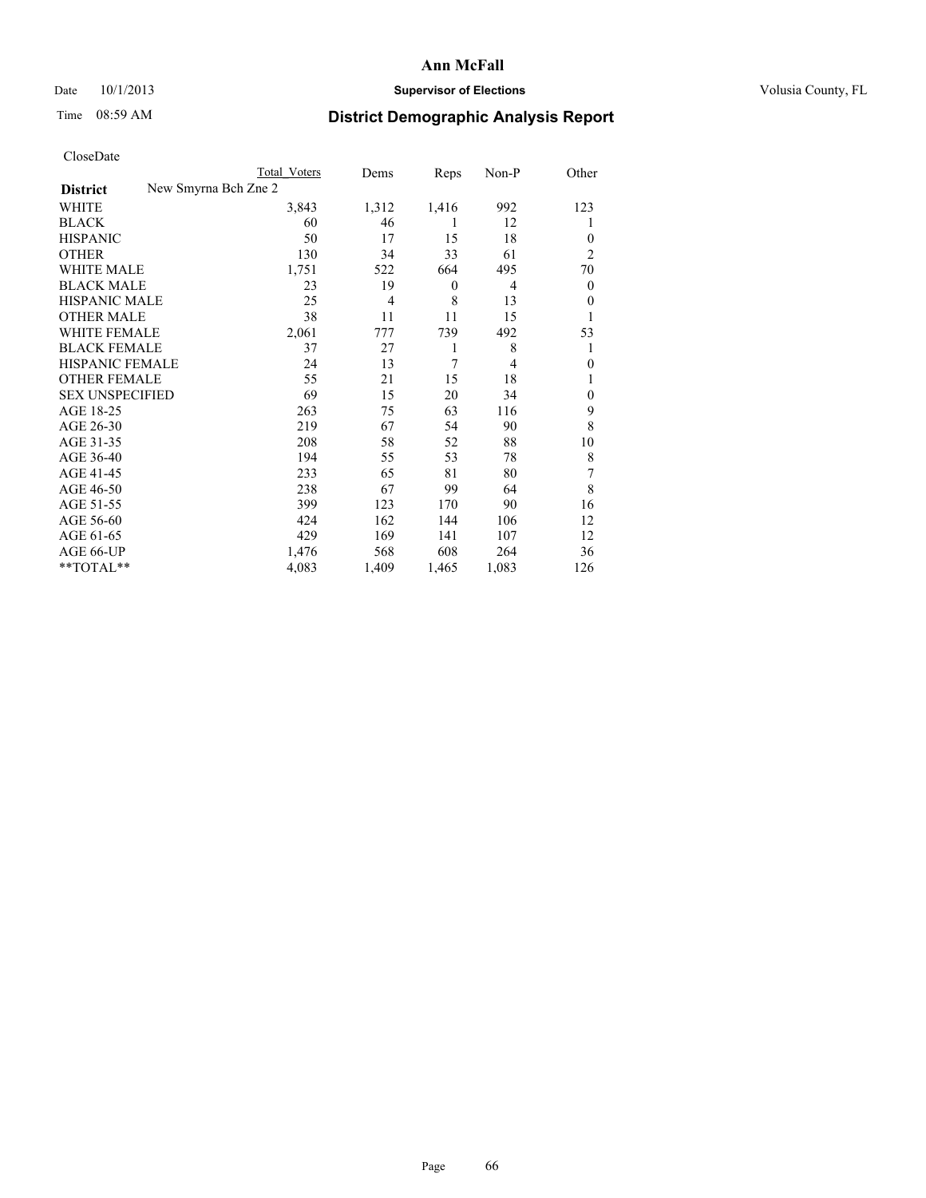### Date 10/1/2013 **Supervisor of Elections Supervisor of Elections** Volusia County, FL

# Time 08:59 AM **District Demographic Analysis Report**

|                        |                      | <b>Total Voters</b> | Dems           | Reps             | Non-P          | Other            |
|------------------------|----------------------|---------------------|----------------|------------------|----------------|------------------|
| <b>District</b>        | New Smyrna Bch Zne 2 |                     |                |                  |                |                  |
| WHITE                  |                      | 3,843               | 1,312          | 1,416            | 992            | 123              |
| <b>BLACK</b>           |                      | 60                  | 46             | 1                | 12             | 1                |
| <b>HISPANIC</b>        |                      | 50                  | 17             | 15               | 18             | $\theta$         |
| <b>OTHER</b>           |                      | 130                 | 34             | 33               | 61             | $\overline{2}$   |
| WHITE MALE             |                      | 1,751               | 522            | 664              | 495            | 70               |
| <b>BLACK MALE</b>      |                      | 23                  | 19             | $\boldsymbol{0}$ | 4              | $\boldsymbol{0}$ |
| <b>HISPANIC MALE</b>   |                      | 25                  | $\overline{4}$ | 8                | 13             | $\theta$         |
| <b>OTHER MALE</b>      |                      | 38                  | 11             | 11               | 15             | 1                |
| <b>WHITE FEMALE</b>    |                      | 2,061               | 777            | 739              | 492            | 53               |
| <b>BLACK FEMALE</b>    |                      | 37                  | 27             | 1                | 8              | 1                |
| HISPANIC FEMALE        |                      | 24                  | 13             | 7                | $\overline{4}$ | $\theta$         |
| <b>OTHER FEMALE</b>    |                      | 55                  | 21             | 15               | 18             |                  |
| <b>SEX UNSPECIFIED</b> |                      | 69                  | 15             | 20               | 34             | $\theta$         |
| AGE 18-25              |                      | 263                 | 75             | 63               | 116            | 9                |
| AGE 26-30              |                      | 219                 | 67             | 54               | 90             | 8                |
| AGE 31-35              |                      | 208                 | 58             | 52               | 88             | 10               |
| AGE 36-40              |                      | 194                 | 55             | 53               | 78             | 8                |
| AGE 41-45              |                      | 233                 | 65             | 81               | 80             | 7                |
| AGE 46-50              |                      | 238                 | 67             | 99               | 64             | 8                |
| AGE 51-55              |                      | 399                 | 123            | 170              | 90             | 16               |
| AGE 56-60              |                      | 424                 | 162            | 144              | 106            | 12               |
| AGE 61-65              |                      | 429                 | 169            | 141              | 107            | 12               |
| AGE 66-UP              |                      | 1,476               | 568            | 608              | 264            | 36               |
| **TOTAL**              |                      | 4,083               | 1,409          | 1,465            | 1,083          | 126              |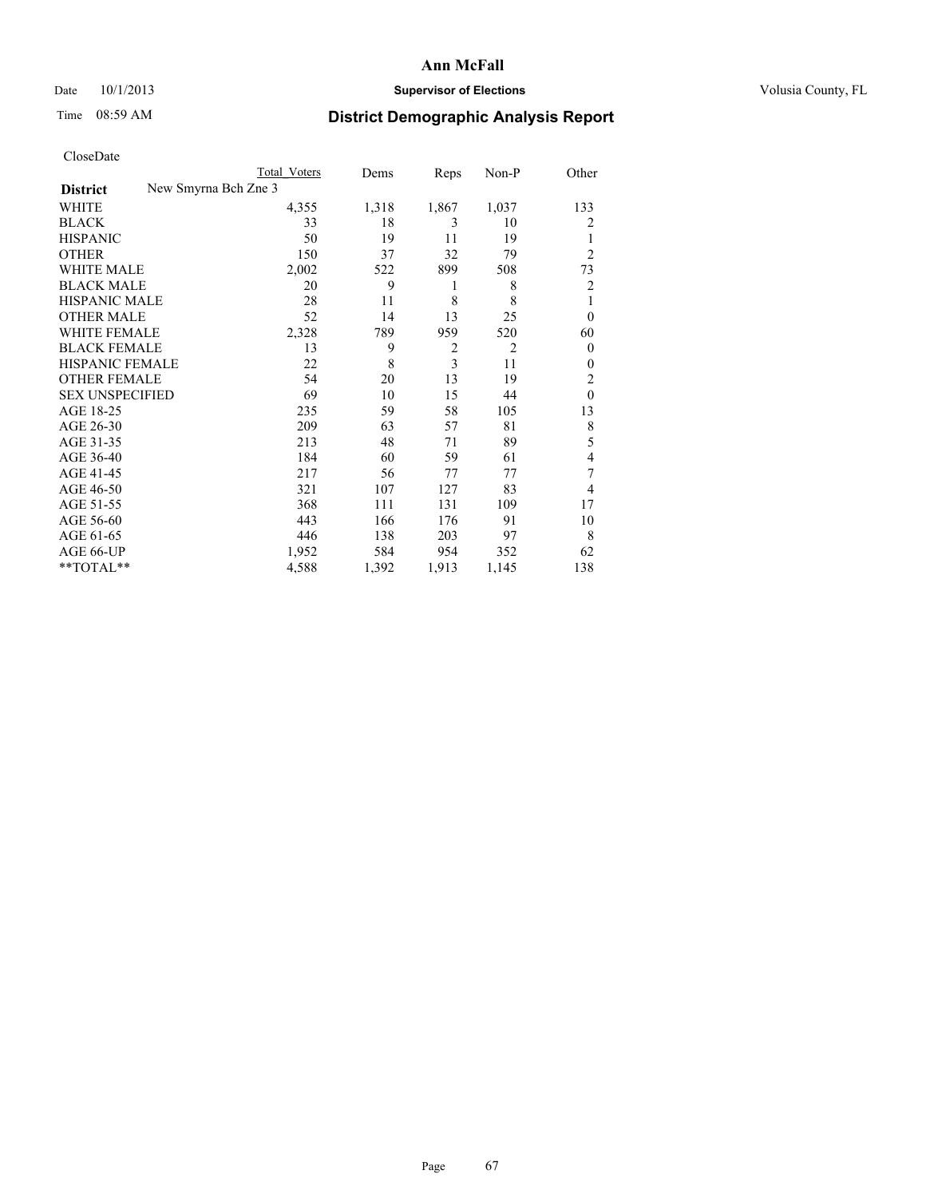### Date 10/1/2013 **Supervisor of Elections Supervisor of Elections** Volusia County, FL

## Time 08:59 AM **District Demographic Analysis Report**

|                        | <b>Total Voters</b>  |       | Reps<br>Dems   | Non-P                            | Other          |
|------------------------|----------------------|-------|----------------|----------------------------------|----------------|
| <b>District</b>        | New Smyrna Bch Zne 3 |       |                |                                  |                |
| WHITE                  |                      | 4,355 | 1,318<br>1,867 | 1,037                            | 133            |
| <b>BLACK</b>           |                      | 33    | 18             | 3<br>10                          | 2              |
| <b>HISPANIC</b>        |                      | 50    | 19             | 19<br>11                         | 1              |
| <b>OTHER</b>           |                      | 150   | 37             | 32<br>79                         | $\overline{2}$ |
| <b>WHITE MALE</b>      |                      | 2,002 | 899<br>522     | 508                              | 73             |
| <b>BLACK MALE</b>      |                      | 20    | 9              | 8<br>1                           | $\overline{2}$ |
| <b>HISPANIC MALE</b>   |                      | 28    | 11             | 8<br>8                           | 1              |
| <b>OTHER MALE</b>      |                      | 52    | 14             | 13<br>25                         | $\overline{0}$ |
| <b>WHITE FEMALE</b>    |                      | 2,328 | 789<br>959     | 520                              | 60             |
| <b>BLACK FEMALE</b>    |                      | 13    | 9              | $\overline{2}$<br>$\overline{2}$ | $\overline{0}$ |
| <b>HISPANIC FEMALE</b> |                      | 22    | 8              | $\overline{3}$<br>11             | $\Omega$       |
| <b>OTHER FEMALE</b>    |                      | 54    | 20             | 13<br>19                         | 2              |
| <b>SEX UNSPECIFIED</b> |                      | 69    | 10             | 15<br>44                         | $\theta$       |
| AGE 18-25              |                      | 235   | 59             | 58<br>105                        | 13             |
| AGE 26-30              |                      | 209   | 63             | 81<br>57                         | 8              |
| AGE 31-35              |                      | 213   | 48             | 89<br>71                         | 5              |
| AGE 36-40              |                      | 184   | 60             | 59<br>61                         | 4              |
| AGE 41-45              |                      | 217   | 56             | 77<br>77                         | 7              |
| AGE 46-50              |                      | 321   | 107<br>127     | 83                               | $\overline{4}$ |
| AGE 51-55              |                      | 368   | 131<br>111     | 109                              | 17             |
| AGE 56-60              |                      | 443   | 166<br>176     | 91                               | 10             |
| AGE 61-65              |                      | 446   | 138<br>203     | 97                               | 8              |
| AGE 66-UP              |                      | 1,952 | 584<br>954     | 352                              | 62             |
| **TOTAL**              |                      | 4,588 | 1,392<br>1,913 | 1,145                            | 138            |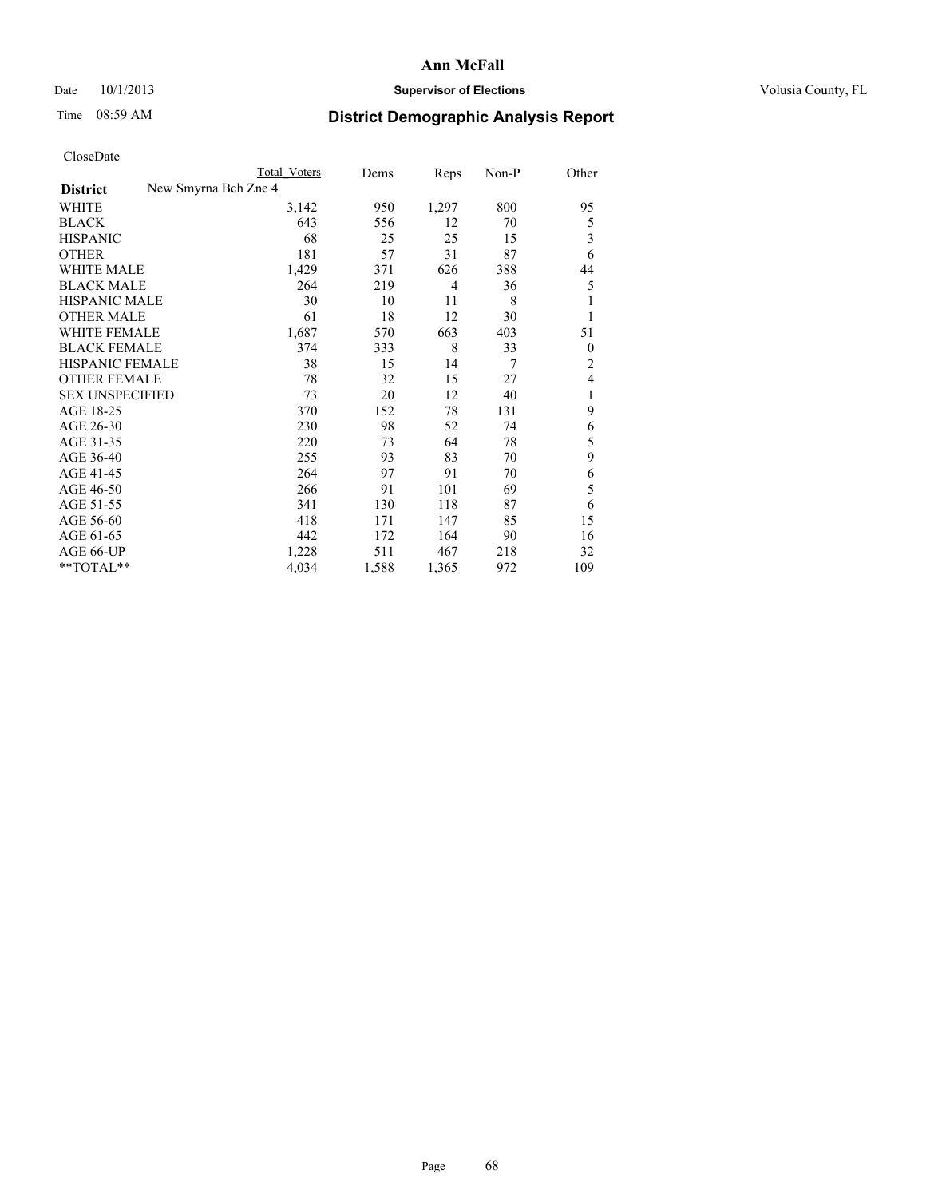### Date 10/1/2013 **Supervisor of Elections Supervisor of Elections** Volusia County, FL

## Time 08:59 AM **District Demographic Analysis Report**

|                        |                      | <b>Total Voters</b> | Dems  | Reps           | Non-P | Other          |
|------------------------|----------------------|---------------------|-------|----------------|-------|----------------|
| <b>District</b>        | New Smyrna Bch Zne 4 |                     |       |                |       |                |
| <b>WHITE</b>           |                      | 3,142               | 950   | 1,297          | 800   | 95             |
| <b>BLACK</b>           |                      | 643                 | 556   | 12             | 70    | 5              |
| <b>HISPANIC</b>        |                      | 68                  | 25    | 25             | 15    | 3              |
| <b>OTHER</b>           |                      | 181                 | 57    | 31             | 87    | 6              |
| <b>WHITE MALE</b>      |                      | 1,429               | 371   | 626            | 388   | 44             |
| <b>BLACK MALE</b>      |                      | 264                 | 219   | $\overline{4}$ | 36    | 5              |
| <b>HISPANIC MALE</b>   |                      | 30                  | 10    | 11             | 8     | 1              |
| <b>OTHER MALE</b>      |                      | 61                  | 18    | 12             | 30    | 1              |
| <b>WHITE FEMALE</b>    |                      | 1,687               | 570   | 663            | 403   | 51             |
| <b>BLACK FEMALE</b>    |                      | 374                 | 333   | 8              | 33    | $\theta$       |
| HISPANIC FEMALE        |                      | 38                  | 15    | 14             | 7     | $\overline{c}$ |
| <b>OTHER FEMALE</b>    |                      | 78                  | 32    | 15             | 27    | $\overline{4}$ |
| <b>SEX UNSPECIFIED</b> |                      | 73                  | 20    | 12             | 40    | 1              |
| AGE 18-25              |                      | 370                 | 152   | 78             | 131   | 9              |
| AGE 26-30              |                      | 230                 | 98    | 52             | 74    | 6              |
| AGE 31-35              |                      | 220                 | 73    | 64             | 78    | 5              |
| AGE 36-40              |                      | 255                 | 93    | 83             | 70    | 9              |
| AGE 41-45              |                      | 264                 | 97    | 91             | 70    | 6              |
| AGE 46-50              |                      | 266                 | 91    | 101            | 69    | 5              |
| AGE 51-55              |                      | 341                 | 130   | 118            | 87    | 6              |
| AGE 56-60              |                      | 418                 | 171   | 147            | 85    | 15             |
| AGE 61-65              |                      | 442                 | 172   | 164            | 90    | 16             |
| AGE 66-UP              |                      | 1,228               | 511   | 467            | 218   | 32             |
| **TOTAL**              |                      | 4,034               | 1,588 | 1,365          | 972   | 109            |
|                        |                      |                     |       |                |       |                |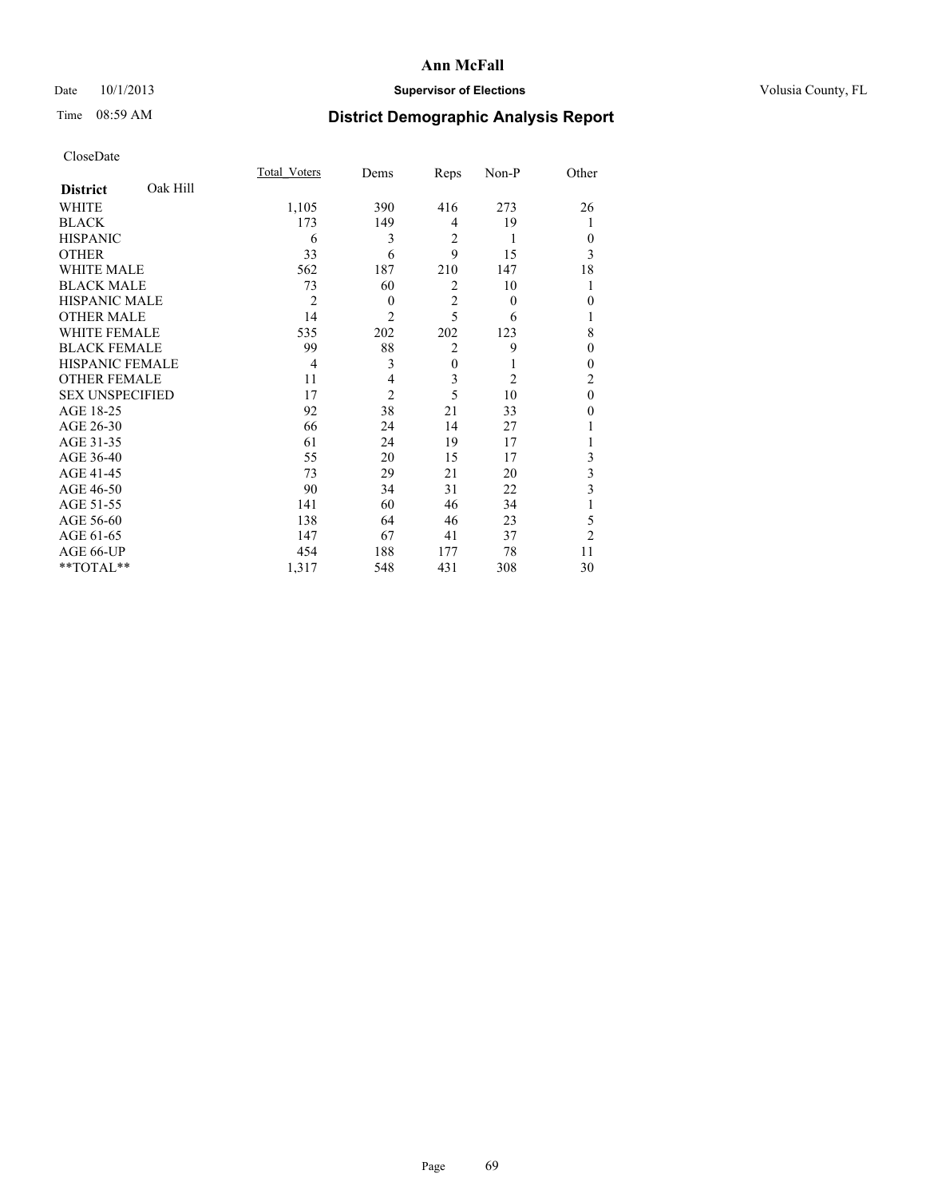### Date 10/1/2013 **Supervisor of Elections Supervisor of Elections** Volusia County, FL

## Time 08:59 AM **District Demographic Analysis Report**

|                        |          | Total Voters   | Dems           | Reps           | Non-P    | Other          |
|------------------------|----------|----------------|----------------|----------------|----------|----------------|
| <b>District</b>        | Oak Hill |                |                |                |          |                |
| WHITE                  |          | 1,105          | 390            | 416            | 273      | 26             |
| <b>BLACK</b>           |          | 173            | 149            | 4              | 19       | 1              |
| <b>HISPANIC</b>        |          | 6              | 3              | $\overline{2}$ | 1        | $\Omega$       |
| <b>OTHER</b>           |          | 33             | 6              | 9              | 15       | 3              |
| WHITE MALE             |          | 562            | 187            | 210            | 147      | 18             |
| <b>BLACK MALE</b>      |          | 73             | 60             | $\overline{2}$ | 10       | 1              |
| <b>HISPANIC MALE</b>   |          | $\overline{2}$ | $\theta$       | $\overline{2}$ | $\theta$ | $\theta$       |
| <b>OTHER MALE</b>      |          | 14             | $\overline{c}$ | 5              | 6        | 1              |
| WHITE FEMALE           |          | 535            | 202            | 202            | 123      | 8              |
| <b>BLACK FEMALE</b>    |          | 99             | 88             | $\overline{2}$ | 9        | $\theta$       |
| HISPANIC FEMALE        |          | $\overline{4}$ | 3              | $\overline{0}$ | 1        | $\Omega$       |
| <b>OTHER FEMALE</b>    |          | 11             | 4              | 3              | 2        | $\overline{c}$ |
| <b>SEX UNSPECIFIED</b> |          | 17             | $\overline{2}$ | 5              | 10       | $\theta$       |
| AGE 18-25              |          | 92             | 38             | 21             | 33       | $\theta$       |
| AGE 26-30              |          | 66             | 24             | 14             | 27       |                |
| AGE 31-35              |          | 61             | 24             | 19             | 17       |                |
| AGE 36-40              |          | 55             | 20             | 15             | 17       | 3              |
| AGE 41-45              |          | 73             | 29             | 21             | 20       | 3              |
| AGE 46-50              |          | 90             | 34             | 31             | 22       | 3              |
| AGE 51-55              |          | 141            | 60             | 46             | 34       |                |
| AGE 56-60              |          | 138            | 64             | 46             | 23       | 5              |
| AGE 61-65              |          | 147            | 67             | 41             | 37       | $\overline{2}$ |
| AGE 66-UP              |          | 454            | 188            | 177            | 78       | 11             |
| **TOTAL**              |          | 1,317          | 548            | 431            | 308      | 30             |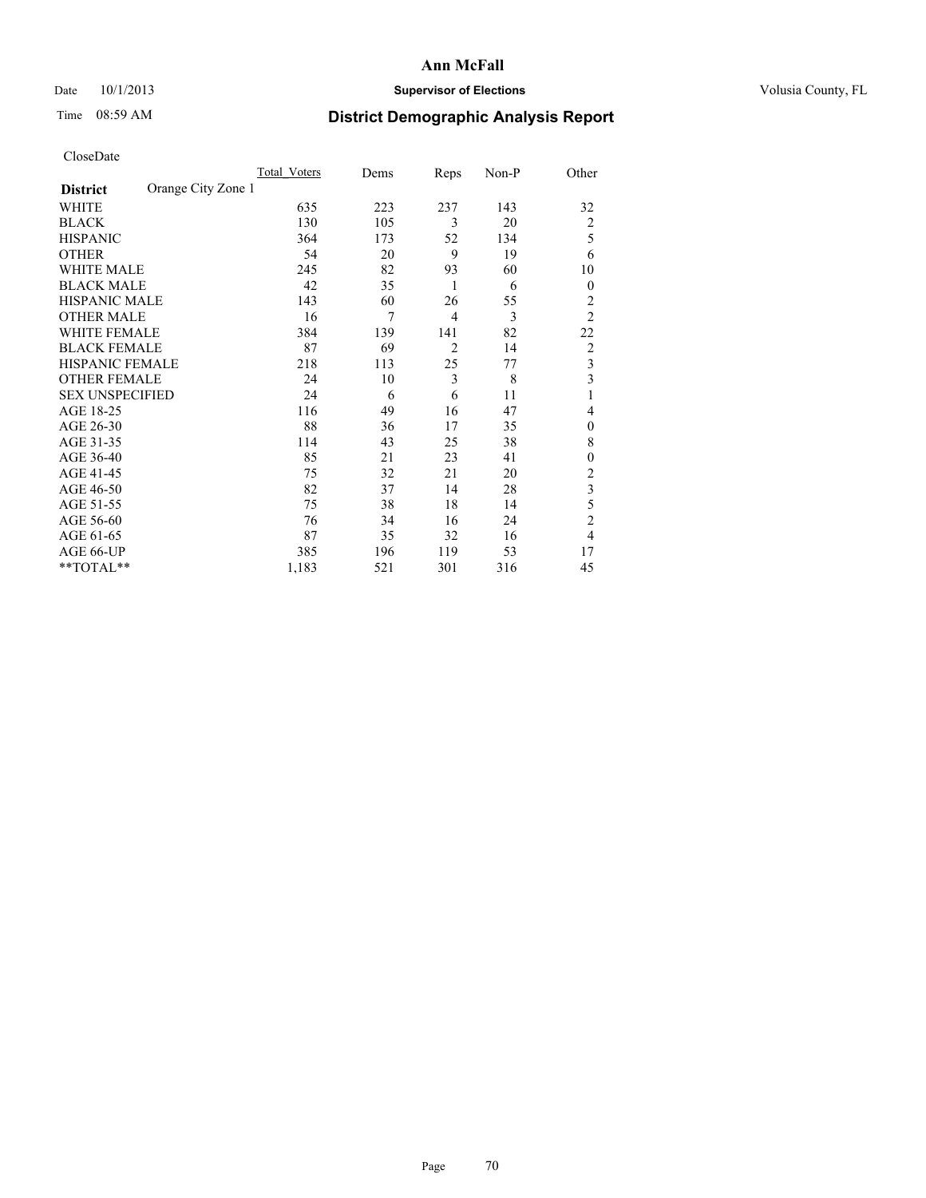### Date 10/1/2013 **Supervisor of Elections Supervisor of Elections** Volusia County, FL

## Time 08:59 AM **District Demographic Analysis Report**

|                        |                    | Total Voters | Dems | Reps           | Non-P | Other                   |
|------------------------|--------------------|--------------|------|----------------|-------|-------------------------|
| <b>District</b>        | Orange City Zone 1 |              |      |                |       |                         |
| WHITE                  |                    | 635          | 223  | 237            | 143   | 32                      |
| <b>BLACK</b>           |                    | 130          | 105  | 3              | 20    | $\overline{2}$          |
| <b>HISPANIC</b>        |                    | 364          | 173  | 52             | 134   | 5                       |
| <b>OTHER</b>           |                    | 54           | 20   | 9              | 19    | 6                       |
| WHITE MALE             |                    | 245          | 82   | 93             | 60    | 10                      |
| <b>BLACK MALE</b>      |                    | 42           | 35   | 1              | 6     | $\boldsymbol{0}$        |
| <b>HISPANIC MALE</b>   |                    | 143          | 60   | 26             | 55    | $\overline{2}$          |
| <b>OTHER MALE</b>      |                    | 16           | 7    | 4              | 3     | $\overline{2}$          |
| WHITE FEMALE           |                    | 384          | 139  | 141            | 82    | 22                      |
| <b>BLACK FEMALE</b>    |                    | 87           | 69   | $\overline{2}$ | 14    | $\overline{2}$          |
| HISPANIC FEMALE        |                    | 218          | 113  | 25             | 77    | $\overline{\mathbf{3}}$ |
| <b>OTHER FEMALE</b>    |                    | 24           | 10   | 3              | 8     | $\overline{\mathbf{3}}$ |
| <b>SEX UNSPECIFIED</b> |                    | 24           | 6    | 6              | 11    | 1                       |
| AGE 18-25              |                    | 116          | 49   | 16             | 47    | 4                       |
| AGE 26-30              |                    | 88           | 36   | 17             | 35    | $\theta$                |
| AGE 31-35              |                    | 114          | 43   | 25             | 38    | 8                       |
| AGE 36-40              |                    | 85           | 21   | 23             | 41    | $\mathbf{0}$            |
| AGE 41-45              |                    | 75           | 32   | 21             | 20    | $\overline{2}$          |
| AGE 46-50              |                    | 82           | 37   | 14             | 28    | 3                       |
| AGE 51-55              |                    | 75           | 38   | 18             | 14    | 5                       |
| AGE 56-60              |                    | 76           | 34   | 16             | 24    | $\overline{c}$          |
| AGE 61-65              |                    | 87           | 35   | 32             | 16    | $\overline{4}$          |
| AGE 66-UP              |                    | 385          | 196  | 119            | 53    | 17                      |
| **TOTAL**              |                    | 1,183        | 521  | 301            | 316   | 45                      |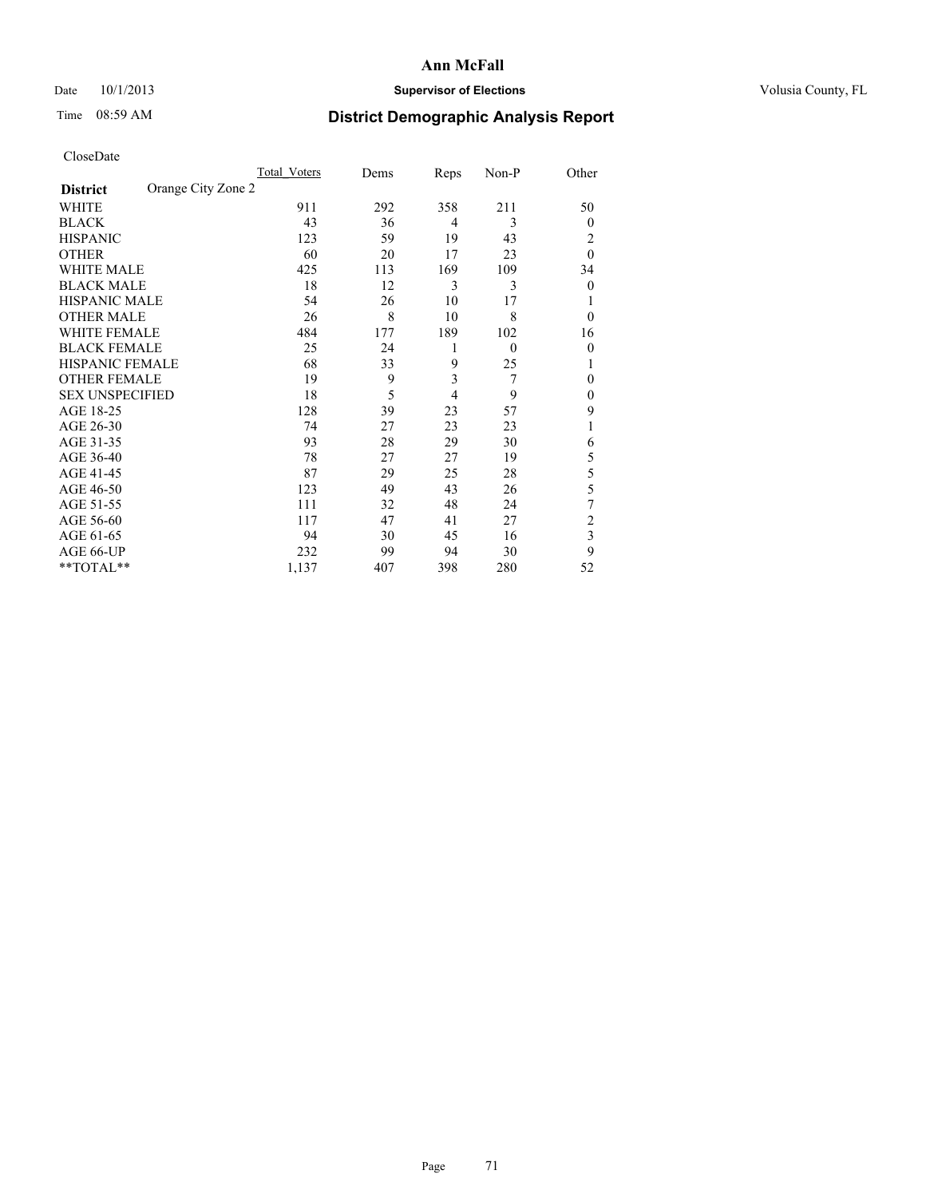### Date 10/1/2013 **Supervisor of Elections Supervisor of Elections** Volusia County, FL

## Time 08:59 AM **District Demographic Analysis Report**

|                        |                    | Total Voters | Dems | Reps           | Non-P        | Other                   |
|------------------------|--------------------|--------------|------|----------------|--------------|-------------------------|
| <b>District</b>        | Orange City Zone 2 |              |      |                |              |                         |
| WHITE                  |                    | 911          | 292  | 358            | 211          | 50                      |
| <b>BLACK</b>           |                    | 43           | 36   | 4              | 3            | $\Omega$                |
| <b>HISPANIC</b>        |                    | 123          | 59   | 19             | 43           | 2                       |
| <b>OTHER</b>           |                    | 60           | 20   | 17             | 23           | $\theta$                |
| WHITE MALE             |                    | 425          | 113  | 169            | 109          | 34                      |
| <b>BLACK MALE</b>      |                    | 18           | 12   | 3              | 3            | $\overline{0}$          |
| <b>HISPANIC MALE</b>   |                    | 54           | 26   | 10             | 17           |                         |
| <b>OTHER MALE</b>      |                    | 26           | 8    | 10             | 8            | $\Omega$                |
| WHITE FEMALE           |                    | 484          | 177  | 189            | 102          | 16                      |
| <b>BLACK FEMALE</b>    |                    | 25           | 24   | 1              | $\mathbf{0}$ | $\overline{0}$          |
| <b>HISPANIC FEMALE</b> |                    | 68           | 33   | 9              | 25           |                         |
| <b>OTHER FEMALE</b>    |                    | 19           | 9    | 3              | 7            | $\Omega$                |
| <b>SEX UNSPECIFIED</b> |                    | 18           | 5    | $\overline{4}$ | 9            | $\overline{0}$          |
| AGE 18-25              |                    | 128          | 39   | 23             | 57           | 9                       |
| AGE 26-30              |                    | 74           | 27   | 23             | 23           | 1                       |
| AGE 31-35              |                    | 93           | 28   | 29             | 30           | 6                       |
| AGE 36-40              |                    | 78           | 27   | 27             | 19           | 5                       |
| AGE 41-45              |                    | 87           | 29   | 25             | 28           | 5                       |
| AGE 46-50              |                    | 123          | 49   | 43             | 26           | 5                       |
| AGE 51-55              |                    | 111          | 32   | 48             | 24           | 7                       |
| AGE 56-60              |                    | 117          | 47   | 41             | 27           | $\overline{c}$          |
| AGE 61-65              |                    | 94           | 30   | 45             | 16           | $\overline{\mathbf{3}}$ |
| AGE 66-UP              |                    | 232          | 99   | 94             | 30           | 9                       |
| **TOTAL**              |                    | 1,137        | 407  | 398            | 280          | 52                      |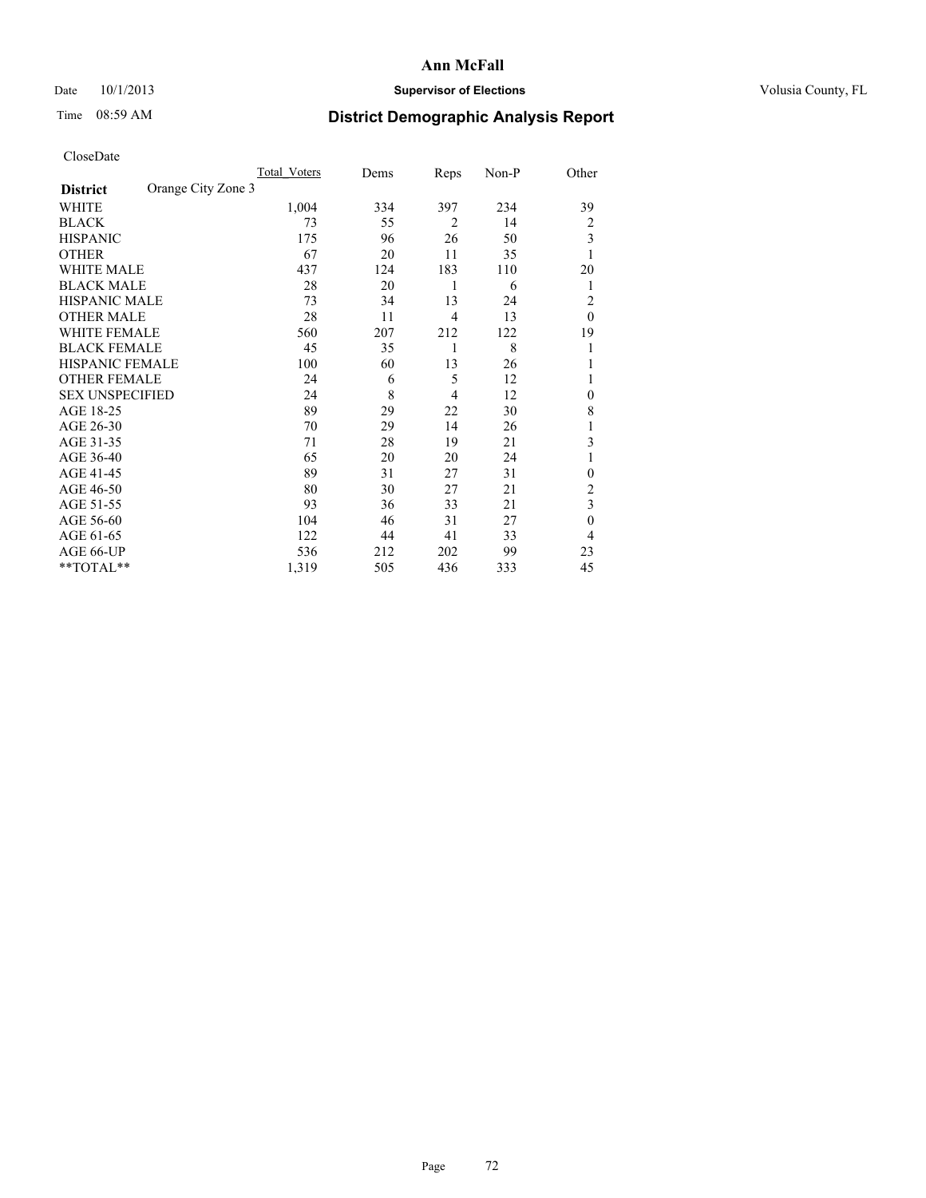### Date 10/1/2013 **Supervisor of Elections Supervisor of Elections** Volusia County, FL

## Time 08:59 AM **District Demographic Analysis Report**

|                        |                    | Total Voters | Dems | Reps           | Non-P | Other        |
|------------------------|--------------------|--------------|------|----------------|-------|--------------|
| <b>District</b>        | Orange City Zone 3 |              |      |                |       |              |
| WHITE                  |                    | 1,004        | 334  | 397            | 234   | 39           |
| <b>BLACK</b>           |                    | 73           | 55   | $\overline{2}$ | 14    | 2            |
| <b>HISPANIC</b>        |                    | 175          | 96   | 26             | 50    | 3            |
| <b>OTHER</b>           |                    | 67           | 20   | 11             | 35    | 1            |
| WHITE MALE             |                    | 437          | 124  | 183            | 110   | 20           |
| <b>BLACK MALE</b>      |                    | 28           | 20   | 1              | 6     | 1            |
| <b>HISPANIC MALE</b>   |                    | 73           | 34   | 13             | 24    | 2            |
| <b>OTHER MALE</b>      |                    | 28           | 11   | $\overline{4}$ | 13    | $\theta$     |
| <b>WHITE FEMALE</b>    |                    | 560          | 207  | 212            | 122   | 19           |
| <b>BLACK FEMALE</b>    |                    | 45           | 35   | 1              | 8     | 1            |
| <b>HISPANIC FEMALE</b> |                    | 100          | 60   | 13             | 26    |              |
| <b>OTHER FEMALE</b>    |                    | 24           | 6    | 5              | 12    |              |
| <b>SEX UNSPECIFIED</b> |                    | 24           | 8    | 4              | 12    | $\mathbf{0}$ |
| AGE 18-25              |                    | 89           | 29   | 22             | 30    | 8            |
| AGE 26-30              |                    | 70           | 29   | 14             | 26    | 1            |
| AGE 31-35              |                    | 71           | 28   | 19             | 21    | 3            |
| AGE 36-40              |                    | 65           | 20   | 20             | 24    |              |
| AGE 41-45              |                    | 89           | 31   | 27             | 31    | $\theta$     |
| AGE 46-50              |                    | 80           | 30   | 27             | 21    | 2            |
| AGE 51-55              |                    | 93           | 36   | 33             | 21    | 3            |
| AGE 56-60              |                    | 104          | 46   | 31             | 27    | $\mathbf{0}$ |
| AGE 61-65              |                    | 122          | 44   | 41             | 33    | 4            |
| AGE 66-UP              |                    | 536          | 212  | 202            | 99    | 23           |
| **TOTAL**              |                    | 1,319        | 505  | 436            | 333   | 45           |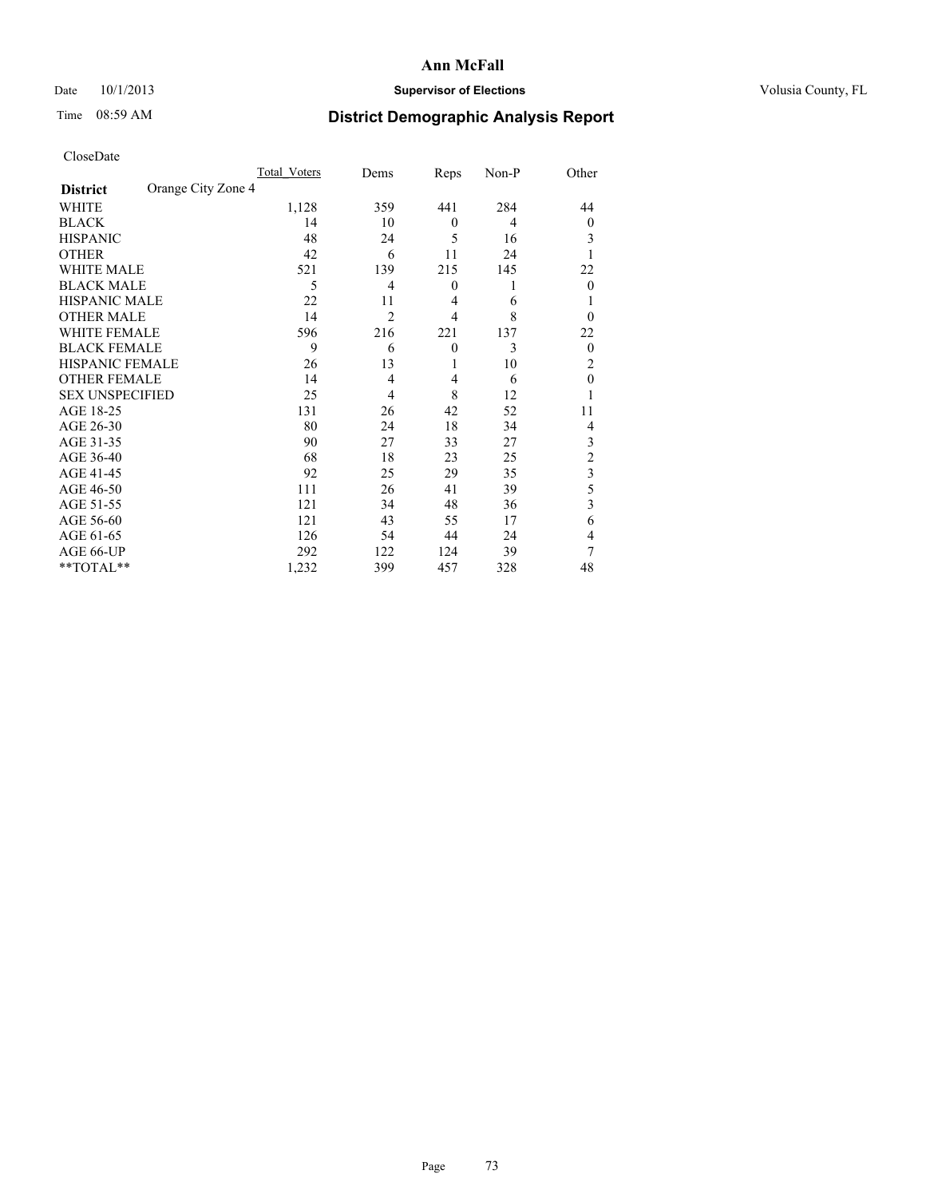## Date 10/1/2013 **Supervisor of Elections Supervisor of Elections** Volusia County, FL

## Time 08:59 AM **District Demographic Analysis Report**

|                        |                    | <b>Total Voters</b> | Dems           | Reps             | Non-P | Other                   |
|------------------------|--------------------|---------------------|----------------|------------------|-------|-------------------------|
| <b>District</b>        | Orange City Zone 4 |                     |                |                  |       |                         |
| <b>WHITE</b>           |                    | 1,128               | 359            | 441              | 284   | 44                      |
| <b>BLACK</b>           |                    | 14                  | 10             | $\mathbf{0}$     | 4     | $\Omega$                |
| <b>HISPANIC</b>        |                    | 48                  | 24             | 5                | 16    | 3                       |
| <b>OTHER</b>           |                    | 42                  | 6              | 11               | 24    |                         |
| WHITE MALE             |                    | 521                 | 139            | 215              | 145   | 22                      |
| <b>BLACK MALE</b>      |                    | 5                   | 4              | $\boldsymbol{0}$ | 1     | $\overline{0}$          |
| <b>HISPANIC MALE</b>   |                    | 22                  | 11             | $\overline{4}$   | 6     |                         |
| <b>OTHER MALE</b>      |                    | 14                  | $\overline{2}$ | $\overline{4}$   | 8     | $\Omega$                |
| <b>WHITE FEMALE</b>    |                    | 596                 | 216            | 221              | 137   | 22                      |
| <b>BLACK FEMALE</b>    |                    | 9                   | 6              | $\overline{0}$   | 3     | $\overline{0}$          |
| <b>HISPANIC FEMALE</b> |                    | 26                  | 13             | 1                | 10    | 2                       |
| <b>OTHER FEMALE</b>    |                    | 14                  | $\overline{4}$ | 4                | 6     | $\theta$                |
| <b>SEX UNSPECIFIED</b> |                    | 25                  | 4              | 8                | 12    |                         |
| AGE 18-25              |                    | 131                 | 26             | 42               | 52    | 11                      |
| AGE 26-30              |                    | 80                  | 24             | 18               | 34    | 4                       |
| AGE 31-35              |                    | 90                  | 27             | 33               | 27    | 3                       |
| AGE 36-40              |                    | 68                  | 18             | 23               | 25    | $\overline{c}$          |
| AGE 41-45              |                    | 92                  | 25             | 29               | 35    | $\overline{\mathbf{3}}$ |
| AGE 46-50              |                    | 111                 | 26             | 41               | 39    | 5                       |
| AGE 51-55              |                    | 121                 | 34             | 48               | 36    | 3                       |
| AGE 56-60              |                    | 121                 | 43             | 55               | 17    | 6                       |
| AGE 61-65              |                    | 126                 | 54             | 44               | 24    | 4                       |
| AGE 66-UP              |                    | 292                 | 122            | 124              | 39    | 7                       |
| **TOTAL**              |                    | 1,232               | 399            | 457              | 328   | 48                      |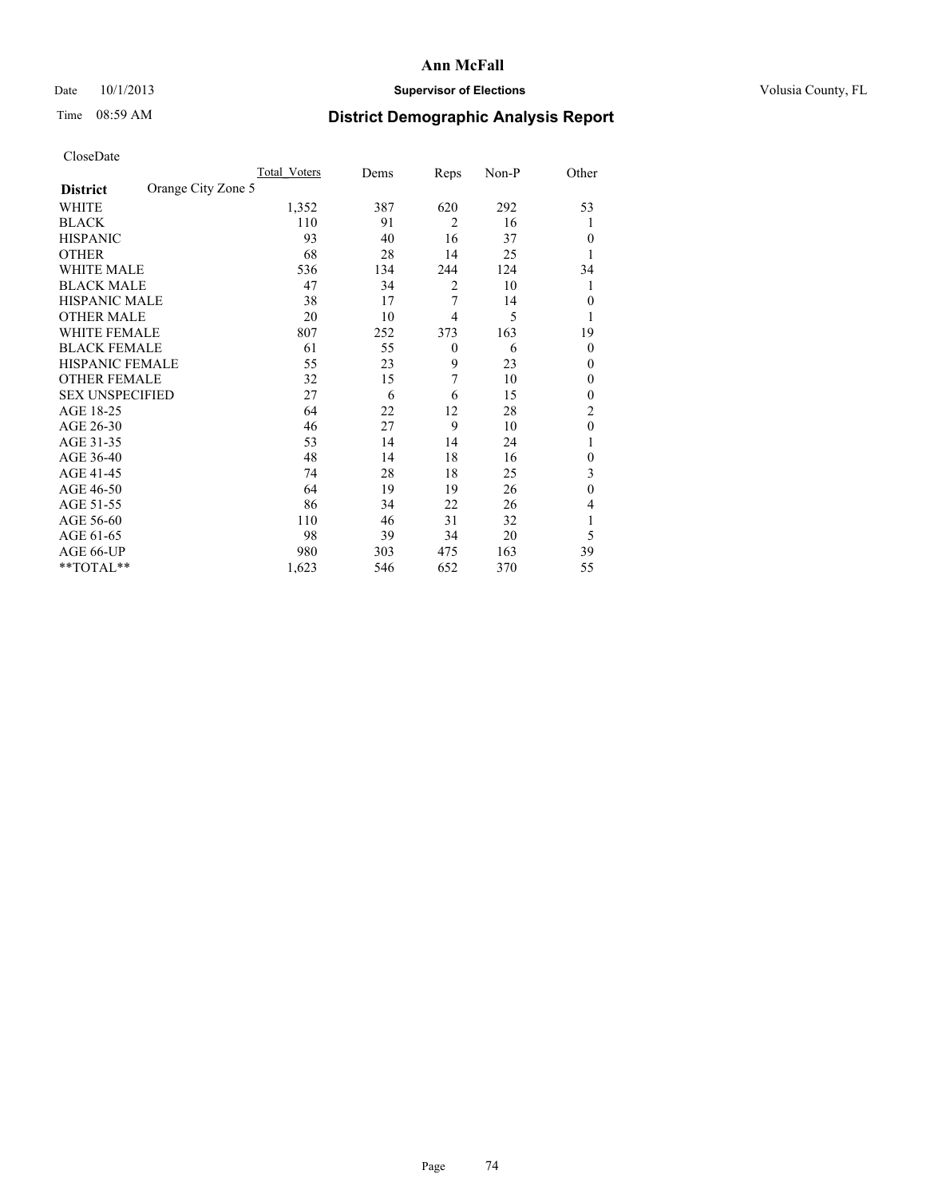## Date 10/1/2013 **Supervisor of Elections Supervisor of Elections** Volusia County, FL

# Time 08:59 AM **District Demographic Analysis Report**

|                        |                    | <b>Total Voters</b> | Dems | Reps           | Non-P | Other          |
|------------------------|--------------------|---------------------|------|----------------|-------|----------------|
| <b>District</b>        | Orange City Zone 5 |                     |      |                |       |                |
| WHITE                  |                    | 1,352               | 387  | 620            | 292   | 53             |
| <b>BLACK</b>           |                    | 110                 | 91   | $\overline{2}$ | 16    | 1              |
| <b>HISPANIC</b>        |                    | 93                  | 40   | 16             | 37    | $\Omega$       |
| <b>OTHER</b>           |                    | 68                  | 28   | 14             | 25    |                |
| WHITE MALE             |                    | 536                 | 134  | 244            | 124   | 34             |
| <b>BLACK MALE</b>      |                    | 47                  | 34   | 2              | 10    | 1              |
| <b>HISPANIC MALE</b>   |                    | 38                  | 17   | 7              | 14    | $\overline{0}$ |
| <b>OTHER MALE</b>      |                    | 20                  | 10   | $\overline{4}$ | 5     | 1              |
| WHITE FEMALE           |                    | 807                 | 252  | 373            | 163   | 19             |
| <b>BLACK FEMALE</b>    |                    | 61                  | 55   | $\mathbf{0}$   | 6     | $\overline{0}$ |
| <b>HISPANIC FEMALE</b> |                    | 55                  | 23   | 9              | 23    | $\Omega$       |
| <b>OTHER FEMALE</b>    |                    | 32                  | 15   | 7              | 10    | $\Omega$       |
| <b>SEX UNSPECIFIED</b> |                    | 27                  | 6    | 6              | 15    | $\overline{0}$ |
| AGE 18-25              |                    | 64                  | 22   | 12             | 28    | $\overline{2}$ |
| AGE 26-30              |                    | 46                  | 27   | 9              | 10    | $\mathbf{0}$   |
| AGE 31-35              |                    | 53                  | 14   | 14             | 24    |                |
| AGE 36-40              |                    | 48                  | 14   | 18             | 16    | $\overline{0}$ |
| AGE 41-45              |                    | 74                  | 28   | 18             | 25    | 3              |
| AGE 46-50              |                    | 64                  | 19   | 19             | 26    | $\theta$       |
| AGE 51-55              |                    | 86                  | 34   | 22             | 26    | $\overline{4}$ |
| AGE 56-60              |                    | 110                 | 46   | 31             | 32    |                |
| AGE 61-65              |                    | 98                  | 39   | 34             | 20    | 5              |
| AGE 66-UP              |                    | 980                 | 303  | 475            | 163   | 39             |
| **TOTAL**              |                    | 1,623               | 546  | 652            | 370   | 55             |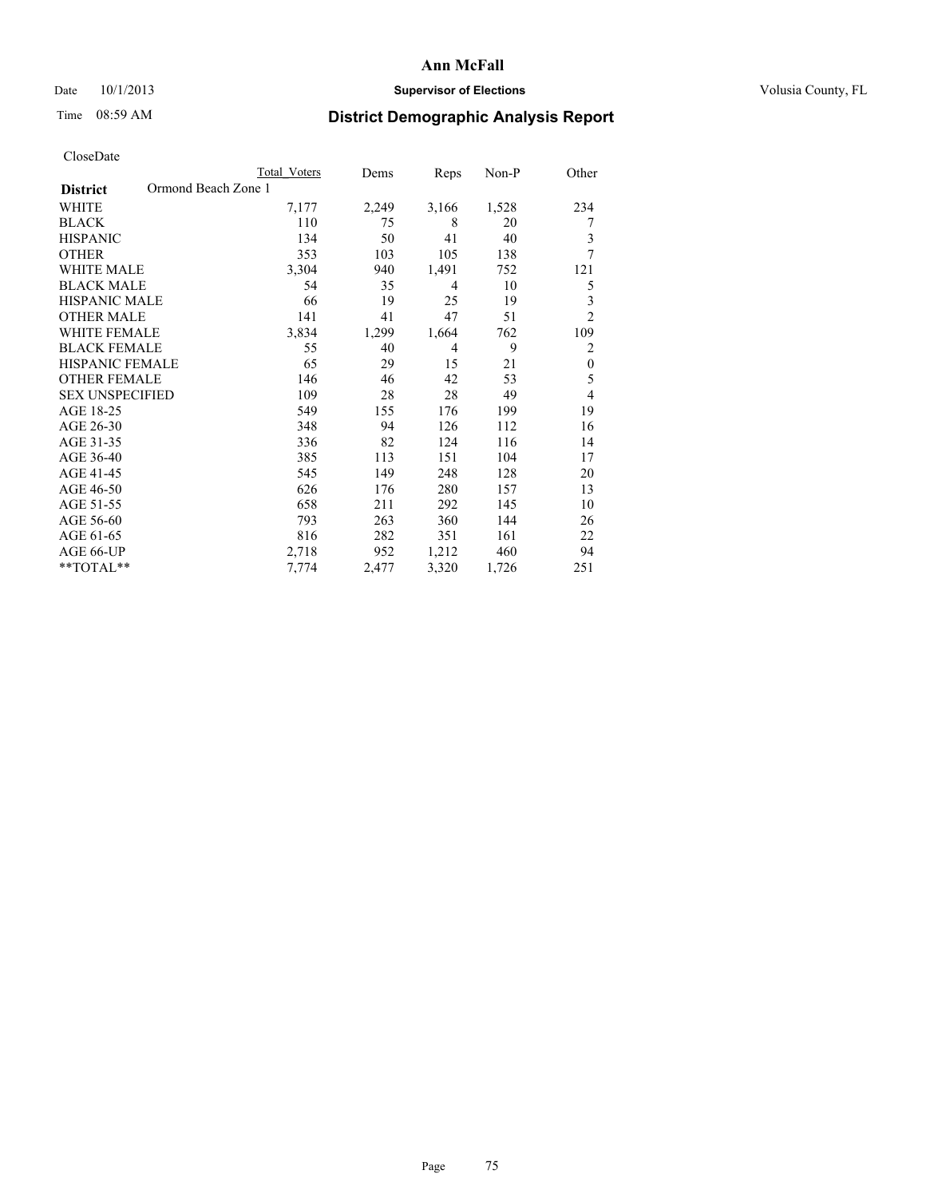## Date 10/1/2013 **Supervisor of Elections Supervisor of Elections** Volusia County, FL

## Time 08:59 AM **District Demographic Analysis Report**

|                        | <b>Total Voters</b> | Dems  | Reps           | Non-P | Other                   |
|------------------------|---------------------|-------|----------------|-------|-------------------------|
| <b>District</b>        | Ormond Beach Zone 1 |       |                |       |                         |
| WHITE                  | 7,177               | 2,249 | 3,166          | 1,528 | 234                     |
| <b>BLACK</b>           | 110                 | 75    | 8              | 20    | 7                       |
| <b>HISPANIC</b>        | 134                 | 50    | 41             | 40    | 3                       |
| <b>OTHER</b>           | 353                 | 103   | 105            | 138   | 7                       |
| WHITE MALE             | 3,304               | 940   | 1,491          | 752   | 121                     |
| <b>BLACK MALE</b>      | 54                  | 35    | $\overline{4}$ | 10    | 5                       |
| <b>HISPANIC MALE</b>   | 66                  | 19    | 25             | 19    | $\overline{\mathbf{3}}$ |
| <b>OTHER MALE</b>      | 141                 | 41    | 47             | 51    | $\overline{2}$          |
| <b>WHITE FEMALE</b>    | 3,834               | 1,299 | 1,664          | 762   | 109                     |
| <b>BLACK FEMALE</b>    | 55                  | 40    | $\overline{4}$ | 9     | 2                       |
| <b>HISPANIC FEMALE</b> | 65                  | 29    | 15             | 21    | $\mathbf{0}$            |
| <b>OTHER FEMALE</b>    | 146                 | 46    | 42             | 53    | 5                       |
| <b>SEX UNSPECIFIED</b> | 109                 | 28    | 28             | 49    | 4                       |
| AGE 18-25              | 549                 | 155   | 176            | 199   | 19                      |
| AGE 26-30              | 348                 | 94    | 126            | 112   | 16                      |
| AGE 31-35              | 336                 | 82    | 124            | 116   | 14                      |
| AGE 36-40              | 385                 | 113   | 151            | 104   | 17                      |
| AGE 41-45              | 545                 | 149   | 248            | 128   | 20                      |
| AGE 46-50              | 626                 | 176   | 280            | 157   | 13                      |
| AGE 51-55              | 658                 | 211   | 292            | 145   | 10                      |
| AGE 56-60              | 793                 | 263   | 360            | 144   | 26                      |
| AGE 61-65              | 816                 | 282   | 351            | 161   | 22                      |
| AGE 66-UP              | 2,718               | 952   | 1,212          | 460   | 94                      |
| **TOTAL**              | 7.774               | 2,477 | 3,320          | 1,726 | 251                     |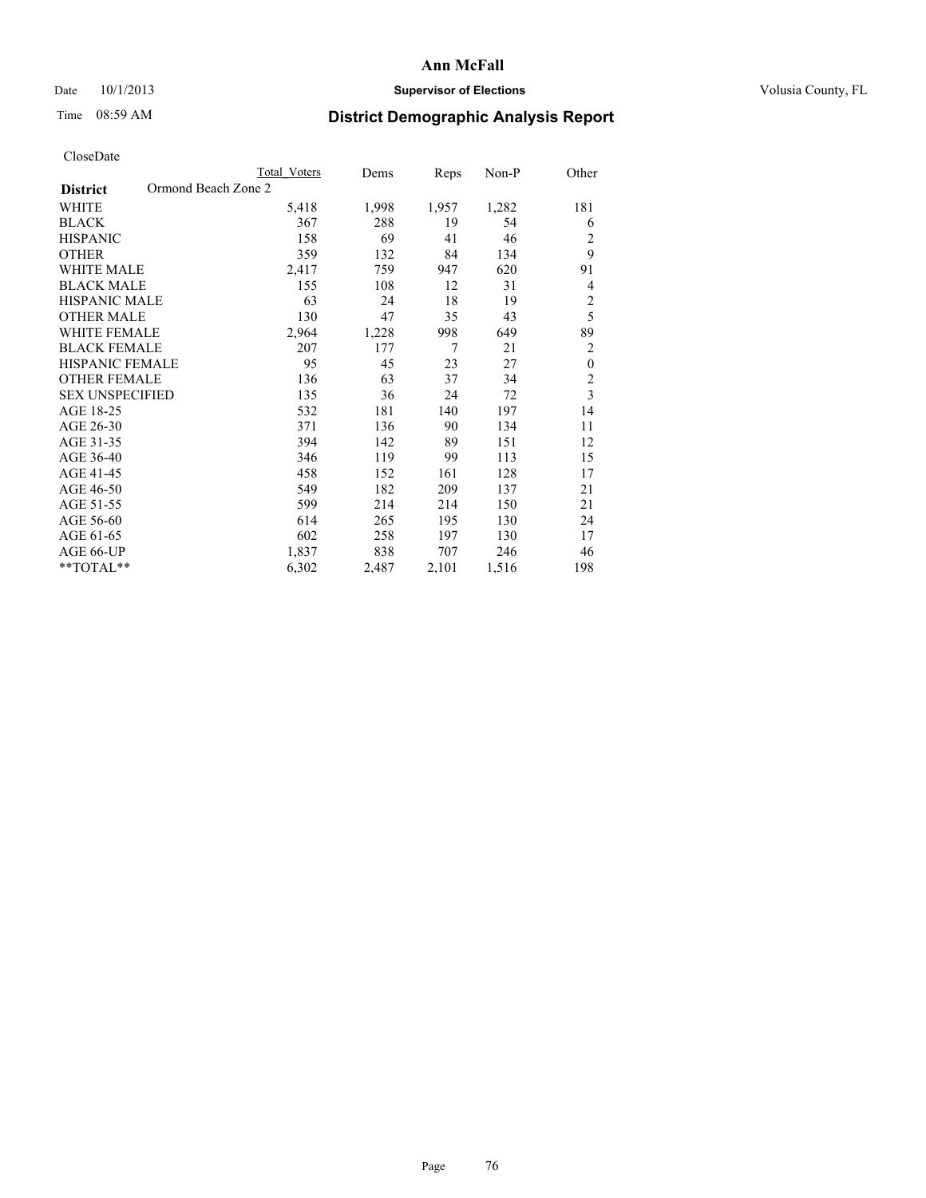### Date 10/1/2013 **Supervisor of Elections Supervisor of Elections** Volusia County, FL

# Time 08:59 AM **District Demographic Analysis Report**

|                                        | <b>Total Voters</b> | Dems  | Reps  | Non-P | Other            |
|----------------------------------------|---------------------|-------|-------|-------|------------------|
| Ormond Beach Zone 2<br><b>District</b> |                     |       |       |       |                  |
| WHITE                                  | 5,418               | 1,998 | 1,957 | 1,282 | 181              |
| <b>BLACK</b>                           | 367                 | 288   | 19    | 54    | 6                |
| <b>HISPANIC</b>                        | 158                 | 69    | 41    | 46    | $\overline{c}$   |
| <b>OTHER</b>                           | 359                 | 132   | 84    | 134   | 9                |
| WHITE MALE                             | 2,417               | 759   | 947   | 620   | 91               |
| <b>BLACK MALE</b>                      | 155                 | 108   | 12    | 31    | 4                |
| HISPANIC MALE                          | 63                  | 24    | 18    | 19    | $\overline{c}$   |
| <b>OTHER MALE</b>                      | 130                 | 47    | 35    | 43    | 5                |
| WHITE FEMALE                           | 2,964               | 1,228 | 998   | 649   | 89               |
| <b>BLACK FEMALE</b>                    | 207                 | 177   | 7     | 21    | $\overline{2}$   |
| <b>HISPANIC FEMALE</b>                 | 95                  | 45    | 23    | 27    | $\boldsymbol{0}$ |
| <b>OTHER FEMALE</b>                    | 136                 | 63    | 37    | 34    | $\overline{2}$   |
| <b>SEX UNSPECIFIED</b>                 | 135                 | 36    | 24    | 72    | $\overline{3}$   |
| AGE 18-25                              | 532                 | 181   | 140   | 197   | 14               |
| AGE 26-30                              | 371                 | 136   | 90    | 134   | 11               |
| AGE 31-35                              | 394                 | 142   | 89    | 151   | 12               |
| AGE 36-40                              | 346                 | 119   | 99    | 113   | 15               |
| AGE 41-45                              | 458                 | 152   | 161   | 128   | 17               |
| AGE 46-50                              | 549                 | 182   | 209   | 137   | 21               |
| AGE 51-55                              | 599                 | 214   | 214   | 150   | 21               |
| AGE 56-60                              | 614                 | 265   | 195   | 130   | 24               |
| AGE 61-65                              | 602                 | 258   | 197   | 130   | 17               |
| AGE 66-UP                              | 1,837               | 838   | 707   | 246   | 46               |
| **TOTAL**                              | 6,302               | 2,487 | 2,101 | 1,516 | 198              |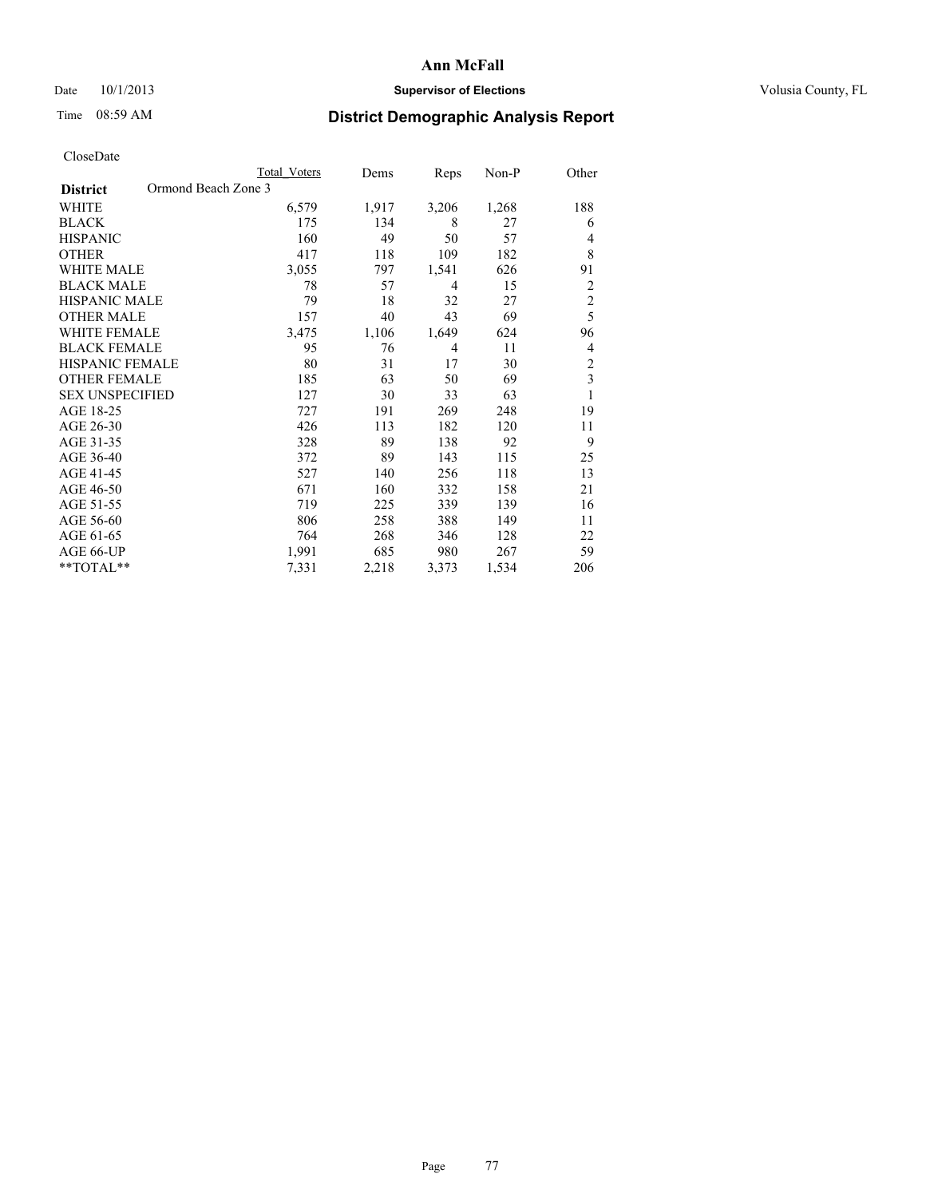## Date 10/1/2013 **Supervisor of Elections Supervisor of Elections** Volusia County, FL

## Time 08:59 AM **District Demographic Analysis Report**

|                                        | Total Voters | Dems  | Reps           | Non-P | Other          |
|----------------------------------------|--------------|-------|----------------|-------|----------------|
| Ormond Beach Zone 3<br><b>District</b> |              |       |                |       |                |
| WHITE                                  | 6,579        | 1,917 | 3,206          | 1,268 | 188            |
| <b>BLACK</b>                           | 175          | 134   | 8              | 27    | 6              |
| <b>HISPANIC</b>                        | 160          | 49    | 50             | 57    | 4              |
| <b>OTHER</b>                           | 417          | 118   | 109            | 182   | 8              |
| WHITE MALE                             | 3,055        | 797   | 1,541          | 626   | 91             |
| <b>BLACK MALE</b>                      | 78           | 57    | $\overline{4}$ | 15    | $\overline{2}$ |
| <b>HISPANIC MALE</b>                   | 79           | 18    | 32             | 27    | $\overline{c}$ |
| <b>OTHER MALE</b>                      | 157          | 40    | 43             | 69    | 5              |
| WHITE FEMALE                           | 3,475        | 1,106 | 1,649          | 624   | 96             |
| <b>BLACK FEMALE</b>                    | 95           | 76    | $\overline{4}$ | 11    | 4              |
| <b>HISPANIC FEMALE</b>                 | 80           | 31    | 17             | 30    | $\overline{c}$ |
| <b>OTHER FEMALE</b>                    | 185          | 63    | 50             | 69    | 3              |
| <b>SEX UNSPECIFIED</b>                 | 127          | 30    | 33             | 63    | 1              |
| AGE 18-25                              | 727          | 191   | 269            | 248   | 19             |
| AGE 26-30                              | 426          | 113   | 182            | 120   | 11             |
| AGE 31-35                              | 328          | 89    | 138            | 92    | 9              |
| AGE 36-40                              | 372          | 89    | 143            | 115   | 25             |
| AGE 41-45                              | 527          | 140   | 256            | 118   | 13             |
| AGE 46-50                              | 671          | 160   | 332            | 158   | 21             |
| AGE 51-55                              | 719          | 225   | 339            | 139   | 16             |
| AGE 56-60                              | 806          | 258   | 388            | 149   | 11             |
| AGE 61-65                              | 764          | 268   | 346            | 128   | 22             |
| AGE 66-UP                              | 1,991        | 685   | 980            | 267   | 59             |
| **TOTAL**                              | 7,331        | 2,218 | 3,373          | 1,534 | 206            |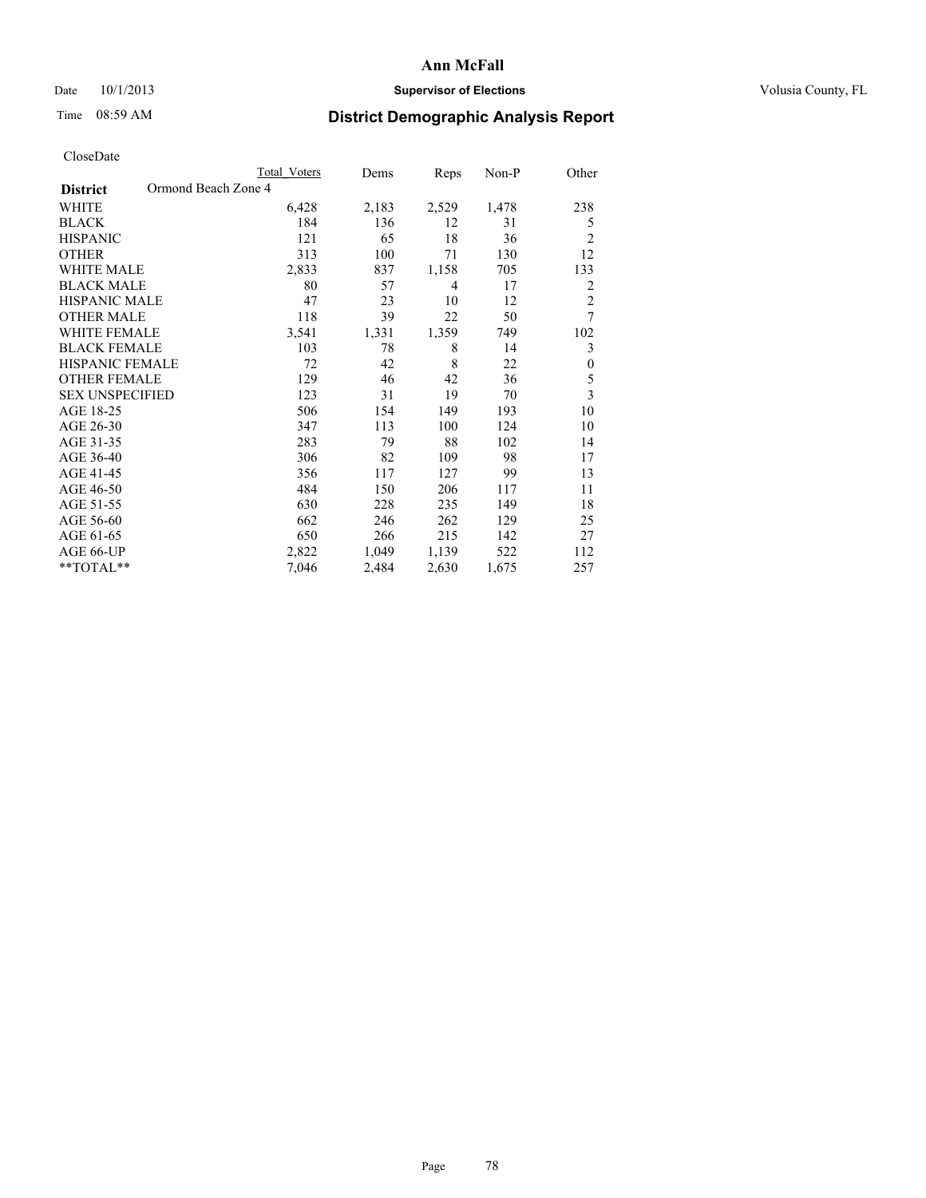## Date 10/1/2013 **Supervisor of Elections Supervisor of Elections** Volusia County, FL

## Time 08:59 AM **District Demographic Analysis Report**

|                        | Total Voters        | Dems  | Reps  | Non-P | Other          |
|------------------------|---------------------|-------|-------|-------|----------------|
| <b>District</b>        | Ormond Beach Zone 4 |       |       |       |                |
| WHITE                  | 6,428               | 2,183 | 2,529 | 1,478 | 238            |
| <b>BLACK</b>           | 184                 | 136   | 12    | 31    | 5              |
| <b>HISPANIC</b>        | 121                 | 65    | 18    | 36    | $\overline{c}$ |
| <b>OTHER</b>           | 313                 | 100   | 71    | 130   | 12             |
| <b>WHITE MALE</b>      | 2,833               | 837   | 1,158 | 705   | 133            |
| <b>BLACK MALE</b>      | 80                  | 57    | 4     | 17    | 2              |
| <b>HISPANIC MALE</b>   | 47                  | 23    | 10    | 12    | $\overline{2}$ |
| <b>OTHER MALE</b>      | 118                 | 39    | 22    | 50    | 7              |
| <b>WHITE FEMALE</b>    | 3,541               | 1,331 | 1,359 | 749   | 102            |
| <b>BLACK FEMALE</b>    | 103                 | 78    | 8     | 14    | 3              |
| HISPANIC FEMALE        | 72                  | 42    | 8     | 22    | $\mathbf{0}$   |
| <b>OTHER FEMALE</b>    | 129                 | 46    | 42    | 36    | 5              |
| <b>SEX UNSPECIFIED</b> | 123                 | 31    | 19    | 70    | 3              |
| AGE 18-25              | 506                 | 154   | 149   | 193   | 10             |
| AGE 26-30              | 347                 | 113   | 100   | 124   | 10             |
| AGE 31-35              | 283                 | 79    | 88    | 102   | 14             |
| AGE 36-40              | 306                 | 82    | 109   | 98    | 17             |
| AGE 41-45              | 356                 | 117   | 127   | 99    | 13             |
| AGE 46-50              | 484                 | 150   | 206   | 117   | 11             |
| AGE 51-55              | 630                 | 228   | 235   | 149   | 18             |
| AGE 56-60              | 662                 | 246   | 262   | 129   | 25             |
| AGE 61-65              | 650                 | 266   | 215   | 142   | 27             |
| AGE 66-UP              | 2,822               | 1,049 | 1,139 | 522   | 112            |
| **TOTAL**              | 7,046               | 2,484 | 2,630 | 1,675 | 257            |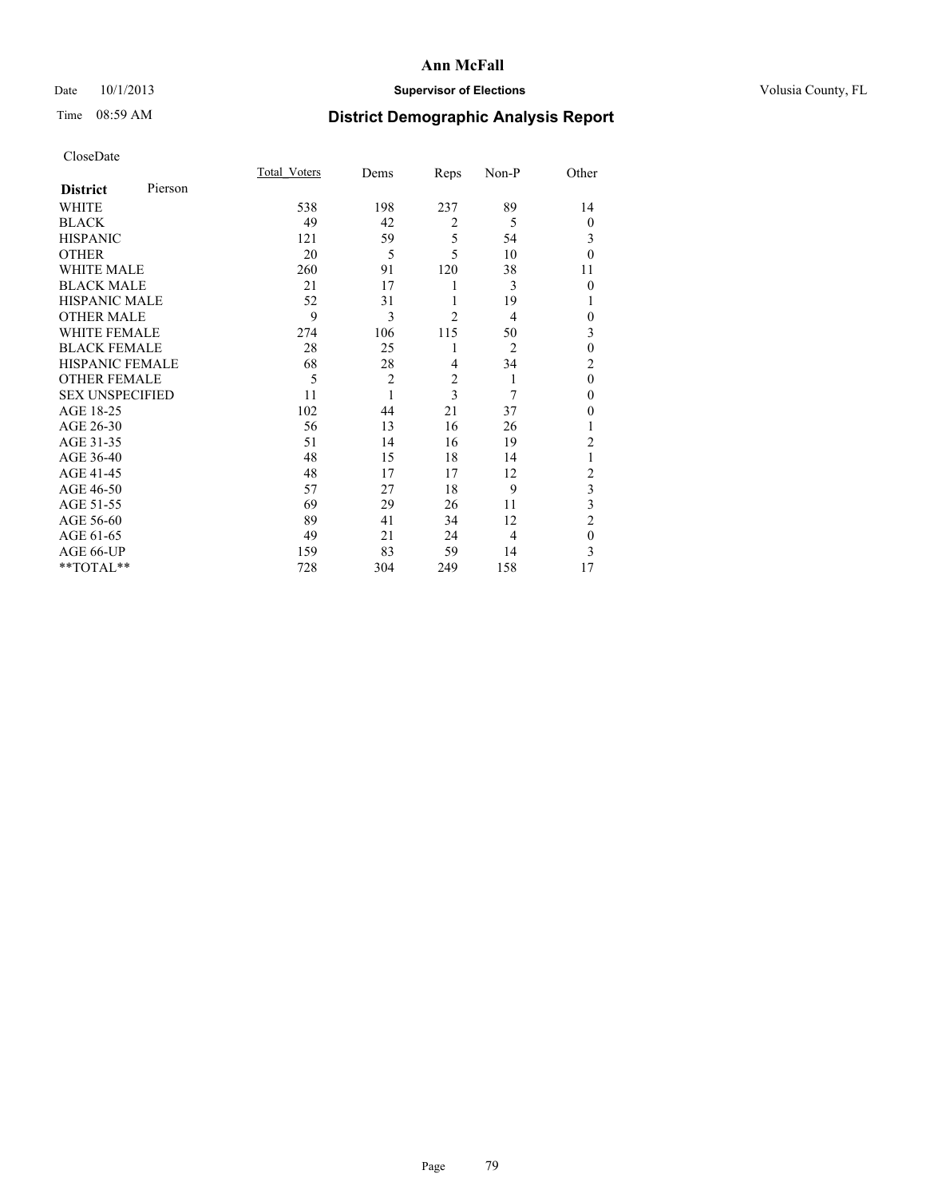## Date 10/1/2013 **Supervisor of Elections Supervisor of Elections** Volusia County, FL

# Time 08:59 AM **District Demographic Analysis Report**

|                        |         | <b>Total Voters</b> | Dems           | Reps           | Non-P          | Other          |
|------------------------|---------|---------------------|----------------|----------------|----------------|----------------|
| <b>District</b>        | Pierson |                     |                |                |                |                |
| WHITE                  |         | 538                 | 198            | 237            | 89             | 14             |
| <b>BLACK</b>           |         | 49                  | 42             | $\overline{2}$ | 5              | $\theta$       |
| <b>HISPANIC</b>        |         | 121                 | 59             | 5              | 54             | 3              |
| <b>OTHER</b>           |         | 20                  | 5              | 5              | 10             | $\theta$       |
| WHITE MALE             |         | 260                 | 91             | 120            | 38             | 11             |
| <b>BLACK MALE</b>      |         | 21                  | 17             | 1              | 3              | $\theta$       |
| <b>HISPANIC MALE</b>   |         | 52                  | 31             | 1              | 19             | 1              |
| <b>OTHER MALE</b>      |         | 9                   | 3              | $\overline{2}$ | 4              | 0              |
| WHITE FEMALE           |         | 274                 | 106            | 115            | 50             | 3              |
| <b>BLACK FEMALE</b>    |         | 28                  | 25             | 1              | $\overline{2}$ | $\mathbf{0}$   |
| <b>HISPANIC FEMALE</b> |         | 68                  | 28             | $\overline{4}$ | 34             | $\overline{c}$ |
| <b>OTHER FEMALE</b>    |         | 5                   | $\overline{c}$ | $\overline{2}$ | 1              | $\theta$       |
| <b>SEX UNSPECIFIED</b> |         | 11                  | 1              | 3              | 7              | $\mathbf{0}$   |
| AGE 18-25              |         | 102                 | 44             | 21             | 37             | $\theta$       |
| AGE 26-30              |         | 56                  | 13             | 16             | 26             | 1              |
| AGE 31-35              |         | 51                  | 14             | 16             | 19             | $\overline{c}$ |
| AGE 36-40              |         | 48                  | 15             | 18             | 14             | 1              |
| AGE 41-45              |         | 48                  | 17             | 17             | 12             | $\overline{c}$ |
| AGE 46-50              |         | 57                  | 27             | 18             | 9              | 3              |
| AGE 51-55              |         | 69                  | 29             | 26             | 11             | 3              |
| AGE 56-60              |         | 89                  | 41             | 34             | 12             | $\overline{c}$ |
| AGE 61-65              |         | 49                  | 21             | 24             | $\overline{4}$ | $\mathbf{0}$   |
| AGE 66-UP              |         | 159                 | 83             | 59             | 14             | 3              |
| **TOTAL**              |         | 728                 | 304            | 249            | 158            | 17             |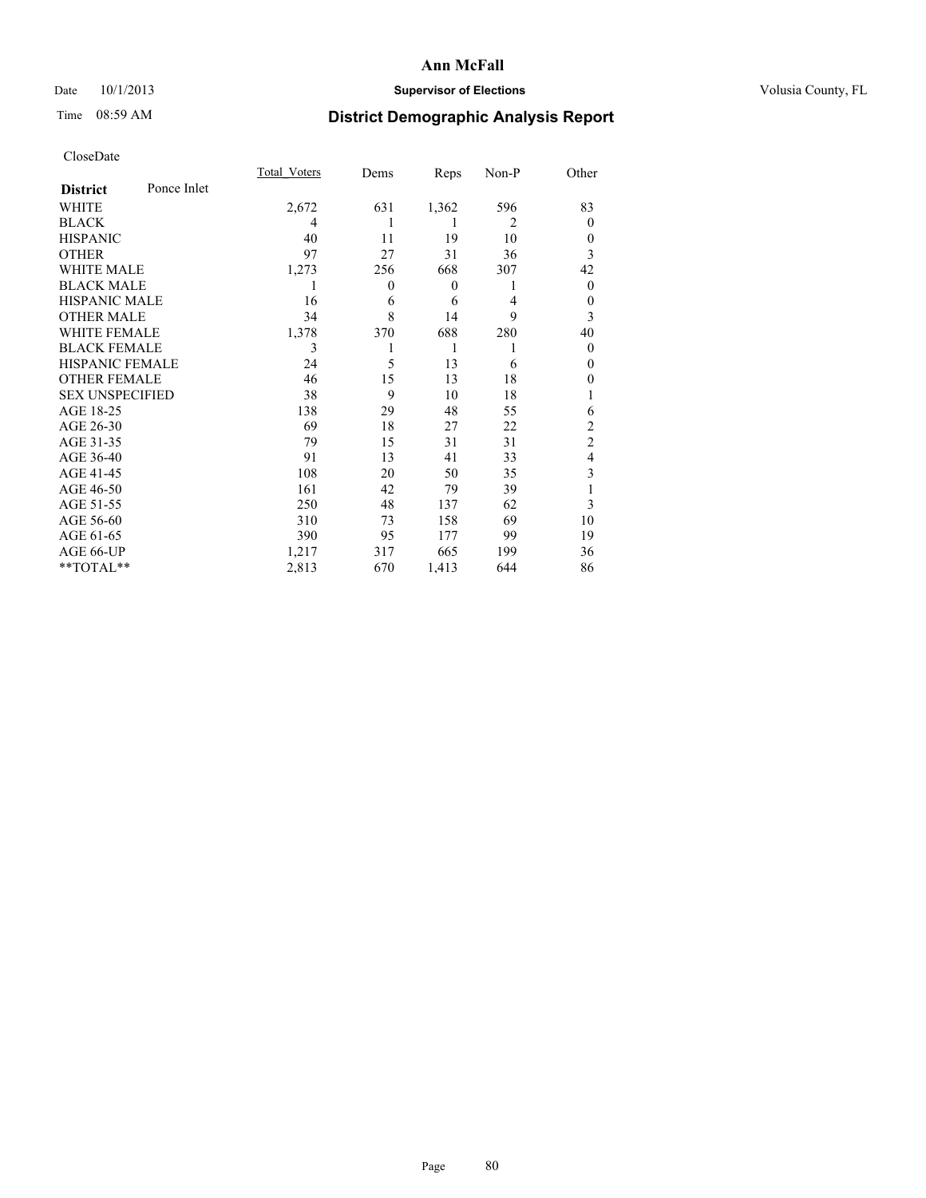## Date 10/1/2013 **Supervisor of Elections Supervisor of Elections** Volusia County, FL

# Time 08:59 AM **District Demographic Analysis Report**

|                        |             | <b>Total Voters</b> | Dems             | Reps             | Non-P          | Other          |
|------------------------|-------------|---------------------|------------------|------------------|----------------|----------------|
| <b>District</b>        | Ponce Inlet |                     |                  |                  |                |                |
| WHITE                  |             | 2,672               | 631              | 1,362            | 596            | 83             |
| <b>BLACK</b>           |             | 4                   | 1                | 1                | $\overline{2}$ | $\theta$       |
| <b>HISPANIC</b>        |             | 40                  | 11               | 19               | 10             | $\theta$       |
| <b>OTHER</b>           |             | 97                  | 27               | 31               | 36             | 3              |
| WHITE MALE             |             | 1,273               | 256              | 668              | 307            | 42             |
| <b>BLACK MALE</b>      |             | 1                   | $\boldsymbol{0}$ | $\boldsymbol{0}$ | 1              | $\overline{0}$ |
| <b>HISPANIC MALE</b>   |             | 16                  | 6                | 6                | 4              | $\theta$       |
| <b>OTHER MALE</b>      |             | 34                  | 8                | 14               | 9              | 3              |
| <b>WHITE FEMALE</b>    |             | 1,378               | 370              | 688              | 280            | 40             |
| <b>BLACK FEMALE</b>    |             | 3                   |                  | 1                | 1              | $\theta$       |
| <b>HISPANIC FEMALE</b> |             | 24                  | 5                | 13               | 6              | $\theta$       |
| <b>OTHER FEMALE</b>    |             | 46                  | 15               | 13               | 18             | 0              |
| <b>SEX UNSPECIFIED</b> |             | 38                  | 9                | 10               | 18             |                |
| AGE 18-25              |             | 138                 | 29               | 48               | 55             | 6              |
| AGE 26-30              |             | 69                  | 18               | 27               | 22             | $\overline{c}$ |
| AGE 31-35              |             | 79                  | 15               | 31               | 31             | $\overline{c}$ |
| AGE 36-40              |             | 91                  | 13               | 41               | 33             | 4              |
| AGE 41-45              |             | 108                 | 20               | 50               | 35             | 3              |
| AGE 46-50              |             | 161                 | 42               | 79               | 39             |                |
| AGE 51-55              |             | 250                 | 48               | 137              | 62             | 3              |
| AGE 56-60              |             | 310                 | 73               | 158              | 69             | 10             |
| AGE 61-65              |             | 390                 | 95               | 177              | 99             | 19             |
| AGE 66-UP              |             | 1,217               | 317              | 665              | 199            | 36             |
| **TOTAL**              |             | 2,813               | 670              | 1,413            | 644            | 86             |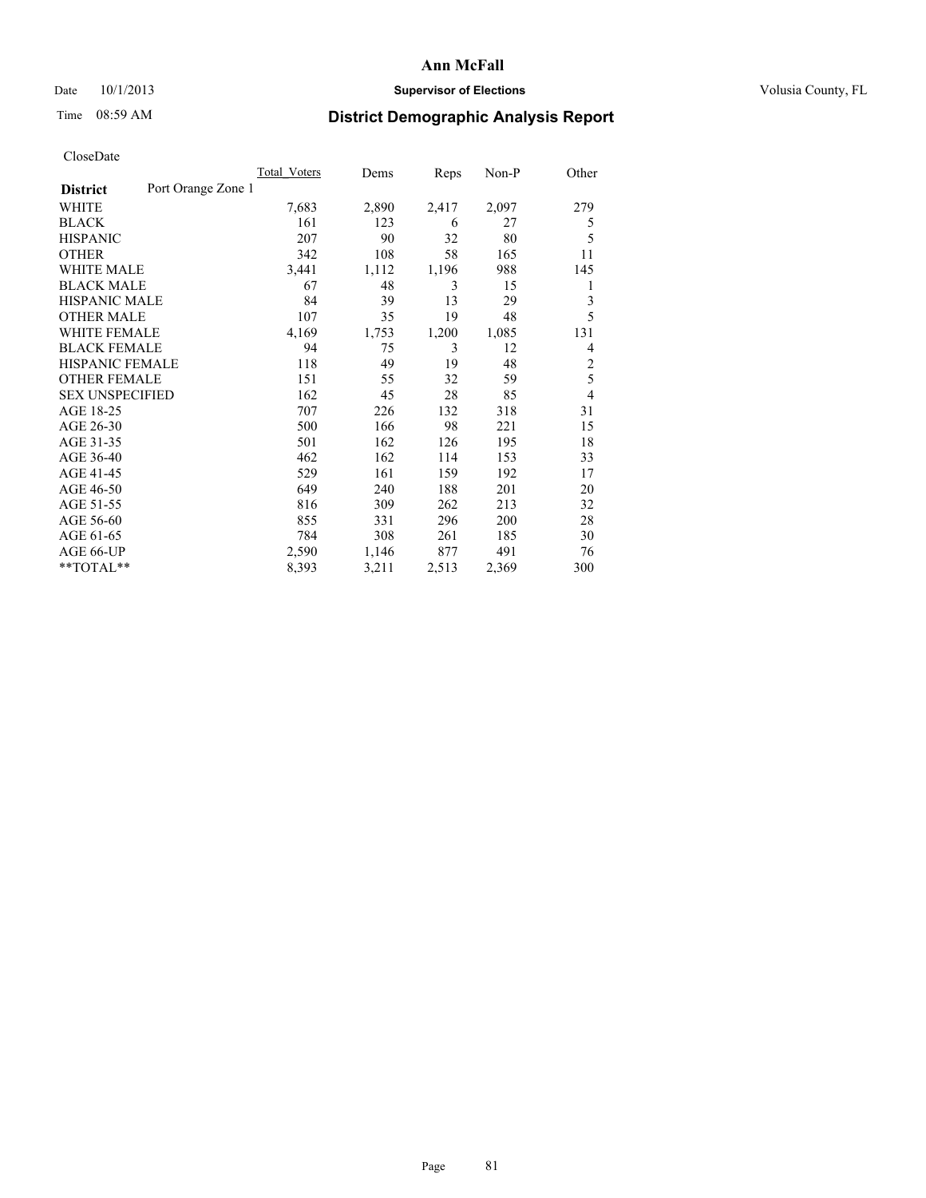### Date  $10/1/2013$  **Supervisor of Elections Supervisor of Elections** Volusia County, FL

## Time 08:59 AM **District Demographic Analysis Report**

|                                       | <b>Total Voters</b> | Dems  | Reps  | Non-P | Other          |
|---------------------------------------|---------------------|-------|-------|-------|----------------|
| Port Orange Zone 1<br><b>District</b> |                     |       |       |       |                |
| WHITE                                 | 7,683               | 2,890 | 2,417 | 2,097 | 279            |
| <b>BLACK</b>                          | 161                 | 123   | 6     | 27    | 5              |
| <b>HISPANIC</b>                       | 207                 | 90    | 32    | 80    | 5              |
| <b>OTHER</b>                          | 342                 | 108   | 58    | 165   | 11             |
| <b>WHITE MALE</b>                     | 3,441               | 1,112 | 1,196 | 988   | 145            |
| <b>BLACK MALE</b>                     | 67                  | 48    | 3     | 15    | 1              |
| <b>HISPANIC MALE</b>                  | 84                  | 39    | 13    | 29    | 3              |
| <b>OTHER MALE</b>                     | 107                 | 35    | 19    | 48    | 5              |
| <b>WHITE FEMALE</b>                   | 4,169               | 1,753 | 1,200 | 1,085 | 131            |
| <b>BLACK FEMALE</b>                   | 94                  | 75    | 3     | 12    | 4              |
| HISPANIC FEMALE                       | 118                 | 49    | 19    | 48    | $\overline{c}$ |
| <b>OTHER FEMALE</b>                   | 151                 | 55    | 32    | 59    | 5              |
| <b>SEX UNSPECIFIED</b>                | 162                 | 45    | 28    | 85    | $\overline{4}$ |
| AGE 18-25                             | 707                 | 226   | 132   | 318   | 31             |
| AGE 26-30                             | 500                 | 166   | 98    | 221   | 15             |
| AGE 31-35                             | 501                 | 162   | 126   | 195   | 18             |
| AGE 36-40                             | 462                 | 162   | 114   | 153   | 33             |
| AGE 41-45                             | 529                 | 161   | 159   | 192   | 17             |
| AGE 46-50                             | 649                 | 240   | 188   | 201   | 20             |
| AGE 51-55                             | 816                 | 309   | 262   | 213   | 32             |
| AGE 56-60                             | 855                 | 331   | 296   | 200   | 28             |
| AGE 61-65                             | 784                 | 308   | 261   | 185   | 30             |
| AGE 66-UP                             | 2,590               | 1,146 | 877   | 491   | 76             |
| **TOTAL**                             | 8,393               | 3,211 | 2,513 | 2,369 | 300            |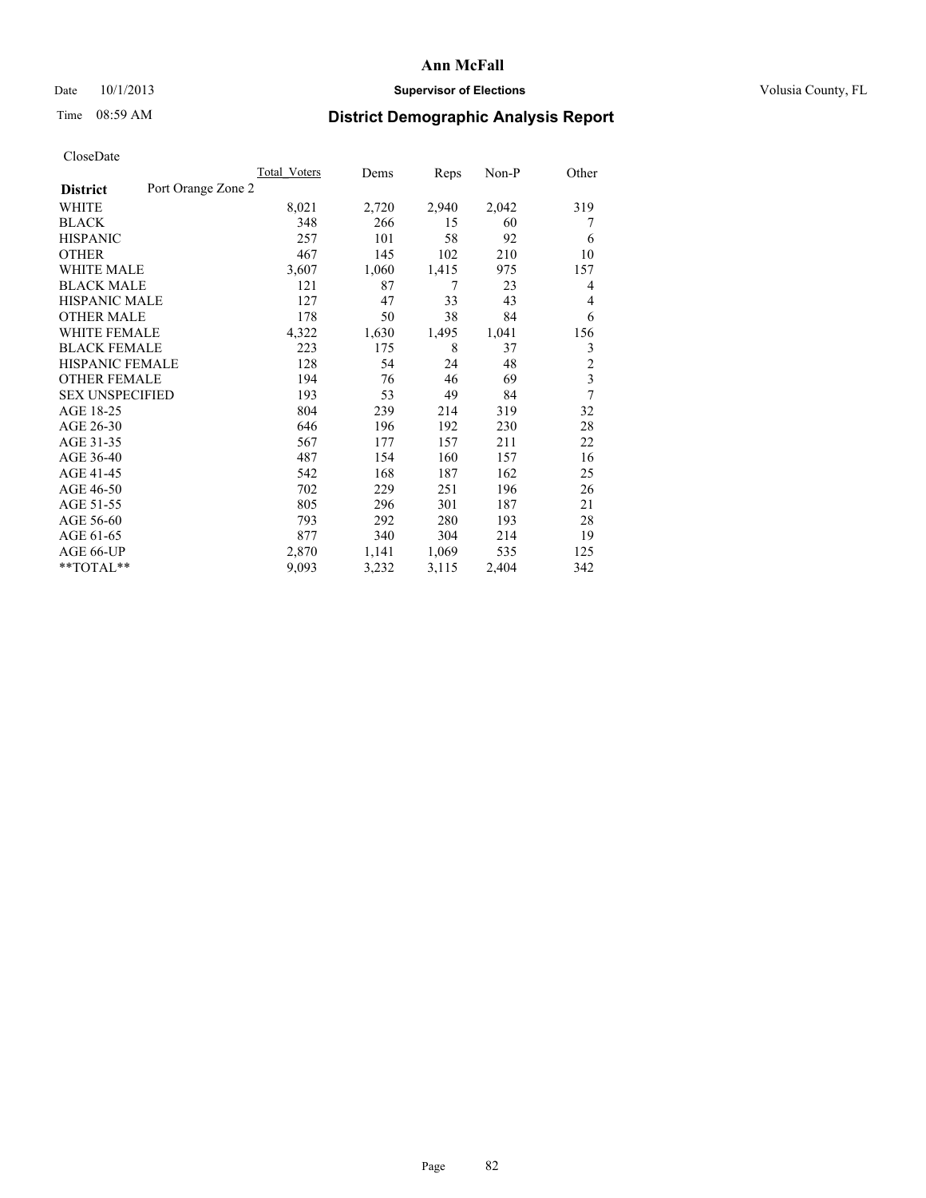### Date 10/1/2013 **Supervisor of Elections Supervisor of Elections** Volusia County, FL

# Time 08:59 AM **District Demographic Analysis Report**

|                                       | <b>Total Voters</b> | Dems  | Reps  | Non-P | Other                   |
|---------------------------------------|---------------------|-------|-------|-------|-------------------------|
| Port Orange Zone 2<br><b>District</b> |                     |       |       |       |                         |
| WHITE                                 | 8,021               | 2,720 | 2,940 | 2,042 | 319                     |
| <b>BLACK</b>                          | 348                 | 266   | 15    | 60    | 7                       |
| <b>HISPANIC</b>                       | 257                 | 101   | 58    | 92    | 6                       |
| <b>OTHER</b>                          | 467                 | 145   | 102   | 210   | 10                      |
| WHITE MALE                            | 3,607               | 1,060 | 1,415 | 975   | 157                     |
| <b>BLACK MALE</b>                     | 121                 | 87    | 7     | 23    | 4                       |
| <b>HISPANIC MALE</b>                  | 127                 | 47    | 33    | 43    | 4                       |
| <b>OTHER MALE</b>                     | 178                 | 50    | 38    | 84    | 6                       |
| <b>WHITE FEMALE</b>                   | 4,322               | 1,630 | 1,495 | 1,041 | 156                     |
| <b>BLACK FEMALE</b>                   | 223                 | 175   | 8     | 37    | 3                       |
| <b>HISPANIC FEMALE</b>                | 128                 | 54    | 24    | 48    | $\overline{c}$          |
| <b>OTHER FEMALE</b>                   | 194                 | 76    | 46    | 69    | $\overline{\mathbf{3}}$ |
| <b>SEX UNSPECIFIED</b>                | 193                 | 53    | 49    | 84    | 7                       |
| AGE 18-25                             | 804                 | 239   | 214   | 319   | 32                      |
| AGE 26-30                             | 646                 | 196   | 192   | 230   | 28                      |
| AGE 31-35                             | 567                 | 177   | 157   | 211   | 22                      |
| AGE 36-40                             | 487                 | 154   | 160   | 157   | 16                      |
| AGE 41-45                             | 542                 | 168   | 187   | 162   | 25                      |
| AGE 46-50                             | 702                 | 229   | 251   | 196   | 26                      |
| AGE 51-55                             | 805                 | 296   | 301   | 187   | 21                      |
| AGE 56-60                             | 793                 | 292   | 280   | 193   | 28                      |
| AGE 61-65                             | 877                 | 340   | 304   | 214   | 19                      |
| AGE 66-UP                             | 2,870               | 1,141 | 1,069 | 535   | 125                     |
| **TOTAL**                             | 9,093               | 3,232 | 3,115 | 2,404 | 342                     |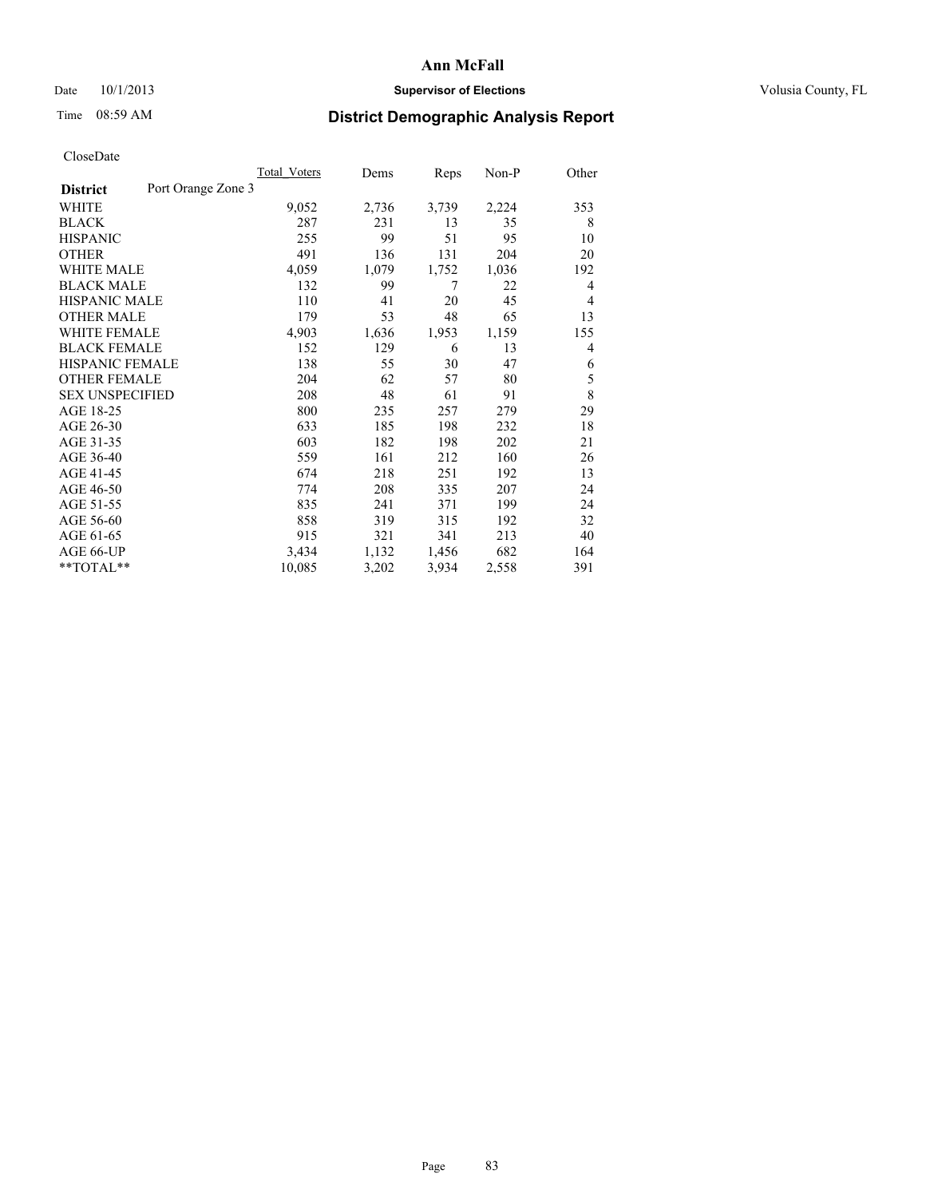### Date  $10/1/2013$  **Supervisor of Elections Supervisor of Elections** Volusia County, FL

# Time 08:59 AM **District Demographic Analysis Report**

|                                       | <b>Total Voters</b> | Dems  | Reps  | Non-P | Other |
|---------------------------------------|---------------------|-------|-------|-------|-------|
| Port Orange Zone 3<br><b>District</b> |                     |       |       |       |       |
| WHITE                                 | 9,052               | 2,736 | 3,739 | 2,224 | 353   |
| <b>BLACK</b>                          | 287                 | 231   | 13    | 35    | 8     |
| <b>HISPANIC</b>                       | 255                 | 99    | 51    | 95    | 10    |
| <b>OTHER</b>                          | 491                 | 136   | 131   | 204   | 20    |
| <b>WHITE MALE</b>                     | 4,059               | 1,079 | 1,752 | 1,036 | 192   |
| <b>BLACK MALE</b>                     | 132                 | 99    | 7     | 22    | 4     |
| <b>HISPANIC MALE</b>                  | 110                 | 41    | 20    | 45    | 4     |
| <b>OTHER MALE</b>                     | 179                 | 53    | 48    | 65    | 13    |
| <b>WHITE FEMALE</b>                   | 4,903               | 1,636 | 1,953 | 1,159 | 155   |
| <b>BLACK FEMALE</b>                   | 152                 | 129   | 6     | 13    | 4     |
| <b>HISPANIC FEMALE</b>                | 138                 | 55    | 30    | 47    | 6     |
| <b>OTHER FEMALE</b>                   | 204                 | 62    | 57    | 80    | 5     |
| <b>SEX UNSPECIFIED</b>                | 208                 | 48    | 61    | 91    | 8     |
| AGE 18-25                             | 800                 | 235   | 257   | 279   | 29    |
| AGE 26-30                             | 633                 | 185   | 198   | 232   | 18    |
| AGE 31-35                             | 603                 | 182   | 198   | 202   | 21    |
| AGE 36-40                             | 559                 | 161   | 212   | 160   | 26    |
| AGE 41-45                             | 674                 | 218   | 251   | 192   | 13    |
| AGE 46-50                             | 774                 | 208   | 335   | 207   | 24    |
| AGE 51-55                             | 835                 | 241   | 371   | 199   | 24    |
| AGE 56-60                             | 858                 | 319   | 315   | 192   | 32    |
| AGE 61-65                             | 915                 | 321   | 341   | 213   | 40    |
| AGE 66-UP                             | 3,434               | 1,132 | 1,456 | 682   | 164   |
| **TOTAL**                             | 10,085              | 3,202 | 3,934 | 2,558 | 391   |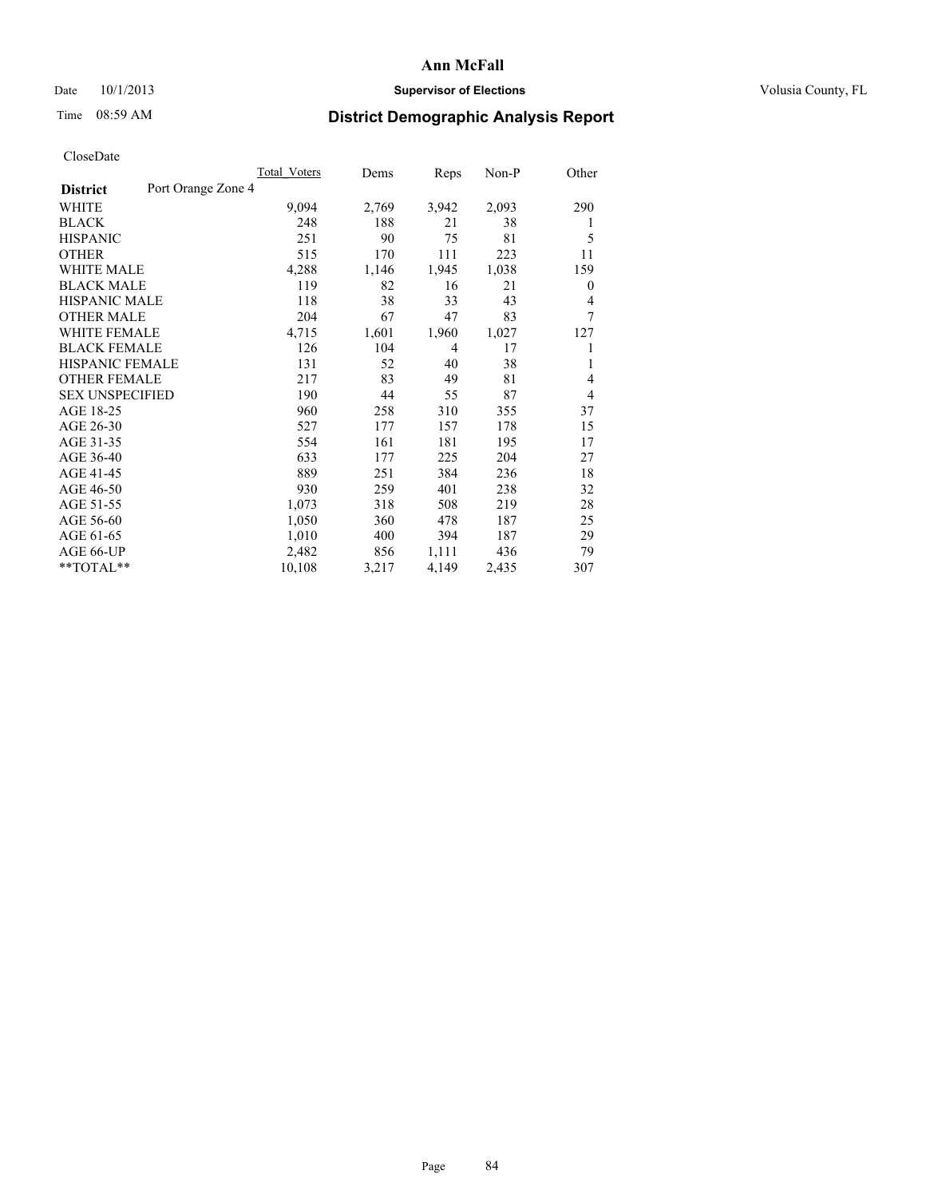## Date 10/1/2013 **Supervisor of Elections Supervisor of Elections** Volusia County, FL

## Time 08:59 AM **District Demographic Analysis Report**

|                                       | <b>Total Voters</b> | Dems  | Reps  | Non-P | Other          |
|---------------------------------------|---------------------|-------|-------|-------|----------------|
| Port Orange Zone 4<br><b>District</b> |                     |       |       |       |                |
| WHITE                                 | 9,094               | 2,769 | 3,942 | 2,093 | 290            |
| <b>BLACK</b>                          | 248                 | 188   | 21    | 38    | 1              |
| <b>HISPANIC</b>                       | 251                 | 90    | 75    | 81    | 5              |
| <b>OTHER</b>                          | 515                 | 170   | 111   | 223   | 11             |
| <b>WHITE MALE</b>                     | 4,288               | 1,146 | 1,945 | 1,038 | 159            |
| <b>BLACK MALE</b>                     | 119                 | 82    | 16    | 21    | $\overline{0}$ |
| HISPANIC MALE                         | 118                 | 38    | 33    | 43    | 4              |
| <b>OTHER MALE</b>                     | 204                 | 67    | 47    | 83    | 7              |
| <b>WHITE FEMALE</b>                   | 4,715               | 1,601 | 1,960 | 1,027 | 127            |
| <b>BLACK FEMALE</b>                   | 126                 | 104   | 4     | 17    |                |
| <b>HISPANIC FEMALE</b>                | 131                 | 52    | 40    | 38    | 1              |
| <b>OTHER FEMALE</b>                   | 217                 | 83    | 49    | 81    | $\overline{4}$ |
| <b>SEX UNSPECIFIED</b>                | 190                 | 44    | 55    | 87    | $\overline{4}$ |
| AGE 18-25                             | 960                 | 258   | 310   | 355   | 37             |
| AGE 26-30                             | 527                 | 177   | 157   | 178   | 15             |
| AGE 31-35                             | 554                 | 161   | 181   | 195   | 17             |
| AGE 36-40                             | 633                 | 177   | 225   | 204   | 27             |
| AGE 41-45                             | 889                 | 251   | 384   | 236   | 18             |
| AGE 46-50                             | 930                 | 259   | 401   | 238   | 32             |
| AGE 51-55                             | 1,073               | 318   | 508   | 219   | 28             |
| AGE 56-60                             | 1,050               | 360   | 478   | 187   | 25             |
| AGE 61-65                             | 1,010               | 400   | 394   | 187   | 29             |
| AGE 66-UP                             | 2,482               | 856   | 1,111 | 436   | 79             |
| **TOTAL**                             | 10,108              | 3,217 | 4,149 | 2,435 | 307            |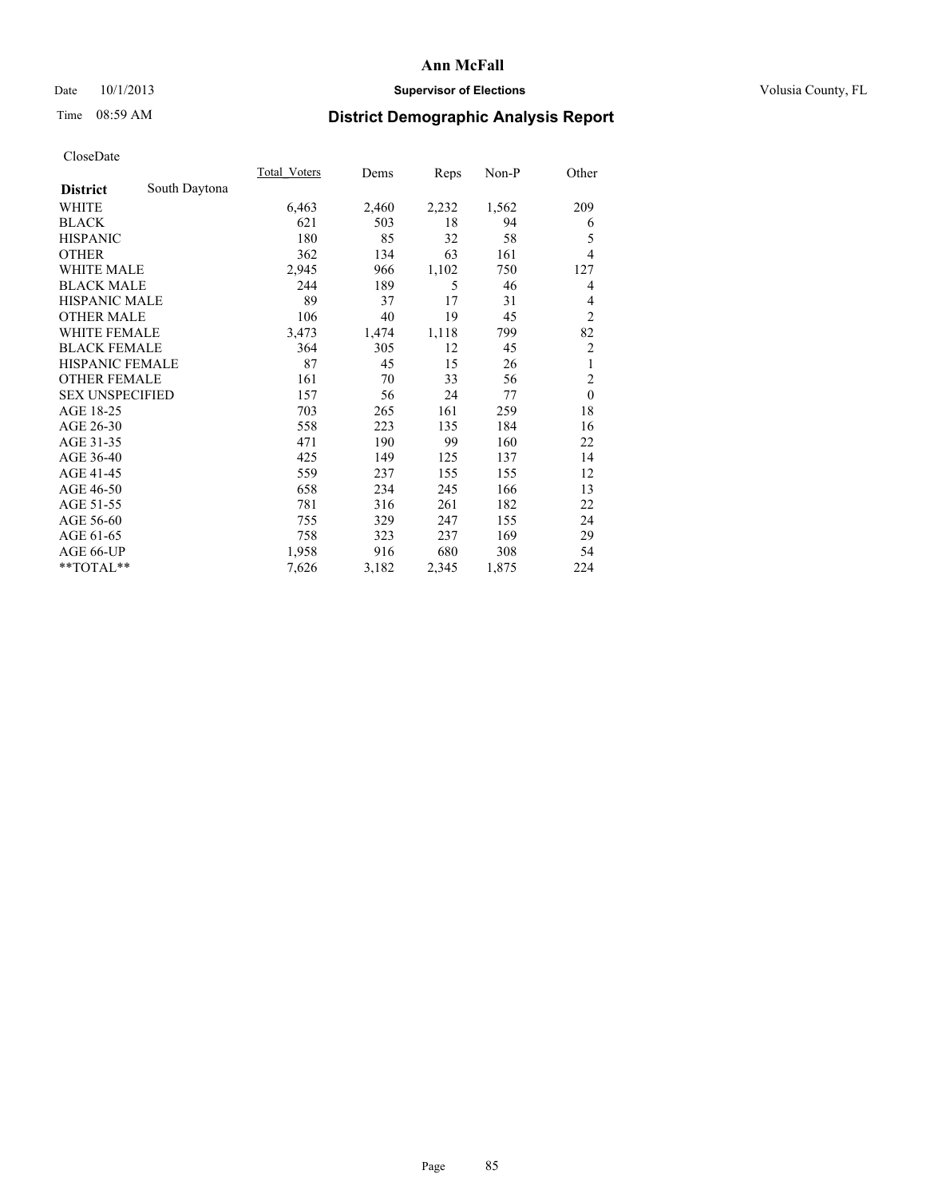## Date 10/1/2013 **Supervisor of Elections Supervisor of Elections** Volusia County, FL

# Time 08:59 AM **District Demographic Analysis Report**

|                        |               | Total Voters | Dems  | Reps  | $Non-P$ | Other          |
|------------------------|---------------|--------------|-------|-------|---------|----------------|
| <b>District</b>        | South Daytona |              |       |       |         |                |
| WHITE                  |               | 6,463        | 2,460 | 2,232 | 1,562   | 209            |
| <b>BLACK</b>           |               | 621          | 503   | 18    | 94      | 6              |
| <b>HISPANIC</b>        |               | 180          | 85    | 32    | 58      | 5              |
| <b>OTHER</b>           |               | 362          | 134   | 63    | 161     | 4              |
| WHITE MALE             |               | 2,945        | 966   | 1,102 | 750     | 127            |
| <b>BLACK MALE</b>      |               | 244          | 189   | 5     | 46      | 4              |
| <b>HISPANIC MALE</b>   |               | 89           | 37    | 17    | 31      | 4              |
| <b>OTHER MALE</b>      |               | 106          | 40    | 19    | 45      | $\overline{2}$ |
| WHITE FEMALE           |               | 3,473        | 1,474 | 1,118 | 799     | 82             |
| <b>BLACK FEMALE</b>    |               | 364          | 305   | 12    | 45      | $\overline{c}$ |
| <b>HISPANIC FEMALE</b> |               | 87           | 45    | 15    | 26      | 1              |
| <b>OTHER FEMALE</b>    |               | 161          | 70    | 33    | 56      | $\overline{c}$ |
| <b>SEX UNSPECIFIED</b> |               | 157          | 56    | 24    | 77      | $\mathbf{0}$   |
| AGE 18-25              |               | 703          | 265   | 161   | 259     | 18             |
| AGE 26-30              |               | 558          | 223   | 135   | 184     | 16             |
| AGE 31-35              |               | 471          | 190   | 99    | 160     | 22             |
| AGE 36-40              |               | 425          | 149   | 125   | 137     | 14             |
| AGE 41-45              |               | 559          | 237   | 155   | 155     | 12             |
| AGE 46-50              |               | 658          | 234   | 245   | 166     | 13             |
| AGE 51-55              |               | 781          | 316   | 261   | 182     | 22             |
| AGE 56-60              |               | 755          | 329   | 247   | 155     | 24             |
| AGE 61-65              |               | 758          | 323   | 237   | 169     | 29             |
| AGE 66-UP              |               | 1,958        | 916   | 680   | 308     | 54             |
| **TOTAL**              |               | 7,626        | 3,182 | 2,345 | 1,875   | 224            |